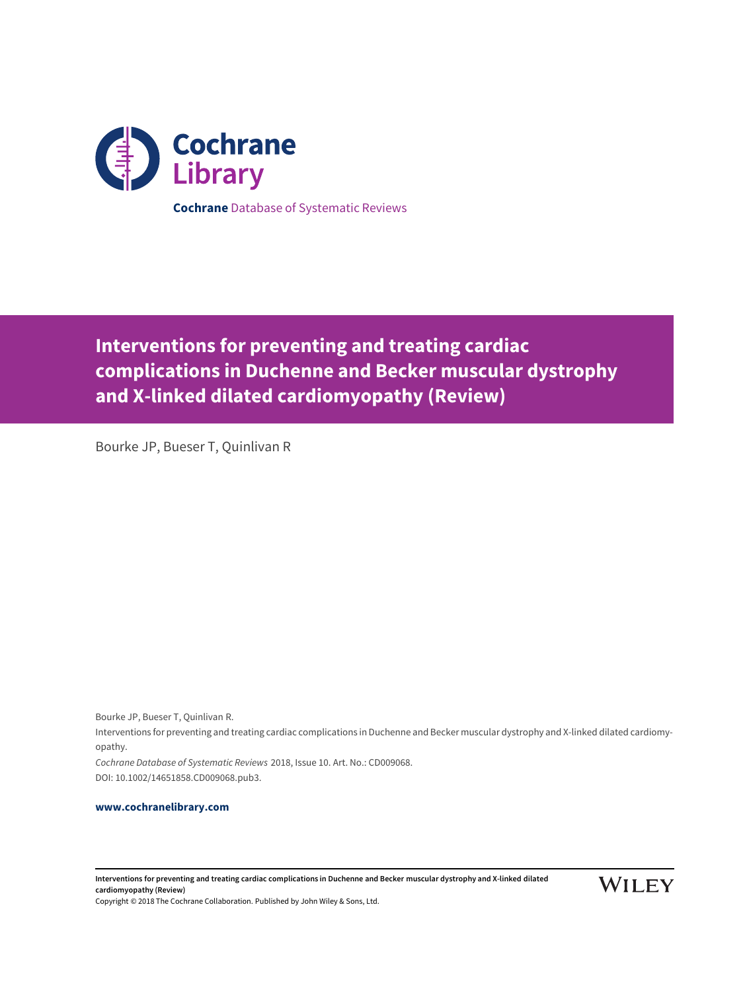

# **Interventions for preventing and treating cardiac complications in Duchenne and Becker muscular dystrophy and X-linked dilated cardiomyopathy (Review)**

Bourke JP, Bueser T, Quinlivan R

Bourke JP, Bueser T, Quinlivan R.

Interventions for preventing and treating cardiac complications in Duchenne and Becker muscular dystrophy and X-linked dilated cardiomyopathy.

Cochrane Database of Systematic Reviews 2018, Issue 10. Art. No.: CD009068. DOI: 10.1002/14651858.CD009068.pub3.

# **[www.cochranelibrary.com](http://www.cochranelibrary.com)**

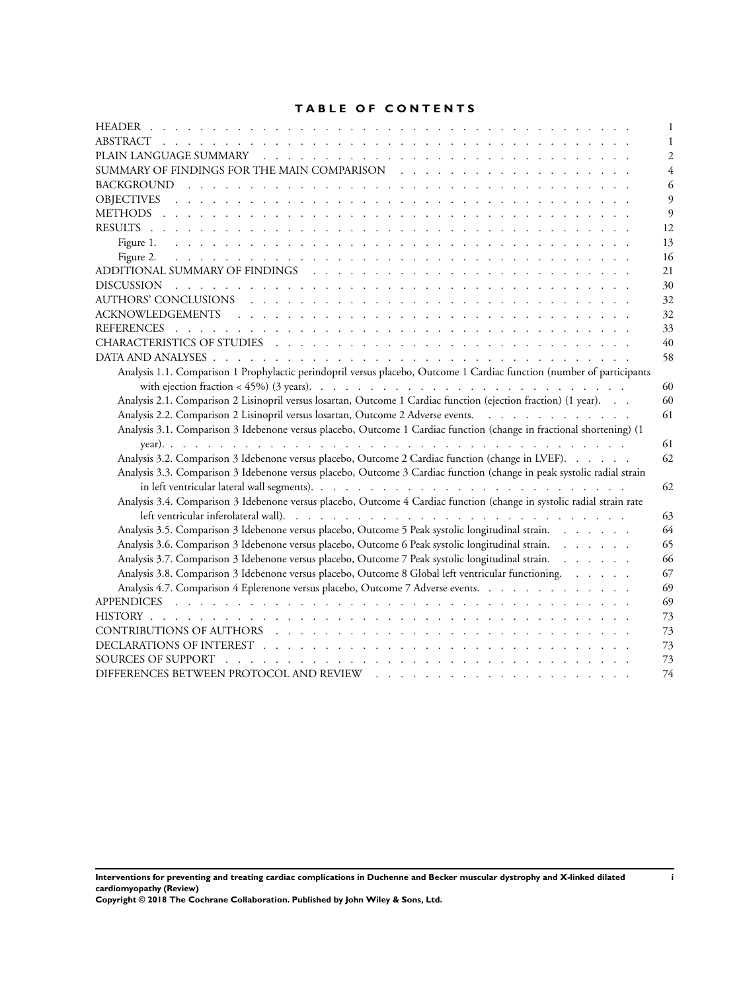# **TABLE OF CONTENTS**

| 1                                                                                                                                                                                                                                    |
|--------------------------------------------------------------------------------------------------------------------------------------------------------------------------------------------------------------------------------------|
| 1                                                                                                                                                                                                                                    |
| $\overline{c}$                                                                                                                                                                                                                       |
| 4                                                                                                                                                                                                                                    |
| 6                                                                                                                                                                                                                                    |
| 9                                                                                                                                                                                                                                    |
| 9                                                                                                                                                                                                                                    |
| 12                                                                                                                                                                                                                                   |
| 13                                                                                                                                                                                                                                   |
| 16<br>Figure 2.                                                                                                                                                                                                                      |
| 21                                                                                                                                                                                                                                   |
| 30                                                                                                                                                                                                                                   |
| AUTHORS' CONCLUSIONS (experimental contract of the contract of the contract of the contract of the contract of the contract of the contract of the contract of the contract of the contract of the contract of the contract of<br>32 |
| 32                                                                                                                                                                                                                                   |
| 33                                                                                                                                                                                                                                   |
| 40                                                                                                                                                                                                                                   |
| 58                                                                                                                                                                                                                                   |
| Analysis 1.1. Comparison 1 Prophylactic perindopril versus placebo, Outcome 1 Cardiac function (number of participants                                                                                                               |
| 60                                                                                                                                                                                                                                   |
| Analysis 2.1. Comparison 2 Lisinopril versus losartan, Outcome 1 Cardiac function (ejection fraction) (1 year).<br>60                                                                                                                |
| Analysis 2.2. Comparison 2 Lisinopril versus losartan, Outcome 2 Adverse events.<br>61                                                                                                                                               |
| Analysis 3.1. Comparison 3 Idebenone versus placebo, Outcome 1 Cardiac function (change in fractional shortening) (1                                                                                                                 |
| 61                                                                                                                                                                                                                                   |
| Analysis 3.2. Comparison 3 Idebenone versus placebo, Outcome 2 Cardiac function (change in LVEF).<br>62                                                                                                                              |
| Analysis 3.3. Comparison 3 Idebenone versus placebo, Outcome 3 Cardiac function (change in peak systolic radial strain                                                                                                               |
| 62                                                                                                                                                                                                                                   |
| Analysis 3.4. Comparison 3 Idebenone versus placebo, Outcome 4 Cardiac function (change in systolic radial strain rate                                                                                                               |
| 63                                                                                                                                                                                                                                   |
| Analysis 3.5. Comparison 3 Idebenone versus placebo, Outcome 5 Peak systolic longitudinal strain.<br>64                                                                                                                              |
| Analysis 3.6. Comparison 3 Idebenone versus placebo, Outcome 6 Peak systolic longitudinal strain.<br>65                                                                                                                              |
| Analysis 3.7. Comparison 3 Idebenone versus placebo, Outcome 7 Peak systolic longitudinal strain.<br>66                                                                                                                              |
| Analysis 3.8. Comparison 3 Idebenone versus placebo, Outcome 8 Global left ventricular functioning.<br>67                                                                                                                            |
| Analysis 4.7. Comparison 4 Eplerenone versus placebo, Outcome 7 Adverse events.<br>69                                                                                                                                                |
| 69                                                                                                                                                                                                                                   |
| 73                                                                                                                                                                                                                                   |
| 73                                                                                                                                                                                                                                   |
| 73                                                                                                                                                                                                                                   |
| 73                                                                                                                                                                                                                                   |
| 74                                                                                                                                                                                                                                   |

**Interventions for preventing and treating cardiac complications in Duchenne and Becker muscular dystrophy and X-linked dilated i cardiomyopathy (Review)**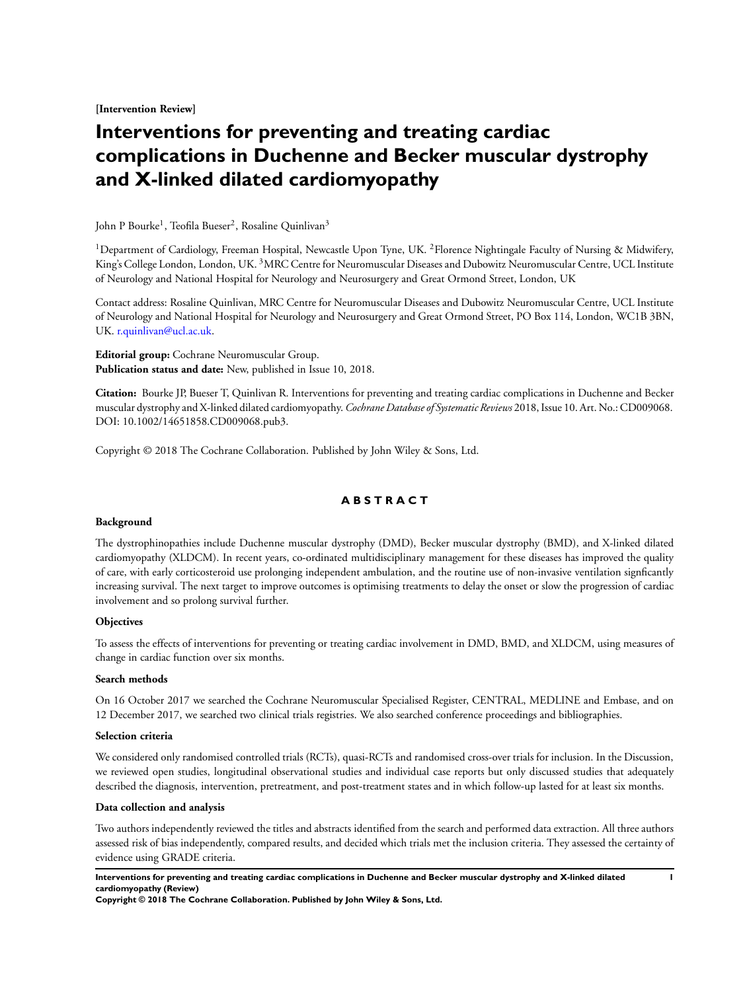**[Intervention Review]**

# **Interventions for preventing and treating cardiac complications in Duchenne and Becker muscular dystrophy and X-linked dilated cardiomyopathy**

John P Bourke<sup>1</sup>, Teofila Bueser<sup>2</sup>, Rosaline Quinlivan<sup>3</sup>

<sup>1</sup>Department of Cardiology, Freeman Hospital, Newcastle Upon Tyne, UK. <sup>2</sup>Florence Nightingale Faculty of Nursing & Midwifery, King's College London, London, UK.<sup>3</sup> MRC Centre for Neuromuscular Diseases and Dubowitz Neuromuscular Centre, UCL Institute of Neurology and National Hospital for Neurology and Neurosurgery and Great Ormond Street, London, UK

Contact address: Rosaline Quinlivan, MRC Centre for Neuromuscular Diseases and Dubowitz Neuromuscular Centre, UCL Institute of Neurology and National Hospital for Neurology and Neurosurgery and Great Ormond Street, PO Box 114, London, WC1B 3BN, UK. [r.quinlivan@ucl.ac.uk](mailto:r.quinlivan@ucl.ac.uk).

**Editorial group:** Cochrane Neuromuscular Group. **Publication status and date:** New, published in Issue 10, 2018.

**Citation:** Bourke JP, Bueser T, Quinlivan R. Interventions for preventing and treating cardiac complications in Duchenne and Becker muscular dystrophy and X-linked dilated cardiomyopathy. *Cochrane Database of Systematic Reviews* 2018, Issue 10. Art. No.: CD009068. DOI: 10.1002/14651858.CD009068.pub3.

Copyright © 2018 The Cochrane Collaboration. Published by John Wiley & Sons, Ltd.

# **A B S T R A C T**

# **Background**

The dystrophinopathies include Duchenne muscular dystrophy (DMD), Becker muscular dystrophy (BMD), and X-linked dilated cardiomyopathy (XLDCM). In recent years, co-ordinated multidisciplinary management for these diseases has improved the quality of care, with early corticosteroid use prolonging independent ambulation, and the routine use of non-invasive ventilation signficantly increasing survival. The next target to improve outcomes is optimising treatments to delay the onset or slow the progression of cardiac involvement and so prolong survival further.

#### **Objectives**

To assess the effects of interventions for preventing or treating cardiac involvement in DMD, BMD, and XLDCM, using measures of change in cardiac function over six months.

# **Search methods**

On 16 October 2017 we searched the Cochrane Neuromuscular Specialised Register, CENTRAL, MEDLINE and Embase, and on 12 December 2017, we searched two clinical trials registries. We also searched conference proceedings and bibliographies.

# **Selection criteria**

We considered only randomised controlled trials (RCTs), quasi-RCTs and randomised cross-over trials for inclusion. In the Discussion, we reviewed open studies, longitudinal observational studies and individual case reports but only discussed studies that adequately described the diagnosis, intervention, pretreatment, and post-treatment states and in which follow-up lasted for at least six months.

#### **Data collection and analysis**

Two authors independently reviewed the titles and abstracts identified from the search and performed data extraction. All three authors assessed risk of bias independently, compared results, and decided which trials met the inclusion criteria. They assessed the certainty of evidence using GRADE criteria.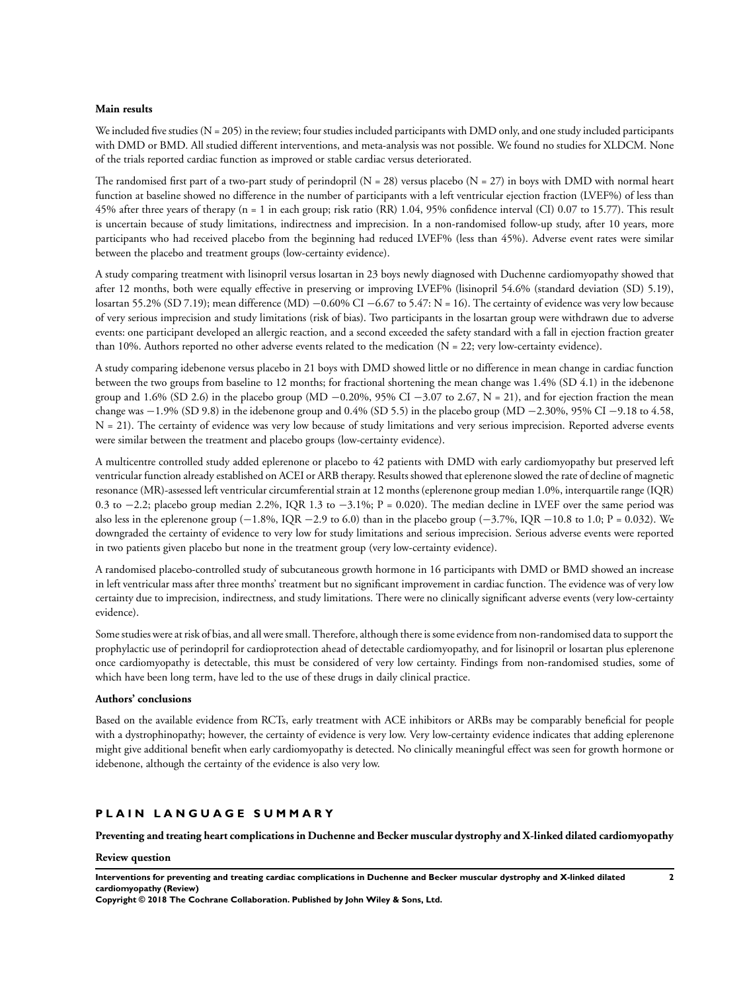# **Main results**

We included five studies (N = 205) in the review; four studies included participants with DMD only, and one study included participants with DMD or BMD. All studied different interventions, and meta-analysis was not possible. We found no studies for XLDCM. None of the trials reported cardiac function as improved or stable cardiac versus deteriorated.

The randomised first part of a two-part study of perindopril (N = 28) versus placebo (N = 27) in boys with DMD with normal heart function at baseline showed no difference in the number of participants with a left ventricular ejection fraction (LVEF%) of less than 45% after three years of therapy (n = 1 in each group; risk ratio (RR) 1.04, 95% confidence interval (CI) 0.07 to 15.77). This result is uncertain because of study limitations, indirectness and imprecision. In a non-randomised follow-up study, after 10 years, more participants who had received placebo from the beginning had reduced LVEF% (less than 45%). Adverse event rates were similar between the placebo and treatment groups (low-certainty evidence).

A study comparing treatment with lisinopril versus losartan in 23 boys newly diagnosed with Duchenne cardiomyopathy showed that after 12 months, both were equally effective in preserving or improving LVEF% (lisinopril 54.6% (standard deviation (SD) 5.19), losartan 55.2% (SD 7.19); mean difference (MD) −0.60% CI −6.67 to 5.47: N = 16). The certainty of evidence was very low because of very serious imprecision and study limitations (risk of bias). Two participants in the losartan group were withdrawn due to adverse events: one participant developed an allergic reaction, and a second exceeded the safety standard with a fall in ejection fraction greater than 10%. Authors reported no other adverse events related to the medication  $(N = 22)$ ; very low-certainty evidence).

A study comparing idebenone versus placebo in 21 boys with DMD showed little or no difference in mean change in cardiac function between the two groups from baseline to 12 months; for fractional shortening the mean change was 1.4% (SD 4.1) in the idebenone group and 1.6% (SD 2.6) in the placebo group (MD  $-0.20\%$ , 95% CI  $-3.07$  to 2.67, N = 21), and for ejection fraction the mean change was −1.9% (SD 9.8) in the idebenone group and 0.4% (SD 5.5) in the placebo group (MD −2.30%, 95% CI −9.18 to 4.58, N = 21). The certainty of evidence was very low because of study limitations and very serious imprecision. Reported adverse events were similar between the treatment and placebo groups (low-certainty evidence).

A multicentre controlled study added eplerenone or placebo to 42 patients with DMD with early cardiomyopathy but preserved left ventricular function already established on ACEI or ARB therapy. Results showed that eplerenone slowed the rate of decline of magnetic resonance (MR)-assessed left ventricular circumferential strain at 12 months (eplerenone group median 1.0%, interquartile range (IQR) 0.3 to −2.2; placebo group median 2.2%, IQR 1.3 to −3.1%; P = 0.020). The median decline in LVEF over the same period was also less in the eplerenone group (−1.8%, IQR −2.9 to 6.0) than in the placebo group (−3.7%, IQR −10.8 to 1.0; P = 0.032). We downgraded the certainty of evidence to very low for study limitations and serious imprecision. Serious adverse events were reported in two patients given placebo but none in the treatment group (very low-certainty evidence).

A randomised placebo-controlled study of subcutaneous growth hormone in 16 participants with DMD or BMD showed an increase in left ventricular mass after three months' treatment but no significant improvement in cardiac function. The evidence was of very low certainty due to imprecision, indirectness, and study limitations. There were no clinically significant adverse events (very low-certainty evidence).

Some studies were at risk of bias, and all were small. Therefore, although there is some evidence from non-randomised data to support the prophylactic use of perindopril for cardioprotection ahead of detectable cardiomyopathy, and for lisinopril or losartan plus eplerenone once cardiomyopathy is detectable, this must be considered of very low certainty. Findings from non-randomised studies, some of which have been long term, have led to the use of these drugs in daily clinical practice.

### **Authors' conclusions**

Based on the available evidence from RCTs, early treatment with ACE inhibitors or ARBs may be comparably beneficial for people with a dystrophinopathy; however, the certainty of evidence is very low. Very low-certainty evidence indicates that adding eplerenone might give additional benefit when early cardiomyopathy is detected. No clinically meaningful effect was seen for growth hormone or idebenone, although the certainty of the evidence is also very low.

# **P L A I N L A N G U A G E S U M M A R Y**

**Preventing and treating heart complications in Duchenne and Becker muscular dystrophy and X-linked dilated cardiomyopathy**

#### **Review question**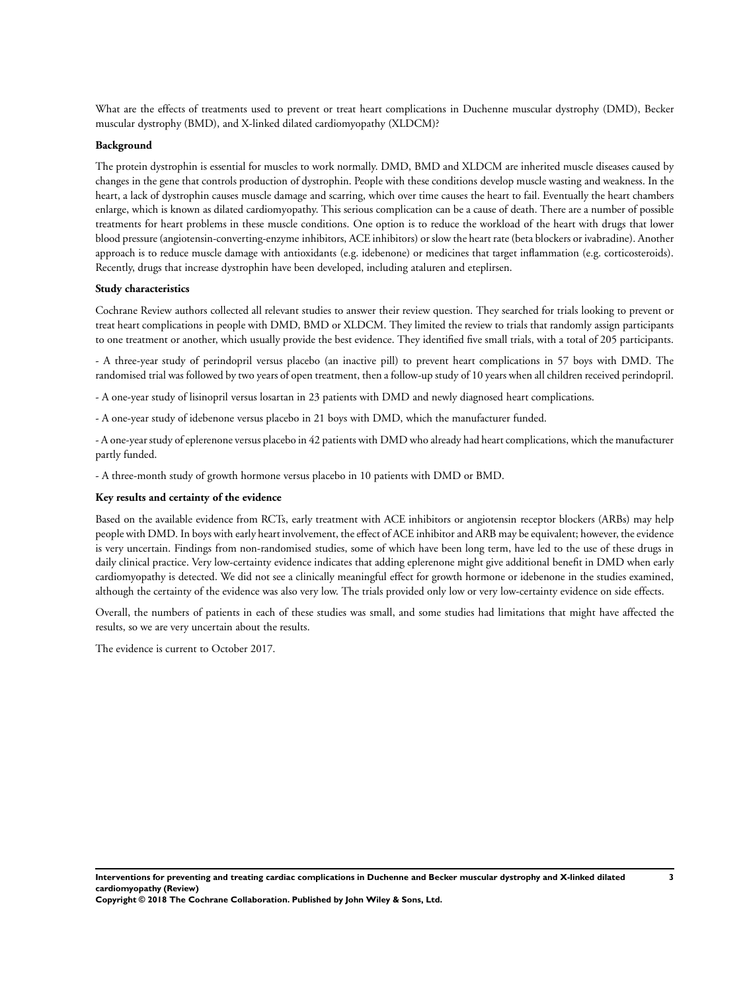What are the effects of treatments used to prevent or treat heart complications in Duchenne muscular dystrophy (DMD), Becker muscular dystrophy (BMD), and X-linked dilated cardiomyopathy (XLDCM)?

# **Background**

The protein dystrophin is essential for muscles to work normally. DMD, BMD and XLDCM are inherited muscle diseases caused by changes in the gene that controls production of dystrophin. People with these conditions develop muscle wasting and weakness. In the heart, a lack of dystrophin causes muscle damage and scarring, which over time causes the heart to fail. Eventually the heart chambers enlarge, which is known as dilated cardiomyopathy. This serious complication can be a cause of death. There are a number of possible treatments for heart problems in these muscle conditions. One option is to reduce the workload of the heart with drugs that lower blood pressure (angiotensin-converting-enzyme inhibitors, ACE inhibitors) or slow the heart rate (beta blockers or ivabradine). Another approach is to reduce muscle damage with antioxidants (e.g. idebenone) or medicines that target inflammation (e.g. corticosteroids). Recently, drugs that increase dystrophin have been developed, including ataluren and eteplirsen.

#### **Study characteristics**

Cochrane Review authors collected all relevant studies to answer their review question. They searched for trials looking to prevent or treat heart complications in people with DMD, BMD or XLDCM. They limited the review to trials that randomly assign participants to one treatment or another, which usually provide the best evidence. They identified five small trials, with a total of 205 participants.

- A three-year study of perindopril versus placebo (an inactive pill) to prevent heart complications in 57 boys with DMD. The randomised trial was followed by two years of open treatment, then a follow-up study of 10 years when all children received perindopril.

- A one-year study of lisinopril versus losartan in 23 patients with DMD and newly diagnosed heart complications.

- A one-year study of idebenone versus placebo in 21 boys with DMD, which the manufacturer funded.

- A one-year study of eplerenone versus placebo in 42 patients with DMD who already had heart complications, which the manufacturer partly funded.

- A three-month study of growth hormone versus placebo in 10 patients with DMD or BMD.

# **Key results and certainty of the evidence**

Based on the available evidence from RCTs, early treatment with ACE inhibitors or angiotensin receptor blockers (ARBs) may help people with DMD. In boys with early heart involvement, the effect of ACE inhibitor and ARB may be equivalent; however, the evidence is very uncertain. Findings from non-randomised studies, some of which have been long term, have led to the use of these drugs in daily clinical practice. Very low-certainty evidence indicates that adding eplerenone might give additional benefit in DMD when early cardiomyopathy is detected. We did not see a clinically meaningful effect for growth hormone or idebenone in the studies examined, although the certainty of the evidence was also very low. The trials provided only low or very low-certainty evidence on side effects.

Overall, the numbers of patients in each of these studies was small, and some studies had limitations that might have affected the results, so we are very uncertain about the results.

The evidence is current to October 2017.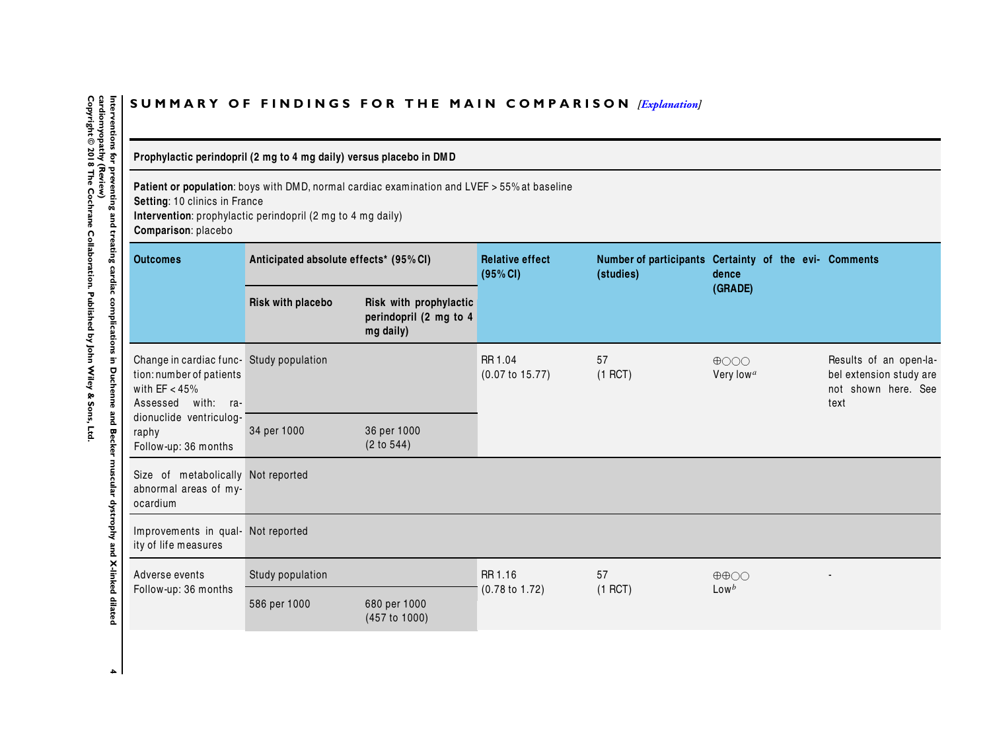# SUMMARY OF FINDINGS FOR THE MAIN COMPARISON *[\[Explanation\]](http://www.thecochranelibrary.com/view/0/SummaryFindings.html)*

# **Prophylactic perindopril (2 mg to <sup>4</sup> mg daily) versus placebo in DMD**

**Patient or population**: boys with DMD, normal cardiac exam ination and LVEF <sup>&</sup>gt; 55% at baseline

**Setting**: <sup>10</sup> clinics in France

**Intervention**: prophylactic perindopril (2 mg to <sup>4</sup> mg daily)

**Comparison**: placebo

| <b>Outcomes</b>                                                                                                                                                            | Anticipated absolute effects* (95% CI) |                                                               | <b>Relative effect</b><br>(95% CI)    | (studies)       | Number of participants Certainty of the evi- Comments<br>dence |                                                                                  |
|----------------------------------------------------------------------------------------------------------------------------------------------------------------------------|----------------------------------------|---------------------------------------------------------------|---------------------------------------|-----------------|----------------------------------------------------------------|----------------------------------------------------------------------------------|
|                                                                                                                                                                            | Risk with placebo                      | Risk with prophylactic<br>perindopril (2 mg to 4<br>mg daily) |                                       |                 | (GRADE)                                                        |                                                                                  |
| Change in cardiac func- Study population<br>tion: number of patients<br>with $EF < 45\%$<br>Assessed with: ra-<br>dionuclide ventriculog-<br>raphy<br>Follow-up: 36 months |                                        |                                                               | RR 1.04<br>$(0.07 \text{ to } 15.77)$ | 57<br>$(1$ RCT) | $\bigoplus$<br>Very low <sup>a</sup>                           | Results of an open-la-<br>bel extension study are<br>not shown here. See<br>text |
|                                                                                                                                                                            | 34 per 1000                            | 36 per 1000<br>(2 to 544)                                     |                                       |                 |                                                                |                                                                                  |
| Size of metabolically Not reported<br>abnormal areas of my-<br>ocardium                                                                                                    |                                        |                                                               |                                       |                 |                                                                |                                                                                  |
| Improvements in qual- Not reported<br>ity of life measures                                                                                                                 |                                        |                                                               |                                       |                 |                                                                |                                                                                  |
| Adverse events                                                                                                                                                             | Study population                       |                                                               | RR 1.16                               | 57              | $\oplus \oplus \bigcirc \bigcirc$                              |                                                                                  |
| Follow-up: 36 months                                                                                                                                                       | 586 per 1000                           | 680 per 1000<br>(457 to 1000)                                 | $(0.78 \text{ to } 1.72)$             | $(1$ RCT)       | Low <sup>b</sup>                                               |                                                                                  |

<span id="page-5-0"></span>Interventions for preventing and treating cardiac complications in Duchenne and Bee<br>cardiomyopathy (Review)<br>Copyright © 2018 The Cochrane Collaboration. Published by John Wiley & Sons, Ltd. **Copyright © 2018 The Cochrane Collaboration. Published by J cardiomyopathy (Review)** treating cardiac complications in Duchenne and Becker muscular dystrophy and X-linked dilated **ohn Wiley & Sons, Ltd.**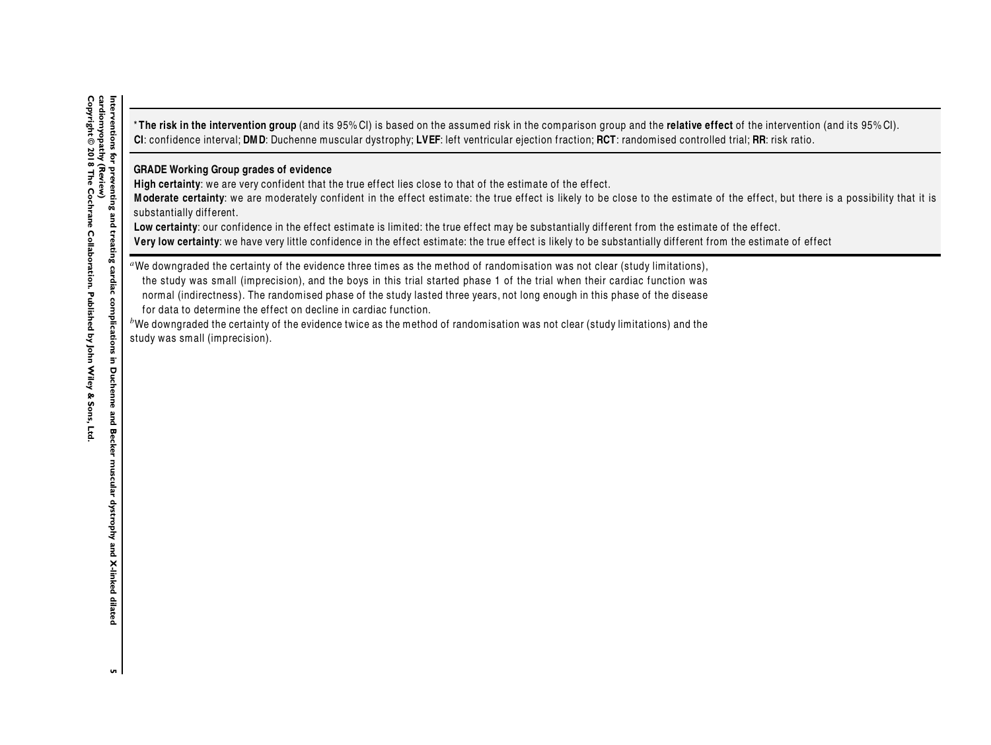\***The risk in the intervention group** (and its 95%Cl) is based on the assumed risk in the comparison group and the **relative effect** of the intervention (and its 95%Cl).<br>Cl: confidence interval: DMD: Duchenne muscular dyst **CI**: conf idence interval; **DMD**: Duchenne muscular dystrophy; **LVEF**: left ventricular ejection fraction; **RCT**: random ised controlled trial; **RR**: risk ratio.

# **GRADE Working Group grades of evidence**

**High certainty:** we are very confident that the true effect lies close to that of the estimate of the effect.

Moderate certainty: we are moderately confident in the effect estimate: the true effect is likely to be close to the estimate of the effect, but there is a possibility that it is substantially different.

Low certainty: our confidence in the effect estimate is limited: the true effect may be substantially different from the estimate of the effect.

**Very low certainty**: we have very little confidence in the effect estimate: the true effect is likely to be substantially different from the estimate of effect

aWe downgraded the certainty of the evidence three times as the method of randomisation was not clear (study limitations),

the study was small (imprecision), and the boys in this trial started phase <sup>1</sup> of the trial when their cardiac function was

normal (indirectness). The random ised phase of the study lasted three years, not long enough in this phase of the disease for data to determ ine the effect on decline in cardiac function.

 $^b$ We downgraded the certainty of the evidence twice as the method of randomisation was not clear (study limitations) and the study was small (imprecision).

complications in Duchenne and Becker muscular dystrophy and X-linked dilated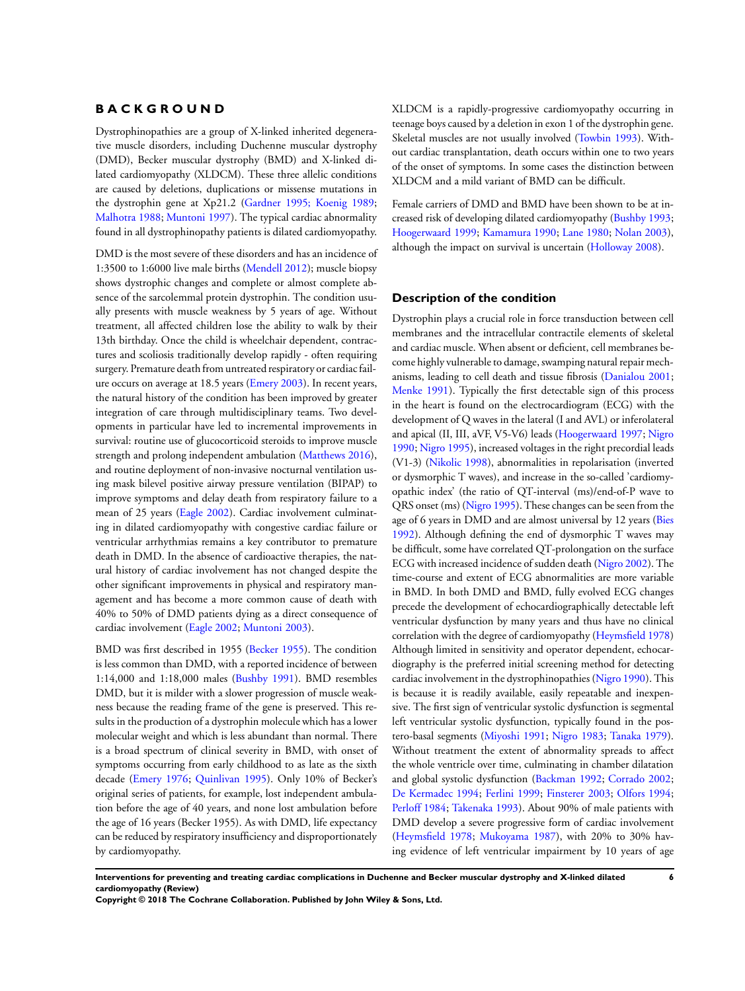# **B A C K G R O U N D**

Dystrophinopathies are a group of X-linked inherited degenerative muscle disorders, including Duchenne muscular dystrophy (DMD), Becker muscular dystrophy (BMD) and X-linked dilated cardiomyopathy (XLDCM). These three allelic conditions are caused by deletions, duplications or missense mutations in the dystrophin gene at Xp21.2 [\(Gardner 1995; Koenig 1989;](#page-34-0) [Malhotra 1988;](#page-34-0) [Muntoni 1997](#page-34-0)). The typical cardiac abnormality found in all dystrophinopathy patients is dilated cardiomyopathy.

DMD is the most severe of these disorders and has an incidence of 1:3500 to 1:6000 live male births ([Mendell 2012](#page-34-0)); muscle biopsy shows dystrophic changes and complete or almost complete absence of the sarcolemmal protein dystrophin. The condition usually presents with muscle weakness by 5 years of age. Without treatment, all affected children lose the ability to walk by their 13th birthday. Once the child is wheelchair dependent, contractures and scoliosis traditionally develop rapidly - often requiring surgery. Premature death from untreated respiratory or cardiac failure occurs on average at 18.5 years [\(Emery 2003](#page-34-0)). In recent years, the natural history of the condition has been improved by greater integration of care through multidisciplinary teams. Two developments in particular have led to incremental improvements in survival: routine use of glucocorticoid steroids to improve muscle strength and prolong independent ambulation ([Matthews 2016](#page-34-0)), and routine deployment of non-invasive nocturnal ventilation using mask bilevel positive airway pressure ventilation (BIPAP) to improve symptoms and delay death from respiratory failure to a mean of 25 years [\(Eagle 2002](#page-34-0)). Cardiac involvement culminating in dilated cardiomyopathy with congestive cardiac failure or ventricular arrhythmias remains a key contributor to premature death in DMD. In the absence of cardioactive therapies, the natural history of cardiac involvement has not changed despite the other significant improvements in physical and respiratory management and has become a more common cause of death with 40% to 50% of DMD patients dying as a direct consequence of cardiac involvement ([Eagle 2002;](#page-34-0) [Muntoni 2003\)](#page-34-0).

BMD was first described in 1955 ([Becker 1955](#page-34-0)). The condition is less common than DMD, with a reported incidence of between 1:14,000 and 1:18,000 males [\(Bushby 1991](#page-34-0)). BMD resembles DMD, but it is milder with a slower progression of muscle weakness because the reading frame of the gene is preserved. This results in the production of a dystrophin molecule which has a lower molecular weight and which is less abundant than normal. There is a broad spectrum of clinical severity in BMD, with onset of symptoms occurring from early childhood to as late as the sixth decade [\(Emery 1976](#page-34-0); [Quinlivan 1995](#page-34-0)). Only 10% of Becker's original series of patients, for example, lost independent ambulation before the age of 40 years, and none lost ambulation before the age of 16 years (Becker 1955). As with DMD, life expectancy can be reduced by respiratory insufficiency and disproportionately by cardiomyopathy.

XLDCM is a rapidly-progressive cardiomyopathy occurring in teenage boys caused by a deletion in exon 1 of the dystrophin gene. Skeletal muscles are not usually involved ([Towbin 1993](#page-34-0)). Without cardiac transplantation, death occurs within one to two years of the onset of symptoms. In some cases the distinction between XLDCM and a mild variant of BMD can be difficult.

Female carriers of DMD and BMD have been shown to be at increased risk of developing dilated cardiomyopathy [\(Bushby 1993;](#page-34-0) [Hoogerwaard 1999;](#page-34-0) [Kamamura 1990](#page-34-0); [Lane 1980](#page-34-0); [Nolan 2003](#page-34-0)), although the impact on survival is uncertain [\(Holloway 2008](#page-34-0)).

# **Description of the condition**

Dystrophin plays a crucial role in force transduction between cell membranes and the intracellular contractile elements of skeletal and cardiac muscle. When absent or deficient, cell membranes become highly vulnerable to damage, swamping natural repair mechanisms, leading to cell death and tissue fibrosis ([Danialou 2001;](#page-34-0) [Menke 1991\)](#page-34-0). Typically the first detectable sign of this process in the heart is found on the electrocardiogram (ECG) with the development of Q waves in the lateral (I and AVL) or inferolateral and apical (II, III, aVF, V5-V6) leads ([Hoogerwaard 1997](#page-34-0); [Nigro](#page-34-0) [1990](#page-34-0); [Nigro 1995](#page-34-0)), increased voltages in the right precordial leads (V1-3) ([Nikolic 1998](#page-34-0)), abnormalities in repolarisation (inverted or dysmorphic T waves), and increase in the so-called 'cardiomyopathic index' (the ratio of QT-interval (ms)/end-of-P wave to QRS onset (ms) ([Nigro 1995](#page-34-0)). These changes can be seen from the age of 6 years in DMD and are almost universal by 12 years [\(Bies](#page-34-0) [1992](#page-34-0)). Although defining the end of dysmorphic T waves may be difficult, some have correlated QT-prolongation on the surface ECG with increased incidence of sudden death [\(Nigro 2002](#page-34-0)). The time-course and extent of ECG abnormalities are more variable in BMD. In both DMD and BMD, fully evolved ECG changes precede the development of echocardiographically detectable left ventricular dysfunction by many years and thus have no clinical correlation with the degree of cardiomyopathy ([Heymsfield 1978](#page-34-0)) Although limited in sensitivity and operator dependent, echocardiography is the preferred initial screening method for detecting cardiac involvement in the dystrophinopathies ([Nigro 1990\)](#page-34-0). This is because it is readily available, easily repeatable and inexpensive. The first sign of ventricular systolic dysfunction is segmental left ventricular systolic dysfunction, typically found in the postero-basal segments ([Miyoshi 1991;](#page-34-0) [Nigro 1983](#page-34-0); [Tanaka 1979](#page-34-0)). Without treatment the extent of abnormality spreads to affect the whole ventricle over time, culminating in chamber dilatation and global systolic dysfunction ([Backman 1992;](#page-34-0) [Corrado 2002;](#page-34-0) [De Kermadec 1994;](#page-34-0) [Ferlini 1999](#page-34-0); [Finsterer 2003;](#page-34-0) [Olfors 1994;](#page-34-0) [Perloff 1984](#page-34-0); [Takenaka 1993](#page-34-0)). About 90% of male patients with DMD develop a severe progressive form of cardiac involvement [\(Heymsfield 1978](#page-34-0); [Mukoyama 1987](#page-34-0)), with 20% to 30% having evidence of left ventricular impairment by 10 years of age

**Interventions for preventing and treating cardiac complications in Duchenne and Becker muscular dystrophy and X-linked dilated 6 cardiomyopathy (Review)**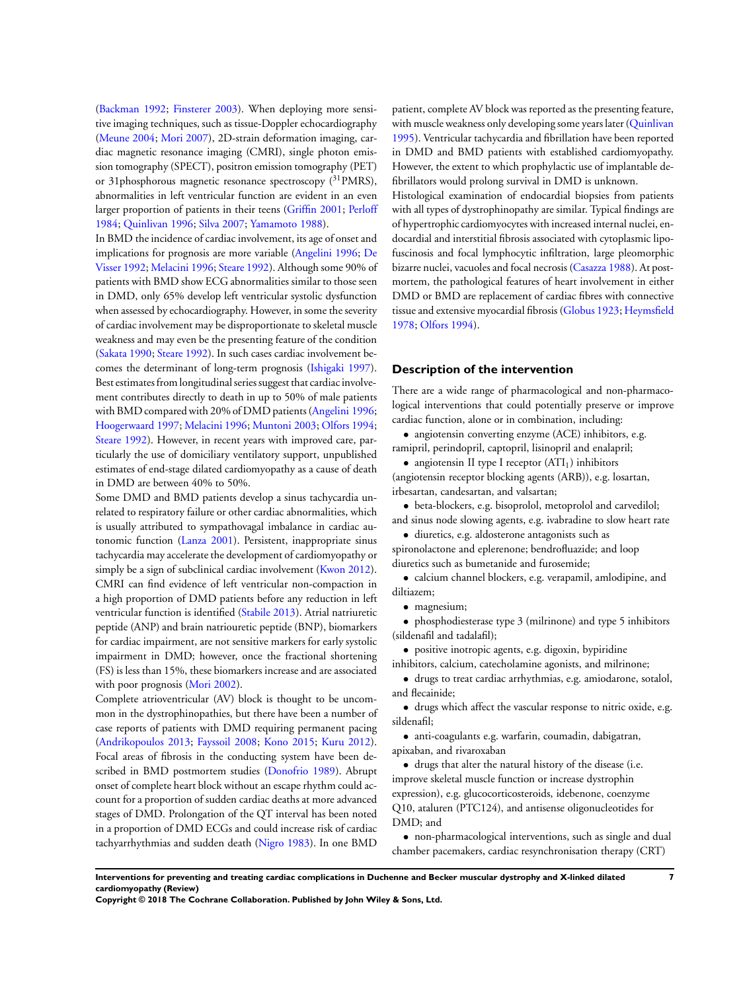[\(Backman 1992;](#page-34-0) [Finsterer 2003\)](#page-34-0). When deploying more sensitive imaging techniques, such as tissue-Doppler echocardiography [\(Meune 2004;](#page-34-0) [Mori 2007](#page-34-0)), 2D-strain deformation imaging, cardiac magnetic resonance imaging (CMRI), single photon emission tomography (SPECT), positron emission tomography (PET) or 31phosphorous magnetic resonance spectroscopy  $(^{31}PMRS)$ , abnormalities in left ventricular function are evident in an even larger proportion of patients in their teens [\(Griffin 2001;](#page-34-0) [Perloff](#page-34-0) [1984](#page-34-0); [Quinlivan 1996](#page-34-0); [Silva 2007](#page-34-0); [Yamamoto 1988\)](#page-34-0).

In BMD the incidence of cardiac involvement, its age of onset and implications for prognosis are more variable ([Angelini 1996;](#page-34-0) [De](#page-34-0) [Visser 1992;](#page-34-0) [Melacini 1996;](#page-34-0) [Steare 1992\)](#page-34-0). Although some 90% of patients with BMD show ECG abnormalities similar to those seen in DMD, only 65% develop left ventricular systolic dysfunction when assessed by echocardiography. However, in some the severity of cardiac involvement may be disproportionate to skeletal muscle weakness and may even be the presenting feature of the condition [\(Sakata 1990](#page-34-0); [Steare 1992](#page-34-0)). In such cases cardiac involvement becomes the determinant of long-term prognosis ([Ishigaki 1997](#page-34-0)). Best estimates from longitudinal series suggest that cardiac involvement contributes directly to death in up to 50% of male patients with BMD compared with 20% of DMD patients [\(Angelini 1996;](#page-34-0) [Hoogerwaard 1997](#page-34-0); [Melacini 1996;](#page-34-0) [Muntoni 2003;](#page-34-0) [Olfors 1994;](#page-34-0) [Steare 1992](#page-34-0)). However, in recent years with improved care, particularly the use of domiciliary ventilatory support, unpublished estimates of end-stage dilated cardiomyopathy as a cause of death in DMD are between 40% to 50%.

Some DMD and BMD patients develop a sinus tachycardia unrelated to respiratory failure or other cardiac abnormalities, which is usually attributed to sympathovagal imbalance in cardiac autonomic function ([Lanza 2001](#page-34-0)). Persistent, inappropriate sinus tachycardia may accelerate the development of cardiomyopathy or simply be a sign of subclinical cardiac involvement [\(Kwon 2012](#page-34-0)). CMRI can find evidence of left ventricular non-compaction in a high proportion of DMD patients before any reduction in left ventricular function is identified ([Stabile 2013](#page-34-0)). Atrial natriuretic peptide (ANP) and brain natriouretic peptide (BNP), biomarkers for cardiac impairment, are not sensitive markers for early systolic impairment in DMD; however, once the fractional shortening (FS) is less than 15%, these biomarkers increase and are associated with poor prognosis ([Mori 2002\)](#page-34-0).

Complete atrioventricular (AV) block is thought to be uncommon in the dystrophinopathies, but there have been a number of case reports of patients with DMD requiring permanent pacing [\(Andrikopoulos 2013](#page-34-0); [Fayssoil 2008](#page-34-0); [Kono 2015](#page-34-0); [Kuru 2012](#page-34-0)). Focal areas of fibrosis in the conducting system have been described in BMD postmortem studies ([Donofrio 1989\)](#page-34-0). Abrupt onset of complete heart block without an escape rhythm could account for a proportion of sudden cardiac deaths at more advanced stages of DMD. Prolongation of the QT interval has been noted in a proportion of DMD ECGs and could increase risk of cardiac tachyarrhythmias and sudden death [\(Nigro 1983](#page-34-0)). In one BMD

patient, complete AV block was reported as the presenting feature, with muscle weakness only developing some years later ([Quinlivan](#page-34-0) [1995](#page-34-0)). Ventricular tachycardia and fibrillation have been reported in DMD and BMD patients with established cardiomyopathy. However, the extent to which prophylactic use of implantable defibrillators would prolong survival in DMD is unknown.

Histological examination of endocardial biopsies from patients with all types of dystrophinopathy are similar. Typical findings are of hypertrophic cardiomyocytes with increased internal nuclei, endocardial and interstitial fibrosis associated with cytoplasmic lipofuscinosis and focal lymphocytic infiltration, large pleomorphic bizarre nuclei, vacuoles and focal necrosis ([Casazza 1988](#page-34-0)). At postmortem, the pathological features of heart involvement in either DMD or BMD are replacement of cardiac fibres with connective tissue and extensive myocardial fibrosis ([Globus 1923;](#page-34-0) [Heymsfield](#page-34-0) [1978](#page-34-0); [Olfors 1994](#page-34-0)).

# **Description of the intervention**

There are a wide range of pharmacological and non-pharmacological interventions that could potentially preserve or improve cardiac function, alone or in combination, including:

• angiotensin converting enzyme (ACE) inhibitors, e.g. ramipril, perindopril, captopril, lisinopril and enalapril;

• angiotensin II type I receptor  $(ATI<sub>1</sub>)$  inhibitors (angiotensin receptor blocking agents (ARB)), e.g. losartan,

irbesartan, candesartan, and valsartan;

• beta-blockers, e.g. bisoprolol, metoprolol and carvedilol;

and sinus node slowing agents, e.g. ivabradine to slow heart rate • diuretics, e.g. aldosterone antagonists such as

spironolactone and eplerenone; bendrofluazide; and loop diuretics such as bumetanide and furosemide;

• calcium channel blockers, e.g. verapamil, amlodipine, and diltiazem;

• magnesium;

• phosphodiesterase type 3 (milrinone) and type 5 inhibitors (sildenafil and tadalafil);

• positive inotropic agents, e.g. digoxin, bypiridine

inhibitors, calcium, catecholamine agonists, and milrinone;

• drugs to treat cardiac arrhythmias, e.g. amiodarone, sotalol, and flecainide;

• drugs which affect the vascular response to nitric oxide, e.g. sildenafil;

• anti-coagulants e.g. warfarin, coumadin, dabigatran, apixaban, and rivaroxaban

• drugs that alter the natural history of the disease (i.e. improve skeletal muscle function or increase dystrophin expression), e.g. glucocorticosteroids, idebenone, coenzyme Q10, ataluren (PTC124), and antisense oligonucleotides for DMD; and

• non-pharmacological interventions, such as single and dual chamber pacemakers, cardiac resynchronisation therapy (CRT)

**Interventions for preventing and treating cardiac complications in Duchenne and Becker muscular dystrophy and X-linked dilated 7 cardiomyopathy (Review)**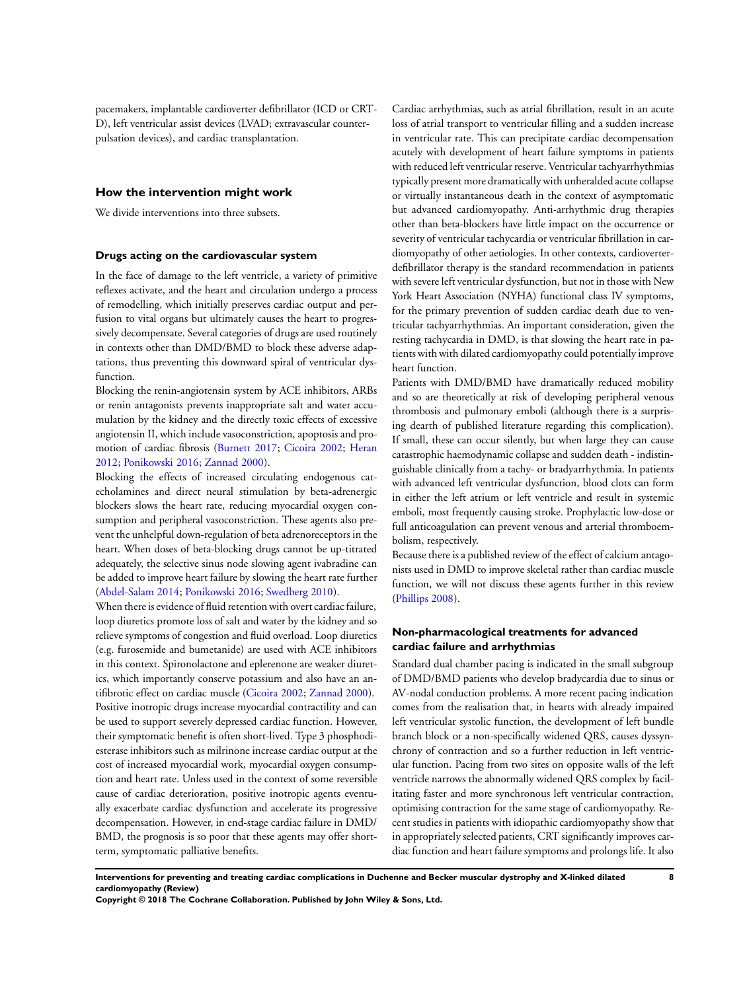pacemakers, implantable cardioverter defibrillator (ICD or CRT-D), left ventricular assist devices (LVAD; extravascular counterpulsation devices), and cardiac transplantation.

# **How the intervention might work**

We divide interventions into three subsets.

# **Drugs acting on the cardiovascular system**

In the face of damage to the left ventricle, a variety of primitive reflexes activate, and the heart and circulation undergo a process of remodelling, which initially preserves cardiac output and perfusion to vital organs but ultimately causes the heart to progressively decompensate. Several categories of drugs are used routinely in contexts other than DMD/BMD to block these adverse adaptations, thus preventing this downward spiral of ventricular dysfunction.

Blocking the renin-angiotensin system by ACE inhibitors, ARBs or renin antagonists prevents inappropriate salt and water accumulation by the kidney and the directly toxic effects of excessive angiotensin II, which include vasoconstriction, apoptosis and promotion of cardiac fibrosis ([Burnett 2017;](#page-34-0) [Cicoira 2002;](#page-34-0) [Heran](#page-34-0) [2012](#page-34-0); [Ponikowski 2016;](#page-34-0) [Zannad 2000\)](#page-34-0).

Blocking the effects of increased circulating endogenous catecholamines and direct neural stimulation by beta-adrenergic blockers slows the heart rate, reducing myocardial oxygen consumption and peripheral vasoconstriction. These agents also prevent the unhelpful down-regulation of beta adrenoreceptors in the heart. When doses of beta-blocking drugs cannot be up-titrated adequately, the selective sinus node slowing agent ivabradine can be added to improve heart failure by slowing the heart rate further [\(Abdel-Salam 2014](#page-34-0); [Ponikowski 2016](#page-34-0); [Swedberg 2010](#page-34-0)).

When there is evidence of fluid retention with overt cardiac failure, loop diuretics promote loss of salt and water by the kidney and so relieve symptoms of congestion and fluid overload. Loop diuretics (e.g. furosemide and bumetanide) are used with ACE inhibitors in this context. Spironolactone and eplerenone are weaker diuretics, which importantly conserve potassium and also have an antifibrotic effect on cardiac muscle ([Cicoira 2002](#page-34-0); [Zannad 2000](#page-34-0)). Positive inotropic drugs increase myocardial contractility and can be used to support severely depressed cardiac function. However, their symptomatic benefit is often short-lived. Type 3 phosphodiesterase inhibitors such as milrinone increase cardiac output at the cost of increased myocardial work, myocardial oxygen consumption and heart rate. Unless used in the context of some reversible cause of cardiac deterioration, positive inotropic agents eventually exacerbate cardiac dysfunction and accelerate its progressive decompensation. However, in end-stage cardiac failure in DMD/ BMD, the prognosis is so poor that these agents may offer shortterm, symptomatic palliative benefits.

Cardiac arrhythmias, such as atrial fibrillation, result in an acute loss of atrial transport to ventricular filling and a sudden increase in ventricular rate. This can precipitate cardiac decompensation acutely with development of heart failure symptoms in patients with reduced left ventricular reserve. Ventricular tachyarrhythmias typically present more dramatically with unheralded acute collapse or virtually instantaneous death in the context of asymptomatic but advanced cardiomyopathy. Anti-arrhythmic drug therapies other than beta-blockers have little impact on the occurrence or severity of ventricular tachycardia or ventricular fibrillation in cardiomyopathy of other aetiologies. In other contexts, cardioverterdefibrillator therapy is the standard recommendation in patients with severe left ventricular dysfunction, but not in those with New York Heart Association (NYHA) functional class IV symptoms, for the primary prevention of sudden cardiac death due to ventricular tachyarrhythmias. An important consideration, given the resting tachycardia in DMD, is that slowing the heart rate in patients with with dilated cardiomyopathy could potentially improve heart function.

Patients with DMD/BMD have dramatically reduced mobility and so are theoretically at risk of developing peripheral venous thrombosis and pulmonary emboli (although there is a surprising dearth of published literature regarding this complication). If small, these can occur silently, but when large they can cause catastrophic haemodynamic collapse and sudden death - indistinguishable clinically from a tachy- or bradyarrhythmia. In patients with advanced left ventricular dysfunction, blood clots can form in either the left atrium or left ventricle and result in systemic emboli, most frequently causing stroke. Prophylactic low-dose or full anticoagulation can prevent venous and arterial thromboembolism, respectively.

Because there is a published review of the effect of calcium antagonists used in DMD to improve skeletal rather than cardiac muscle function, we will not discuss these agents further in this review [\(Phillips 2008](#page-34-0)).

# **Non-pharmacological treatments for advanced cardiac failure and arrhythmias**

Standard dual chamber pacing is indicated in the small subgroup of DMD/BMD patients who develop bradycardia due to sinus or AV-nodal conduction problems. A more recent pacing indication comes from the realisation that, in hearts with already impaired left ventricular systolic function, the development of left bundle branch block or a non-specifically widened QRS, causes dyssynchrony of contraction and so a further reduction in left ventricular function. Pacing from two sites on opposite walls of the left ventricle narrows the abnormally widened QRS complex by facilitating faster and more synchronous left ventricular contraction, optimising contraction for the same stage of cardiomyopathy. Recent studies in patients with idiopathic cardiomyopathy show that in appropriately selected patients, CRT significantly improves cardiac function and heart failure symptoms and prolongs life. It also

**Interventions for preventing and treating cardiac complications in Duchenne and Becker muscular dystrophy and X-linked dilated 8 cardiomyopathy (Review)**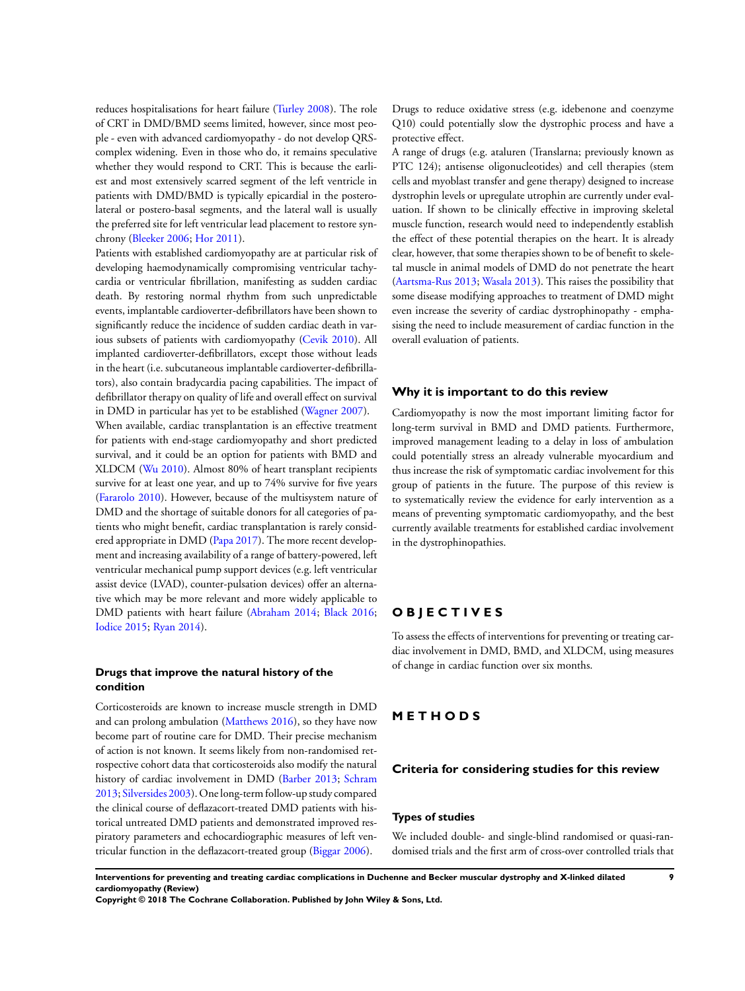reduces hospitalisations for heart failure ([Turley 2008\)](#page-34-0). The role of CRT in DMD/BMD seems limited, however, since most people - even with advanced cardiomyopathy - do not develop QRScomplex widening. Even in those who do, it remains speculative whether they would respond to CRT. This is because the earliest and most extensively scarred segment of the left ventricle in patients with DMD/BMD is typically epicardial in the posterolateral or postero-basal segments, and the lateral wall is usually the preferred site for left ventricular lead placement to restore synchrony [\(Bleeker 2006](#page-34-0); [Hor 2011\)](#page-34-0).

Patients with established cardiomyopathy are at particular risk of developing haemodynamically compromising ventricular tachycardia or ventricular fibrillation, manifesting as sudden cardiac death. By restoring normal rhythm from such unpredictable events, implantable cardioverter-defibrillators have been shown to significantly reduce the incidence of sudden cardiac death in various subsets of patients with cardiomyopathy ([Cevik 2010\)](#page-34-0). All implanted cardioverter-defibrillators, except those without leads in the heart (i.e. subcutaneous implantable cardioverter-defibrillators), also contain bradycardia pacing capabilities. The impact of defibrillator therapy on quality of life and overall effect on survival in DMD in particular has yet to be established [\(Wagner 2007](#page-34-0)).

When available, cardiac transplantation is an effective treatment for patients with end-stage cardiomyopathy and short predicted survival, and it could be an option for patients with BMD and XLDCM ([Wu 2010\)](#page-34-0). Almost 80% of heart transplant recipients survive for at least one year, and up to 74% survive for five years [\(Fararolo 2010](#page-34-0)). However, because of the multisystem nature of DMD and the shortage of suitable donors for all categories of patients who might benefit, cardiac transplantation is rarely considered appropriate in DMD [\(Papa 2017](#page-34-0)). The more recent development and increasing availability of a range of battery-powered, left ventricular mechanical pump support devices (e.g. left ventricular assist device (LVAD), counter-pulsation devices) offer an alternative which may be more relevant and more widely applicable to DMD patients with heart failure ([Abraham 2014](#page-34-0); [Black 2016;](#page-34-0) [Iodice 2015;](#page-34-0) [Ryan 2014](#page-34-0)).

# **Drugs that improve the natural history of the condition**

Corticosteroids are known to increase muscle strength in DMD and can prolong ambulation ([Matthews 2016](#page-34-0)), so they have now become part of routine care for DMD. Their precise mechanism of action is not known. It seems likely from non-randomised retrospective cohort data that corticosteroids also modify the natural history of cardiac involvement in DMD [\(Barber 2013;](#page-34-0) [Schram](#page-34-0) [2013](#page-34-0); [Silversides 2003\)](#page-34-0). One long-term follow-up study compared the clinical course of deflazacort-treated DMD patients with historical untreated DMD patients and demonstrated improved respiratory parameters and echocardiographic measures of left ventricular function in the deflazacort-treated group ([Biggar 2006](#page-34-0)).

Drugs to reduce oxidative stress (e.g. idebenone and coenzyme Q10) could potentially slow the dystrophic process and have a protective effect.

A range of drugs (e.g. ataluren (Translarna; previously known as PTC 124); antisense oligonucleotides) and cell therapies (stem cells and myoblast transfer and gene therapy) designed to increase dystrophin levels or upregulate utrophin are currently under evaluation. If shown to be clinically effective in improving skeletal muscle function, research would need to independently establish the effect of these potential therapies on the heart. It is already clear, however, that some therapies shown to be of benefit to skeletal muscle in animal models of DMD do not penetrate the heart [\(Aartsma-Rus 2013;](#page-34-0) [Wasala 2013](#page-34-0)). This raises the possibility that some disease modifying approaches to treatment of DMD might even increase the severity of cardiac dystrophinopathy - emphasising the need to include measurement of cardiac function in the overall evaluation of patients.

# **Why it is important to do this review**

Cardiomyopathy is now the most important limiting factor for long-term survival in BMD and DMD patients. Furthermore, improved management leading to a delay in loss of ambulation could potentially stress an already vulnerable myocardium and thus increase the risk of symptomatic cardiac involvement for this group of patients in the future. The purpose of this review is to systematically review the evidence for early intervention as a means of preventing symptomatic cardiomyopathy, and the best currently available treatments for established cardiac involvement in the dystrophinopathies.

# **O B J E C T I V E S**

To assess the effects of interventions for preventing or treating cardiac involvement in DMD, BMD, and XLDCM, using measures of change in cardiac function over six months.

# **M E T H O D S**

# **Criteria for considering studies for this review**

# **Types of studies**

We included double- and single-blind randomised or quasi-randomised trials and the first arm of cross-over controlled trials that

**Interventions for preventing and treating cardiac complications in Duchenne and Becker muscular dystrophy and X-linked dilated 9 cardiomyopathy (Review)**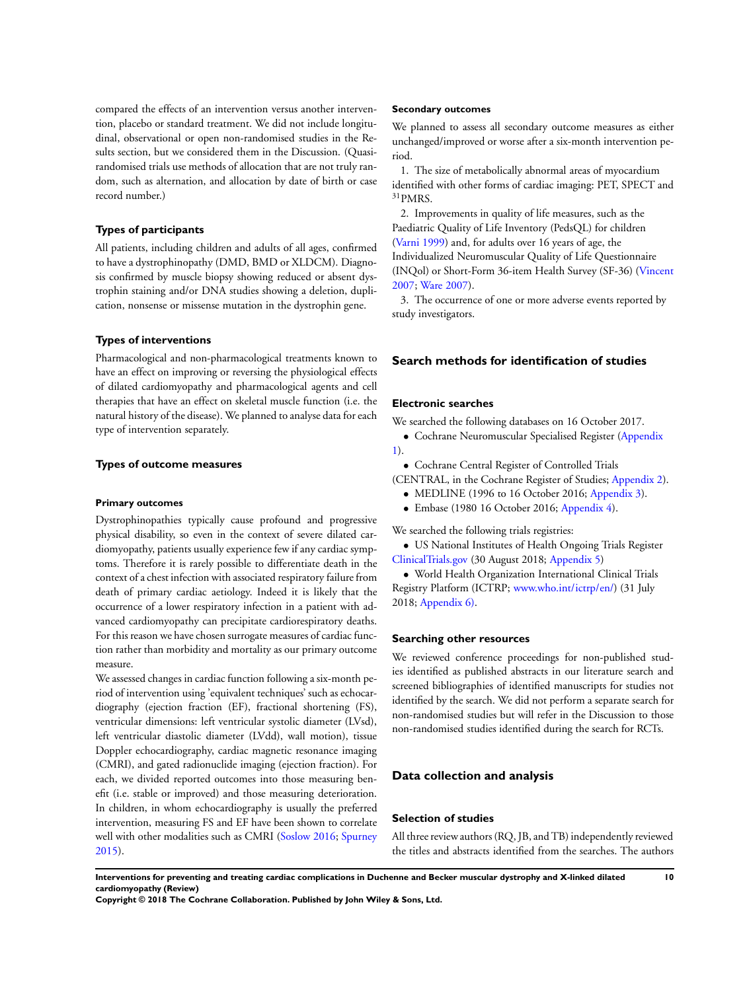compared the effects of an intervention versus another intervention, placebo or standard treatment. We did not include longitudinal, observational or open non-randomised studies in the Results section, but we considered them in the Discussion. (Quasirandomised trials use methods of allocation that are not truly random, such as alternation, and allocation by date of birth or case record number.)

# **Types of participants**

All patients, including children and adults of all ages, confirmed to have a dystrophinopathy (DMD, BMD or XLDCM). Diagnosis confirmed by muscle biopsy showing reduced or absent dystrophin staining and/or DNA studies showing a deletion, duplication, nonsense or missense mutation in the dystrophin gene.

#### **Types of interventions**

Pharmacological and non-pharmacological treatments known to have an effect on improving or reversing the physiological effects of dilated cardiomyopathy and pharmacological agents and cell therapies that have an effect on skeletal muscle function (i.e. the natural history of the disease). We planned to analyse data for each type of intervention separately.

#### **Types of outcome measures**

#### **Primary outcomes**

Dystrophinopathies typically cause profound and progressive physical disability, so even in the context of severe dilated cardiomyopathy, patients usually experience few if any cardiac symptoms. Therefore it is rarely possible to differentiate death in the context of a chest infection with associated respiratory failure from death of primary cardiac aetiology. Indeed it is likely that the occurrence of a lower respiratory infection in a patient with advanced cardiomyopathy can precipitate cardiorespiratory deaths. For this reason we have chosen surrogate measures of cardiac function rather than morbidity and mortality as our primary outcome measure.

We assessed changes in cardiac function following a six-month period of intervention using 'equivalent techniques' such as echocardiography (ejection fraction (EF), fractional shortening (FS), ventricular dimensions: left ventricular systolic diameter (LVsd), left ventricular diastolic diameter (LVdd), wall motion), tissue Doppler echocardiography, cardiac magnetic resonance imaging (CMRI), and gated radionuclide imaging (ejection fraction). For each, we divided reported outcomes into those measuring benefit (i.e. stable or improved) and those measuring deterioration. In children, in whom echocardiography is usually the preferred intervention, measuring FS and EF have been shown to correlate well with other modalities such as CMRI ([Soslow 2016](#page-34-0); [Spurney](#page-34-0) [2015](#page-34-0)).

#### **Secondary outcomes**

We planned to assess all secondary outcome measures as either unchanged/improved or worse after a six-month intervention period.

1. The size of metabolically abnormal areas of myocardium identified with other forms of cardiac imaging: PET, SPECT and <sup>31</sup>PMRS.

2. Improvements in quality of life measures, such as the Paediatric Quality of Life Inventory (PedsQL) for children [\(Varni 1999](#page-34-0)) and, for adults over 16 years of age, the Individualized Neuromuscular Quality of Life Questionnaire (INQol) or Short-Form 36-item Health Survey (SF-36) [\(Vincent](#page-34-0) [2007](#page-34-0); [Ware 2007\)](#page-34-0).

3. The occurrence of one or more adverse events reported by study investigators.

# **Search methods for identification of studies**

#### **Electronic searches**

We searched the following databases on 16 October 2017.

- Cochrane Neuromuscular Specialised Register ([Appendix](#page-70-0) [1\)](#page-70-0).
	- Cochrane Central Register of Controlled Trials
- (CENTRAL, in the Cochrane Register of Studies; [Appendix 2](#page-71-0)).
	- MEDLINE (1996 to 16 October 2016; [Appendix 3](#page-71-0)).
	- Embase (1980 16 October 2016; [Appendix 4\)](#page-72-0).

We searched the following trials registries:

• US National Institutes of Health Ongoing Trials Register [ClinicalTrials.gov](http://www.clinicaltrials.gov) (30 August 2018; [Appendix 5\)](#page-73-0)

• World Health Organization International Clinical Trials Registry Platform (ICTRP; [www.who.int/ictrp/en/](http://www.who.int/ictrp/en/)) (31 July 2018; [Appendix 6\)](#page-74-0).

## **Searching other resources**

We reviewed conference proceedings for non-published studies identified as published abstracts in our literature search and screened bibliographies of identified manuscripts for studies not identified by the search. We did not perform a separate search for non-randomised studies but will refer in the Discussion to those non-randomised studies identified during the search for RCTs.

# **Data collection and analysis**

#### **Selection of studies**

All three review authors (RQ, JB, and TB) independently reviewed the titles and abstracts identified from the searches. The authors

**Interventions for preventing and treating cardiac complications in Duchenne and Becker muscular dystrophy and X-linked dilated 10 cardiomyopathy (Review)**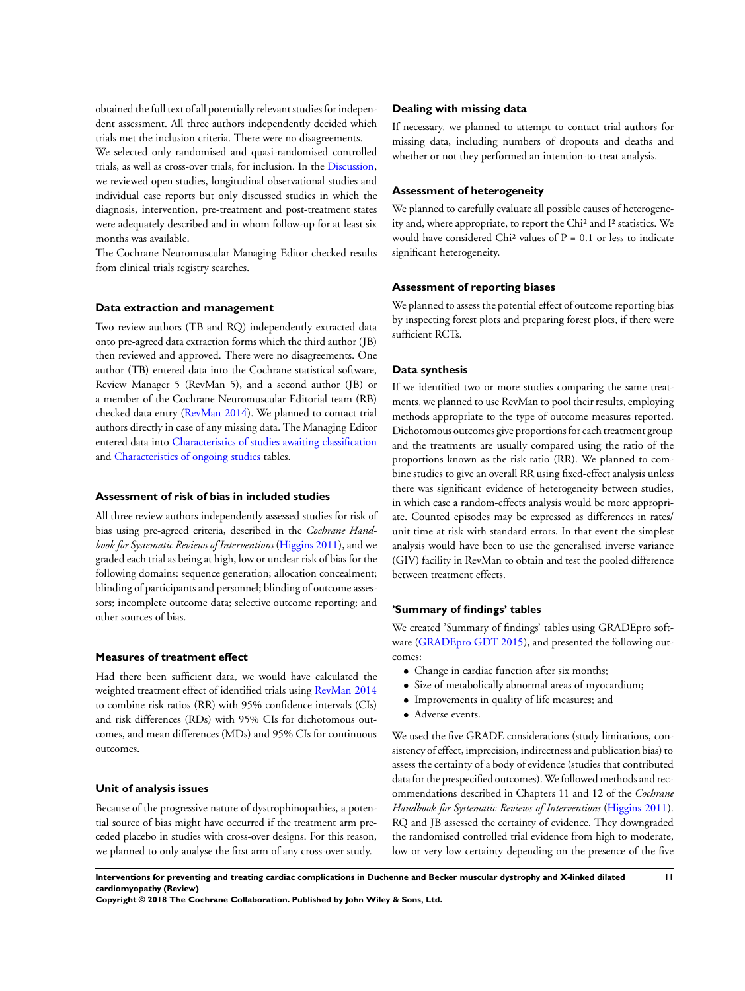obtained the full text of all potentially relevant studies for independent assessment. All three authors independently decided which trials met the inclusion criteria. There were no disagreements.

We selected only randomised and quasi-randomised controlled trials, as well as cross-over trials, for inclusion. In the [Discussion,](#page-31-0) we reviewed open studies, longitudinal observational studies and individual case reports but only discussed studies in which the diagnosis, intervention, pre-treatment and post-treatment states were adequately described and in whom follow-up for at least six months was available.

The Cochrane Neuromuscular Managing Editor checked results from clinical trials registry searches.

# **Data extraction and management**

Two review authors (TB and RQ) independently extracted data onto pre-agreed data extraction forms which the third author (JB) then reviewed and approved. There were no disagreements. One author (TB) entered data into the Cochrane statistical software, Review Manager 5 (RevMan 5), and a second author (JB) or a member of the Cochrane Neuromuscular Editorial team (RB) checked data entry [\(RevMan 2014](#page-34-0)). We planned to contact trial authors directly in case of any missing data. The Managing Editor entered data into [Characteristics of studies awaiting classification](#page-49-0) and [Characteristics of ongoing studies](#page-51-0) tables.

# **Assessment of risk of bias in included studies**

All three review authors independently assessed studies for risk of bias using pre-agreed criteria, described in the *Cochrane Handbook for Systematic Reviews of Interventions* [\(Higgins 2011](#page-34-0)), and we graded each trial as being at high, low or unclear risk of bias for the following domains: sequence generation; allocation concealment; blinding of participants and personnel; blinding of outcome assessors; incomplete outcome data; selective outcome reporting; and other sources of bias.

#### **Measures of treatment effect**

Had there been sufficient data, we would have calculated the weighted treatment effect of identified trials using [RevMan 2014](#page-34-0) to combine risk ratios (RR) with 95% confidence intervals (CIs) and risk differences (RDs) with 95% CIs for dichotomous outcomes, and mean differences (MDs) and 95% CIs for continuous outcomes.

#### **Unit of analysis issues**

Because of the progressive nature of dystrophinopathies, a potential source of bias might have occurred if the treatment arm preceded placebo in studies with cross-over designs. For this reason, we planned to only analyse the first arm of any cross-over study.

# **Dealing with missing data**

If necessary, we planned to attempt to contact trial authors for missing data, including numbers of dropouts and deaths and whether or not they performed an intention-to-treat analysis.

# **Assessment of heterogeneity**

We planned to carefully evaluate all possible causes of heterogeneity and, where appropriate, to report the Chi² and I² statistics. We would have considered Chi<sup>2</sup> values of  $P = 0.1$  or less to indicate significant heterogeneity.

# **Assessment of reporting biases**

We planned to assess the potential effect of outcome reporting bias by inspecting forest plots and preparing forest plots, if there were sufficient RCTs.

# **Data synthesis**

If we identified two or more studies comparing the same treatments, we planned to use RevMan to pool their results, employing methods appropriate to the type of outcome measures reported. Dichotomous outcomes give proportions for each treatment group and the treatments are usually compared using the ratio of the proportions known as the risk ratio (RR). We planned to combine studies to give an overall RR using fixed-effect analysis unless there was significant evidence of heterogeneity between studies, in which case a random-effects analysis would be more appropriate. Counted episodes may be expressed as differences in rates/ unit time at risk with standard errors. In that event the simplest analysis would have been to use the generalised inverse variance (GIV) facility in RevMan to obtain and test the pooled difference between treatment effects.

#### **'Summary of findings' tables**

We created 'Summary of findings' tables using GRADEpro software [\(GRADEpro GDT 2015](#page-34-0)), and presented the following outcomes:

- Change in cardiac function after six months;
- Size of metabolically abnormal areas of myocardium;
- Improvements in quality of life measures; and
- Adverse events.

We used the five GRADE considerations (study limitations, consistency of effect, imprecision, indirectness and publication bias) to assess the certainty of a body of evidence (studies that contributed data for the prespecified outcomes). We followed methods and recommendations described in Chapters 11 and 12 of the *Cochrane Handbook for Systematic Reviews of Interventions* [\(Higgins 2011](#page-34-0)). RQ and JB assessed the certainty of evidence. They downgraded the randomised controlled trial evidence from high to moderate, low or very low certainty depending on the presence of the five

**Interventions for preventing and treating cardiac complications in Duchenne and Becker muscular dystrophy and X-linked dilated 11 cardiomyopathy (Review)**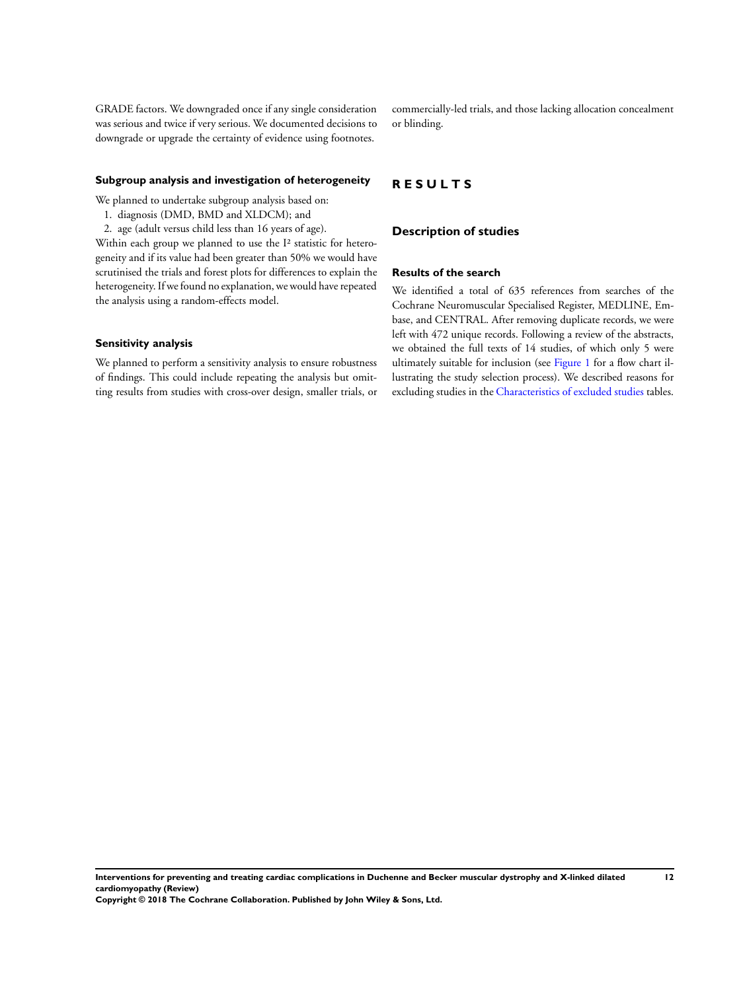GRADE factors. We downgraded once if any single consideration was serious and twice if very serious. We documented decisions to downgrade or upgrade the certainty of evidence using footnotes.

# **Subgroup analysis and investigation of heterogeneity**

We planned to undertake subgroup analysis based on:

- 1. diagnosis (DMD, BMD and XLDCM); and
- 2. age (adult versus child less than 16 years of age).

Within each group we planned to use the I<sup>2</sup> statistic for heterogeneity and if its value had been greater than 50% we would have scrutinised the trials and forest plots for differences to explain the heterogeneity. If we found no explanation, we would have repeated the analysis using a random-effects model.

commercially-led trials, and those lacking allocation concealment or blinding.

# **R E S U L T S**

# **Description of studies**

#### **Results of the search**

We identified a total of 635 references from searches of the Cochrane Neuromuscular Specialised Register, MEDLINE, Embase, and CENTRAL. After removing duplicate records, we were left with 472 unique records. Following a review of the abstracts, we obtained the full texts of 14 studies, of which only 5 were ultimately suitable for inclusion (see [Figure 1](#page-14-0) for a flow chart illustrating the study selection process). We described reasons for excluding studies in the [Characteristics of excluded studies](#page-48-0) tables.

# **Sensitivity analysis**

We planned to perform a sensitivity analysis to ensure robustness of findings. This could include repeating the analysis but omitting results from studies with cross-over design, smaller trials, or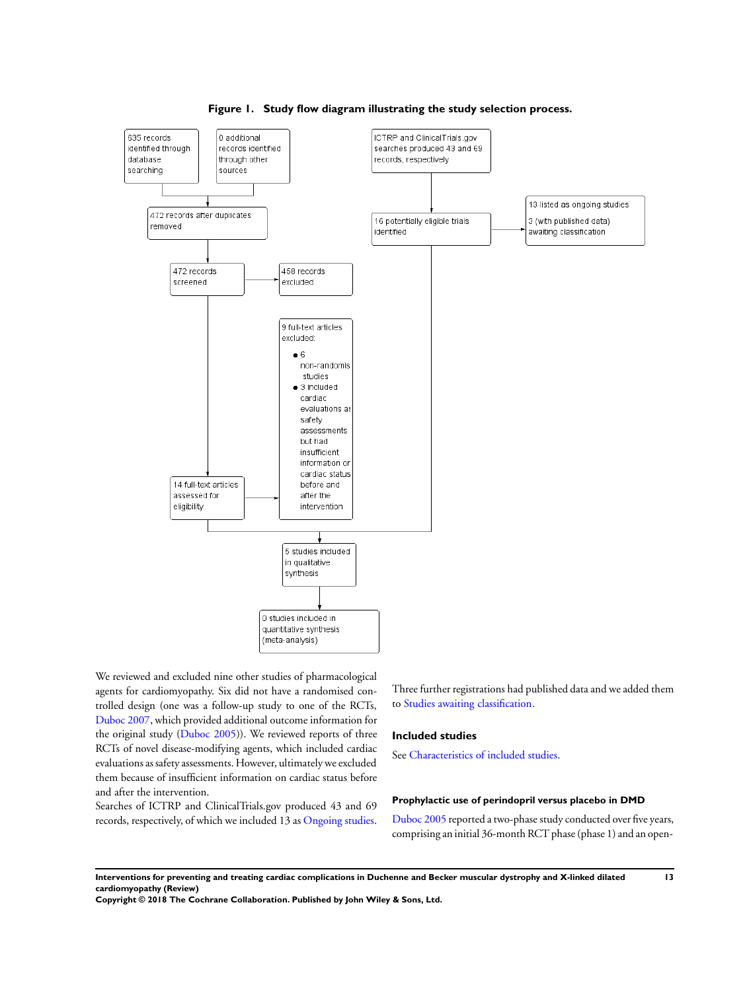<span id="page-14-0"></span>

**Figure 1. Study flow diagram illustrating the study selection process.**

We reviewed and excluded nine other studies of pharmacological agents for cardiomyopathy. Six did not have a randomised controlled design (one was a follow-up study to one of the RCTs, [Duboc 2007,](#page-34-0) which provided additional outcome information for the original study ([Duboc 2005\)](#page-34-0)). We reviewed reports of three RCTs of novel disease-modifying agents, which included cardiac evaluations as safety assessments. However, ultimately weexcluded them because of insufficient information on cardiac status before and after the intervention.

Searches of ICTRP and ClinicalTrials.gov produced 43 and 69 records, respectively, of which we included 13 as [Ongoing studies.](#page-34-0) Three further registrations had published data and we added them to [Studies awaiting classification](#page-34-0).

# **Included studies**

See [Characteristics of included studies](#page-41-0).

# **Prophylactic use of perindopril versus placebo in DMD**

[Duboc 2005](#page-34-0) reported a two-phase study conducted over five years, comprising an initial 36-month RCT phase (phase 1) and an open-

**Interventions for preventing and treating cardiac complications in Duchenne and Becker muscular dystrophy and X-linked dilated 13 cardiomyopathy (Review)**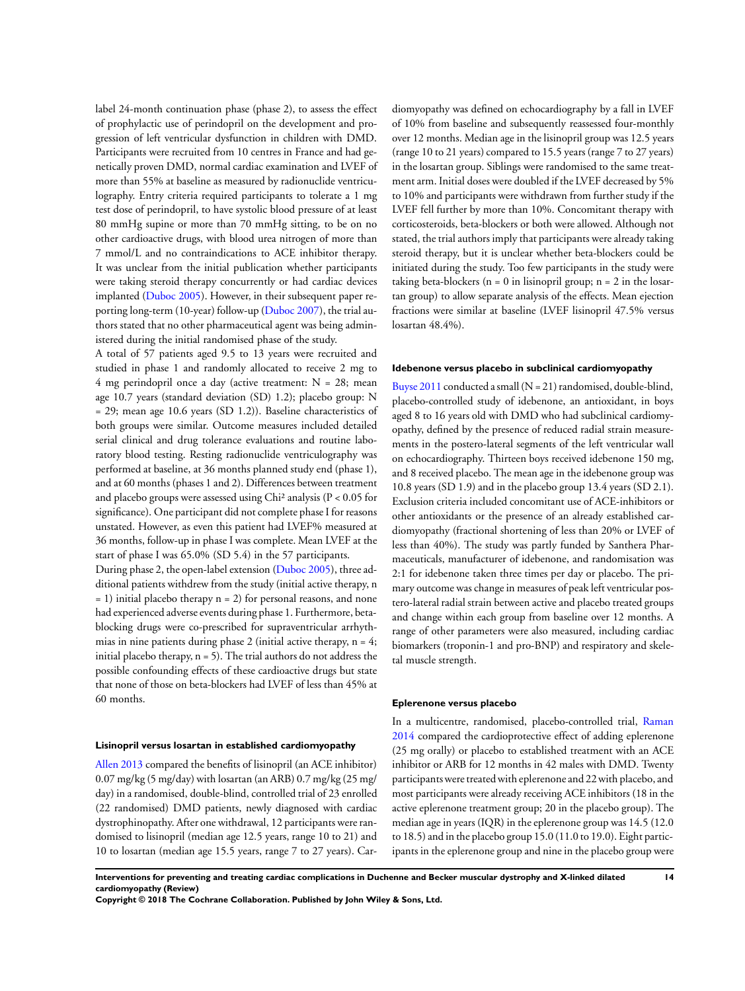label 24-month continuation phase (phase 2), to assess the effect of prophylactic use of perindopril on the development and progression of left ventricular dysfunction in children with DMD. Participants were recruited from 10 centres in France and had genetically proven DMD, normal cardiac examination and LVEF of more than 55% at baseline as measured by radionuclide ventriculography. Entry criteria required participants to tolerate a 1 mg test dose of perindopril, to have systolic blood pressure of at least 80 mmHg supine or more than 70 mmHg sitting, to be on no other cardioactive drugs, with blood urea nitrogen of more than 7 mmol/L and no contraindications to ACE inhibitor therapy. It was unclear from the initial publication whether participants were taking steroid therapy concurrently or had cardiac devices implanted ([Duboc 2005\)](#page-34-0). However, in their subsequent paper reporting long-term (10-year) follow-up [\(Duboc 2007](#page-34-0)), the trial authors stated that no other pharmaceutical agent was being administered during the initial randomised phase of the study.

A total of 57 patients aged 9.5 to 13 years were recruited and studied in phase 1 and randomly allocated to receive 2 mg to 4 mg perindopril once a day (active treatment:  $N = 28$ ; mean age 10.7 years (standard deviation (SD) 1.2); placebo group: N = 29; mean age 10.6 years (SD 1.2)). Baseline characteristics of both groups were similar. Outcome measures included detailed serial clinical and drug tolerance evaluations and routine laboratory blood testing. Resting radionuclide ventriculography was performed at baseline, at 36 months planned study end (phase 1), and at 60 months (phases 1 and 2). Differences between treatment and placebo groups were assessed using Chi<sup>2</sup> analysis ( $P < 0.05$  for significance). One participant did not complete phase I for reasons unstated. However, as even this patient had LVEF% measured at 36 months, follow-up in phase I was complete. Mean LVEF at the start of phase I was 65.0% (SD 5.4) in the 57 participants.

During phase 2, the open-label extension ([Duboc 2005](#page-34-0)), three additional patients withdrew from the study (initial active therapy, n  $= 1$ ) initial placebo therapy  $n = 2$ ) for personal reasons, and none had experienced adverse events during phase 1. Furthermore, betablocking drugs were co-prescribed for supraventricular arrhythmias in nine patients during phase 2 (initial active therapy,  $n = 4$ ; initial placebo therapy,  $n = 5$ ). The trial authors do not address the possible confounding effects of these cardioactive drugs but state that none of those on beta-blockers had LVEF of less than 45% at 60 months.

#### **Lisinopril versus losartan in established cardiomyopathy**

[Allen 2013](#page-34-0) compared the benefits of lisinopril (an ACE inhibitor) 0.07 mg/kg (5 mg/day) with losartan (an ARB) 0.7 mg/kg (25 mg/ day) in a randomised, double-blind, controlled trial of 23 enrolled (22 randomised) DMD patients, newly diagnosed with cardiac dystrophinopathy. After one withdrawal, 12 participants were randomised to lisinopril (median age 12.5 years, range 10 to 21) and 10 to losartan (median age 15.5 years, range 7 to 27 years). Cardiomyopathy was defined on echocardiography by a fall in LVEF of 10% from baseline and subsequently reassessed four-monthly over 12 months. Median age in the lisinopril group was 12.5 years (range 10 to 21 years) compared to 15.5 years (range 7 to 27 years) in the losartan group. Siblings were randomised to the same treatment arm. Initial doses were doubled if the LVEF decreased by 5% to 10% and participants were withdrawn from further study if the LVEF fell further by more than 10%. Concomitant therapy with corticosteroids, beta-blockers or both were allowed. Although not stated, the trial authors imply that participants were already taking steroid therapy, but it is unclear whether beta-blockers could be initiated during the study. Too few participants in the study were taking beta-blockers ( $n = 0$  in lisinopril group;  $n = 2$  in the losartan group) to allow separate analysis of the effects. Mean ejection fractions were similar at baseline (LVEF lisinopril 47.5% versus losartan 48.4%).

#### **Idebenone versus placebo in subclinical cardiomyopathy**

[Buyse 2011](#page-34-0) conducted a small (N = 21) randomised, double-blind, placebo-controlled study of idebenone, an antioxidant, in boys aged 8 to 16 years old with DMD who had subclinical cardiomyopathy, defined by the presence of reduced radial strain measurements in the postero-lateral segments of the left ventricular wall on echocardiography. Thirteen boys received idebenone 150 mg, and 8 received placebo. The mean age in the idebenone group was 10.8 years (SD 1.9) and in the placebo group 13.4 years (SD 2.1). Exclusion criteria included concomitant use of ACE-inhibitors or other antioxidants or the presence of an already established cardiomyopathy (fractional shortening of less than 20% or LVEF of less than 40%). The study was partly funded by Santhera Pharmaceuticals, manufacturer of idebenone, and randomisation was 2:1 for idebenone taken three times per day or placebo. The primary outcome was change in measures of peak left ventricular postero-lateral radial strain between active and placebo treated groups and change within each group from baseline over 12 months. A range of other parameters were also measured, including cardiac biomarkers (troponin-1 and pro-BNP) and respiratory and skeletal muscle strength.

# **Eplerenone versus placebo**

In a multicentre, randomised, placebo-controlled trial, [Raman](#page-34-0) [2014](#page-34-0) compared the cardioprotective effect of adding eplerenone (25 mg orally) or placebo to established treatment with an ACE inhibitor or ARB for 12 months in 42 males with DMD. Twenty participants were treated with eplerenone and 22 with placebo, and most participants were already receiving ACE inhibitors (18 in the active eplerenone treatment group; 20 in the placebo group). The median age in years (IQR) in the eplerenone group was 14.5 (12.0 to 18.5) and in the placebo group 15.0 (11.0 to 19.0). Eight participants in the eplerenone group and nine in the placebo group were

**Interventions for preventing and treating cardiac complications in Duchenne and Becker muscular dystrophy and X-linked dilated 14 cardiomyopathy (Review)**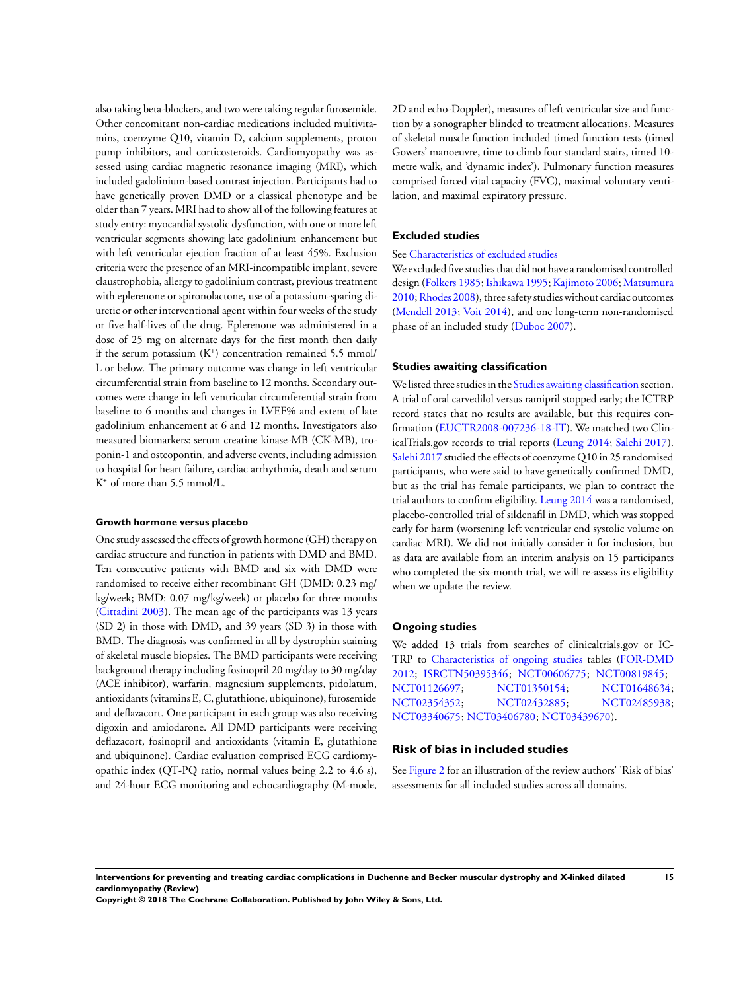also taking beta-blockers, and two were taking regular furosemide. Other concomitant non-cardiac medications included multivitamins, coenzyme Q10, vitamin D, calcium supplements, proton pump inhibitors, and corticosteroids. Cardiomyopathy was assessed using cardiac magnetic resonance imaging (MRI), which included gadolinium-based contrast injection. Participants had to have genetically proven DMD or a classical phenotype and be older than 7 years. MRI had to show all of the following features at study entry: myocardial systolic dysfunction, with one or more left ventricular segments showing late gadolinium enhancement but with left ventricular ejection fraction of at least 45%. Exclusion criteria were the presence of an MRI-incompatible implant, severe claustrophobia, allergy to gadolinium contrast, previous treatment with eplerenone or spironolactone, use of a potassium-sparing diuretic or other interventional agent within four weeks of the study or five half-lives of the drug. Eplerenone was administered in a dose of 25 mg on alternate days for the first month then daily if the serum potassium  $(K^+)$  concentration remained 5.5 mmol/ L or below. The primary outcome was change in left ventricular circumferential strain from baseline to 12 months. Secondary outcomes were change in left ventricular circumferential strain from baseline to 6 months and changes in LVEF% and extent of late gadolinium enhancement at 6 and 12 months. Investigators also measured biomarkers: serum creatine kinase-MB (CK-MB), troponin-1 and osteopontin, and adverse events, including admission to hospital for heart failure, cardiac arrhythmia, death and serum K <sup>+</sup> of more than 5.5 mmol/L.

#### **Growth hormone versus placebo**

One study assessed the effects of growth hormone (GH) therapy on cardiac structure and function in patients with DMD and BMD. Ten consecutive patients with BMD and six with DMD were randomised to receive either recombinant GH (DMD: 0.23 mg/ kg/week; BMD: 0.07 mg/kg/week) or placebo for three months [\(Cittadini 2003](#page-34-0)). The mean age of the participants was 13 years (SD 2) in those with DMD, and 39 years (SD 3) in those with BMD. The diagnosis was confirmed in all by dystrophin staining of skeletal muscle biopsies. The BMD participants were receiving background therapy including fosinopril 20 mg/day to 30 mg/day (ACE inhibitor), warfarin, magnesium supplements, pidolatum, antioxidants (vitamins E, C, glutathione, ubiquinone), furosemide and deflazacort. One participant in each group was also receiving digoxin and amiodarone. All DMD participants were receiving deflazacort, fosinopril and antioxidants (vitamin E, glutathione and ubiquinone). Cardiac evaluation comprised ECG cardiomyopathic index (QT-PQ ratio, normal values being 2.2 to 4.6 s), and 24-hour ECG monitoring and echocardiography (M-mode,

2D and echo-Doppler), measures of left ventricular size and function by a sonographer blinded to treatment allocations. Measures of skeletal muscle function included timed function tests (timed Gowers' manoeuvre, time to climb four standard stairs, timed 10 metre walk, and 'dynamic index'). Pulmonary function measures comprised forced vital capacity (FVC), maximal voluntary ventilation, and maximal expiratory pressure.

# **Excluded studies**

See [Characteristics of excluded studies](#page-48-0)

We excluded five studies that did not have a randomised controlled design ([Folkers 1985](#page-34-0); Ishikawa 1995; Kajimoto 2006; [Matsumura](#page-34-0) [2010](#page-34-0);[Rhodes 2008\)](#page-34-0), three safety studies without cardiac outcomes [\(Mendell 2013](#page-34-0); [Voit 2014](#page-34-0)), and one long-term non-randomised phase of an included study ([Duboc 2007](#page-34-0)).

#### **Studies awaiting classification**

We listed three studies in the [Studies awaiting classification](#page-34-0) section. A trial of oral carvedilol versus ramipril stopped early; the ICTRP record states that no results are available, but this requires confirmation ([EUCTR2008-007236-18-IT](#page-34-0)). We matched two ClinicalTrials.gov records to trial reports [\(Leung 2014;](#page-34-0) [Salehi 2017](#page-34-0)). [Salehi 2017](#page-34-0) studied the effects of coenzyme Q10 in 25 randomised participants, who were said to have genetically confirmed DMD, but as the trial has female participants, we plan to contract the trial authors to confirm eligibility. [Leung 2014](#page-34-0) was a randomised, placebo-controlled trial of sildenafil in DMD, which was stopped early for harm (worsening left ventricular end systolic volume on cardiac MRI). We did not initially consider it for inclusion, but as data are available from an interim analysis on 15 participants who completed the six-month trial, we will re-assess its eligibility when we update the review.

# **Ongoing studies**

We added 13 trials from searches of clinicaltrials.gov or IC-TRP to [Characteristics of ongoing studies](#page-51-0) tables [\(FOR-DMD](#page-34-0) [2012](#page-34-0); [ISRCTN50395346](#page-34-0); [NCT00606775;](#page-34-0) [NCT00819845](#page-34-0); [NCT01126697](#page-34-0); [NCT01350154](#page-34-0); [NCT01648634;](#page-34-0) [NCT02354352](#page-34-0); [NCT02432885](#page-34-0); [NCT02485938;](#page-34-0) [NCT03340675](#page-34-0); [NCT03406780](#page-34-0); [NCT03439670\)](#page-34-0).

# **Risk of bias in included studies**

See [Figure 2](#page-17-0) for an illustration of the review authors' 'Risk of bias' assessments for all included studies across all domains.

**Interventions for preventing and treating cardiac complications in Duchenne and Becker muscular dystrophy and X-linked dilated 15 cardiomyopathy (Review)**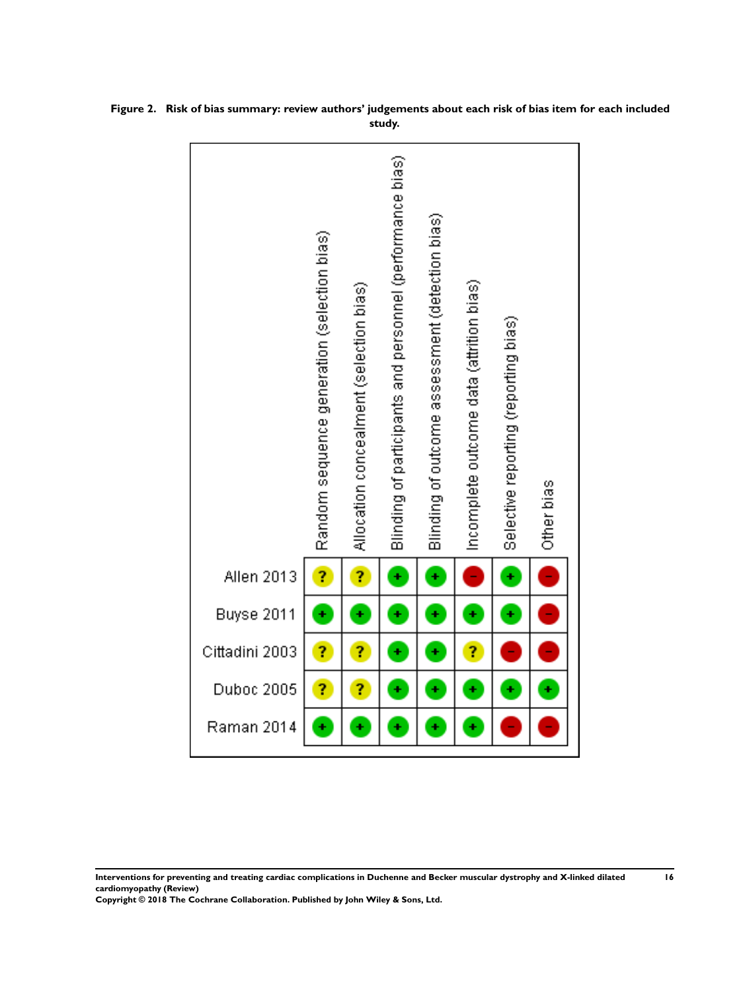

<span id="page-17-0"></span>**Figure 2. Risk of bias summary: review authors' judgements about each risk of bias item for each included study.**

**Interventions for preventing and treating cardiac complications in Duchenne and Becker muscular dystrophy and X-linked dilated 16 cardiomyopathy (Review)**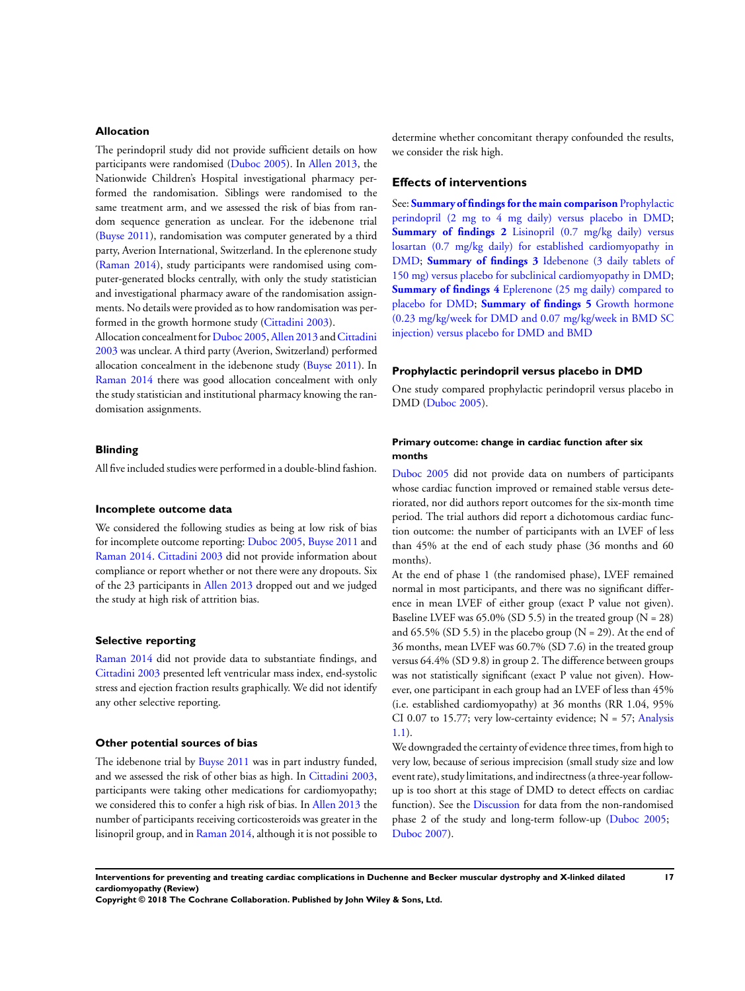# **Allocation**

The perindopril study did not provide sufficient details on how participants were randomised [\(Duboc 2005\)](#page-34-0). In [Allen 2013](#page-34-0), the Nationwide Children's Hospital investigational pharmacy performed the randomisation. Siblings were randomised to the same treatment arm, and we assessed the risk of bias from random sequence generation as unclear. For the idebenone trial [\(Buyse 2011\)](#page-34-0), randomisation was computer generated by a third party, Averion International, Switzerland. In the eplerenone study [\(Raman 2014](#page-34-0)), study participants were randomised using computer-generated blocks centrally, with only the study statistician and investigational pharmacy aware of the randomisation assignments. No details were provided as to how randomisation was performed in the growth hormone study ([Cittadini 2003\)](#page-34-0).

Allocation concealment for Duboc 2005, Allen 2013 and [Cittadini](#page-34-0) [2003](#page-34-0) was unclear. A third party (Averion, Switzerland) performed allocation concealment in the idebenone study ([Buyse 2011\)](#page-34-0). In [Raman 2014](#page-34-0) there was good allocation concealment with only the study statistician and institutional pharmacy knowing the randomisation assignments.

#### **Blinding**

All five included studies were performed in a double-blind fashion.

#### **Incomplete outcome data**

We considered the following studies as being at low risk of bias for incomplete outcome reporting: [Duboc 2005,](#page-34-0) [Buyse 2011](#page-34-0) and [Raman 2014](#page-34-0). [Cittadini 2003](#page-34-0) did not provide information about compliance or report whether or not there were any dropouts. Six of the 23 participants in [Allen 2013](#page-34-0) dropped out and we judged the study at high risk of attrition bias.

# **Selective reporting**

[Raman 2014](#page-34-0) did not provide data to substantiate findings, and [Cittadini 2003](#page-34-0) presented left ventricular mass index, end-systolic stress and ejection fraction results graphically. We did not identify any other selective reporting.

#### **Other potential sources of bias**

The idebenone trial by [Buyse 2011](#page-34-0) was in part industry funded, and we assessed the risk of other bias as high. In [Cittadini 2003,](#page-34-0) participants were taking other medications for cardiomyopathy; we considered this to confer a high risk of bias. In [Allen 2013](#page-34-0) the number of participants receiving corticosteroids was greater in the lisinopril group, and in [Raman 2014](#page-34-0), although it is not possible to determine whether concomitant therapy confounded the results, we consider the risk high.

# **Effects of interventions**

See: **[Summary of findings for the main comparison](#page-5-0)** [Prophylactic](#page-5-0) [perindopril \(2 mg to 4 mg daily\) versus placebo in DMD;](#page-5-0) **[Summary of findings 2](#page-23-0)** [Lisinopril \(0.7 mg/kg daily\) versus](#page-23-0) [losartan \(0.7 mg/kg daily\) for established cardiomyopathy in](#page-23-0) [DMD](#page-23-0); **[Summary of findings 3](#page-25-0)** [Idebenone \(3 daily tablets of](#page-25-0) [150 mg\) versus placebo for subclinical cardiomyopathy in DMD;](#page-25-0) **[Summary of findings 4](#page-27-0)** [Eplerenone \(25 mg daily\) compared to](#page-27-0) [placebo for DMD;](#page-27-0) **[Summary of findings 5](#page-29-0)** [Growth hormone](#page-29-0) [\(0.23 mg/kg/week for DMD and 0.07 mg/kg/week in BMD SC](#page-29-0) [injection\) versus placebo for DMD and BMD](#page-29-0)

# **Prophylactic perindopril versus placebo in DMD**

One study compared prophylactic perindopril versus placebo in DMD ([Duboc 2005\)](#page-34-0).

# **Primary outcome: change in cardiac function after six months**

[Duboc 2005](#page-34-0) did not provide data on numbers of participants whose cardiac function improved or remained stable versus deteriorated, nor did authors report outcomes for the six-month time period. The trial authors did report a dichotomous cardiac function outcome: the number of participants with an LVEF of less than 45% at the end of each study phase (36 months and 60 months).

At the end of phase 1 (the randomised phase), LVEF remained normal in most participants, and there was no significant difference in mean LVEF of either group (exact P value not given). Baseline LVEF was  $(5.0\%$  (SD 5.5) in the treated group (N = 28) and  $65.5\%$  (SD 5.5) in the placebo group (N = 29). At the end of 36 months, mean LVEF was 60.7% (SD 7.6) in the treated group versus 64.4% (SD 9.8) in group 2. The difference between groups was not statistically significant (exact P value not given). However, one participant in each group had an LVEF of less than 45% (i.e. established cardiomyopathy) at 36 months (RR 1.04, 95% CI 0.07 to 15.77; very low-certainty evidence;  $N = 57$ ; [Analysis](#page-61-0) [1.1](#page-61-0)).

We downgraded the certainty of evidence three times, from high to very low, because of serious imprecision (small study size and low event rate), study limitations, and indirectness (a three-year followup is too short at this stage of DMD to detect effects on cardiac function). See the [Discussion](#page-31-0) for data from the non-randomised phase 2 of the study and long-term follow-up ([Duboc 2005](#page-34-0); [Duboc 2007](#page-34-0)).

**Interventions for preventing and treating cardiac complications in Duchenne and Becker muscular dystrophy and X-linked dilated 17 cardiomyopathy (Review)**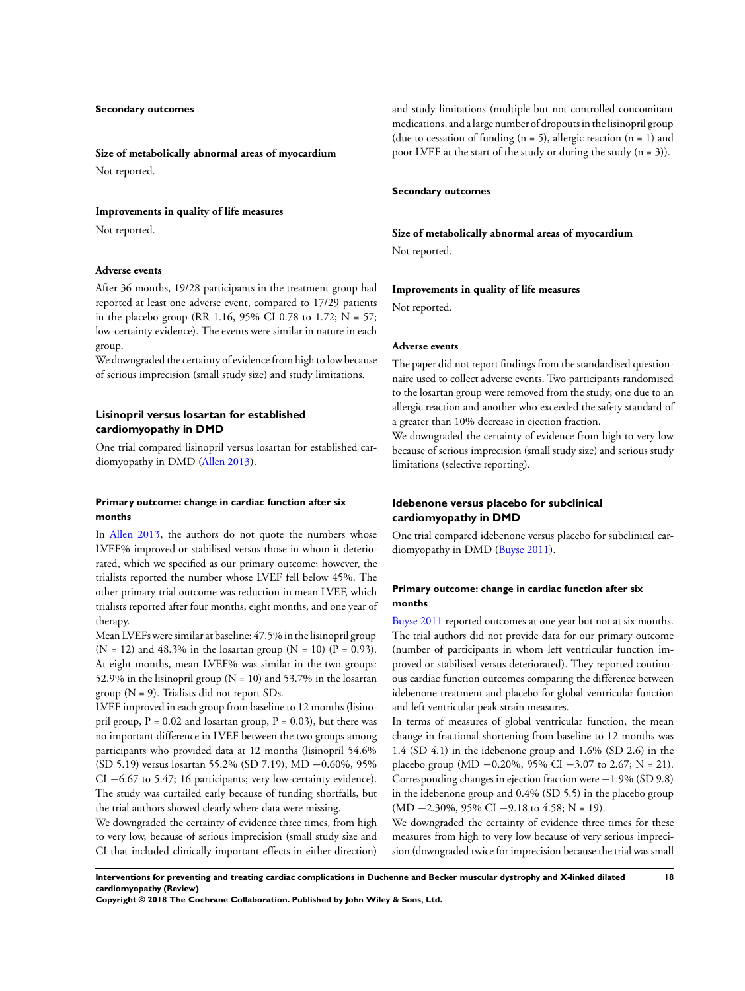# **Secondary outcomes**

# **Size of metabolically abnormal areas of myocardium**

Not reported.

#### **Improvements in quality of life measures**

Not reported.

#### **Adverse events**

After 36 months, 19/28 participants in the treatment group had reported at least one adverse event, compared to 17/29 patients in the placebo group (RR 1.16, 95% CI 0.78 to 1.72; N = 57; low-certainty evidence). The events were similar in nature in each group.

We downgraded the certainty of evidence from high to low because of serious imprecision (small study size) and study limitations.

# **Lisinopril versus losartan for established cardiomyopathy in DMD**

One trial compared lisinopril versus losartan for established cardiomyopathy in DMD [\(Allen 2013\)](#page-34-0).

# **Primary outcome: change in cardiac function after six months**

In [Allen 2013,](#page-34-0) the authors do not quote the numbers whose LVEF% improved or stabilised versus those in whom it deteriorated, which we specified as our primary outcome; however, the trialists reported the number whose LVEF fell below 45%. The other primary trial outcome was reduction in mean LVEF, which trialists reported after four months, eight months, and one year of therapy.

Mean LVEFs were similar at baseline: 47.5% in the lisinopril group (N = 12) and 48.3% in the losartan group (N = 10) (P = 0.93). At eight months, mean LVEF% was similar in the two groups: 52.9% in the lisinopril group ( $N = 10$ ) and 53.7% in the losartan group  $(N = 9)$ . Trialists did not report SDs.

LVEF improved in each group from baseline to 12 months (lisinopril group,  $P = 0.02$  and losartan group,  $P = 0.03$ ), but there was no important difference in LVEF between the two groups among participants who provided data at 12 months (lisinopril 54.6% (SD 5.19) versus losartan 55.2% (SD 7.19); MD −0.60%, 95% CI −6.67 to 5.47; 16 participants; very low-certainty evidence). The study was curtailed early because of funding shortfalls, but the trial authors showed clearly where data were missing.

We downgraded the certainty of evidence three times, from high to very low, because of serious imprecision (small study size and CI that included clinically important effects in either direction) and study limitations (multiple but not controlled concomitant medications, and a large number of dropouts in the lisinopril group (due to cessation of funding  $(n = 5)$ , allergic reaction  $(n = 1)$  and poor LVEF at the start of the study or during the study  $(n = 3)$ ).

#### **Secondary outcomes**

**Size of metabolically abnormal areas of myocardium** Not reported.

**Improvements in quality of life measures**

Not reported.

#### **Adverse events**

The paper did not report findings from the standardised questionnaire used to collect adverse events. Two participants randomised to the losartan group were removed from the study; one due to an allergic reaction and another who exceeded the safety standard of a greater than 10% decrease in ejection fraction.

We downgraded the certainty of evidence from high to very low because of serious imprecision (small study size) and serious study limitations (selective reporting).

# **Idebenone versus placebo for subclinical cardiomyopathy in DMD**

One trial compared idebenone versus placebo for subclinical cardiomyopathy in DMD [\(Buyse 2011\)](#page-34-0).

# **Primary outcome: change in cardiac function after six months**

[Buyse 2011](#page-34-0) reported outcomes at one year but not at six months. The trial authors did not provide data for our primary outcome (number of participants in whom left ventricular function improved or stabilised versus deteriorated). They reported continuous cardiac function outcomes comparing the difference between idebenone treatment and placebo for global ventricular function and left ventricular peak strain measures.

In terms of measures of global ventricular function, the mean change in fractional shortening from baseline to 12 months was 1.4 (SD 4.1) in the idebenone group and 1.6% (SD 2.6) in the placebo group (MD −0.20%, 95% CI −3.07 to 2.67; N = 21). Corresponding changes in ejection fraction were −1.9% (SD 9.8) in the idebenone group and 0.4% (SD 5.5) in the placebo group  $(MD - 2.30\%, 95\% \text{ CI} - 9.18 \text{ to } 4.58; \text{ N} = 19).$ 

We downgraded the certainty of evidence three times for these measures from high to very low because of very serious imprecision (downgraded twice for imprecision because the trial was small

**Interventions for preventing and treating cardiac complications in Duchenne and Becker muscular dystrophy and X-linked dilated 18 cardiomyopathy (Review)**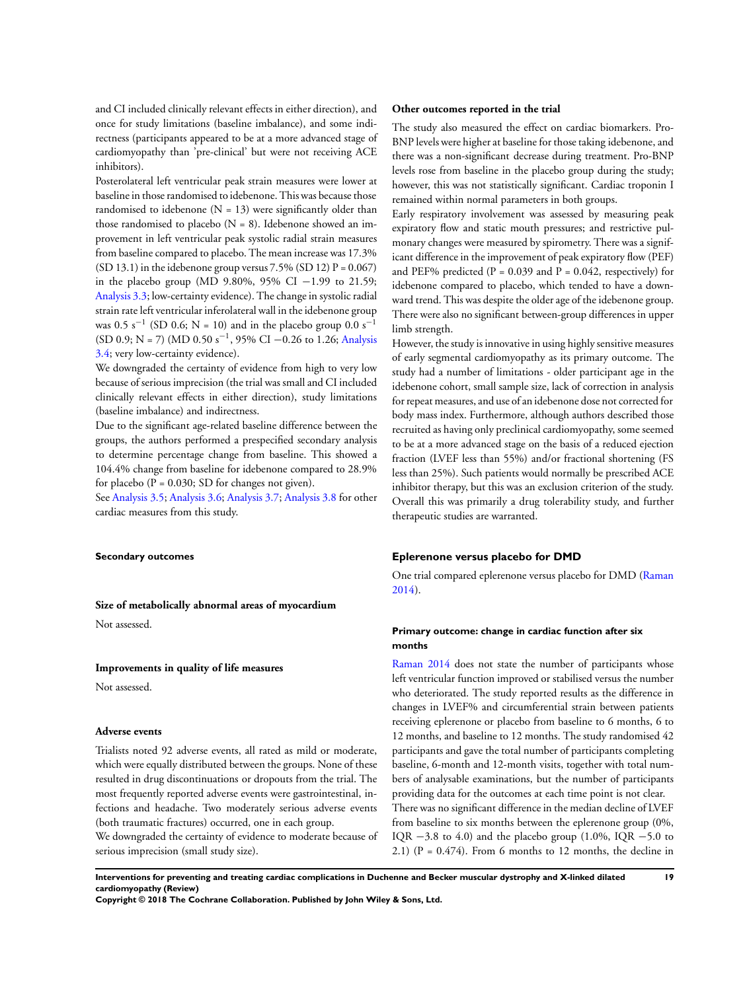and CI included clinically relevant effects in either direction), and once for study limitations (baseline imbalance), and some indirectness (participants appeared to be at a more advanced stage of cardiomyopathy than 'pre-clinical' but were not receiving ACE inhibitors).

Posterolateral left ventricular peak strain measures were lower at baseline in those randomised to idebenone. This was because those randomised to idebenone  $(N = 13)$  were significantly older than those randomised to placebo  $(N = 8)$ . Idebenone showed an improvement in left ventricular peak systolic radial strain measures from baseline compared to placebo. The mean increase was 17.3%  $(SD 13.1)$  in the idebenone group versus 7.5%  $(SD 12)$  P = 0.067) in the placebo group (MD 9.80%, 95% CI −1.99 to 21.59; [Analysis 3.3](#page-63-0); low-certainty evidence). The change in systolic radial strain rate left ventricular inferolateral wall in the idebenone group was 0.5 s<sup>-1</sup> (SD 0.6; N = 10) and in the placebo group 0.0 s<sup>-1</sup>  $(SD 0.9; N = 7) (MD 0.50 s<sup>-1</sup>, 95% CI -0.26 to 1.26; Analysis)$  $(SD 0.9; N = 7) (MD 0.50 s<sup>-1</sup>, 95% CI -0.26 to 1.26; Analysis)$  $(SD 0.9; N = 7) (MD 0.50 s<sup>-1</sup>, 95% CI -0.26 to 1.26; Analysis)$ [3.4](#page-64-0); very low-certainty evidence).

We downgraded the certainty of evidence from high to very low because of serious imprecision (the trial was small and CI included clinically relevant effects in either direction), study limitations (baseline imbalance) and indirectness.

Due to the significant age-related baseline difference between the groups, the authors performed a prespecified secondary analysis to determine percentage change from baseline. This showed a 104.4% change from baseline for idebenone compared to 28.9% for placebo (P = 0.030; SD for changes not given).

See [Analysis 3.5](#page-65-0); [Analysis 3.6](#page-66-0); [Analysis 3.7;](#page-67-0) [Analysis 3.8](#page-68-0) for other cardiac measures from this study.

#### **Secondary outcomes**

# **Size of metabolically abnormal areas of myocardium**

Not assessed.

#### **Improvements in quality of life measures**

Not assessed.

## **Adverse events**

Trialists noted 92 adverse events, all rated as mild or moderate, which were equally distributed between the groups. None of these resulted in drug discontinuations or dropouts from the trial. The most frequently reported adverse events were gastrointestinal, infections and headache. Two moderately serious adverse events (both traumatic fractures) occurred, one in each group.

We downgraded the certainty of evidence to moderate because of serious imprecision (small study size).

#### **Other outcomes reported in the trial**

The study also measured the effect on cardiac biomarkers. Pro-BNP levels were higher at baseline for those taking idebenone, and there was a non-significant decrease during treatment. Pro-BNP levels rose from baseline in the placebo group during the study; however, this was not statistically significant. Cardiac troponin I remained within normal parameters in both groups.

Early respiratory involvement was assessed by measuring peak expiratory flow and static mouth pressures; and restrictive pulmonary changes were measured by spirometry. There was a significant difference in the improvement of peak expiratory flow (PEF) and PEF% predicted ( $P = 0.039$  and  $P = 0.042$ , respectively) for idebenone compared to placebo, which tended to have a downward trend. This was despite the older age of the idebenone group. There were also no significant between-group differences in upper limb strength.

However, the study is innovative in using highly sensitive measures of early segmental cardiomyopathy as its primary outcome. The study had a number of limitations - older participant age in the idebenone cohort, small sample size, lack of correction in analysis for repeat measures, and use of an idebenone dose not corrected for body mass index. Furthermore, although authors described those recruited as having only preclinical cardiomyopathy, some seemed to be at a more advanced stage on the basis of a reduced ejection fraction (LVEF less than 55%) and/or fractional shortening (FS less than 25%). Such patients would normally be prescribed ACE inhibitor therapy, but this was an exclusion criterion of the study. Overall this was primarily a drug tolerability study, and further therapeutic studies are warranted.

#### **Eplerenone versus placebo for DMD**

One trial compared eplerenone versus placebo for DMD [\(Raman](#page-34-0) [2014](#page-34-0)).

# **Primary outcome: change in cardiac function after six months**

[Raman 2014](#page-34-0) does not state the number of participants whose left ventricular function improved or stabilised versus the number who deteriorated. The study reported results as the difference in changes in LVEF% and circumferential strain between patients receiving eplerenone or placebo from baseline to 6 months, 6 to 12 months, and baseline to 12 months. The study randomised 42 participants and gave the total number of participants completing baseline, 6-month and 12-month visits, together with total numbers of analysable examinations, but the number of participants providing data for the outcomes at each time point is not clear. There was no significant difference in the median decline of LVEF

from baseline to six months between the eplerenone group (0%, IQR  $-3.8$  to 4.0) and the placebo group (1.0%, IQR  $-5.0$  to 2.1) ( $P = 0.474$ ). From 6 months to 12 months, the decline in

**Interventions for preventing and treating cardiac complications in Duchenne and Becker muscular dystrophy and X-linked dilated 19 cardiomyopathy (Review)**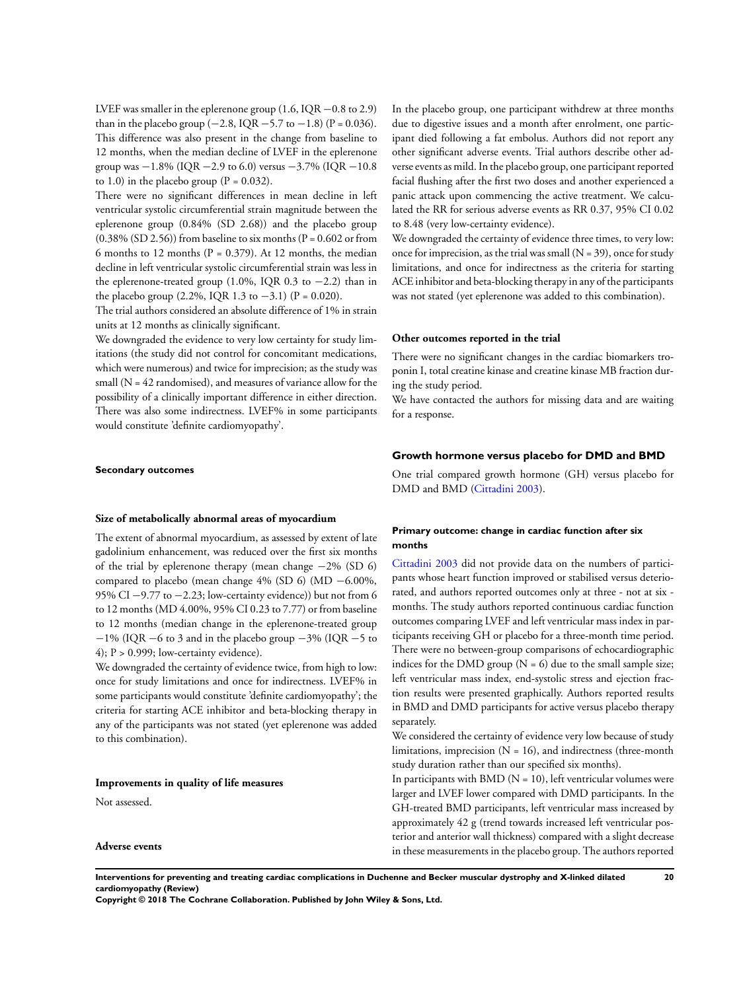LVEF was smaller in the eplerenone group (1.6, IQR −0.8 to 2.9) than in the placebo group ( $-2.8$ , IQR  $-5.7$  to  $-1.8$ ) (P = 0.036). This difference was also present in the change from baseline to 12 months, when the median decline of LVEF in the eplerenone group was  $-1.8\%$  (IQR  $-2.9$  to 6.0) versus  $-3.7\%$  (IQR  $-10.8$ to 1.0) in the placebo group  $(P = 0.032)$ .

There were no significant differences in mean decline in left ventricular systolic circumferential strain magnitude between the eplerenone group (0.84% (SD 2.68)) and the placebo group  $(0.38\%$  (SD 2.56)) from baseline to six months (P = 0.602 or from 6 months to 12 months ( $P = 0.379$ ). At 12 months, the median decline in left ventricular systolic circumferential strain was less in the eplerenone-treated group (1.0%, IQR 0.3 to −2.2) than in the placebo group (2.2%, IQR 1.3 to  $-3.1$ ) (P = 0.020).

The trial authors considered an absolute difference of 1% in strain units at 12 months as clinically significant.

We downgraded the evidence to very low certainty for study limitations (the study did not control for concomitant medications, which were numerous) and twice for imprecision; as the study was small  $(N = 42$  randomised), and measures of variance allow for the possibility of a clinically important difference in either direction. There was also some indirectness. LVEF% in some participants would constitute 'definite cardiomyopathy'.

## **Secondary outcomes**

#### **Size of metabolically abnormal areas of myocardium**

The extent of abnormal myocardium, as assessed by extent of late gadolinium enhancement, was reduced over the first six months of the trial by eplerenone therapy (mean change −2% (SD 6) compared to placebo (mean change 4% (SD 6) (MD −6.00%, 95% CI −9.77 to −2.23; low-certainty evidence)) but not from 6 to 12 months (MD 4.00%, 95% CI 0.23 to 7.77) or from baseline to 12 months (median change in the eplerenone-treated group −1% (IQR −6 to 3 and in the placebo group −3% (IQR −5 to 4);  $P > 0.999$ ; low-certainty evidence).

We downgraded the certainty of evidence twice, from high to low: once for study limitations and once for indirectness. LVEF% in some participants would constitute 'definite cardiomyopathy'; the criteria for starting ACE inhibitor and beta-blocking therapy in any of the participants was not stated (yet eplerenone was added to this combination).

# **Improvements in quality of life measures**

Not assessed.

**Adverse events**

In the placebo group, one participant withdrew at three months due to digestive issues and a month after enrolment, one participant died following a fat embolus. Authors did not report any other significant adverse events. Trial authors describe other adverse events as mild. In the placebo group, one participant reported facial flushing after the first two doses and another experienced a panic attack upon commencing the active treatment. We calculated the RR for serious adverse events as RR 0.37, 95% CI 0.02 to 8.48 (very low-certainty evidence).

We downgraded the certainty of evidence three times, to very low: once for imprecision, as the trial was small  $(N = 39)$ , once for study limitations, and once for indirectness as the criteria for starting ACE inhibitor and beta-blocking therapy in any of the participants was not stated (yet eplerenone was added to this combination).

#### **Other outcomes reported in the trial**

There were no significant changes in the cardiac biomarkers troponin I, total creatine kinase and creatine kinase MB fraction during the study period.

We have contacted the authors for missing data and are waiting for a response.

#### **Growth hormone versus placebo for DMD and BMD**

One trial compared growth hormone (GH) versus placebo for DMD and BMD ([Cittadini 2003\)](#page-34-0).

# **Primary outcome: change in cardiac function after six months**

[Cittadini 2003](#page-34-0) did not provide data on the numbers of participants whose heart function improved or stabilised versus deteriorated, and authors reported outcomes only at three - not at six months. The study authors reported continuous cardiac function outcomes comparing LVEF and left ventricular mass index in participants receiving GH or placebo for a three-month time period. There were no between-group comparisons of echocardiographic indices for the DMD group  $(N = 6)$  due to the small sample size; left ventricular mass index, end-systolic stress and ejection fraction results were presented graphically. Authors reported results in BMD and DMD participants for active versus placebo therapy separately.

We considered the certainty of evidence very low because of study limitations, imprecision  $(N = 16)$ , and indirectness (three-month study duration rather than our specified six months).

In participants with BMD ( $N = 10$ ), left ventricular volumes were larger and LVEF lower compared with DMD participants. In the GH-treated BMD participants, left ventricular mass increased by approximately 42 g (trend towards increased left ventricular posterior and anterior wall thickness) compared with a slight decrease in these measurements in the placebo group. The authors reported

**Interventions for preventing and treating cardiac complications in Duchenne and Becker muscular dystrophy and X-linked dilated 20 cardiomyopathy (Review)**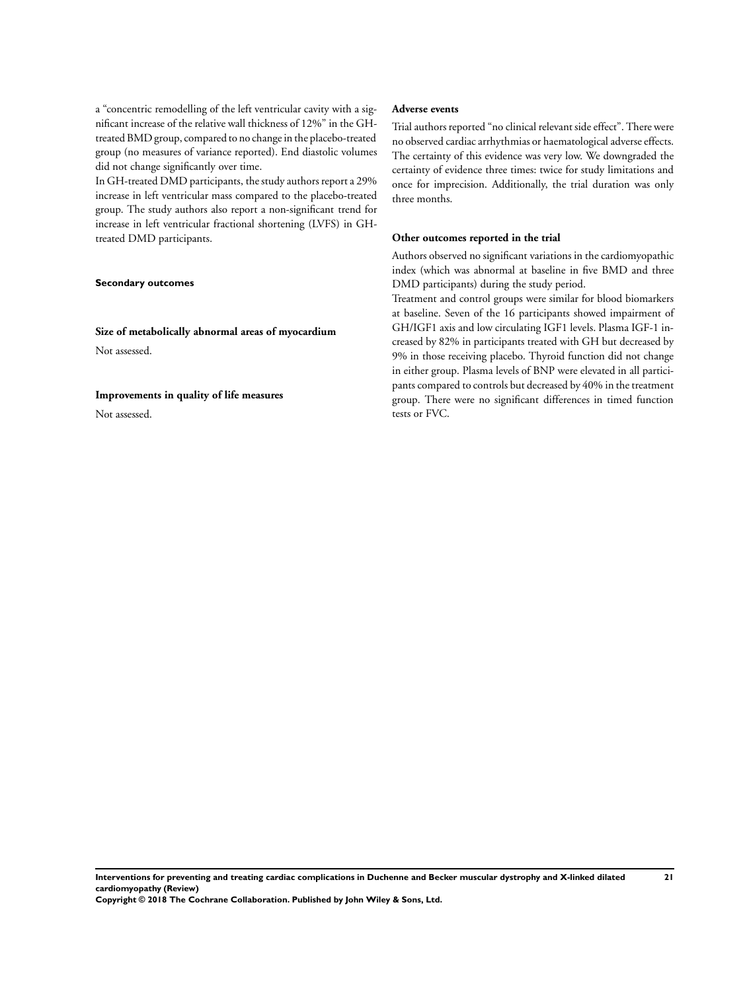a "concentric remodelling of the left ventricular cavity with a significant increase of the relative wall thickness of 12%" in the GHtreated BMD group, compared to no change in the placebo-treated group (no measures of variance reported). End diastolic volumes did not change significantly over time.

In GH-treated DMD participants, the study authors report a 29% increase in left ventricular mass compared to the placebo-treated group. The study authors also report a non-significant trend for increase in left ventricular fractional shortening (LVFS) in GHtreated DMD participants.

## **Secondary outcomes**

**Size of metabolically abnormal areas of myocardium**

Not assessed.

**Improvements in quality of life measures**

Not assessed.

#### **Adverse events**

Trial authors reported "no clinical relevant side effect". There were no observed cardiac arrhythmias or haematological adverse effects. The certainty of this evidence was very low. We downgraded the certainty of evidence three times: twice for study limitations and once for imprecision. Additionally, the trial duration was only three months.

#### **Other outcomes reported in the trial**

Authors observed no significant variations in the cardiomyopathic index (which was abnormal at baseline in five BMD and three DMD participants) during the study period.

Treatment and control groups were similar for blood biomarkers at baseline. Seven of the 16 participants showed impairment of GH/IGF1 axis and low circulating IGF1 levels. Plasma IGF-1 increased by 82% in participants treated with GH but decreased by 9% in those receiving placebo. Thyroid function did not change in either group. Plasma levels of BNP were elevated in all participants compared to controls but decreased by 40% in the treatment group. There were no significant differences in timed function tests or FVC.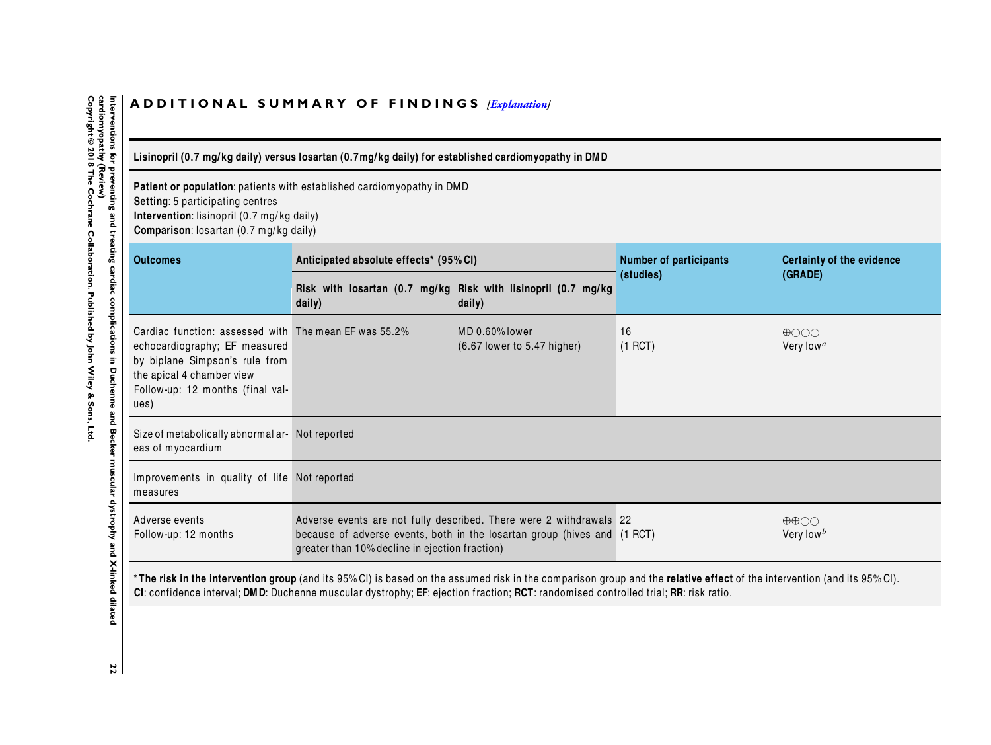# ADDITIONAL SUMMARY OF FINDINGS *[\[Explanation\]](http://www.thecochranelibrary.com/view/0/SummaryFindings.html)*

|                                                                                                                                                                                                   | Patient or population: patients with established cardiomyopathy in DMD | Lisinopril (0.7 mg/kg daily) versus losartan (0.7 mg/kg daily) for established cardiomyopathy in DMD                                                                                                                                                                                                         |                               |                                                            |  |
|---------------------------------------------------------------------------------------------------------------------------------------------------------------------------------------------------|------------------------------------------------------------------------|--------------------------------------------------------------------------------------------------------------------------------------------------------------------------------------------------------------------------------------------------------------------------------------------------------------|-------------------------------|------------------------------------------------------------|--|
| Setting: 5 participating centres<br>Intervention: lisinopril (0.7 mg/kg daily)<br>Comparison: losartan (0.7 mg/kg daily)                                                                          |                                                                        |                                                                                                                                                                                                                                                                                                              |                               |                                                            |  |
| <b>Outcomes</b>                                                                                                                                                                                   | Anticipated absolute effects* (95% CI)                                 |                                                                                                                                                                                                                                                                                                              | <b>Number of participants</b> | <b>Certainty of the evidence</b>                           |  |
|                                                                                                                                                                                                   | daily)                                                                 | Risk with losartan (0.7 mg/kg Risk with lisinopril (0.7 mg/kg<br>daily)                                                                                                                                                                                                                                      | (studies)                     | (GRADE)                                                    |  |
| Cardiac function: assessed with The mean EF was 55.2%<br>echocardiography; EF measured<br>by biplane Simpson's rule from<br>the apical 4 chamber view<br>Follow-up: 12 months (final val-<br>ues) |                                                                        | MD 0.60% lower<br>(6.67 lower to 5.47 higher)                                                                                                                                                                                                                                                                | 16<br>$(1$ RCT)               | $\bigoplus$<br>Very low <sup>a</sup>                       |  |
| Size of metabolically abnormal ar- Not reported<br>eas of myocardium                                                                                                                              |                                                                        |                                                                                                                                                                                                                                                                                                              |                               |                                                            |  |
| Improvements in quality of life Not reported<br>measures                                                                                                                                          |                                                                        |                                                                                                                                                                                                                                                                                                              |                               |                                                            |  |
| Adverse events<br>Follow-up: 12 months                                                                                                                                                            | greater than 10% decline in ejection fraction)                         | Adverse events are not fully described. There were 2 withdrawals 22<br>because of adverse events, both in the losartan group (hives and (1 RCT)                                                                                                                                                              |                               | $\oplus \oplus \bigcirc \bigcirc$<br>Very low <sup>b</sup> |  |
|                                                                                                                                                                                                   |                                                                        | *The risk in the intervention group (and its 95%CI) is based on the assumed risk in the comparison group and the relative effect of the intervention (and its 95%CI).<br>CI: confidence interval; DMD: Duchenne muscular dystrophy; EF: ejection fraction; RCT: randomised controlled trial; RR: risk ratio. |                               |                                                            |  |

<span id="page-23-0"></span>Interventions for preventing and treating cardiac complications in Duchenne and Be<br>cardiomyopathy (Review)<br>Copyright © 2018 The Cochrane Collaboration. Published by John Wiley & Sons, Ltd. **Copyright © 2018 The Cochrane Collaboration. Published by J cardiomyopathy (Review) ohn Wiley & Sons, Ltd.**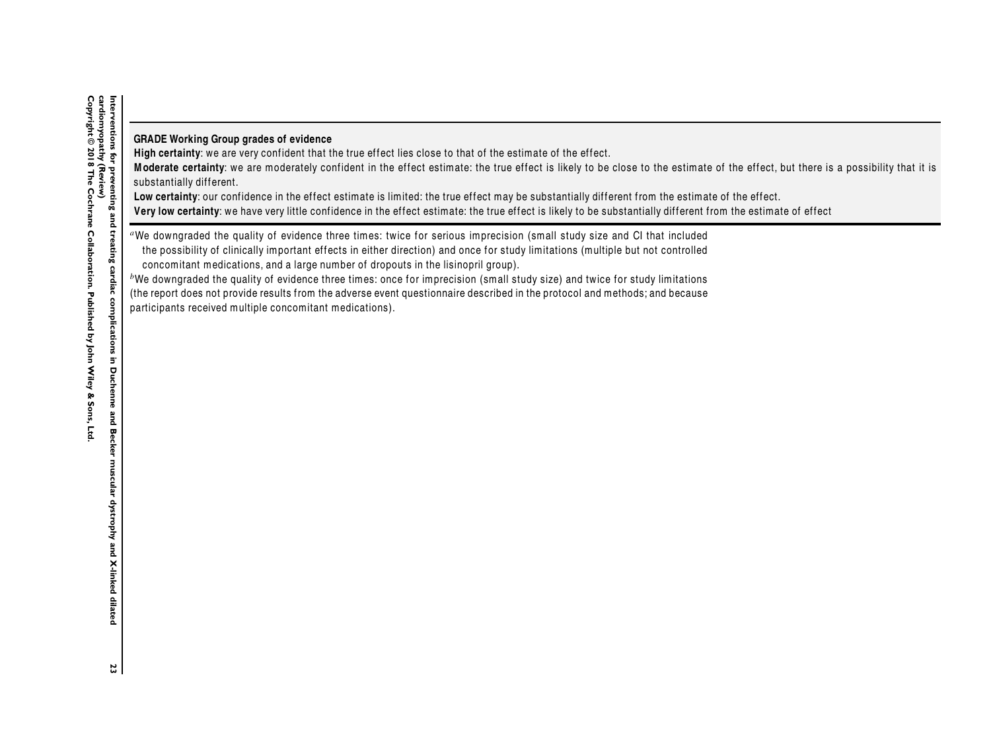# **GRADE Working Group grades of evidence**

High certainty: we are very confident that the true effect lies close to that of the estimate of the effect.

Moderate certainty: we are moderately confident in the effect estimate: the true effect is likely to be close to the estimate of the effect, but there is a possibility that it is substantially different.

Low certainty: our confidence in the effect estimate is limited: the true effect may be substantially different from the estimate of the effect.

**Very low certainty:** we have very little confidence in the effect estimate: the true effect is likely to be substantially different from the estimate of effect

<sup>a</sup>We downgraded the quality of evidence three times: twice for serious imprecision (small study size and CI that included the possibility of clinically important effects in either direction) and once for study lim itations (multiple but not controlled concom itant medications, and <sup>a</sup> large number of dropouts in the lisinopril group).

 $b$ We downgraded the quality of evidence three times: once for imprecision (small study size) and twice for study limitations (the report does not provide results from the adverse event questionnaire described in the protocol and methods; and because participants received multiple concomitant medications).

complications in Duchenne and Becker muscular dystrophy and X-linked dilated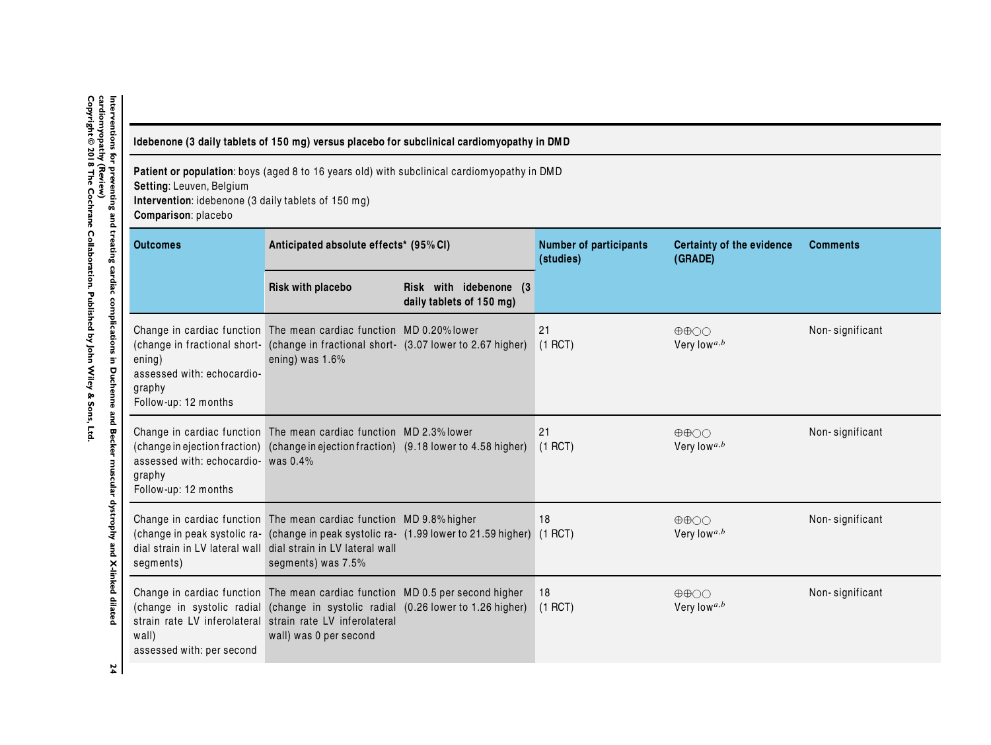| Idebenone (3 daily tablets of 150 mg) versus placebo for subclinical cardiomyopathy in DMD<br>Patient or population: boys (aged 8 to 16 years old) with subclinical cardiomyopathy in DMD<br>Setting: Leuven, Belgium<br>Intervention: idebenone (3 daily tablets of 150 mg) |                                                                                                                                                                                              |                                                    |                               |                                                              |                 |  |  |
|------------------------------------------------------------------------------------------------------------------------------------------------------------------------------------------------------------------------------------------------------------------------------|----------------------------------------------------------------------------------------------------------------------------------------------------------------------------------------------|----------------------------------------------------|-------------------------------|--------------------------------------------------------------|-----------------|--|--|
| Comparison: placebo<br><b>Outcomes</b>                                                                                                                                                                                                                                       | Anticipated absolute effects* (95% CI)                                                                                                                                                       |                                                    | <b>Number of participants</b> | Certainty of the evidence                                    | <b>Comments</b> |  |  |
|                                                                                                                                                                                                                                                                              | <b>Risk with placebo</b>                                                                                                                                                                     | Risk with idebenone (3<br>daily tablets of 150 mg) | (studies)                     | (GRADE)                                                      |                 |  |  |
| (change in fractional short-<br>ening)<br>assessed with: echocardio-<br>graphy<br>Follow-up: 12 months                                                                                                                                                                       | Change in cardiac function The mean cardiac function MD 0.20% lower<br>(change in fractional short- (3.07 lower to 2.67 higher)<br>ening) was $1.6%$                                         |                                                    | 21<br>$(1$ RCT)               | ⊕⊕⊜⊖<br>Very low <sup>a,b</sup>                              | Non-significant |  |  |
| assessed with: echocardio- was 0.4%<br>graphy<br>Follow-up: 12 months                                                                                                                                                                                                        | Change in cardiac function The mean cardiac function MD 2.3% lower<br>(change in ejection fraction) (change in ejection fraction) (9.18 lower to 4.58 higher)                                |                                                    | 21<br>$(1$ RCT)               | ⊕⊕⊜⊖<br>Very low <sup>a,b</sup>                              | Non-significant |  |  |
| (change in peak systolic ra-<br>dial strain in LV lateral wall dial strain in LV lateral wall<br>segments)                                                                                                                                                                   | Change in cardiac function The mean cardiac function MD 9.8% higher<br>(change in peak systolic ra- (1.99 lower to 21.59 higher) (1 RCT)<br>segments) was 7.5%                               |                                                    | 18                            | $\oplus \oplus \bigcirc \bigcirc$<br>Very low $^{a,b}$       | Non-significant |  |  |
| strain rate LV inferolateral strain rate LV inferolateral<br>wall)<br>assessed with: per second                                                                                                                                                                              | Change in cardiac function The mean cardiac function MD 0.5 per second higher<br>(change in systolic radial (change in systolic radial (0.26 lower to 1.26 higher)<br>wall) was 0 per second |                                                    | 18<br>$(1$ RCT)               | $\oplus \oplus \bigcirc \bigcirc$<br>Very low <sup>a,b</sup> | Non-significant |  |  |

# <span id="page-25-0"></span>Interventions for preventing and treating cardiac complications in Duchenne and Becker muscular dystrophy and X-linked dilated<br>cardiomyopathy (Review)<br>Copyright © 2018 The Cochrane Collaboration. Published by John Wiley & **Copyright © 2018 The Cochrane Collaboration. Published by J cardiomyopathy (Review)**

 $\frac{2}{3}$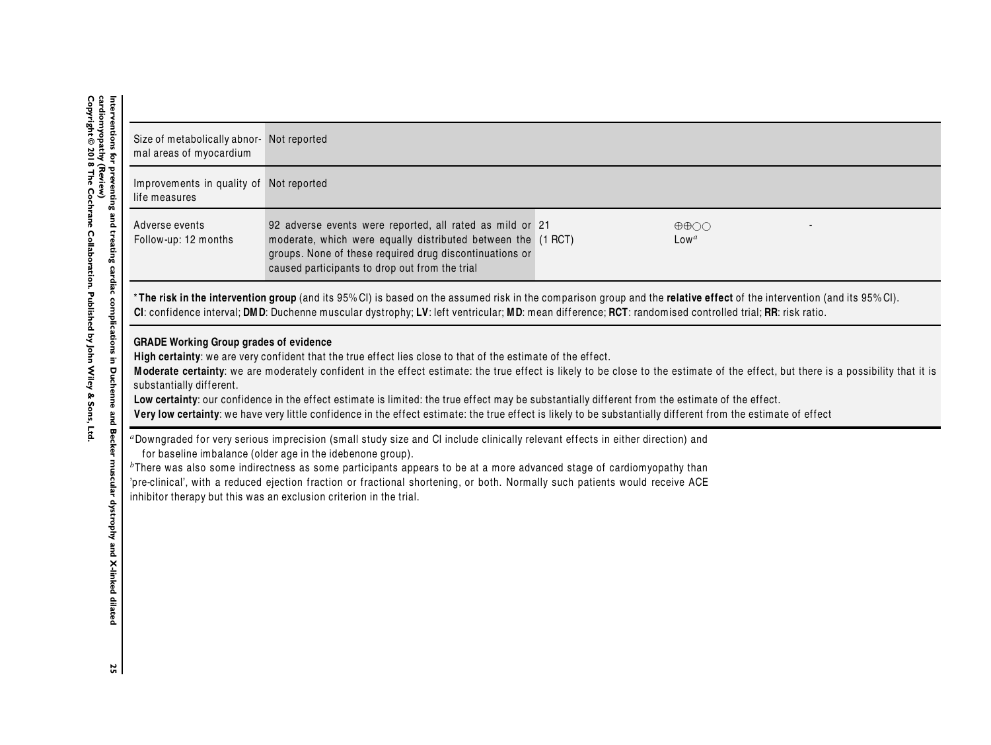| <b>ntions</b>                  | Size of metabolically abnor- Not reported<br>mal areas of myocardium                                                                                                                                                                                                                                                                                                                                                                                                                                                                                                                                                                                 |                                                                                                                                                                                                                                                                                                                                                                                                                                                                                                                                |  |                                                       |  |  |  |  |  |
|--------------------------------|------------------------------------------------------------------------------------------------------------------------------------------------------------------------------------------------------------------------------------------------------------------------------------------------------------------------------------------------------------------------------------------------------------------------------------------------------------------------------------------------------------------------------------------------------------------------------------------------------------------------------------------------------|--------------------------------------------------------------------------------------------------------------------------------------------------------------------------------------------------------------------------------------------------------------------------------------------------------------------------------------------------------------------------------------------------------------------------------------------------------------------------------------------------------------------------------|--|-------------------------------------------------------|--|--|--|--|--|
| for preventing                 | Improvements in quality of Not reported<br>life measures                                                                                                                                                                                                                                                                                                                                                                                                                                                                                                                                                                                             |                                                                                                                                                                                                                                                                                                                                                                                                                                                                                                                                |  |                                                       |  |  |  |  |  |
| and treating<br>cardiac        | Adverse events<br>Follow-up: 12 months                                                                                                                                                                                                                                                                                                                                                                                                                                                                                                                                                                                                               | 92 adverse events were reported, all rated as mild or 21<br>moderate, which were equally distributed between the (1 RCT)<br>groups. None of these required drug discontinuations or<br>caused participants to drop out from the trial                                                                                                                                                                                                                                                                                          |  | $\oplus \oplus \bigcirc \bigcirc$<br>Low <sup>a</sup> |  |  |  |  |  |
| complications in               |                                                                                                                                                                                                                                                                                                                                                                                                                                                                                                                                                                                                                                                      | *The risk in the intervention group (and its 95%CI) is based on the assumed risk in the comparison group and the relative effect of the intervention (and its 95%CI).<br>CI: confidence interval; DMD: Duchenne muscular dystrophy; LV: left ventricular; MD: mean difference; RCT: randomised controlled trial; RR: risk ratio.                                                                                                                                                                                               |  |                                                       |  |  |  |  |  |
| Duchenne                       | High certainty: we are very confident that the true effect lies close to that of the estimate of the effect.<br>Moderate certainty: we are moderately confident in the effect estimate: the true effect is likely to be close to the estimate of the effect, but there is a possibility that it is<br>substantially different.<br>Low certainty: our confidence in the effect estimate is limited: the true effect may be substantially different from the estimate of the effect.<br>Very low certainty: we have very little confidence in the effect estimate: the true effect is likely to be substantially different from the estimate of effect |                                                                                                                                                                                                                                                                                                                                                                                                                                                                                                                                |  |                                                       |  |  |  |  |  |
| dystrophy and X-linked dilated |                                                                                                                                                                                                                                                                                                                                                                                                                                                                                                                                                                                                                                                      | aDowngraded for very serious imprecision (small study size and CI include clinically relevant effects in either direction) and<br>for baseline imbalance (older age in the idebenone group).<br>$b$ There was also some indirectness as some participants appears to be at a more advanced stage of cardiomyopathy than<br>'pre-clinical', with a reduced ejection fraction or fractional shortening, or both. Normally such patients would receive ACE<br>inhibitor therapy but this was an exclusion criterion in the trial. |  |                                                       |  |  |  |  |  |
| 25                             |                                                                                                                                                                                                                                                                                                                                                                                                                                                                                                                                                                                                                                                      |                                                                                                                                                                                                                                                                                                                                                                                                                                                                                                                                |  |                                                       |  |  |  |  |  |

# **GRADE Working Group grades of evidence**

 $25$ 

dystrophy and X-linked dilated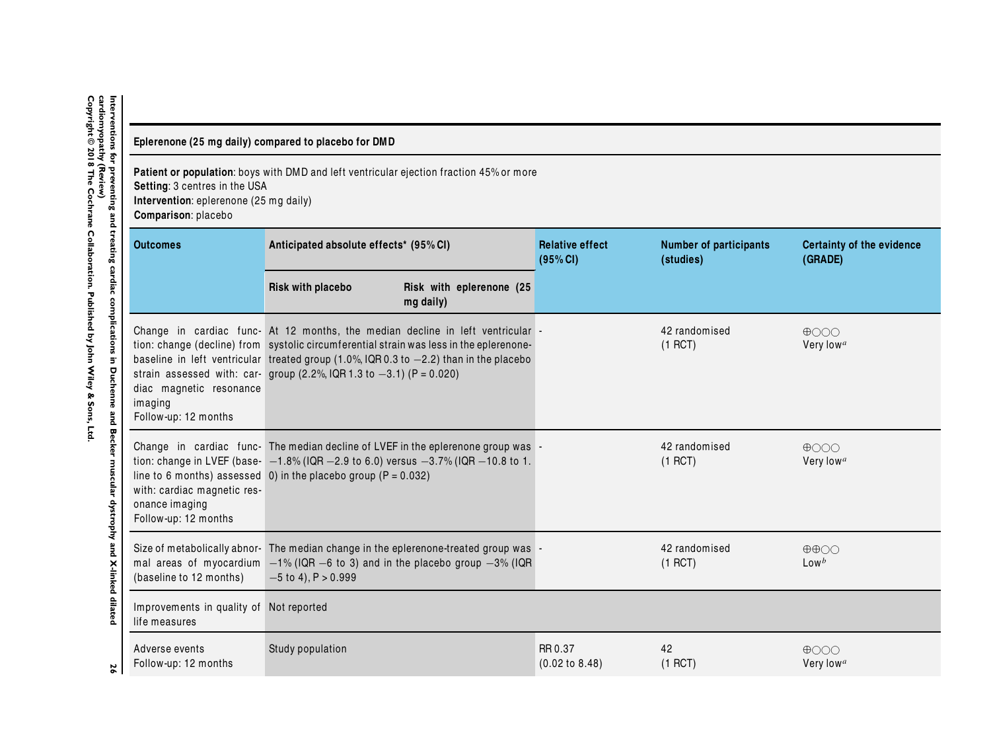<span id="page-27-0"></span>

| Setting: 3 centres in the USA<br>Intervention: eplerenone (25 mg daily)<br>Comparison: placebo | Patient or population: boys with DMD and left ventricular ejection fraction 45% or more                                                                                                                                                                                                                                                           |                                      |                                            |                                                       |
|------------------------------------------------------------------------------------------------|---------------------------------------------------------------------------------------------------------------------------------------------------------------------------------------------------------------------------------------------------------------------------------------------------------------------------------------------------|--------------------------------------|--------------------------------------------|-------------------------------------------------------|
| <b>Outcomes</b>                                                                                | Anticipated absolute effects* (95% CI)                                                                                                                                                                                                                                                                                                            | <b>Relative effect</b><br>(95% CI)   | <b>Number of participants</b><br>(studies) | <b>Certainty of the evidence</b><br>(GRADE)           |
|                                                                                                | <b>Risk with placebo</b><br>Risk with eplerenone (25<br>mg daily)                                                                                                                                                                                                                                                                                 |                                      |                                            |                                                       |
| diac magnetic resonance<br>imaging<br>Follow-up: 12 months                                     | Change in cardiac func- At 12 months, the median decline in left ventricular -<br>tion: change (decline) from systolic circumferential strain was less in the eplerenone-<br>baseline in left ventricular treated group (1.0%, IQR 0.3 to $-2.2$ ) than in the placebo<br>strain assessed with: car- group (2.2%, IQR 1.3 to $-3.1$ ) (P = 0.020) |                                      | 42 randomised<br>$(1$ RCT)                 | $\bigoplus$<br>Very low <sup>a</sup>                  |
| with: cardiac magnetic res-<br>onance imaging<br>Follow-up: 12 months                          | Change in cardiac func- The median decline of LVEF in the eplerenone group was -<br>tion: change in LVEF (base- $-1.8\%$ (IQR $-2.9$ to 6.0) versus $-3.7\%$ (IQR $-10.8$ to 1.<br>line to 6 months) assessed 0) in the placebo group ( $P = 0.032$ )                                                                                             |                                      | 42 randomised<br>$(1$ RCT)                 | $\bigoplus$<br>Very low <sup>a</sup>                  |
| (baseline to 12 months)                                                                        | Size of metabolically abnor- The median change in the eplerenone-treated group was -<br>mal areas of myocardium $-1\%$ (IQR -6 to 3) and in the placebo group $-3\%$ (IQR<br>$-5$ to 4), P $> 0.999$                                                                                                                                              |                                      | 42 randomised<br>$(1$ RCT)                 | $\oplus \oplus \bigcirc \bigcirc$<br>Low <sup>b</sup> |
| Improvements in quality of Not reported<br>life measures                                       |                                                                                                                                                                                                                                                                                                                                                   |                                      |                                            |                                                       |
| Adverse events<br>Follow-up: 12 months                                                         | Study population                                                                                                                                                                                                                                                                                                                                  | RR 0.37<br>$(0.02 \text{ to } 8.48)$ | 42<br>$(1$ RCT)                            | $\bigoplus$<br>Very low <sup>a</sup>                  |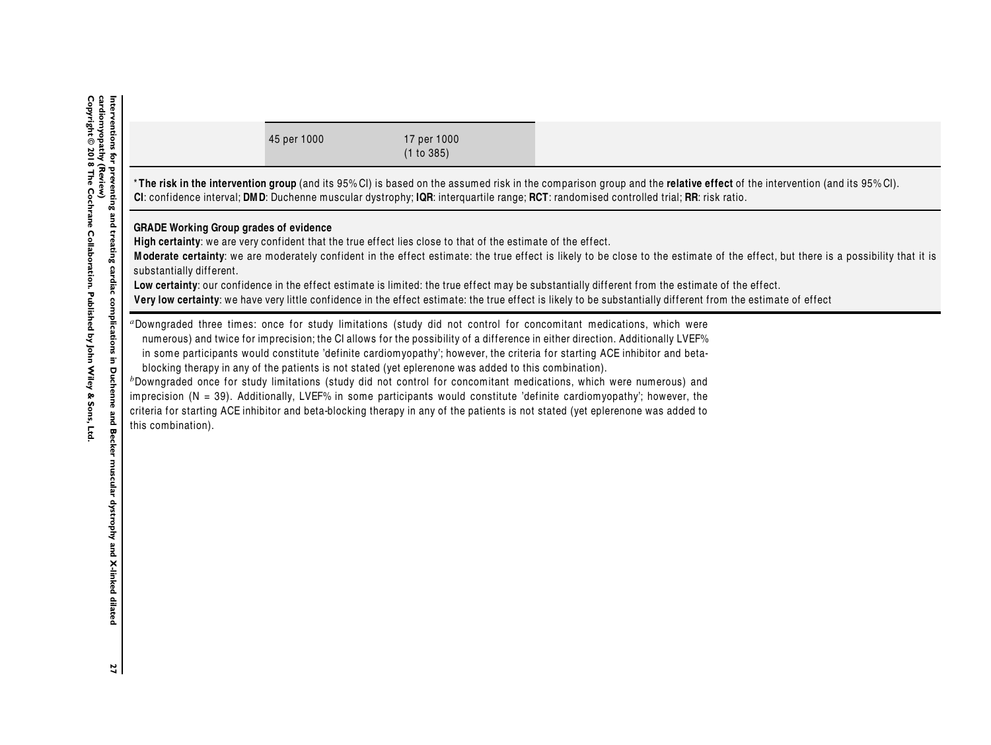|                                                                           | 45 per 1000 | 17 per 1000<br>(1 to 385)                                                                                    |                                                                                                                                                                                                                                                                                                                                                                                                                                                                                                                                                                                                                                                                                                                                                                          |
|---------------------------------------------------------------------------|-------------|--------------------------------------------------------------------------------------------------------------|--------------------------------------------------------------------------------------------------------------------------------------------------------------------------------------------------------------------------------------------------------------------------------------------------------------------------------------------------------------------------------------------------------------------------------------------------------------------------------------------------------------------------------------------------------------------------------------------------------------------------------------------------------------------------------------------------------------------------------------------------------------------------|
|                                                                           |             |                                                                                                              | *The risk in the intervention group (and its 95%CI) is based on the assumed risk in the comparison group and the relative effect of the intervention (and its 95%CI).<br>CI: confidence interval; DMD: Duchenne muscular dystrophy; IQR: interquartile range; RCT: randomised controlled trial; RR: risk ratio.                                                                                                                                                                                                                                                                                                                                                                                                                                                          |
| <b>GRADE Working Group grades of evidence</b><br>substantially different. |             | High certainty: we are very confident that the true effect lies close to that of the estimate of the effect. | Moderate certainty: we are moderately confident in the effect estimate: the true effect is likely to be close to the estimate of the effect, but there is a possibility that it is<br>Low certainty: our confidence in the effect estimate is limited: the true effect may be substantially different from the estimate of the effect.<br>Very low certainty: we have very little confidence in the effect estimate: the true effect is likely to be substantially different from the estimate of effect                                                                                                                                                                                                                                                                 |
| this combination).                                                        |             | blocking therapy in any of the patients is not stated (yet eplerenone was added to this combination).        | aDowngraded three times: once for study limitations (study did not control for concomitant medications, which were<br>numerous) and twice for imprecision; the CI allows for the possibility of a difference in either direction. Additionally LVEF%<br>in some participants would constitute 'definite cardiomyopathy'; however, the criteria for starting ACE inhibitor and beta-<br>bDowngraded once for study limitations (study did not control for concomitant medications, which were numerous) and<br>imprecision (N = 39). Additionally, LVEF% in some participants would constitute 'definite cardiomyopathy'; however, the<br>criteria for starting ACE inhibitor and beta-blocking therapy in any of the patients is not stated (yet eplerenone was added to |

**27 Interventions for preventing and treating cardiac complications in Duchenne and Becker muscular dystrophy and X-linked dilated**  $\mathbf{z}$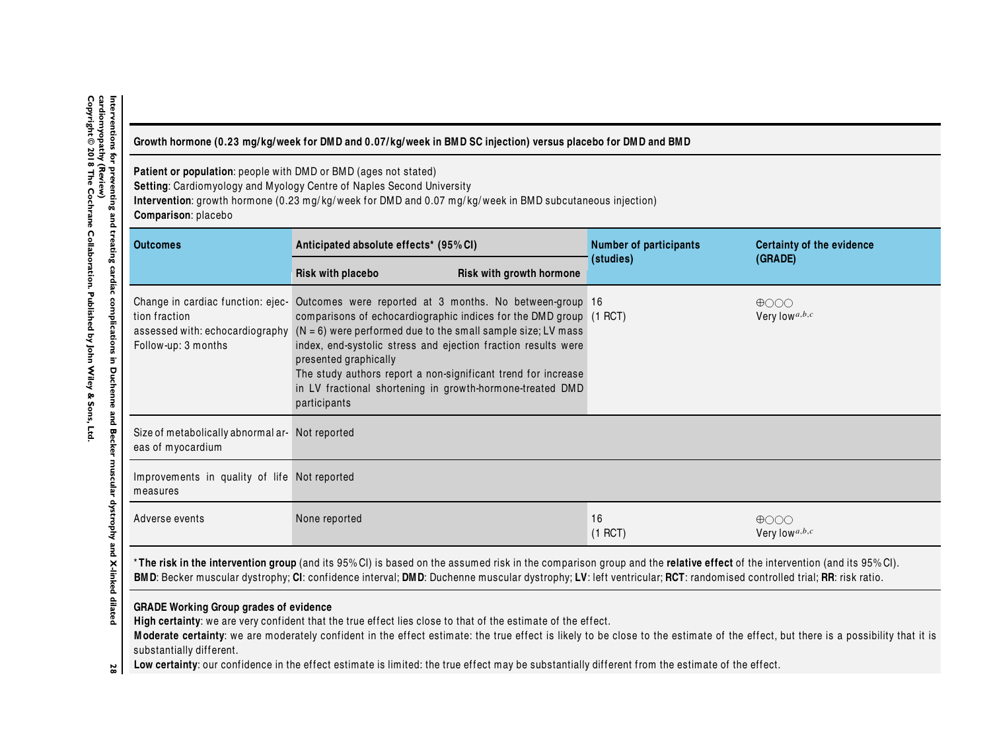# Growth hormone (0.23 mg/kg/week for DMD and 0.07/kg/week in BMD SC injection) versus placebo for DMD and BMD

**Patient or population**: people with DMD or BMD (ages not stated)

**Setting: Cardiomyology and Myology Centre of Naples Second University** 

**Intervention**: growth hormone (0.23 mg/ kg/ week for DMD and 0.07 mg/ kg/ week in BMD subcutaneous injection)

**Comparison**: placebo

| <b>Outcomes</b>                      | Anticipated absolute effects* (95% CI) |                                                                                                 |                                                                                                                                                                                                                                                                                                                           | Certainty of the evidence                                                                                                                                                                                                        |  |
|--------------------------------------|----------------------------------------|-------------------------------------------------------------------------------------------------|---------------------------------------------------------------------------------------------------------------------------------------------------------------------------------------------------------------------------------------------------------------------------------------------------------------------------|----------------------------------------------------------------------------------------------------------------------------------------------------------------------------------------------------------------------------------|--|
|                                      | Risk with placebo                      |                                                                                                 |                                                                                                                                                                                                                                                                                                                           | (GRADE)                                                                                                                                                                                                                          |  |
| tion fraction<br>Follow-up: 3 months | presented graphically<br>participants  |                                                                                                 |                                                                                                                                                                                                                                                                                                                           | $\bigoplus$ $\bigodot$ $\bigodot$<br>Very low <sup>a,b,c</sup>                                                                                                                                                                   |  |
| eas of myocardium                    |                                        |                                                                                                 |                                                                                                                                                                                                                                                                                                                           |                                                                                                                                                                                                                                  |  |
| measures                             |                                        |                                                                                                 |                                                                                                                                                                                                                                                                                                                           |                                                                                                                                                                                                                                  |  |
| Adverse events                       | None reported                          |                                                                                                 |                                                                                                                                                                                                                                                                                                                           | $\bigoplus$<br>Very low $a,b,c$                                                                                                                                                                                                  |  |
|                                      |                                        | Size of metabolically abnormal ar- Not reported<br>Improvements in quality of life Not reported | Risk with growth hormone<br>assessed with: echocardiography $(N = 6)$ were performed due to the small sample size; LV mass<br>index, end-systolic stress and ejection fraction results were<br>The study authors report a non-significant trend for increase<br>in LV fractional shortening in growth-hormone-treated DMD | <b>Number of participants</b><br>(studies)<br>Change in cardiac function: ejec- Outcomes were reported at 3 months. No between-group 16<br>comparisons of echocardiographic indices for the DMD group (1 RCT)<br>16<br>$(1$ RCT) |  |

\***The risk in the intervention group** (and its 95%Cl) is based on the assumed risk in the comparison group and the **relative effect** of the intervention (and its 95%Cl).<br>BMD: Becker muscular dystrophy: Cl: confidence inter **BMD**: Becker muscular dystrophy; **CI**: confidence interval; **DMD**: Duchenne muscular dystrophy; LV: left ventricular; RCT: randomised controlled trial; RR: risk ratio.

# **GRADE Working Group grades of evidence**

High certainty: we are very confident that the true effect lies close to that of the estimate of the effect.

Moderate certainty: we are moderately confident in the effect estimate: the true effect is likely to be close to the estimate of the effect, but there is a possibility that it is substantially different.

**28 Interventions for preventing and treating cardiac complications in Duchenne and Becker muscular dystrophy and X-linked dilated** Low certainty: our confidence in the effect estimate is limited: the true effect may be substantially different from the estimate of the effect. 28

<span id="page-29-0"></span>Interventions for preventing and treating cardiac complications in Duchenne and Be<br>cardiomyopathy (Review)<br>Copyright © 2018 The Cochrane Collaboration. Published by John Wiley & Sons, Ltd **Copyright © 2018 The Cochrane Collaboration. Published by J cardiomyopathy (Review) ohn Wiley & Sons, Ltd.**

and X-linked dilated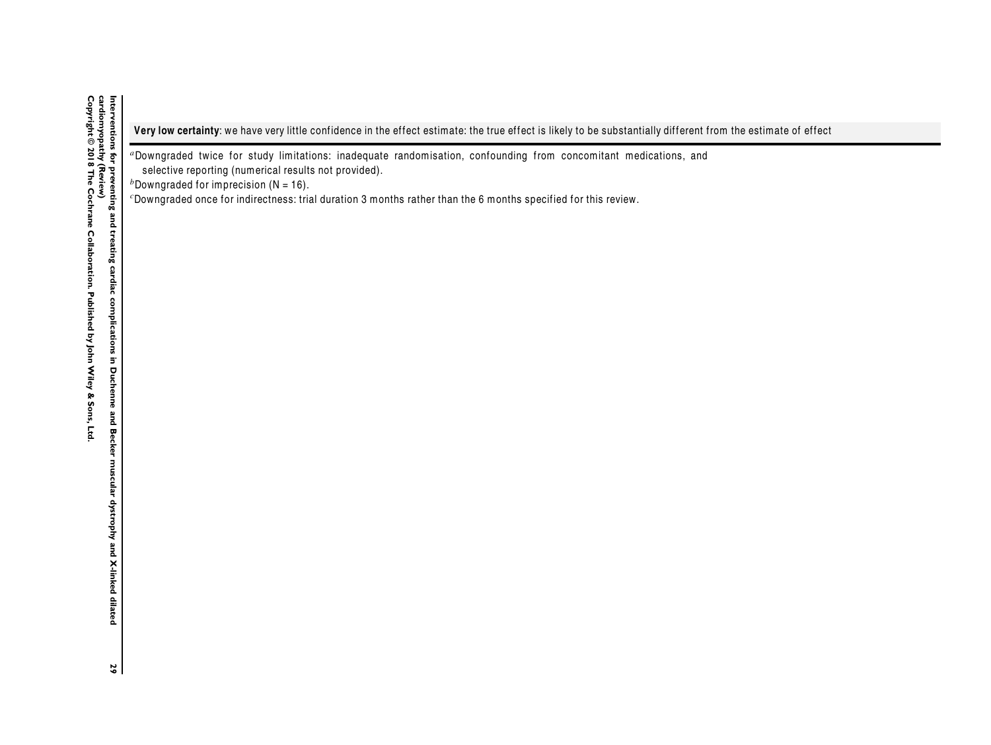Very low certainty: we have very little confidence in the effect estimate: the true effect is likely to be substantially different from the estimate of effect

<sup>a</sup>Downgraded twice for study lim itations: inadequate randomisation, confounding from concom itant medications, and

selective reporting (numerical results not provided).

 $<sup>b</sup>$ Downgraded for imprecision (N = 16).</sup>

 $^c$ Downgraded once for indirectness: trial duration 3 months rather than the 6 months specified for this review.

**29 Interventions for preventing and treating cardiac complications in Duchenne and Becker muscular dystrophy and X-linked dilated**  $59$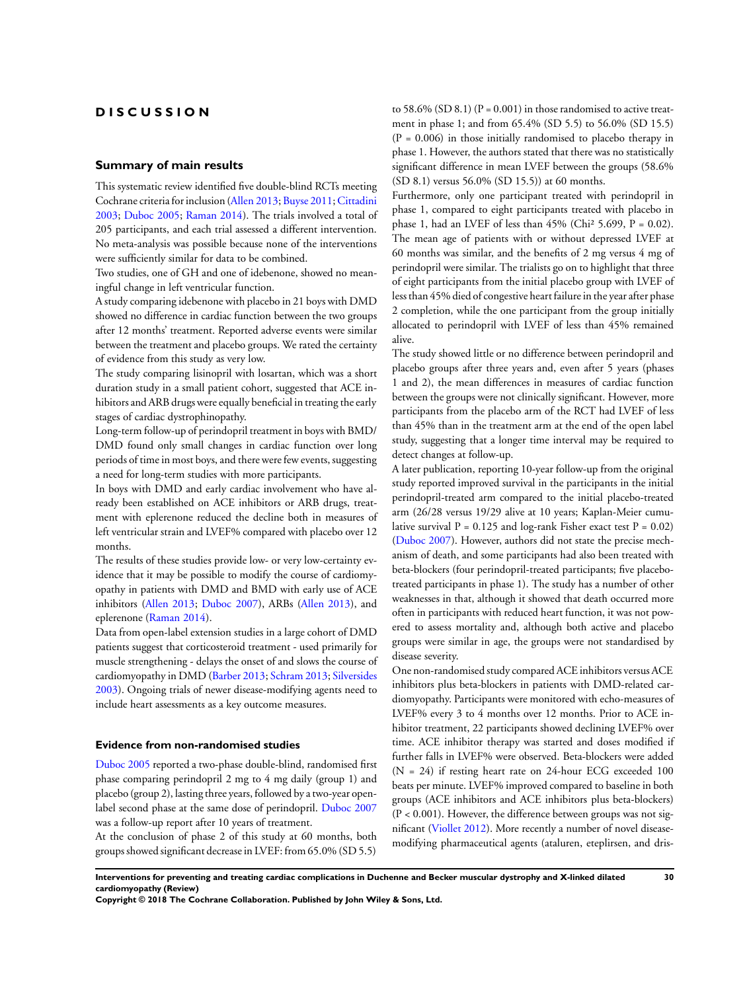# <span id="page-31-0"></span>**D I S C U S S I O N**

# **Summary of main results**

This systematic review identified five double-blind RCTs meeting Cochrane criteria for inclusion [\(Allen 2013](#page-34-0); Buyse 2011; Cittadini [2003](#page-34-0); [Duboc 2005;](#page-34-0) [Raman 2014\)](#page-34-0). The trials involved a total of 205 participants, and each trial assessed a different intervention. No meta-analysis was possible because none of the interventions were sufficiently similar for data to be combined.

Two studies, one of GH and one of idebenone, showed no meaningful change in left ventricular function.

A study comparing idebenone with placebo in 21 boys with DMD showed no difference in cardiac function between the two groups after 12 months' treatment. Reported adverse events were similar between the treatment and placebo groups. We rated the certainty of evidence from this study as very low.

The study comparing lisinopril with losartan, which was a short duration study in a small patient cohort, suggested that ACE inhibitors and ARB drugs were equally beneficial in treating the early stages of cardiac dystrophinopathy.

Long-term follow-up of perindopril treatment in boys with BMD/ DMD found only small changes in cardiac function over long periods of time in most boys, and there were few events, suggesting a need for long-term studies with more participants.

In boys with DMD and early cardiac involvement who have already been established on ACE inhibitors or ARB drugs, treatment with eplerenone reduced the decline both in measures of left ventricular strain and LVEF% compared with placebo over 12 months.

The results of these studies provide low- or very low-certainty evidence that it may be possible to modify the course of cardiomyopathy in patients with DMD and BMD with early use of ACE inhibitors [\(Allen 2013;](#page-34-0) [Duboc 2007](#page-34-0)), ARBs [\(Allen 2013\)](#page-34-0), and eplerenone [\(Raman 2014](#page-34-0)).

Data from open-label extension studies in a large cohort of DMD patients suggest that corticosteroid treatment - used primarily for muscle strengthening - delays the onset of and slows the course of cardiomyopathy in DMD [\(Barber 2013](#page-34-0); [Schram 2013;](#page-34-0) [Silversides](#page-34-0) [2003](#page-34-0)). Ongoing trials of newer disease-modifying agents need to include heart assessments as a key outcome measures.

#### **Evidence from non-randomised studies**

[Duboc 2005](#page-34-0) reported a two-phase double-blind, randomised first phase comparing perindopril 2 mg to 4 mg daily (group 1) and placebo (group 2), lasting three years, followed by a two-year openlabel second phase at the same dose of perindopril. [Duboc 2007](#page-34-0) was a follow-up report after 10 years of treatment.

At the conclusion of phase 2 of this study at 60 months, both groups showed significant decrease in LVEF: from 65.0% (SD 5.5) to 58.6% (SD 8.1) ( $P = 0.001$ ) in those randomised to active treatment in phase 1; and from 65.4% (SD 5.5) to 56.0% (SD 15.5)  $(P = 0.006)$  in those initially randomised to placebo therapy in phase 1. However, the authors stated that there was no statistically significant difference in mean LVEF between the groups (58.6% (SD 8.1) versus 56.0% (SD 15.5)) at 60 months.

Furthermore, only one participant treated with perindopril in phase 1, compared to eight participants treated with placebo in phase 1, had an LVEF of less than  $45\%$  (Chi<sup>2</sup> 5.699, P = 0.02). The mean age of patients with or without depressed LVEF at 60 months was similar, and the benefits of 2 mg versus 4 mg of perindopril were similar. The trialists go on to highlight that three of eight participants from the initial placebo group with LVEF of less than 45% died of congestive heart failure in the year after phase 2 completion, while the one participant from the group initially allocated to perindopril with LVEF of less than 45% remained alive.

The study showed little or no difference between perindopril and placebo groups after three years and, even after 5 years (phases 1 and 2), the mean differences in measures of cardiac function between the groups were not clinically significant. However, more participants from the placebo arm of the RCT had LVEF of less than 45% than in the treatment arm at the end of the open label study, suggesting that a longer time interval may be required to detect changes at follow-up.

A later publication, reporting 10-year follow-up from the original study reported improved survival in the participants in the initial perindopril-treated arm compared to the initial placebo-treated arm (26/28 versus 19/29 alive at 10 years; Kaplan-Meier cumulative survival  $P = 0.125$  and log-rank Fisher exact test  $P = 0.02$ ) [\(Duboc 2007](#page-34-0)). However, authors did not state the precise mechanism of death, and some participants had also been treated with beta-blockers (four perindopril-treated participants; five placebotreated participants in phase 1). The study has a number of other weaknesses in that, although it showed that death occurred more often in participants with reduced heart function, it was not powered to assess mortality and, although both active and placebo groups were similar in age, the groups were not standardised by disease severity.

One non-randomised study compared ACE inhibitors versus ACE inhibitors plus beta-blockers in patients with DMD-related cardiomyopathy. Participants were monitored with echo-measures of LVEF% every 3 to 4 months over 12 months. Prior to ACE inhibitor treatment, 22 participants showed declining LVEF% over time. ACE inhibitor therapy was started and doses modified if further falls in LVEF% were observed. Beta-blockers were added (N = 24) if resting heart rate on 24-hour ECG exceeded 100 beats per minute. LVEF% improved compared to baseline in both groups (ACE inhibitors and ACE inhibitors plus beta-blockers) (P < 0.001). However, the difference between groups was not significant ([Viollet 2012](#page-34-0)). More recently a number of novel diseasemodifying pharmaceutical agents (ataluren, eteplirsen, and dris-

**Interventions for preventing and treating cardiac complications in Duchenne and Becker muscular dystrophy and X-linked dilated 30 cardiomyopathy (Review)**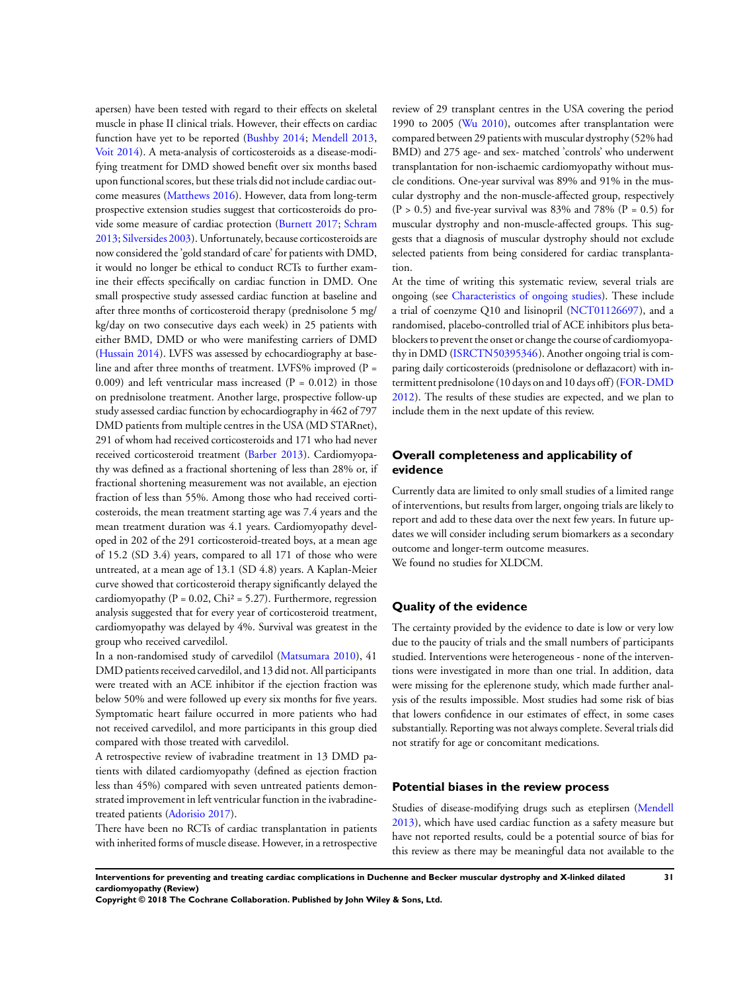apersen) have been tested with regard to their effects on skeletal muscle in phase II clinical trials. However, their effects on cardiac function have yet to be reported [\(Bushby 2014;](#page-34-0) [Mendell 2013,](#page-34-0) [Voit 2014](#page-34-0)). A meta-analysis of corticosteroids as a disease-modifying treatment for DMD showed benefit over six months based upon functional scores, but these trials did not include cardiac outcome measures [\(Matthews 2016\)](#page-34-0). However, data from long-term prospective extension studies suggest that corticosteroids do provide some measure of cardiac protection ([Burnett 2017](#page-34-0); [Schram](#page-34-0) [2013](#page-34-0); [Silversides 2003\)](#page-34-0). Unfortunately, because corticosteroids are now considered the 'gold standard of care' for patients with DMD, it would no longer be ethical to conduct RCTs to further examine their effects specifically on cardiac function in DMD. One small prospective study assessed cardiac function at baseline and after three months of corticosteroid therapy (prednisolone 5 mg/ kg/day on two consecutive days each week) in 25 patients with either BMD, DMD or who were manifesting carriers of DMD [\(Hussain 2014](#page-34-0)). LVFS was assessed by echocardiography at baseline and after three months of treatment. LVFS% improved (P = 0.009) and left ventricular mass increased ( $P = 0.012$ ) in those on prednisolone treatment. Another large, prospective follow-up study assessed cardiac function by echocardiography in 462 of 797 DMD patients from multiple centres in the USA (MD STARnet), 291 of whom had received corticosteroids and 171 who had never received corticosteroid treatment [\(Barber 2013](#page-34-0)). Cardiomyopathy was defined as a fractional shortening of less than 28% or, if fractional shortening measurement was not available, an ejection fraction of less than 55%. Among those who had received corticosteroids, the mean treatment starting age was 7.4 years and the mean treatment duration was 4.1 years. Cardiomyopathy developed in 202 of the 291 corticosteroid-treated boys, at a mean age of 15.2 (SD 3.4) years, compared to all 171 of those who were untreated, at a mean age of 13.1 (SD 4.8) years. A Kaplan-Meier curve showed that corticosteroid therapy significantly delayed the cardiomyopathy ( $P = 0.02$ , Chi<sup>2</sup> = 5.27). Furthermore, regression analysis suggested that for every year of corticosteroid treatment, cardiomyopathy was delayed by 4%. Survival was greatest in the group who received carvedilol.

In a non-randomised study of carvedilol [\(Matsumara 2010](#page-34-0)), 41 DMD patients received carvedilol, and 13 did not. All participants were treated with an ACE inhibitor if the ejection fraction was below 50% and were followed up every six months for five years. Symptomatic heart failure occurred in more patients who had not received carvedilol, and more participants in this group died compared with those treated with carvedilol.

A retrospective review of ivabradine treatment in 13 DMD patients with dilated cardiomyopathy (defined as ejection fraction less than 45%) compared with seven untreated patients demonstrated improvement in left ventricular function in the ivabradinetreated patients ([Adorisio 2017](#page-34-0)).

There have been no RCTs of cardiac transplantation in patients with inherited forms of muscle disease. However, in a retrospective review of 29 transplant centres in the USA covering the period 1990 to 2005 ([Wu 2010\)](#page-34-0), outcomes after transplantation were compared between 29 patients with muscular dystrophy (52% had BMD) and 275 age- and sex- matched 'controls' who underwent transplantation for non-ischaemic cardiomyopathy without muscle conditions. One-year survival was 89% and 91% in the muscular dystrophy and the non-muscle-affected group, respectively  $(P > 0.5)$  and five-year survival was 83% and 78%  $(P = 0.5)$  for muscular dystrophy and non-muscle-affected groups. This suggests that a diagnosis of muscular dystrophy should not exclude selected patients from being considered for cardiac transplantation.

At the time of writing this systematic review, several trials are ongoing (see [Characteristics of ongoing studies](#page-51-0)). These include a trial of coenzyme Q10 and lisinopril [\(NCT01126697\)](#page-34-0), and a randomised, placebo-controlled trial of ACE inhibitors plus betablockers to prevent the onset or change the course of cardiomyopathy in DMD ([ISRCTN50395346](#page-34-0)). Another ongoing trial is comparing daily corticosteroids (prednisolone or deflazacort) with in-termittent prednisolone (10 days on and 10 days off) ([FOR-DMD](#page-34-0) [2012](#page-34-0)). The results of these studies are expected, and we plan to include them in the next update of this review.

# **Overall completeness and applicability of evidence**

Currently data are limited to only small studies of a limited range of interventions, but results from larger, ongoing trials are likely to report and add to these data over the next few years. In future updates we will consider including serum biomarkers as a secondary outcome and longer-term outcome measures. We found no studies for XLDCM.

# **Quality of the evidence**

The certainty provided by the evidence to date is low or very low due to the paucity of trials and the small numbers of participants studied. Interventions were heterogeneous - none of the interventions were investigated in more than one trial. In addition, data were missing for the eplerenone study, which made further analysis of the results impossible. Most studies had some risk of bias that lowers confidence in our estimates of effect, in some cases substantially. Reporting was not always complete. Several trials did not stratify for age or concomitant medications.

# **Potential biases in the review process**

Studies of disease-modifying drugs such as eteplirsen [\(Mendell](#page-34-0) [2013](#page-34-0)), which have used cardiac function as a safety measure but have not reported results, could be a potential source of bias for this review as there may be meaningful data not available to the

**Interventions for preventing and treating cardiac complications in Duchenne and Becker muscular dystrophy and X-linked dilated 31 cardiomyopathy (Review)**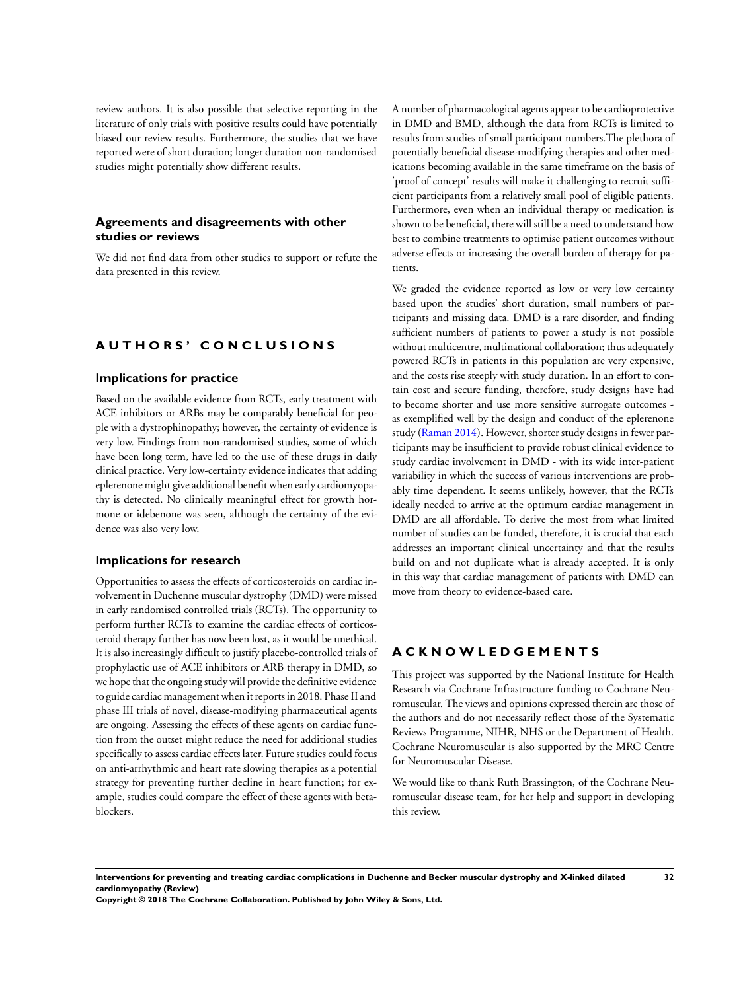review authors. It is also possible that selective reporting in the literature of only trials with positive results could have potentially biased our review results. Furthermore, the studies that we have reported were of short duration; longer duration non-randomised studies might potentially show different results.

# **Agreements and disagreements with other studies or reviews**

We did not find data from other studies to support or refute the data presented in this review.

# **A U T H O R S ' C O N C L U S I O N S**

# **Implications for practice**

Based on the available evidence from RCTs, early treatment with ACE inhibitors or ARBs may be comparably beneficial for people with a dystrophinopathy; however, the certainty of evidence is very low. Findings from non-randomised studies, some of which have been long term, have led to the use of these drugs in daily clinical practice. Very low-certainty evidence indicates that adding eplerenone might give additional benefit when early cardiomyopathy is detected. No clinically meaningful effect for growth hormone or idebenone was seen, although the certainty of the evidence was also very low.

#### **Implications for research**

Opportunities to assess the effects of corticosteroids on cardiac involvement in Duchenne muscular dystrophy (DMD) were missed in early randomised controlled trials (RCTs). The opportunity to perform further RCTs to examine the cardiac effects of corticosteroid therapy further has now been lost, as it would be unethical. It is also increasingly difficult to justify placebo-controlled trials of prophylactic use of ACE inhibitors or ARB therapy in DMD, so we hope that the ongoing study will provide the definitive evidence to guide cardiac management when it reports in 2018. Phase II and phase III trials of novel, disease-modifying pharmaceutical agents are ongoing. Assessing the effects of these agents on cardiac function from the outset might reduce the need for additional studies specifically to assess cardiac effects later. Future studies could focus on anti-arrhythmic and heart rate slowing therapies as a potential strategy for preventing further decline in heart function; for example, studies could compare the effect of these agents with betablockers.

A number of pharmacological agents appear to be cardioprotective in DMD and BMD, although the data from RCTs is limited to results from studies of small participant numbers.The plethora of potentially beneficial disease-modifying therapies and other medications becoming available in the same timeframe on the basis of 'proof of concept' results will make it challenging to recruit sufficient participants from a relatively small pool of eligible patients. Furthermore, even when an individual therapy or medication is shown to be beneficial, there will still be a need to understand how best to combine treatments to optimise patient outcomes without adverse effects or increasing the overall burden of therapy for patients.

We graded the evidence reported as low or very low certainty based upon the studies' short duration, small numbers of participants and missing data. DMD is a rare disorder, and finding sufficient numbers of patients to power a study is not possible without multicentre, multinational collaboration; thus adequately powered RCTs in patients in this population are very expensive, and the costs rise steeply with study duration. In an effort to contain cost and secure funding, therefore, study designs have had to become shorter and use more sensitive surrogate outcomes as exemplified well by the design and conduct of the eplerenone study [\(Raman 2014](#page-34-0)). However, shorter study designs in fewer participants may be insufficient to provide robust clinical evidence to study cardiac involvement in DMD - with its wide inter-patient variability in which the success of various interventions are probably time dependent. It seems unlikely, however, that the RCTs ideally needed to arrive at the optimum cardiac management in DMD are all affordable. To derive the most from what limited number of studies can be funded, therefore, it is crucial that each addresses an important clinical uncertainty and that the results build on and not duplicate what is already accepted. It is only in this way that cardiac management of patients with DMD can move from theory to evidence-based care.

# **A C K N O W L E D G E M E N T S**

This project was supported by the National Institute for Health Research via Cochrane Infrastructure funding to Cochrane Neuromuscular. The views and opinions expressed therein are those of the authors and do not necessarily reflect those of the Systematic Reviews Programme, NIHR, NHS or the Department of Health. Cochrane Neuromuscular is also supported by the MRC Centre for Neuromuscular Disease.

We would like to thank Ruth Brassington, of the Cochrane Neuromuscular disease team, for her help and support in developing this review.

**Interventions for preventing and treating cardiac complications in Duchenne and Becker muscular dystrophy and X-linked dilated 32 cardiomyopathy (Review)**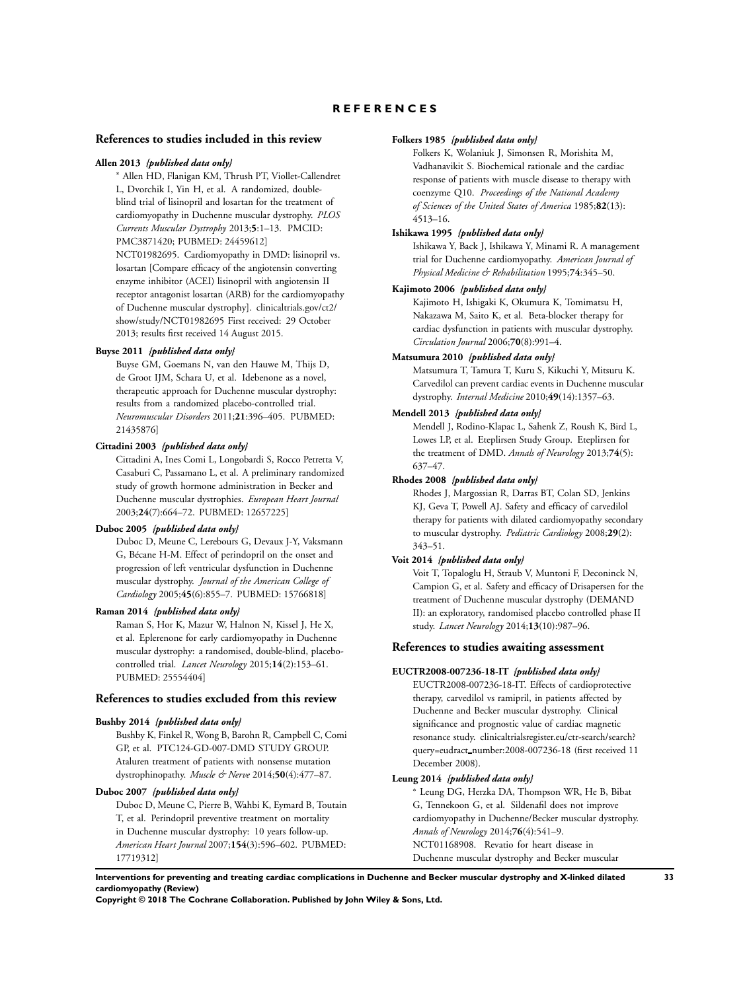# **R E F E R E N C E S**

# <span id="page-34-0"></span>**References to studies included in this review**

#### **Allen 2013** *{published data only}*

<sup>∗</sup> Allen HD, Flanigan KM, Thrush PT, Viollet-Callendret L, Dvorchik I, Yin H, et al. A randomized, doubleblind trial of lisinopril and losartan for the treatment of cardiomyopathy in Duchenne muscular dystrophy. *PLOS Currents Muscular Dystrophy* 2013;**5**:1–13. PMCID: PMC3871420; PUBMED: 24459612] NCT01982695. Cardiomyopathy in DMD: lisinopril vs. losartan [Compare efficacy of the angiotensin converting enzyme inhibitor (ACEI) lisinopril with angiotensin II receptor antagonist losartan (ARB) for the cardiomyopathy

of Duchenne muscular dystrophy]. clinicaltrials.gov/ct2/ show/study/NCT01982695 First received: 29 October 2013; results first received 14 August 2015.

# **Buyse 2011** *{published data only}*

Buyse GM, Goemans N, van den Hauwe M, Thijs D, de Groot IJM, Schara U, et al. Idebenone as a novel, therapeutic approach for Duchenne muscular dystrophy: results from a randomized placebo-controlled trial. *Neuromuscular Disorders* 2011;**21**:396–405. PUBMED: 21435876]

#### **Cittadini 2003** *{published data only}*

Cittadini A, Ines Comi L, Longobardi S, Rocco Petretta V, Casaburi C, Passamano L, et al. A preliminary randomized study of growth hormone administration in Becker and Duchenne muscular dystrophies. *European Heart Journal* 2003;**24**(7):664–72. PUBMED: 12657225]

#### **Duboc 2005** *{published data only}*

Duboc D, Meune C, Lerebours G, Devaux J-Y, Vaksmann G, Bécane H-M. Effect of perindopril on the onset and progression of left ventricular dysfunction in Duchenne muscular dystrophy. *Journal of the American College of Cardiology* 2005;**45**(6):855–7. PUBMED: 15766818]

#### **Raman 2014** *{published data only}*

Raman S, Hor K, Mazur W, Halnon N, Kissel J, He X, et al. Eplerenone for early cardiomyopathy in Duchenne muscular dystrophy: a randomised, double-blind, placebocontrolled trial. *Lancet Neurology* 2015;**14**(2):153–61. PUBMED: 25554404]

# **References to studies excluded from this review**

# **Bushby 2014** *{published data only}*

Bushby K, Finkel R, Wong B, Barohn R, Campbell C, Comi GP, et al. PTC124-GD-007-DMD STUDY GROUP. Ataluren treatment of patients with nonsense mutation dystrophinopathy. *Muscle & Nerve* 2014;**50**(4):477–87.

#### **Duboc 2007** *{published data only}*

Duboc D, Meune C, Pierre B, Wahbi K, Eymard B, Toutain T, et al. Perindopril preventive treatment on mortality in Duchenne muscular dystrophy: 10 years follow-up. *American Heart Journal* 2007;**154**(3):596–602. PUBMED: 17719312]

#### **Folkers 1985** *{published data only}*

Folkers K, Wolaniuk J, Simonsen R, Morishita M, Vadhanavikit S. Biochemical rationale and the cardiac response of patients with muscle disease to therapy with coenzyme Q10. *Proceedings of the National Academy of Sciences of the United States of America* 1985;**82**(13): 4513–16.

# **Ishikawa 1995** *{published data only}*

Ishikawa Y, Back J, Ishikawa Y, Minami R. A management trial for Duchenne cardiomyopathy. *American Journal of Physical Medicine & Rehabilitation* 1995;**74**:345–50.

# **Kajimoto 2006** *{published data only}*

Kajimoto H, Ishigaki K, Okumura K, Tomimatsu H, Nakazawa M, Saito K, et al. Beta-blocker therapy for cardiac dysfunction in patients with muscular dystrophy. *Circulation Journal* 2006;**70**(8):991–4.

# **Matsumura 2010** *{published data only}*

Matsumura T, Tamura T, Kuru S, Kikuchi Y, Mitsuru K. Carvedilol can prevent cardiac events in Duchenne muscular dystrophy. *Internal Medicine* 2010;**49**(14):1357–63.

# **Mendell 2013** *{published data only}*

Mendell J, Rodino-Klapac L, Sahenk Z, Roush K, Bird L, Lowes LP, et al. Eteplirsen Study Group. Eteplirsen for the treatment of DMD. *Annals of Neurology* 2013;**74**(5): 637–47.

# **Rhodes 2008** *{published data only}*

Rhodes J, Margossian R, Darras BT, Colan SD, Jenkins KJ, Geva T, Powell AJ. Safety and efficacy of carvedilol therapy for patients with dilated cardiomyopathy secondary to muscular dystrophy. *Pediatric Cardiology* 2008;**29**(2): 343–51.

#### **Voit 2014** *{published data only}*

Voit T, Topaloglu H, Straub V, Muntoni F, Deconinck N, Campion G, et al. Safety and efficacy of Drisapersen for the treatment of Duchenne muscular dystrophy (DEMAND II): an exploratory, randomised placebo controlled phase II study. *Lancet Neurology* 2014;**13**(10):987–96.

# **References to studies awaiting assessment**

# **EUCTR2008-007236-18-IT** *{published data only}*

EUCTR2008-007236-18-IT. Effects of cardioprotective therapy, carvedilol vs ramipril, in patients affected by Duchenne and Becker muscular dystrophy. Clinical significance and prognostic value of cardiac magnetic resonance study. clinicaltrialsregister.eu/ctr-search/search? query=eudract number:2008-007236-18 (first received 11 December 2008).

## **Leung 2014** *{published data only}*

<sup>∗</sup> Leung DG, Herzka DA, Thompson WR, He B, Bibat G, Tennekoon G, et al. Sildenafil does not improve cardiomyopathy in Duchenne/Becker muscular dystrophy. *Annals of Neurology* 2014;**76**(4):541–9. NCT01168908. Revatio for heart disease in Duchenne muscular dystrophy and Becker muscular

**Interventions for preventing and treating cardiac complications in Duchenne and Becker muscular dystrophy and X-linked dilated 33 cardiomyopathy (Review)**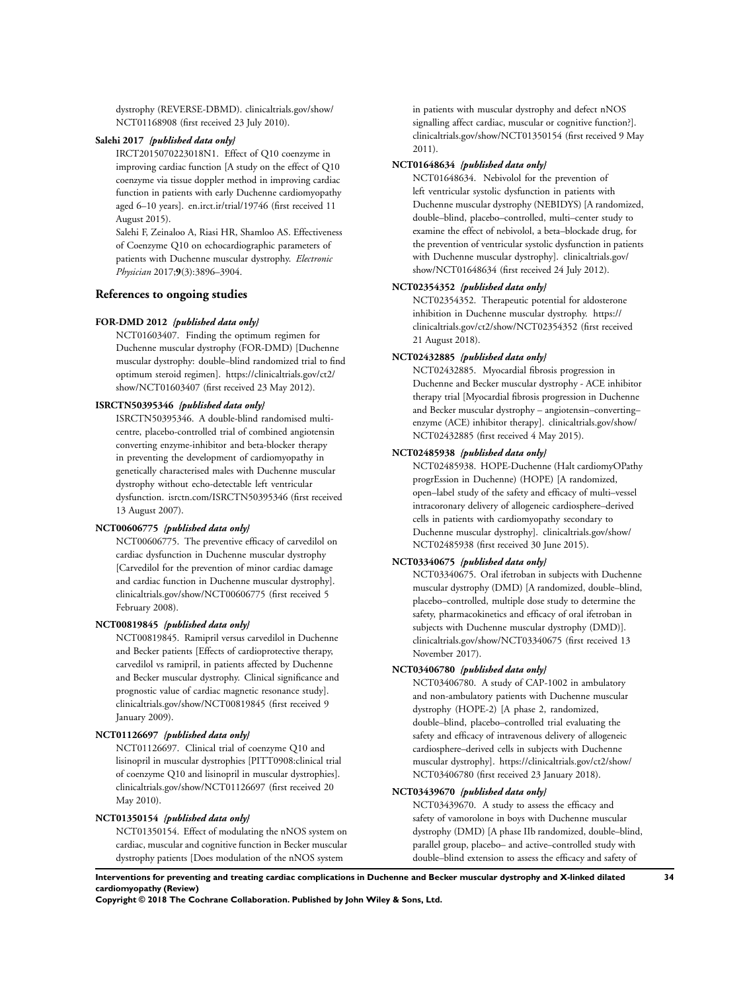dystrophy (REVERSE-DBMD). clinicaltrials.gov/show/ NCT01168908 (first received 23 July 2010).

# **Salehi 2017** *{published data only}*

IRCT2015070223018N1. Effect of Q10 coenzyme in improving cardiac function [A study on the effect of Q10 coenzyme via tissue doppler method in improving cardiac function in patients with early Duchenne cardiomyopathy aged 6–10 years]. en.irct.ir/trial/19746 (first received 11 August 2015).

Salehi F, Zeinaloo A, Riasi HR, Shamloo AS. Effectiveness of Coenzyme Q10 on echocardiographic parameters of patients with Duchenne muscular dystrophy. *Electronic Physician* 2017;**9**(3):3896–3904.

# **References to ongoing studies**

#### **FOR-DMD 2012** *{published data only}*

NCT01603407. Finding the optimum regimen for Duchenne muscular dystrophy (FOR-DMD) [Duchenne muscular dystrophy: double–blind randomized trial to find optimum steroid regimen]. https://clinicaltrials.gov/ct2/ show/NCT01603407 (first received 23 May 2012).

#### **ISRCTN50395346** *{published data only}*

ISRCTN50395346. A double-blind randomised multicentre, placebo-controlled trial of combined angiotensin converting enzyme-inhibitor and beta-blocker therapy in preventing the development of cardiomyopathy in genetically characterised males with Duchenne muscular dystrophy without echo-detectable left ventricular dysfunction. isrctn.com/ISRCTN50395346 (first received 13 August 2007).

# **NCT00606775** *{published data only}*

NCT00606775. The preventive efficacy of carvedilol on cardiac dysfunction in Duchenne muscular dystrophy [Carvedilol for the prevention of minor cardiac damage and cardiac function in Duchenne muscular dystrophy]. clinicaltrials.gov/show/NCT00606775 (first received 5 February 2008).

## **NCT00819845** *{published data only}*

NCT00819845. Ramipril versus carvedilol in Duchenne and Becker patients [Effects of cardioprotective therapy, carvedilol vs ramipril, in patients affected by Duchenne and Becker muscular dystrophy. Clinical significance and prognostic value of cardiac magnetic resonance study]. clinicaltrials.gov/show/NCT00819845 (first received 9 January 2009).

# **NCT01126697** *{published data only}*

NCT01126697. Clinical trial of coenzyme Q10 and lisinopril in muscular dystrophies [PITT0908:clinical trial of coenzyme Q10 and lisinopril in muscular dystrophies]. clinicaltrials.gov/show/NCT01126697 (first received 20 May 2010).

#### **NCT01350154** *{published data only}*

NCT01350154. Effect of modulating the nNOS system on cardiac, muscular and cognitive function in Becker muscular dystrophy patients [Does modulation of the nNOS system

in patients with muscular dystrophy and defect nNOS signalling affect cardiac, muscular or cognitive function?]. clinicaltrials.gov/show/NCT01350154 (first received 9 May 2011).

#### **NCT01648634** *{published data only}*

NCT01648634. Nebivolol for the prevention of left ventricular systolic dysfunction in patients with Duchenne muscular dystrophy (NEBIDYS) [A randomized, double–blind, placebo–controlled, multi–center study to examine the effect of nebivolol, a beta–blockade drug, for the prevention of ventricular systolic dysfunction in patients with Duchenne muscular dystrophy]. clinicaltrials.gov/ show/NCT01648634 (first received 24 July 2012).

# **NCT02354352** *{published data only}*

NCT02354352. Therapeutic potential for aldosterone inhibition in Duchenne muscular dystrophy. https:// clinicaltrials.gov/ct2/show/NCT02354352 (first received 21 August 2018).

# **NCT02432885** *{published data only}*

NCT02432885. Myocardial fibrosis progression in Duchenne and Becker muscular dystrophy - ACE inhibitor therapy trial [Myocardial fibrosis progression in Duchenne and Becker muscular dystrophy – angiotensin–converting– enzyme (ACE) inhibitor therapy]. clinicaltrials.gov/show/ NCT02432885 (first received 4 May 2015).

# **NCT02485938** *{published data only}*

NCT02485938. HOPE-Duchenne (Halt cardiomyOPathy progrEssion in Duchenne) (HOPE) [A randomized, open–label study of the safety and efficacy of multi–vessel intracoronary delivery of allogeneic cardiosphere–derived cells in patients with cardiomyopathy secondary to Duchenne muscular dystrophy]. clinicaltrials.gov/show/ NCT02485938 (first received 30 June 2015).

# **NCT03340675** *{published data only}*

NCT03340675. Oral ifetroban in subjects with Duchenne muscular dystrophy (DMD) [A randomized, double–blind, placebo–controlled, multiple dose study to determine the safety, pharmacokinetics and efficacy of oral ifetroban in subjects with Duchenne muscular dystrophy (DMD)]. clinicaltrials.gov/show/NCT03340675 (first received 13 November 2017).

# **NCT03406780** *{published data only}*

NCT03406780. A study of CAP-1002 in ambulatory and non-ambulatory patients with Duchenne muscular dystrophy (HOPE-2) [A phase 2, randomized, double–blind, placebo–controlled trial evaluating the safety and efficacy of intravenous delivery of allogeneic cardiosphere–derived cells in subjects with Duchenne muscular dystrophy]. https://clinicaltrials.gov/ct2/show/ NCT03406780 (first received 23 January 2018).

# **NCT03439670** *{published data only}*

NCT03439670. A study to assess the efficacy and safety of vamorolone in boys with Duchenne muscular dystrophy (DMD) [A phase IIb randomized, double–blind, parallel group, placebo– and active–controlled study with double–blind extension to assess the efficacy and safety of

**Interventions for preventing and treating cardiac complications in Duchenne and Becker muscular dystrophy and X-linked dilated 34 cardiomyopathy (Review)**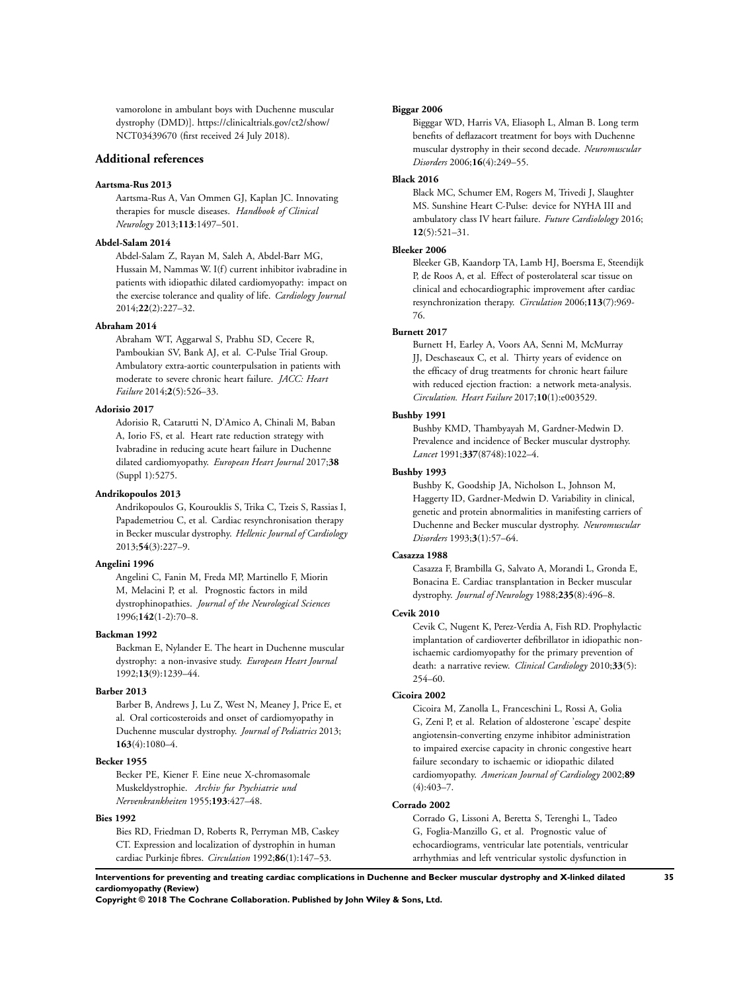vamorolone in ambulant boys with Duchenne muscular dystrophy (DMD)]. https://clinicaltrials.gov/ct2/show/ NCT03439670 (first received 24 July 2018).

# **Additional references**

#### **Aartsma-Rus 2013**

Aartsma-Rus A, Van Ommen GJ, Kaplan JC. Innovating therapies for muscle diseases. *Handbook of Clinical Neurology* 2013;**113**:1497–501.

## **Abdel-Salam 2014**

Abdel-Salam Z, Rayan M, Saleh A, Abdel-Barr MG, Hussain M, Nammas W. I(f) current inhibitor ivabradine in patients with idiopathic dilated cardiomyopathy: impact on the exercise tolerance and quality of life. *Cardiology Journal* 2014;**22**(2):227–32.

### **Abraham 2014**

Abraham WT, Aggarwal S, Prabhu SD, Cecere R, Pamboukian SV, Bank AJ, et al. C-Pulse Trial Group. Ambulatory extra-aortic counterpulsation in patients with moderate to severe chronic heart failure. *JACC: Heart Failure* 2014;**2**(5):526–33.

## **Adorisio 2017**

Adorisio R, Catarutti N, D'Amico A, Chinali M, Baban A, Iorio FS, et al. Heart rate reduction strategy with Ivabradine in reducing acute heart failure in Duchenne dilated cardiomyopathy. *European Heart Journal* 2017;**38** (Suppl 1):5275.

### **Andrikopoulos 2013**

Andrikopoulos G, Kourouklis S, Trika C, Tzeis S, Rassias I, Papademetriou C, et al. Cardiac resynchronisation therapy in Becker muscular dystrophy. *Hellenic Journal of Cardiology* 2013;**54**(3):227–9.

### **Angelini 1996**

Angelini C, Fanin M, Freda MP, Martinello F, Miorin M, Melacini P, et al. Prognostic factors in mild dystrophinopathies. *Journal of the Neurological Sciences* 1996;**142**(1-2):70–8.

#### **Backman 1992**

Backman E, Nylander E. The heart in Duchenne muscular dystrophy: a non-invasive study. *European Heart Journal* 1992;**13**(9):1239–44.

### **Barber 2013**

Barber B, Andrews J, Lu Z, West N, Meaney J, Price E, et al. Oral corticosteroids and onset of cardiomyopathy in Duchenne muscular dystrophy. *Journal of Pediatrics* 2013; **163**(4):1080–4.

### **Becker 1955**

Becker PE, Kiener F. Eine neue X-chromasomale Muskeldystrophie. *Archiv fur Psychiatrie und Nervenkrankheiten* 1955;**193**:427–48.

# **Bies 1992**

Bies RD, Friedman D, Roberts R, Perryman MB, Caskey CT. Expression and localization of dystrophin in human cardiac Purkinje fibres. *Circulation* 1992;**86**(1):147–53.

#### **Biggar 2006**

Bigggar WD, Harris VA, Eliasoph L, Alman B. Long term benefits of deflazacort treatment for boys with Duchenne muscular dystrophy in their second decade. *Neuromuscular Disorders* 2006;**16**(4):249–55.

## **Black 2016**

Black MC, Schumer EM, Rogers M, Trivedi J, Slaughter MS. Sunshine Heart C-Pulse: device for NYHA III and ambulatory class IV heart failure. *Future Cardiolology* 2016; **12**(5):521–31.

#### **Bleeker 2006**

Bleeker GB, Kaandorp TA, Lamb HJ, Boersma E, Steendijk P, de Roos A, et al. Effect of posterolateral scar tissue on clinical and echocardiographic improvement after cardiac resynchronization therapy. *Circulation* 2006;**113**(7):969- 76.

## **Burnett 2017**

Burnett H, Earley A, Voors AA, Senni M, McMurray JJ, Deschaseaux C, et al. Thirty years of evidence on the efficacy of drug treatments for chronic heart failure with reduced ejection fraction: a network meta-analysis. *Circulation. Heart Failure* 2017;**10**(1):e003529.

# **Bushby 1991**

Bushby KMD, Thambyayah M, Gardner-Medwin D. Prevalence and incidence of Becker muscular dystrophy. *Lancet* 1991;**337**(8748):1022–4.

### **Bushby 1993**

Bushby K, Goodship JA, Nicholson L, Johnson M, Haggerty ID, Gardner-Medwin D. Variability in clinical, genetic and protein abnormalities in manifesting carriers of Duchenne and Becker muscular dystrophy. *Neuromuscular Disorders* 1993;**3**(1):57–64.

### **Casazza 1988**

Casazza F, Brambilla G, Salvato A, Morandi L, Gronda E, Bonacina E. Cardiac transplantation in Becker muscular dystrophy. *Journal of Neurology* 1988;**235**(8):496–8.

#### **Cevik 2010**

Cevik C, Nugent K, Perez-Verdia A, Fish RD. Prophylactic implantation of cardioverter defibrillator in idiopathic nonischaemic cardiomyopathy for the primary prevention of death: a narrative review. *Clinical Cardiology* 2010;**33**(5): 254–60.

#### **Cicoira 2002**

Cicoira M, Zanolla L, Franceschini L, Rossi A, Golia G, Zeni P, et al. Relation of aldosterone 'escape' despite angiotensin-converting enzyme inhibitor administration to impaired exercise capacity in chronic congestive heart failure secondary to ischaemic or idiopathic dilated cardiomyopathy. *American Journal of Cardiology* 2002;**89**  $(4):403-7.$ 

# **Corrado 2002**

Corrado G, Lissoni A, Beretta S, Terenghi L, Tadeo G, Foglia-Manzillo G, et al. Prognostic value of echocardiograms, ventricular late potentials, ventricular arrhythmias and left ventricular systolic dysfunction in

**Interventions for preventing and treating cardiac complications in Duchenne and Becker muscular dystrophy and X-linked dilated 35 cardiomyopathy (Review)**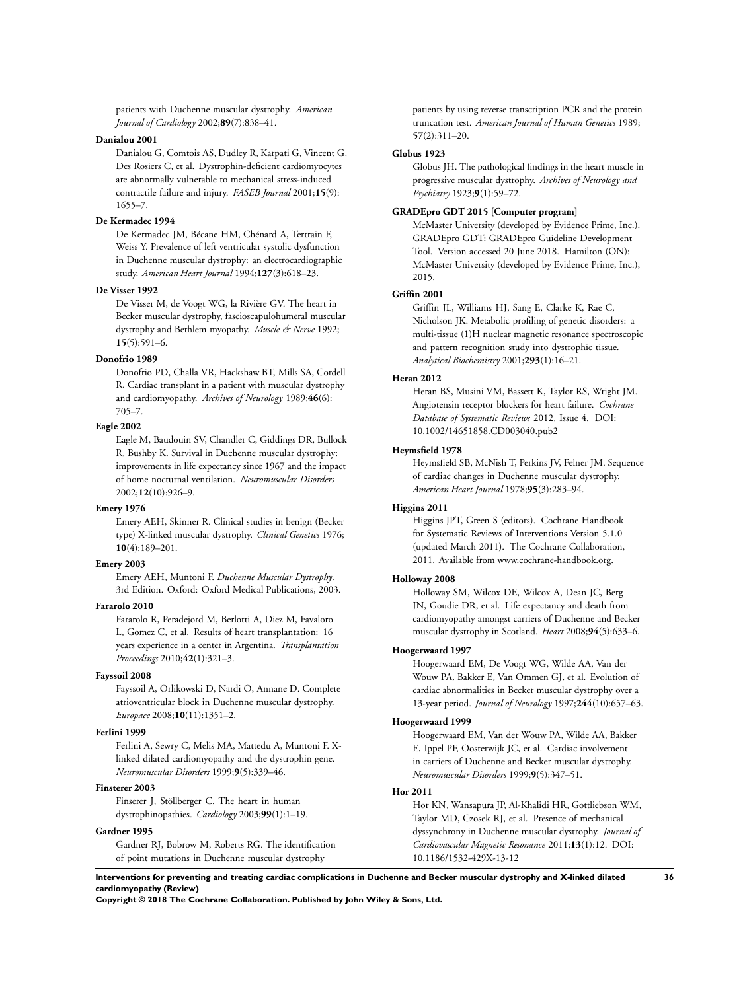patients with Duchenne muscular dystrophy. *American Journal of Cardiology* 2002;**89**(7):838–41.

### **Danialou 2001**

Danialou G, Comtois AS, Dudley R, Karpati G, Vincent G, Des Rosiers C, et al. Dystrophin-deficient cardiomyocytes are abnormally vulnerable to mechanical stress-induced contractile failure and injury. *FASEB Journal* 2001;**15**(9): 1655–7.

### **De Kermadec 1994**

De Kermadec JM, Bécane HM, Chénard A, Tertrain F, Weiss Y. Prevalence of left ventricular systolic dysfunction in Duchenne muscular dystrophy: an electrocardiographic study. *American Heart Journal* 1994;**127**(3):618–23.

#### **De Visser 1992**

De Visser M, de Voogt WG, la Rivière GV. The heart in Becker muscular dystrophy, fascioscapulohumeral muscular dystrophy and Bethlem myopathy. *Muscle & Nerve* 1992; **15**(5):591–6.

### **Donofrio 1989**

Donofrio PD, Challa VR, Hackshaw BT, Mills SA, Cordell R. Cardiac transplant in a patient with muscular dystrophy and cardiomyopathy. *Archives of Neurology* 1989;**46**(6): 705–7.

#### **Eagle 2002**

Eagle M, Baudouin SV, Chandler C, Giddings DR, Bullock R, Bushby K. Survival in Duchenne muscular dystrophy: improvements in life expectancy since 1967 and the impact of home nocturnal ventilation. *Neuromuscular Disorders* 2002;**12**(10):926–9.

#### **Emery 1976**

Emery AEH, Skinner R. Clinical studies in benign (Becker type) X-linked muscular dystrophy. *Clinical Genetics* 1976; **10**(4):189–201.

### **Emery 2003**

Emery AEH, Muntoni F. *Duchenne Muscular Dystrophy*. 3rd Edition. Oxford: Oxford Medical Publications, 2003.

### **Fararolo 2010**

Fararolo R, Peradejord M, Berlotti A, Diez M, Favaloro L, Gomez C, et al. Results of heart transplantation: 16 years experience in a center in Argentina. *Transplantation Proceedings* 2010;**42**(1):321–3.

## **Fayssoil 2008**

Fayssoil A, Orlikowski D, Nardi O, Annane D. Complete atrioventricular block in Duchenne muscular dystrophy. *Europace* 2008;**10**(11):1351–2.

#### **Ferlini 1999**

Ferlini A, Sewry C, Melis MA, Mattedu A, Muntoni F. Xlinked dilated cardiomyopathy and the dystrophin gene. *Neuromuscular Disorders* 1999;**9**(5):339–46.

### **Finsterer 2003**

Finserer J, Stöllberger C. The heart in human dystrophinopathies. *Cardiology* 2003;**99**(1):1–19.

#### **Gardner 1995**

Gardner RJ, Bobrow M, Roberts RG. The identification of point mutations in Duchenne muscular dystrophy

patients by using reverse transcription PCR and the protein truncation test. *American Journal of Human Genetics* 1989; **57**(2):311–20.

#### **Globus 1923**

Globus JH. The pathological findings in the heart muscle in progressive muscular dystrophy. *Archives of Neurology and Psychiatry* 1923;**9**(1):59–72.

# **GRADEpro GDT 2015 [Computer program]**

McMaster University (developed by Evidence Prime, Inc.). GRADEpro GDT: GRADEpro Guideline Development Tool. Version accessed 20 June 2018. Hamilton (ON): McMaster University (developed by Evidence Prime, Inc.), 2015.

### **Griffin 2001**

Griffin JL, Williams HJ, Sang E, Clarke K, Rae C, Nicholson JK. Metabolic profiling of genetic disorders: a multi-tissue (1)H nuclear magnetic resonance spectroscopic and pattern recognition study into dystrophic tissue. *Analytical Biochemistry* 2001;**293**(1):16–21.

### **Heran 2012**

Heran BS, Musini VM, Bassett K, Taylor RS, Wright JM. Angiotensin receptor blockers for heart failure. *Cochrane Database of Systematic Reviews* 2012, Issue 4. DOI: 10.1002/14651858.CD003040.pub2

### **Heymsfield 1978**

Heymsfield SB, McNish T, Perkins JV, Felner JM. Sequence of cardiac changes in Duchenne muscular dystrophy. *American Heart Journal* 1978;**95**(3):283–94.

#### **Higgins 2011**

Higgins JPT, Green S (editors). Cochrane Handbook for Systematic Reviews of Interventions Version 5.1.0 (updated March 2011). The Cochrane Collaboration, 2011. Available from www.cochrane-handbook.org.

# **Holloway 2008**

Holloway SM, Wilcox DE, Wilcox A, Dean JC, Berg JN, Goudie DR, et al. Life expectancy and death from cardiomyopathy amongst carriers of Duchenne and Becker muscular dystrophy in Scotland. *Heart* 2008;**94**(5):633–6.

### **Hoogerwaard 1997**

Hoogerwaard EM, De Voogt WG, Wilde AA, Van der Wouw PA, Bakker E, Van Ommen GJ, et al. Evolution of cardiac abnormalities in Becker muscular dystrophy over a 13-year period. *Journal of Neurology* 1997;**244**(10):657–63.

### **Hoogerwaard 1999**

Hoogerwaard EM, Van der Wouw PA, Wilde AA, Bakker E, Ippel PF, Oosterwijk JC, et al. Cardiac involvement in carriers of Duchenne and Becker muscular dystrophy. *Neuromuscular Disorders* 1999;**9**(5):347–51.

### **Hor 2011**

Hor KN, Wansapura JP, Al-Khalidi HR, Gottliebson WM, Taylor MD, Czosek RJ, et al. Presence of mechanical dyssynchrony in Duchenne muscular dystrophy. *Journal of Cardiovascular Magnetic Resonance* 2011;**13**(1):12. DOI: 10.1186/1532-429X-13-12

**Interventions for preventing and treating cardiac complications in Duchenne and Becker muscular dystrophy and X-linked dilated 36 cardiomyopathy (Review)**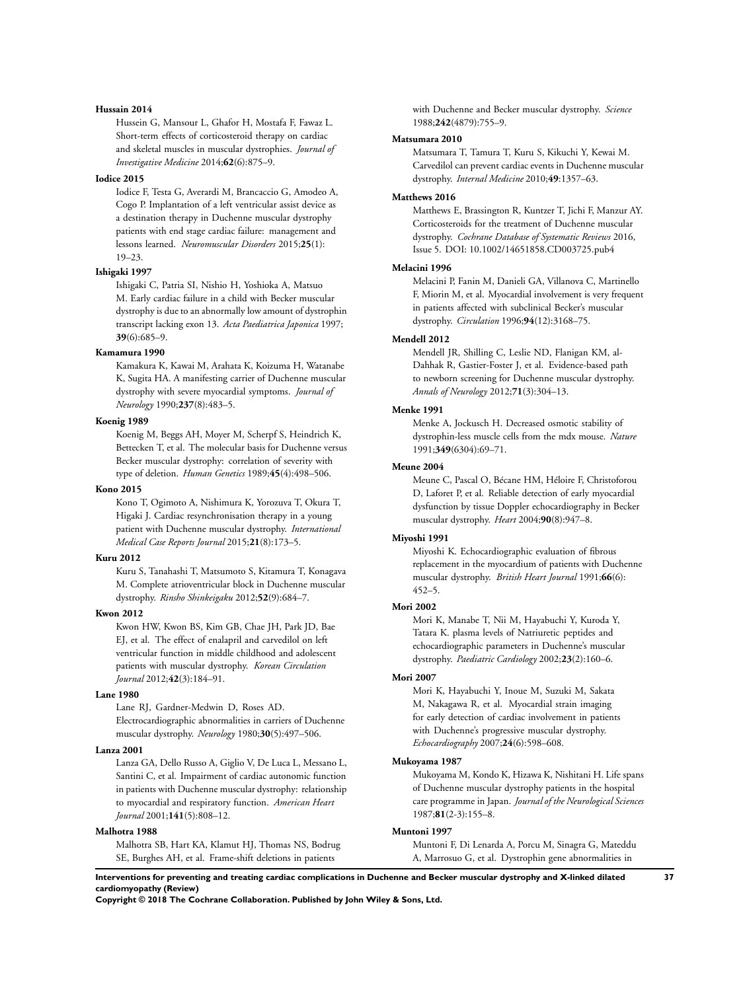### **Hussain 2014**

Hussein G, Mansour L, Ghafor H, Mostafa F, Fawaz L. Short-term effects of corticosteroid therapy on cardiac and skeletal muscles in muscular dystrophies. *Journal of Investigative Medicine* 2014;**62**(6):875–9.

#### **Iodice 2015**

Iodice F, Testa G, Averardi M, Brancaccio G, Amodeo A, Cogo P. Implantation of a left ventricular assist device as a destination therapy in Duchenne muscular dystrophy patients with end stage cardiac failure: management and lessons learned. *Neuromuscular Disorders* 2015;**25**(1): 19–23.

#### **Ishigaki 1997**

Ishigaki C, Patria SI, Nishio H, Yoshioka A, Matsuo M. Early cardiac failure in a child with Becker muscular dystrophy is due to an abnormally low amount of dystrophin transcript lacking exon 13. *Acta Paediatrica Japonica* 1997; **39**(6):685–9.

## **Kamamura 1990**

Kamakura K, Kawai M, Arahata K, Koizuma H, Watanabe K, Sugita HA. A manifesting carrier of Duchenne muscular dystrophy with severe myocardial symptoms. *Journal of Neurology* 1990;**237**(8):483–5.

# **Koenig 1989**

Koenig M, Beggs AH, Moyer M, Scherpf S, Heindrich K, Bettecken T, et al. The molecular basis for Duchenne versus Becker muscular dystrophy: correlation of severity with type of deletion. *Human Genetics* 1989;**45**(4):498–506.

### **Kono 2015**

Kono T, Ogimoto A, Nishimura K, Yorozuva T, Okura T, Higaki J. Cardiac resynchronisation therapy in a young patient with Duchenne muscular dystrophy. *International Medical Case Reports Journal* 2015;**21**(8):173–5.

### **Kuru 2012**

Kuru S, Tanahashi T, Matsumoto S, Kitamura T, Konagava M. Complete atrioventricular block in Duchenne muscular dystrophy. *Rinsho Shinkeigaku* 2012;**52**(9):684–7.

# **Kwon 2012**

Kwon HW, Kwon BS, Kim GB, Chae JH, Park JD, Bae EJ, et al. The effect of enalapril and carvedilol on left ventricular function in middle childhood and adolescent patients with muscular dystrophy. *Korean Circulation Journal* 2012;**42**(3):184–91.

### **Lane 1980**

Lane RJ, Gardner-Medwin D, Roses AD. Electrocardiographic abnormalities in carriers of Duchenne muscular dystrophy. *Neurology* 1980;**30**(5):497–506.

#### **Lanza 2001**

Lanza GA, Dello Russo A, Giglio V, De Luca L, Messano L, Santini C, et al. Impairment of cardiac autonomic function in patients with Duchenne muscular dystrophy: relationship to myocardial and respiratory function. *American Heart Journal* 2001;**141**(5):808–12.

### **Malhotra 1988**

Malhotra SB, Hart KA, Klamut HJ, Thomas NS, Bodrug SE, Burghes AH, et al. Frame-shift deletions in patients

with Duchenne and Becker muscular dystrophy. *Science* 1988;**242**(4879):755–9.

### **Matsumara 2010**

Matsumara T, Tamura T, Kuru S, Kikuchi Y, Kewai M. Carvedilol can prevent cardiac events in Duchenne muscular dystrophy. *Internal Medicine* 2010;**49**:1357–63.

#### **Matthews 2016**

Matthews E, Brassington R, Kuntzer T, Jichi F, Manzur AY. Corticosteroids for the treatment of Duchenne muscular dystrophy. *Cochrane Database of Systematic Reviews* 2016, Issue 5. DOI: 10.1002/14651858.CD003725.pub4

### **Melacini 1996**

Melacini P, Fanin M, Danieli GA, Villanova C, Martinello F, Miorin M, et al. Myocardial involvement is very frequent in patients affected with subclinical Becker's muscular dystrophy. *Circulation* 1996;**94**(12):3168–75.

#### **Mendell 2012**

Mendell JR, Shilling C, Leslie ND, Flanigan KM, al-Dahhak R, Gastier-Foster J, et al. Evidence-based path to newborn screening for Duchenne muscular dystrophy. *Annals of Neurology* 2012;**71**(3):304–13.

### **Menke 1991**

Menke A, Jockusch H. Decreased osmotic stability of dystrophin-less muscle cells from the mdx mouse. *Nature* 1991;**349**(6304):69–71.

## **Meune 2004**

Meune C, Pascal O, Bécane HM, Héloire F, Christoforou D, Laforet P, et al. Reliable detection of early myocardial dysfunction by tissue Doppler echocardiography in Becker muscular dystrophy. *Heart* 2004;**90**(8):947–8.

### **Miyoshi 1991**

Miyoshi K. Echocardiographic evaluation of fibrous replacement in the myocardium of patients with Duchenne muscular dystrophy. *British Heart Journal* 1991;**66**(6): 452–5.

## **Mori 2002**

Mori K, Manabe T, Nii M, Hayabuchi Y, Kuroda Y, Tatara K. plasma levels of Natriuretic peptides and echocardiographic parameters in Duchenne's muscular dystrophy. *Paediatric Cardiology* 2002;**23**(2):160–6.

#### **Mori 2007**

Mori K, Hayabuchi Y, Inoue M, Suzuki M, Sakata M, Nakagawa R, et al. Myocardial strain imaging for early detection of cardiac involvement in patients with Duchenne's progressive muscular dystrophy. *Echocardiography* 2007;**24**(6):598–608.

### **Mukoyama 1987**

Mukoyama M, Kondo K, Hizawa K, Nishitani H. Life spans of Duchenne muscular dystrophy patients in the hospital care programme in Japan. *Journal of the Neurological Sciences* 1987;**81**(2-3):155–8.

## **Muntoni 1997**

Muntoni F, Di Lenarda A, Porcu M, Sinagra G, Mateddu A, Marrosuo G, et al. Dystrophin gene abnormalities in

**Interventions for preventing and treating cardiac complications in Duchenne and Becker muscular dystrophy and X-linked dilated 37 cardiomyopathy (Review)**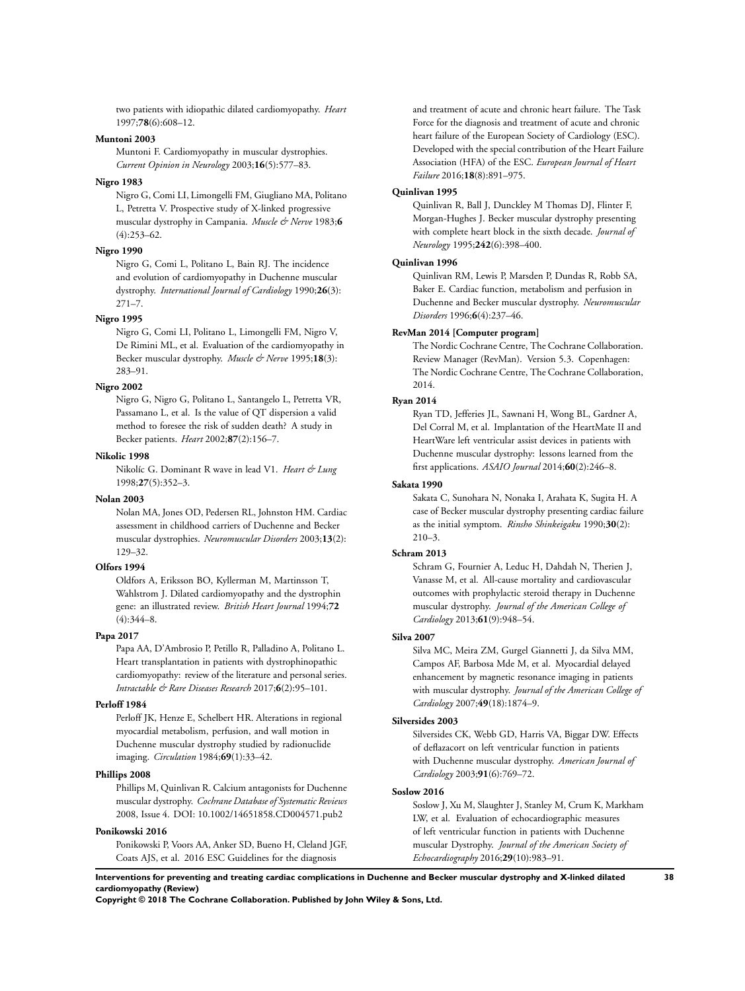two patients with idiopathic dilated cardiomyopathy. *Heart* 1997;**78**(6):608–12.

### **Muntoni 2003**

Muntoni F. Cardiomyopathy in muscular dystrophies. *Current Opinion in Neurology* 2003;**16**(5):577–83.

#### **Nigro 1983**

Nigro G, Comi LI, Limongelli FM, Giugliano MA, Politano L, Petretta V. Prospective study of X-linked progressive muscular dystrophy in Campania. *Muscle & Nerve* 1983;**6** (4):253–62.

### **Nigro 1990**

Nigro G, Comi L, Politano L, Bain RJ. The incidence and evolution of cardiomyopathy in Duchenne muscular dystrophy. *International Journal of Cardiology* 1990;**26**(3): 271–7.

# **Nigro 1995**

Nigro G, Comi LI, Politano L, Limongelli FM, Nigro V, De Rimini ML, et al. Evaluation of the cardiomyopathy in Becker muscular dystrophy. *Muscle & Nerve* 1995;**18**(3): 283–91.

# **Nigro 2002**

Nigro G, Nigro G, Politano L, Santangelo L, Petretta VR, Passamano L, et al. Is the value of QT dispersion a valid method to foresee the risk of sudden death? A study in Becker patients. *Heart* 2002;**87**(2):156–7.

### **Nikolic 1998**

Nikolíc G. Dominant R wave in lead V1. *Heart & Lung* 1998;**27**(5):352–3.

#### **Nolan 2003**

Nolan MA, Jones OD, Pedersen RL, Johnston HM. Cardiac assessment in childhood carriers of Duchenne and Becker muscular dystrophies. *Neuromuscular Disorders* 2003;**13**(2): 129–32.

#### **Olfors 1994**

Oldfors A, Eriksson BO, Kyllerman M, Martinsson T, Wahlstrom J. Dilated cardiomyopathy and the dystrophin gene: an illustrated review. *British Heart Journal* 1994;**72** (4):344–8.

# **Papa 2017**

Papa AA, D'Ambrosio P, Petillo R, Palladino A, Politano L. Heart transplantation in patients with dystrophinopathic cardiomyopathy: review of the literature and personal series. *Intractable & Rare Diseases Research* 2017;**6**(2):95–101.

### **Perloff 1984**

Perloff JK, Henze E, Schelbert HR. Alterations in regional myocardial metabolism, perfusion, and wall motion in Duchenne muscular dystrophy studied by radionuclide imaging. *Circulation* 1984;**69**(1):33–42.

## **Phillips 2008**

Phillips M, Quinlivan R. Calcium antagonists for Duchenne muscular dystrophy. *Cochrane Database of Systematic Reviews* 2008, Issue 4. DOI: 10.1002/14651858.CD004571.pub2

### **Ponikowski 2016**

Ponikowski P, Voors AA, Anker SD, Bueno H, Cleland JGF, Coats AJS, et al. 2016 ESC Guidelines for the diagnosis

and treatment of acute and chronic heart failure. The Task Force for the diagnosis and treatment of acute and chronic heart failure of the European Society of Cardiology (ESC). Developed with the special contribution of the Heart Failure Association (HFA) of the ESC. *European Journal of Heart Failure* 2016;**18**(8):891–975.

### **Quinlivan 1995**

Quinlivan R, Ball J, Dunckley M Thomas DJ, Flinter F, Morgan-Hughes J. Becker muscular dystrophy presenting with complete heart block in the sixth decade. *Journal of Neurology* 1995;**242**(6):398–400.

#### **Quinlivan 1996**

Quinlivan RM, Lewis P, Marsden P, Dundas R, Robb SA, Baker E. Cardiac function, metabolism and perfusion in Duchenne and Becker muscular dystrophy. *Neuromuscular Disorders* 1996;**6**(4):237–46.

## **RevMan 2014 [Computer program]**

The Nordic Cochrane Centre, The Cochrane Collaboration. Review Manager (RevMan). Version 5.3. Copenhagen: The Nordic Cochrane Centre, The Cochrane Collaboration, 2014.

# **Ryan 2014**

Ryan TD, Jefferies JL, Sawnani H, Wong BL, Gardner A, Del Corral M, et al. Implantation of the HeartMate II and HeartWare left ventricular assist devices in patients with Duchenne muscular dystrophy: lessons learned from the first applications. *ASAIO Journal* 2014;**60**(2):246–8.

#### **Sakata 1990**

Sakata C, Sunohara N, Nonaka I, Arahata K, Sugita H. A case of Becker muscular dystrophy presenting cardiac failure as the initial symptom. *Rinsho Shinkeigaku* 1990;**30**(2): 210–3.

#### **Schram 2013**

Schram G, Fournier A, Leduc H, Dahdah N, Therien J, Vanasse M, et al. All-cause mortality and cardiovascular outcomes with prophylactic steroid therapy in Duchenne muscular dystrophy. *Journal of the American College of Cardiology* 2013;**61**(9):948–54.

### **Silva 2007**

Silva MC, Meira ZM, Gurgel Giannetti J, da Silva MM, Campos AF, Barbosa Mde M, et al. Myocardial delayed enhancement by magnetic resonance imaging in patients with muscular dystrophy. *Journal of the American College of Cardiology* 2007;**49**(18):1874–9.

## **Silversides 2003**

Silversides CK, Webb GD, Harris VA, Biggar DW. Effects of deflazacort on left ventricular function in patients with Duchenne muscular dystrophy. *American Journal of Cardiology* 2003;**91**(6):769–72.

### **Soslow 2016**

Soslow J, Xu M, Slaughter J, Stanley M, Crum K, Markham LW, et al. Evaluation of echocardiographic measures of left ventricular function in patients with Duchenne muscular Dystrophy. *Journal of the American Society of Echocardiography* 2016;**29**(10):983–91.

**Interventions for preventing and treating cardiac complications in Duchenne and Becker muscular dystrophy and X-linked dilated 38 cardiomyopathy (Review)**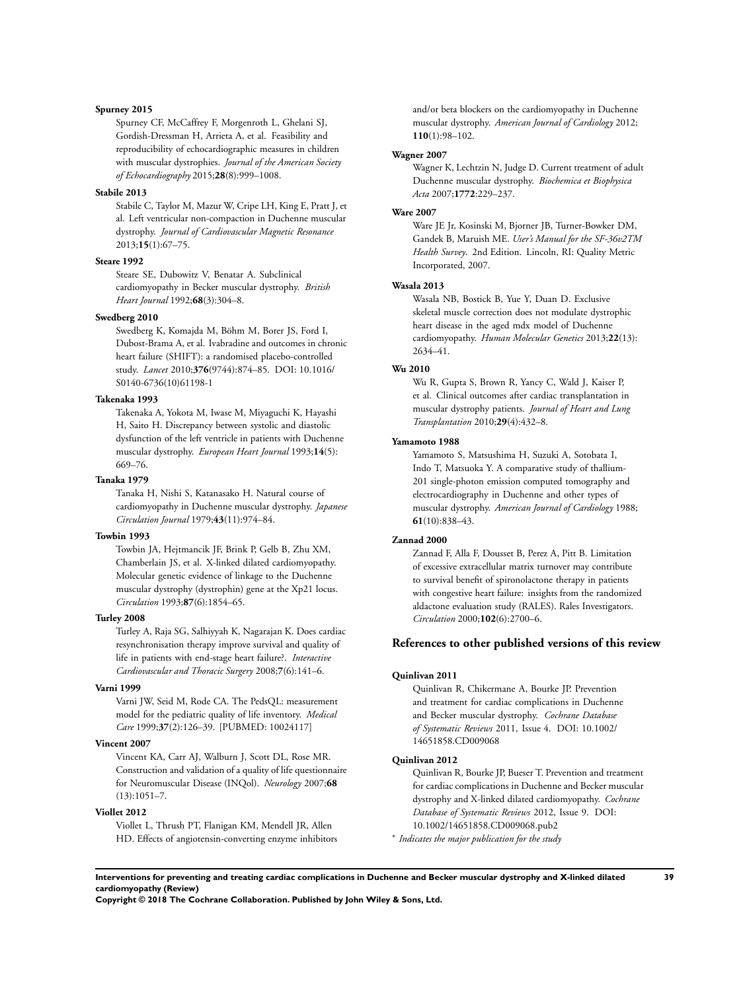### **Spurney 2015**

Spurney CF, McCaffrey F, Morgenroth L, Ghelani SJ, Gordish-Dressman H, Arrieta A, et al. Feasibility and reproducibility of echocardiographic measures in children with muscular dystrophies. *Journal of the American Society of Echocardiography* 2015;**28**(8):999–1008.

### **Stabile 2013**

Stabile C, Taylor M, Mazur W, Cripe LH, King E, Pratt J, et al. Left ventricular non-compaction in Duchenne muscular dystrophy. *Journal of Cardiovascular Magnetic Resonance* 2013;**15**(1):67–75.

## **Steare 1992**

Steare SE, Dubowitz V, Benatar A. Subclinical cardiomyopathy in Becker muscular dystrophy. *British Heart Journal* 1992;**68**(3):304–8.

## **Swedberg 2010**

Swedberg K, Komajda M, Böhm M, Borer JS, Ford I, Dubost-Brama A, et al. Ivabradine and outcomes in chronic heart failure (SHIFT): a randomised placebo-controlled study. *Lancet* 2010;**376**(9744):874–85. DOI: 10.1016/ S0140-6736(10)61198-1

### **Takenaka 1993**

Takenaka A, Yokota M, Iwase M, Miyaguchi K, Hayashi H, Saito H. Discrepancy between systolic and diastolic dysfunction of the left ventricle in patients with Duchenne muscular dystrophy. *European Heart Journal* 1993;**14**(5): 669–76.

#### **Tanaka 1979**

Tanaka H, Nishi S, Katanasako H. Natural course of cardiomyopathy in Duchenne muscular dystrophy. *Japanese Circulation Journal* 1979;**43**(11):974–84.

## **Towbin 1993**

Towbin JA, Hejtmancik JF, Brink P, Gelb B, Zhu XM, Chamberlain JS, et al. X-linked dilated cardiomyopathy. Molecular genetic evidence of linkage to the Duchenne muscular dystrophy (dystrophin) gene at the Xp21 locus. *Circulation* 1993;**87**(6):1854–65.

## **Turley 2008**

Turley A, Raja SG, Salhiyyah K, Nagarajan K. Does cardiac resynchronisation therapy improve survival and quality of life in patients with end-stage heart failure?. *Interactive Cardiovascular and Thoracic Surgery* 2008;**7**(6):141–6.

### **Varni 1999**

Varni JW, Seid M, Rode CA. The PedsQL: measurement model for the pediatric quality of life inventory. *Medical Care* 1999;**37**(2):126–39. [PUBMED: 10024117]

### **Vincent 2007**

Vincent KA, Carr AJ, Walburn J, Scott DL, Rose MR. Construction and validation of a quality of life questionnaire for Neuromuscular Disease (INQol). *Neurology* 2007;**68** (13):1051–7.

### **Viollet 2012**

Viollet L, Thrush PT, Flanigan KM, Mendell JR, Allen HD. Effects of angiotensin-converting enzyme inhibitors and/or beta blockers on the cardiomyopathy in Duchenne muscular dystrophy. *American Journal of Cardiology* 2012; **110**(1):98–102.

### **Wagner 2007**

Wagner K, Lechtzin N, Judge D. Current treatment of adult Duchenne muscular dystrophy. *Biochemica et Biophysica Acta* 2007;**1772**:229–237.

#### **Ware 2007**

Ware JE Jr, Kosinski M, Bjorner JB, Turner-Bowker DM, Gandek B, Maruish ME. *User's Manual for the SF-36v2TM Health Survey*. 2nd Edition. Lincoln, RI: Quality Metric Incorporated, 2007.

### **Wasala 2013**

Wasala NB, Bostick B, Yue Y, Duan D. Exclusive skeletal muscle correction does not modulate dystrophic heart disease in the aged mdx model of Duchenne cardiomyopathy. *Human Molecular Genetics* 2013;**22**(13): 2634–41.

# **Wu 2010**

Wu R, Gupta S, Brown R, Yancy C, Wald J, Kaiser P, et al. Clinical outcomes after cardiac transplantation in muscular dystrophy patients. *Journal of Heart and Lung Transplantation* 2010;**29**(4):432–8.

#### **Yamamoto 1988**

Yamamoto S, Matsushima H, Suzuki A, Sotobata I, Indo T, Matsuoka Y. A comparative study of thallium-201 single-photon emission computed tomography and electrocardiography in Duchenne and other types of muscular dystrophy. *American Journal of Cardiology* 1988; **61**(10):838–43.

# **Zannad 2000**

Zannad F, Alla F, Dousset B, Perez A, Pitt B. Limitation of excessive extracellular matrix turnover may contribute to survival benefit of spironolactone therapy in patients with congestive heart failure: insights from the randomized aldactone evaluation study (RALES). Rales Investigators. *Circulation* 2000;**102**(6):2700–6.

#### **References to other published versions of this review**

#### **Quinlivan 2011**

Quinlivan R, Chikermane A, Bourke JP. Prevention and treatment for cardiac complications in Duchenne and Becker muscular dystrophy. *Cochrane Database of Systematic Reviews* 2011, Issue 4. DOI: 10.1002/ 14651858.CD009068

#### **Quinlivan 2012**

Quinlivan R, Bourke JP, Bueser T. Prevention and treatment for cardiac complications in Duchenne and Becker muscular dystrophy and X-linked dilated cardiomyopathy. *Cochrane Database of Systematic Reviews* 2012, Issue 9. DOI: 10.1002/14651858.CD009068.pub2 ∗ *Indicates the major publication for the study*

**Interventions for preventing and treating cardiac complications in Duchenne and Becker muscular dystrophy and X-linked dilated 39 cardiomyopathy (Review)**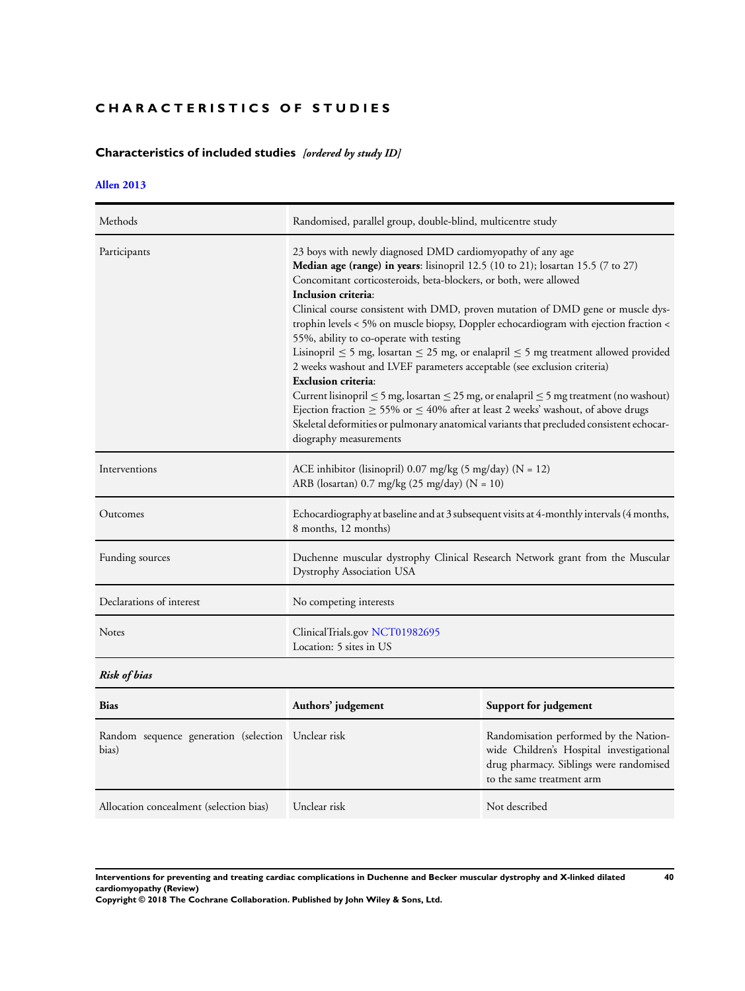# **CHARACTERISTICS OF STUDIES**

# **Characteristics of included studies** *[ordered by study ID]*

# **[Allen 2013](#page-34-0)**

| Methods                  | Randomised, parallel group, double-blind, multicentre study                                                                                                                                                                                                                                                                                                                                                                                                                                                                                                                                                                                                                                                                                                                                                                                                                                                                                                                                                    |  |
|--------------------------|----------------------------------------------------------------------------------------------------------------------------------------------------------------------------------------------------------------------------------------------------------------------------------------------------------------------------------------------------------------------------------------------------------------------------------------------------------------------------------------------------------------------------------------------------------------------------------------------------------------------------------------------------------------------------------------------------------------------------------------------------------------------------------------------------------------------------------------------------------------------------------------------------------------------------------------------------------------------------------------------------------------|--|
| Participants             | 23 boys with newly diagnosed DMD cardiomyopathy of any age<br>Median age (range) in years: lisinopril 12.5 (10 to 21); losartan 15.5 (7 to 27)<br>Concomitant corticosteroids, beta-blockers, or both, were allowed<br>Inclusion criteria:<br>Clinical course consistent with DMD, proven mutation of DMD gene or muscle dys-<br>trophin levels < 5% on muscle biopsy, Doppler echocardiogram with ejection fraction <<br>55%, ability to co-operate with testing<br>Lisinopril $\leq$ 5 mg, losartan $\leq$ 25 mg, or enalapril $\leq$ 5 mg treatment allowed provided<br>2 weeks washout and LVEF parameters acceptable (see exclusion criteria)<br><b>Exclusion criteria:</b><br>Current lisinopril $\leq$ 5 mg, losartan $\leq$ 25 mg, or enalapril $\leq$ 5 mg treatment (no washout)<br>Ejection fraction $\geq$ 55% or $\leq$ 40% after at least 2 weeks' washout, of above drugs<br>Skeletal deformities or pulmonary anatomical variants that precluded consistent echocar-<br>diography measurements |  |
| Interventions            | ACE inhibitor (lisinopril) $0.07$ mg/kg (5 mg/day) (N = 12)<br>ARB (losartan) $0.7 \text{ mg/kg}$ (25 mg/day) (N = 10)                                                                                                                                                                                                                                                                                                                                                                                                                                                                                                                                                                                                                                                                                                                                                                                                                                                                                         |  |
| Outcomes                 | Echocardiography at baseline and at 3 subsequent visits at 4-monthly intervals (4 months,<br>8 months, 12 months)                                                                                                                                                                                                                                                                                                                                                                                                                                                                                                                                                                                                                                                                                                                                                                                                                                                                                              |  |
| Funding sources          | Duchenne muscular dystrophy Clinical Research Network grant from the Muscular<br>Dystrophy Association USA                                                                                                                                                                                                                                                                                                                                                                                                                                                                                                                                                                                                                                                                                                                                                                                                                                                                                                     |  |
| Declarations of interest | No competing interests                                                                                                                                                                                                                                                                                                                                                                                                                                                                                                                                                                                                                                                                                                                                                                                                                                                                                                                                                                                         |  |
| <b>Notes</b>             | ClinicalTrials.gov NCT01982695<br>Location: 5 sites in US                                                                                                                                                                                                                                                                                                                                                                                                                                                                                                                                                                                                                                                                                                                                                                                                                                                                                                                                                      |  |

*Risk of bias*

| <b>Bias</b>                                                 | Authors' judgement | Support for judgement                                                                                                                                      |
|-------------------------------------------------------------|--------------------|------------------------------------------------------------------------------------------------------------------------------------------------------------|
| Random sequence generation (selection Unclear risk<br>bias) |                    | Randomisation performed by the Nation-<br>wide Children's Hospital investigational<br>drug pharmacy. Siblings were randomised<br>to the same treatment arm |
| Allocation concealment (selection bias)                     | Unclear risk       | Not described                                                                                                                                              |

**Interventions for preventing and treating cardiac complications in Duchenne and Becker muscular dystrophy and X-linked dilated 40 cardiomyopathy (Review)**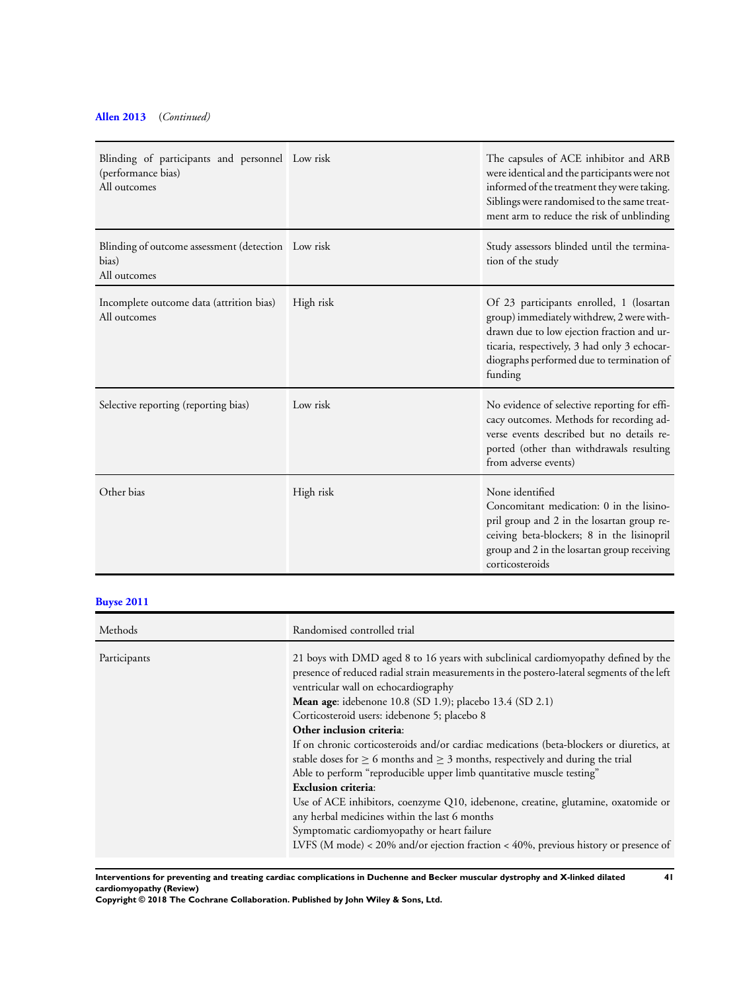# **[Allen 2013](#page-34-0)** (*Continued)*

| Blinding of participants and personnel Low risk<br>(performance bias)<br>All outcomes |           | The capsules of ACE inhibitor and ARB<br>were identical and the participants were not<br>informed of the treatment they were taking.<br>Siblings were randomised to the same treat-<br>ment arm to reduce the risk of unblinding            |
|---------------------------------------------------------------------------------------|-----------|---------------------------------------------------------------------------------------------------------------------------------------------------------------------------------------------------------------------------------------------|
| Blinding of outcome assessment (detection Low risk<br>bias)<br>All outcomes           |           | Study assessors blinded until the termina-<br>tion of the study                                                                                                                                                                             |
| Incomplete outcome data (attrition bias)<br>All outcomes                              | High risk | Of 23 participants enrolled, 1 (losartan<br>group) immediately withdrew, 2 were with-<br>drawn due to low ejection fraction and ur-<br>ticaria, respectively, 3 had only 3 echocar-<br>diographs performed due to termination of<br>funding |
| Selective reporting (reporting bias)                                                  | Low risk  | No evidence of selective reporting for effi-<br>cacy outcomes. Methods for recording ad-<br>verse events described but no details re-<br>ported (other than withdrawals resulting<br>from adverse events)                                   |
| Other bias                                                                            | High risk | None identified<br>Concomitant medication: 0 in the lisino-<br>pril group and 2 in the losartan group re-<br>ceiving beta-blockers; 8 in the lisinopril<br>group and 2 in the losartan group receiving<br>corticosteroids                   |

# **[Buyse 2011](#page-34-0)**

| Methods      | Randomised controlled trial                                                                                                                                                                                                                                                                                                                                                                                                                                                                                                                                                                                                                                                                                                                                                                                                                                                                                                                 |
|--------------|---------------------------------------------------------------------------------------------------------------------------------------------------------------------------------------------------------------------------------------------------------------------------------------------------------------------------------------------------------------------------------------------------------------------------------------------------------------------------------------------------------------------------------------------------------------------------------------------------------------------------------------------------------------------------------------------------------------------------------------------------------------------------------------------------------------------------------------------------------------------------------------------------------------------------------------------|
| Participants | 21 boys with DMD aged 8 to 16 years with subclinical cardiomyopathy defined by the<br>presence of reduced radial strain measurements in the postero-lateral segments of the left<br>ventricular wall on echocardiography<br><b>Mean age:</b> idebenone 10.8 (SD 1.9); placebo 13.4 (SD 2.1)<br>Corticosteroid users: idebenone 5; placebo 8<br>Other inclusion criteria:<br>If on chronic corticosteroids and/or cardiac medications (beta-blockers or diuretics, at<br>stable doses for $\geq 6$ months and $\geq 3$ months, respectively and during the trial<br>Able to perform "reproducible upper limb quantitative muscle testing"<br>Exclusion criteria:<br>Use of ACE inhibitors, coenzyme Q10, idebenone, creatine, glutamine, oxatomide or<br>any herbal medicines within the last 6 months<br>Symptomatic cardiomyopathy or heart failure<br>LVFS (M mode) < 20% and/or ejection fraction < 40%, previous history or presence of |

**Interventions for preventing and treating cardiac complications in Duchenne and Becker muscular dystrophy and X-linked dilated 41 cardiomyopathy (Review)**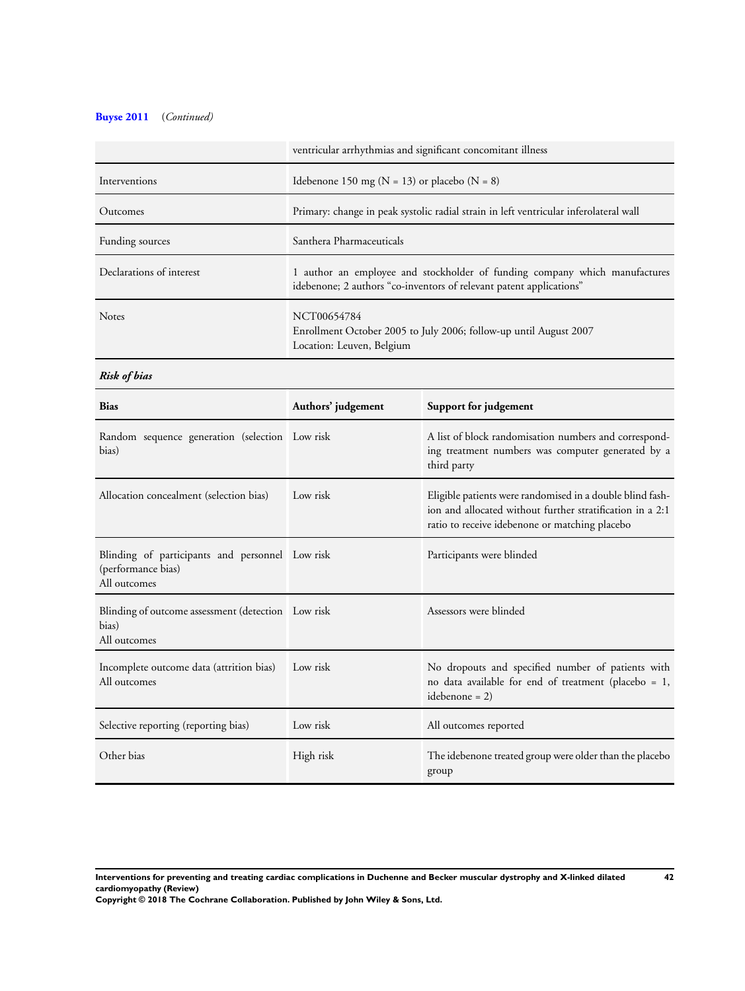# **[Buyse 2011](#page-34-0)** (*Continued)*

|                          | ventricular arrhythmias and significant concomitant illness                                                                                       |  |
|--------------------------|---------------------------------------------------------------------------------------------------------------------------------------------------|--|
| Interventions            | Idebenone 150 mg ( $N = 13$ ) or placebo ( $N = 8$ )                                                                                              |  |
| Outcomes                 | Primary: change in peak systolic radial strain in left ventricular inferolateral wall                                                             |  |
| Funding sources          | Santhera Pharmaceuticals                                                                                                                          |  |
| Declarations of interest | 1 author an employee and stockholder of funding company which manufactures<br>idebenone; 2 authors "co-inventors of relevant patent applications" |  |
| <b>Notes</b>             | NCT00654784<br>Enrollment October 2005 to July 2006; follow-up until August 2007<br>Location: Leuven, Belgium                                     |  |

*Risk of bias*

| <b>Bias</b>                                                                           | Authors' judgement | Support for judgement                                                                                                                                                    |
|---------------------------------------------------------------------------------------|--------------------|--------------------------------------------------------------------------------------------------------------------------------------------------------------------------|
| Random sequence generation (selection Low risk<br>bias)                               |                    | A list of block randomisation numbers and correspond-<br>ing treatment numbers was computer generated by a<br>third party                                                |
| Allocation concealment (selection bias)                                               | Low risk           | Eligible patients were randomised in a double blind fash-<br>ion and allocated without further stratification in a 2:1<br>ratio to receive idebenone or matching placebo |
| Blinding of participants and personnel Low risk<br>(performance bias)<br>All outcomes |                    | Participants were blinded                                                                                                                                                |
| Blinding of outcome assessment (detection Low risk<br>bias)<br>All outcomes           |                    | Assessors were blinded                                                                                                                                                   |
| Incomplete outcome data (attrition bias)<br>All outcomes                              | Low risk           | No dropouts and specified number of patients with<br>no data available for end of treatment (placebo = 1,<br>$idebenone = 2)$                                            |
| Selective reporting (reporting bias)                                                  | Low risk           | All outcomes reported                                                                                                                                                    |
| Other bias                                                                            | High risk          | The idebenone treated group were older than the placebo<br>group                                                                                                         |

**Interventions for preventing and treating cardiac complications in Duchenne and Becker muscular dystrophy and X-linked dilated 42 cardiomyopathy (Review)**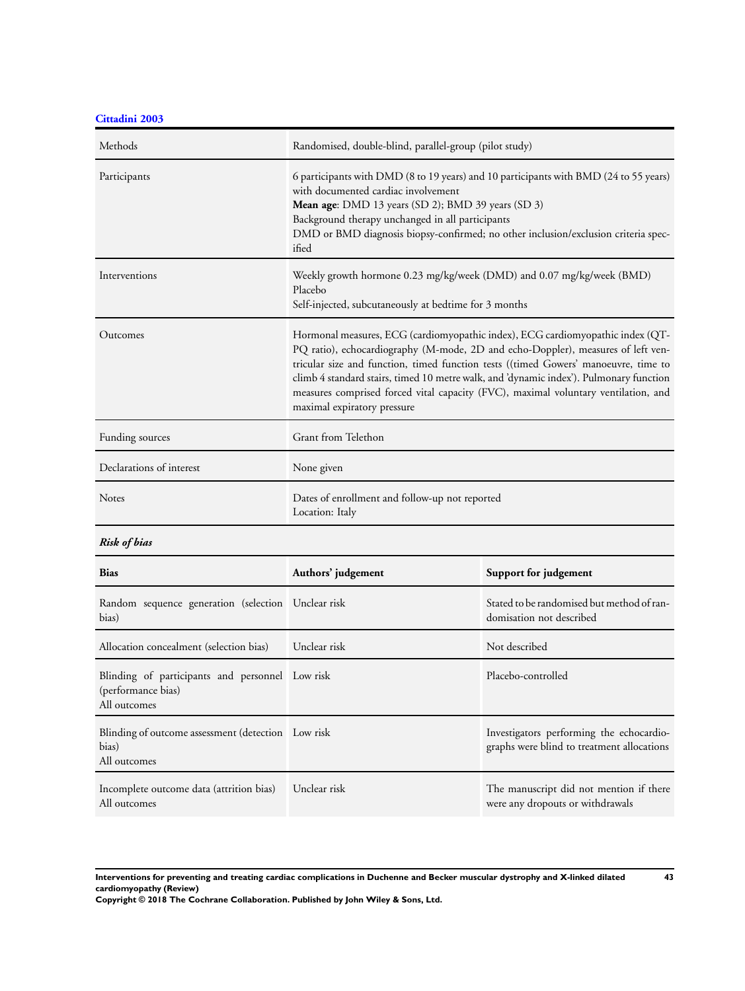**[Cittadini 2003](#page-34-0)**

| Methods                                                     | Randomised, double-blind, parallel-group (pilot study)                                                                                                                                                                                                                                                                                                                                                                                                                   |                                                                        |  |
|-------------------------------------------------------------|--------------------------------------------------------------------------------------------------------------------------------------------------------------------------------------------------------------------------------------------------------------------------------------------------------------------------------------------------------------------------------------------------------------------------------------------------------------------------|------------------------------------------------------------------------|--|
| Participants                                                | 6 participants with DMD (8 to 19 years) and 10 participants with BMD (24 to 55 years)<br>with documented cardiac involvement<br>Mean age: DMD 13 years (SD 2); BMD 39 years (SD 3)<br>Background therapy unchanged in all participants<br>DMD or BMD diagnosis biopsy-confirmed; no other inclusion/exclusion criteria spec-<br>ified                                                                                                                                    |                                                                        |  |
| Interventions                                               | Weekly growth hormone 0.23 mg/kg/week (DMD) and 0.07 mg/kg/week (BMD)<br>Placebo<br>Self-injected, subcutaneously at bedtime for 3 months                                                                                                                                                                                                                                                                                                                                |                                                                        |  |
| Outcomes                                                    | Hormonal measures, ECG (cardiomyopathic index), ECG cardiomyopathic index (QT-<br>PQ ratio), echocardiography (M-mode, 2D and echo-Doppler), measures of left ven-<br>tricular size and function, timed function tests ((timed Gowers' manoeuvre, time to<br>climb 4 standard stairs, timed 10 metre walk, and 'dynamic index'). Pulmonary function<br>measures comprised forced vital capacity (FVC), maximal voluntary ventilation, and<br>maximal expiratory pressure |                                                                        |  |
| Funding sources                                             | Grant from Telethon                                                                                                                                                                                                                                                                                                                                                                                                                                                      |                                                                        |  |
| Declarations of interest                                    | None given                                                                                                                                                                                                                                                                                                                                                                                                                                                               |                                                                        |  |
| <b>Notes</b>                                                | Dates of enrollment and follow-up not reported<br>Location: Italy                                                                                                                                                                                                                                                                                                                                                                                                        |                                                                        |  |
| <b>Risk of bias</b>                                         |                                                                                                                                                                                                                                                                                                                                                                                                                                                                          |                                                                        |  |
| <b>Bias</b>                                                 | Authors' judgement                                                                                                                                                                                                                                                                                                                                                                                                                                                       | Support for judgement                                                  |  |
| Random sequence generation (selection Unclear risk<br>bias) |                                                                                                                                                                                                                                                                                                                                                                                                                                                                          | Stated to be randomised but method of ran-<br>domisation not described |  |

| Allocation concealment (selection bias)                                               | Unclear risk | Not described                                                                          |
|---------------------------------------------------------------------------------------|--------------|----------------------------------------------------------------------------------------|
| Blinding of participants and personnel Low risk<br>(performance bias)<br>All outcomes |              | Placebo-controlled                                                                     |
| Blinding of outcome assessment (detection Low risk<br>bias)<br>All outcomes           |              | Investigators performing the echocardio-<br>graphs were blind to treatment allocations |
| Incomplete outcome data (attrition bias)<br>All outcomes                              | Unclear risk | The manuscript did not mention if there<br>were any dropouts or withdrawals            |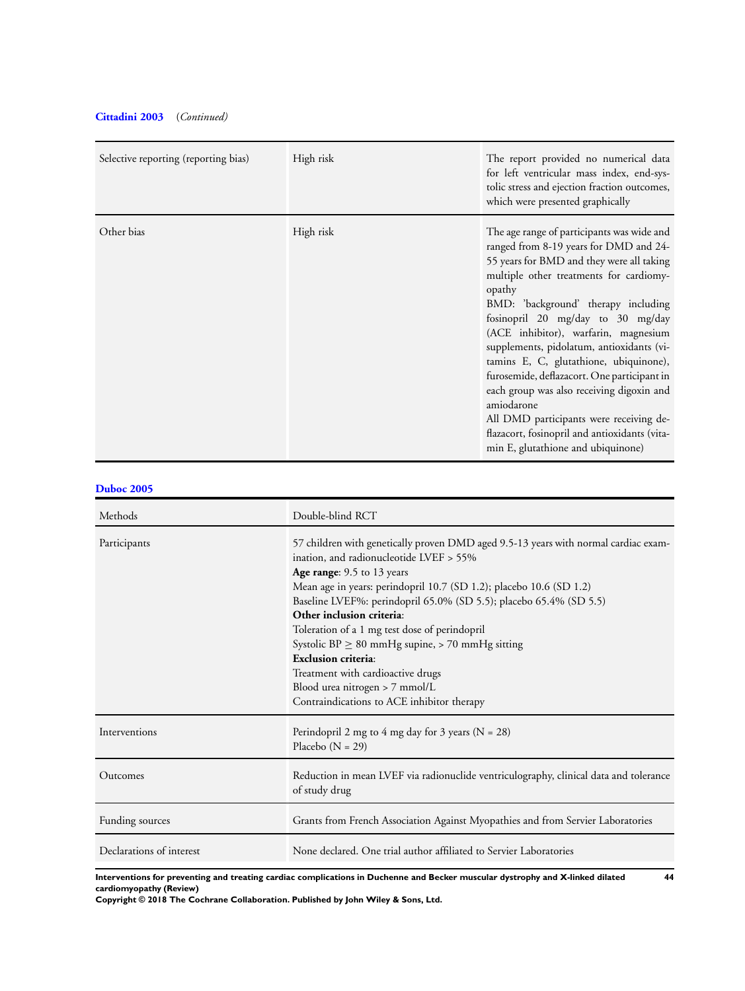# **[Cittadini 2003](#page-34-0)** (*Continued)*

| Selective reporting (reporting bias) | High risk | The report provided no numerical data<br>for left ventricular mass index, end-sys-<br>tolic stress and ejection fraction outcomes,<br>which were presented graphically                                                                                                                                                                                                                                                                                                                                                                                                                                                                        |
|--------------------------------------|-----------|-----------------------------------------------------------------------------------------------------------------------------------------------------------------------------------------------------------------------------------------------------------------------------------------------------------------------------------------------------------------------------------------------------------------------------------------------------------------------------------------------------------------------------------------------------------------------------------------------------------------------------------------------|
| Other bias                           | High risk | The age range of participants was wide and<br>ranged from 8-19 years for DMD and 24-<br>55 years for BMD and they were all taking<br>multiple other treatments for cardiomy-<br>opathy<br>BMD: 'background' therapy including<br>fosinopril 20 mg/day to 30 mg/day<br>(ACE inhibitor), warfarin, magnesium<br>supplements, pidolatum, antioxidants (vi-<br>tamins E, C, glutathione, ubiquinone),<br>furosemide, deflazacort. One participant in<br>each group was also receiving digoxin and<br>amiodarone<br>All DMD participants were receiving de-<br>flazacort, fosinopril and antioxidants (vita-<br>min E, glutathione and ubiquinone) |

# **[Duboc 2005](#page-34-0)**

| Methods                  | Double-blind RCT                                                                                                                                                                                                                                                                                                                                                                                                                                                                                                                                                                                       |
|--------------------------|--------------------------------------------------------------------------------------------------------------------------------------------------------------------------------------------------------------------------------------------------------------------------------------------------------------------------------------------------------------------------------------------------------------------------------------------------------------------------------------------------------------------------------------------------------------------------------------------------------|
| Participants             | 57 children with genetically proven DMD aged 9.5-13 years with normal cardiac exam-<br>ination, and radionucleotide LVEF > 55%<br>Age range: 9.5 to 13 years<br>Mean age in years: perindopril 10.7 (SD 1.2); placebo 10.6 (SD 1.2)<br>Baseline LVEF%: perindopril 65.0% (SD 5.5); placebo 65.4% (SD 5.5)<br>Other inclusion criteria:<br>Toleration of a 1 mg test dose of perindopril<br>Systolic BP $\geq$ 80 mmHg supine, $>$ 70 mmHg sitting<br><b>Exclusion criteria:</b><br>Treatment with cardioactive drugs<br>Blood urea nitrogen $> 7$ mmol/L<br>Contraindications to ACE inhibitor therapy |
| Interventions            | Perindopril 2 mg to 4 mg day for 3 years ( $N = 28$ )<br>Placebo ( $N = 29$ )                                                                                                                                                                                                                                                                                                                                                                                                                                                                                                                          |
| Outcomes                 | Reduction in mean LVEF via radionuclide ventriculography, clinical data and tolerance<br>of study drug                                                                                                                                                                                                                                                                                                                                                                                                                                                                                                 |
| Funding sources          | Grants from French Association Against Myopathies and from Servier Laboratories                                                                                                                                                                                                                                                                                                                                                                                                                                                                                                                        |
| Declarations of interest | None declared. One trial author affiliated to Servier Laboratories                                                                                                                                                                                                                                                                                                                                                                                                                                                                                                                                     |

**Interventions for preventing and treating cardiac complications in Duchenne and Becker muscular dystrophy and X-linked dilated 44 cardiomyopathy (Review)**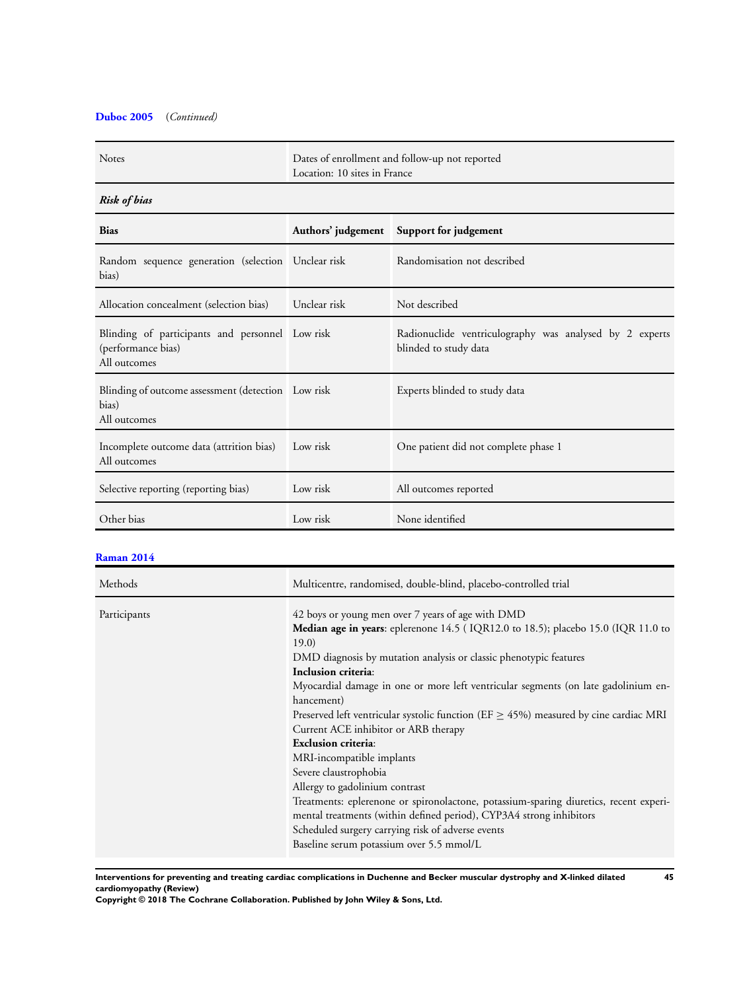# **[Duboc 2005](#page-34-0)** (*Continued)*

| <b>Notes</b>                                                                          | Dates of enrollment and follow-up not reported<br>Location: 10 sites in France |                                                                                  |
|---------------------------------------------------------------------------------------|--------------------------------------------------------------------------------|----------------------------------------------------------------------------------|
| <b>Risk of bias</b>                                                                   |                                                                                |                                                                                  |
| <b>Bias</b>                                                                           |                                                                                | Authors' judgement Support for judgement                                         |
| Random sequence generation (selection Unclear risk<br>bias)                           |                                                                                | Randomisation not described                                                      |
| Allocation concealment (selection bias)                                               | Unclear risk                                                                   | Not described                                                                    |
| Blinding of participants and personnel Low risk<br>(performance bias)<br>All outcomes |                                                                                | Radionuclide ventriculography was analysed by 2 experts<br>blinded to study data |
| Blinding of outcome assessment (detection Low risk<br>bias)<br>All outcomes           |                                                                                | Experts blinded to study data                                                    |
| Incomplete outcome data (attrition bias)<br>All outcomes                              | Low risk                                                                       | One patient did not complete phase 1                                             |
| Selective reporting (reporting bias)                                                  | Low risk                                                                       | All outcomes reported                                                            |
| Other bias                                                                            | Low risk                                                                       | None identified                                                                  |

# **[Raman 2014](#page-34-0)**

| Multicentre, randomised, double-blind, placebo-controlled trial                                                                                                                                                                                                                                                                                                                                                                                                                                                                                                                                                                                                                                                                                                                                                                                                             |
|-----------------------------------------------------------------------------------------------------------------------------------------------------------------------------------------------------------------------------------------------------------------------------------------------------------------------------------------------------------------------------------------------------------------------------------------------------------------------------------------------------------------------------------------------------------------------------------------------------------------------------------------------------------------------------------------------------------------------------------------------------------------------------------------------------------------------------------------------------------------------------|
| 42 boys or young men over 7 years of age with DMD<br>Median age in years: eplerenone 14.5 (IQR12.0 to 18.5); placebo 15.0 (IQR 11.0 to<br>19.0)<br>DMD diagnosis by mutation analysis or classic phenotypic features<br>Inclusion criteria:<br>Myocardial damage in one or more left ventricular segments (on late gadolinium en-<br>hancement)<br>Preserved left ventricular systolic function (EF $\geq$ 45%) measured by cine cardiac MRI<br>Current ACE inhibitor or ARB therapy<br><b>Exclusion criteria:</b><br>MRI-incompatible implants<br>Severe claustrophobia<br>Allergy to gadolinium contrast<br>Treatments: eplerenone or spironolactone, potassium-sparing diuretics, recent experi-<br>mental treatments (within defined period), CYP3A4 strong inhibitors<br>Scheduled surgery carrying risk of adverse events<br>Baseline serum potassium over 5.5 mmol/L |
|                                                                                                                                                                                                                                                                                                                                                                                                                                                                                                                                                                                                                                                                                                                                                                                                                                                                             |

**Interventions for preventing and treating cardiac complications in Duchenne and Becker muscular dystrophy and X-linked dilated 45 cardiomyopathy (Review)**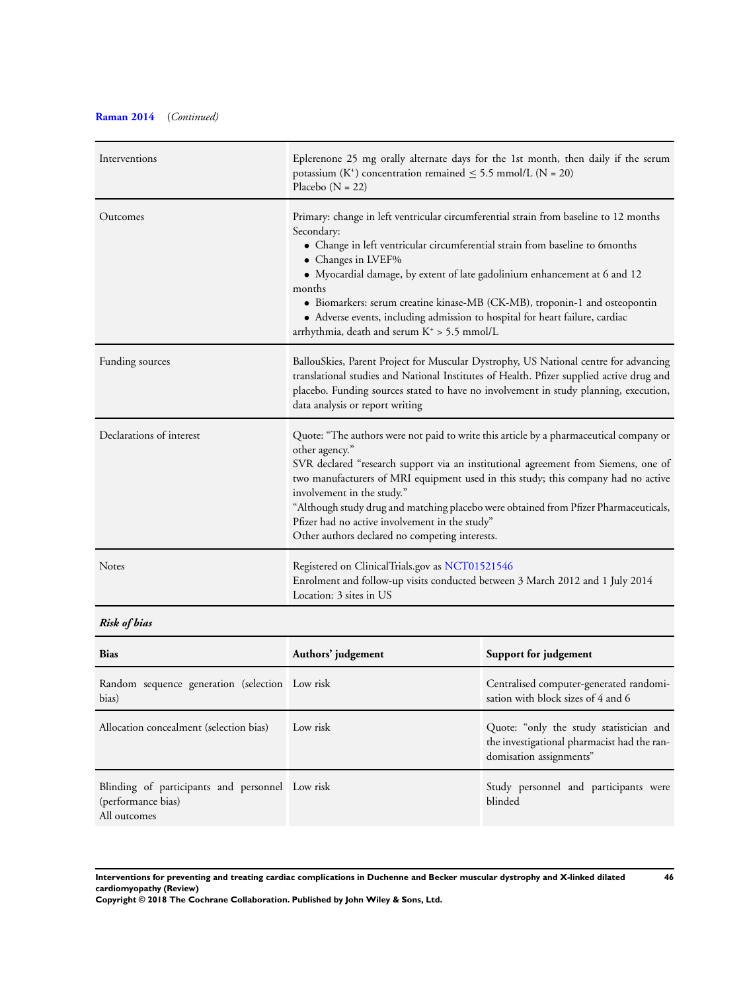# **[Raman 2014](#page-34-0)** (*Continued)*

| Interventions                                           | Eplerenone 25 mg orally alternate days for the 1st month, then daily if the serum<br>potassium (K <sup>+</sup> ) concentration remained $\leq$ 5.5 mmol/L (N = 20)<br>Placebo ( $N = 22$ )                                                                                                                                                                                                                                                                                                                                |                                                                                                                   |
|---------------------------------------------------------|---------------------------------------------------------------------------------------------------------------------------------------------------------------------------------------------------------------------------------------------------------------------------------------------------------------------------------------------------------------------------------------------------------------------------------------------------------------------------------------------------------------------------|-------------------------------------------------------------------------------------------------------------------|
| Outcomes                                                | Primary: change in left ventricular circumferential strain from baseline to 12 months<br>Secondary:<br>• Change in left ventricular circumferential strain from baseline to 6months<br>• Changes in LVEF%<br>• Myocardial damage, by extent of late gadolinium enhancement at 6 and 12<br>months<br>• Biomarkers: serum creatine kinase-MB (CK-MB), troponin-1 and osteopontin<br>• Adverse events, including admission to hospital for heart failure, cardiac<br>arrhythmia, death and serum K <sup>+</sup> > 5.5 mmol/L |                                                                                                                   |
| Funding sources                                         | BallouSkies, Parent Project for Muscular Dystrophy, US National centre for advancing<br>translational studies and National Institutes of Health. Pfizer supplied active drug and<br>placebo. Funding sources stated to have no involvement in study planning, execution,<br>data analysis or report writing                                                                                                                                                                                                               |                                                                                                                   |
| Declarations of interest                                | Quote: "The authors were not paid to write this article by a pharmaceutical company or<br>other agency."<br>SVR declared "research support via an institutional agreement from Siemens, one of<br>two manufacturers of MRI equipment used in this study; this company had no active<br>involvement in the study."<br>"Although study drug and matching placebo were obtained from Pfizer Pharmaceuticals,<br>Pfizer had no active involvement in the study"<br>Other authors declared no competing interests.             |                                                                                                                   |
| <b>Notes</b>                                            | Registered on ClinicalTrials.gov as NCT01521546<br>Enrolment and follow-up visits conducted between 3 March 2012 and 1 July 2014<br>Location: 3 sites in US                                                                                                                                                                                                                                                                                                                                                               |                                                                                                                   |
| <b>Risk of bias</b>                                     |                                                                                                                                                                                                                                                                                                                                                                                                                                                                                                                           |                                                                                                                   |
| <b>Bias</b>                                             | Authors' judgement                                                                                                                                                                                                                                                                                                                                                                                                                                                                                                        | Support for judgement                                                                                             |
| Random sequence generation (selection Low risk<br>bias) |                                                                                                                                                                                                                                                                                                                                                                                                                                                                                                                           | Centralised computer-generated randomi-<br>sation with block sizes of 4 and 6                                     |
| Allocation concealment (selection bias)                 | Low risk                                                                                                                                                                                                                                                                                                                                                                                                                                                                                                                  | Quote: "only the study statistician and<br>the investigational pharmacist had the ran-<br>domisation assignments" |

Blinding of participants and personnel Low risk (performance bias) All outcomes

**Copyright © 2018 The Cochrane Collaboration. Published by John Wiley & Sons, Ltd.**

Study personnel and participants were

blinded

**Interventions for preventing and treating cardiac complications in Duchenne and Becker muscular dystrophy and X-linked dilated 46 cardiomyopathy (Review)**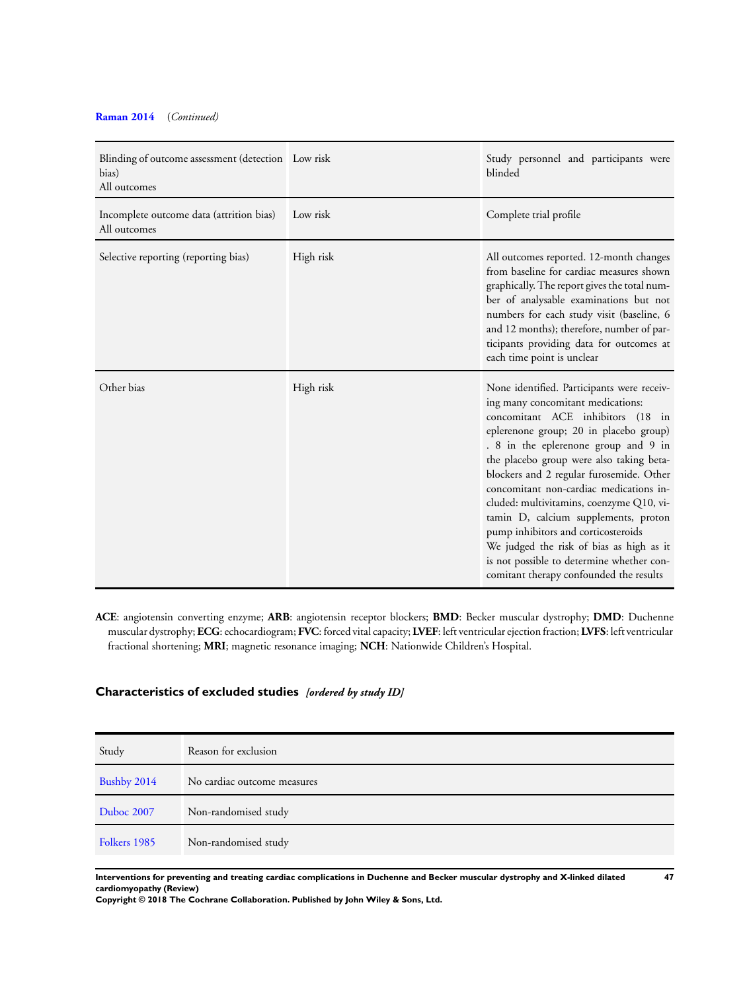# **[Raman 2014](#page-34-0)** (*Continued)*

| Blinding of outcome assessment (detection Low risk<br>bias)<br>All outcomes |           | Study personnel and participants were<br>blinded                                                                                                                                                                                                                                                                                                                                                                                                                                                                                                                                                         |
|-----------------------------------------------------------------------------|-----------|----------------------------------------------------------------------------------------------------------------------------------------------------------------------------------------------------------------------------------------------------------------------------------------------------------------------------------------------------------------------------------------------------------------------------------------------------------------------------------------------------------------------------------------------------------------------------------------------------------|
| Incomplete outcome data (attrition bias)<br>All outcomes                    | Low risk  | Complete trial profile                                                                                                                                                                                                                                                                                                                                                                                                                                                                                                                                                                                   |
| Selective reporting (reporting bias)                                        | High risk | All outcomes reported. 12-month changes<br>from baseline for cardiac measures shown<br>graphically. The report gives the total num-<br>ber of analysable examinations but not<br>numbers for each study visit (baseline, 6<br>and 12 months); therefore, number of par-<br>ticipants providing data for outcomes at<br>each time point is unclear                                                                                                                                                                                                                                                        |
| Other bias                                                                  | High risk | None identified. Participants were receiv-<br>ing many concomitant medications:<br>concomitant ACE inhibitors (18 in<br>eplerenone group; 20 in placebo group)<br>. 8 in the eplerenone group and 9 in<br>the placebo group were also taking beta-<br>blockers and 2 regular furosemide. Other<br>concomitant non-cardiac medications in-<br>cluded: multivitamins, coenzyme Q10, vi-<br>tamin D, calcium supplements, proton<br>pump inhibitors and corticosteroids<br>We judged the risk of bias as high as it<br>is not possible to determine whether con-<br>comitant therapy confounded the results |

**ACE**: angiotensin converting enzyme; **ARB**: angiotensin receptor blockers; **BMD**: Becker muscular dystrophy; **DMD**: Duchenne muscular dystrophy; **ECG**: echocardiogram; **FVC**: forced vital capacity; **LVEF**: left ventricular ejection fraction; **LVFS**: left ventricular fractional shortening; **MRI**; magnetic resonance imaging; **NCH**: Nationwide Children's Hospital.

# **Characteristics of excluded studies** *[ordered by study ID]*

| Study             | Reason for exclusion        |
|-------------------|-----------------------------|
| Bushby 2014       | No cardiac outcome measures |
| <b>Duboc 2007</b> | Non-randomised study        |
| Folkers 1985      | Non-randomised study        |

**Interventions for preventing and treating cardiac complications in Duchenne and Becker muscular dystrophy and X-linked dilated 47 cardiomyopathy (Review)**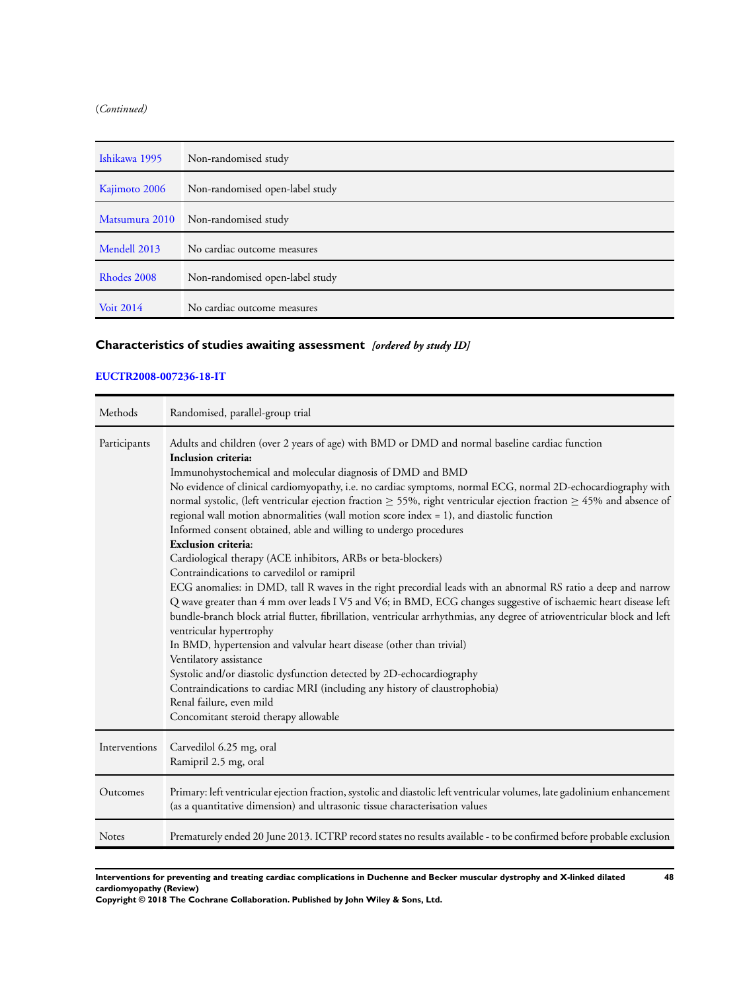(*Continued)*

| Ishikawa 1995    | Non-randomised study                |
|------------------|-------------------------------------|
| Kajimoto 2006    | Non-randomised open-label study     |
|                  | Matsumura 2010 Non-randomised study |
| Mendell 2013     | No cardiac outcome measures         |
| Rhodes 2008      | Non-randomised open-label study     |
| <b>Voit 2014</b> | No cardiac outcome measures         |

# **Characteristics of studies awaiting assessment** *[ordered by study ID]*

# **[EUCTR2008-007236-18-IT](#page-34-0)**

| Methods       | Randomised, parallel-group trial                                                                                                                                                                                                                                                                                                                                                                                                                                                                                                                                                                                                                                                                                                                                                                                                                                                                                                                                                                                                                                                                                                                                                                                                                                                                                                                                                                                                                                               |
|---------------|--------------------------------------------------------------------------------------------------------------------------------------------------------------------------------------------------------------------------------------------------------------------------------------------------------------------------------------------------------------------------------------------------------------------------------------------------------------------------------------------------------------------------------------------------------------------------------------------------------------------------------------------------------------------------------------------------------------------------------------------------------------------------------------------------------------------------------------------------------------------------------------------------------------------------------------------------------------------------------------------------------------------------------------------------------------------------------------------------------------------------------------------------------------------------------------------------------------------------------------------------------------------------------------------------------------------------------------------------------------------------------------------------------------------------------------------------------------------------------|
| Participants  | Adults and children (over 2 years of age) with BMD or DMD and normal baseline cardiac function<br>Inclusion criteria:<br>Immunohystochemical and molecular diagnosis of DMD and BMD<br>No evidence of clinical cardiomyopathy, i.e. no cardiac symptoms, normal ECG, normal 2D-echocardiography with<br>normal systolic, (left ventricular ejection fraction $\geq$ 55%, right ventricular ejection fraction $\geq$ 45% and absence of<br>regional wall motion abnormalities (wall motion score index = 1), and diastolic function<br>Informed consent obtained, able and willing to undergo procedures<br><b>Exclusion criteria:</b><br>Cardiological therapy (ACE inhibitors, ARBs or beta-blockers)<br>Contraindications to carvedilol or ramipril<br>ECG anomalies: in DMD, tall R waves in the right precordial leads with an abnormal RS ratio a deep and narrow<br>Q wave greater than 4 mm over leads I V5 and V6; in BMD, ECG changes suggestive of ischaemic heart disease left<br>bundle-branch block atrial flutter, fibrillation, ventricular arrhythmias, any degree of atrioventricular block and left<br>ventricular hypertrophy<br>In BMD, hypertension and valvular heart disease (other than trivial)<br>Ventilatory assistance<br>Systolic and/or diastolic dysfunction detected by 2D-echocardiography<br>Contraindications to cardiac MRI (including any history of claustrophobia)<br>Renal failure, even mild<br>Concomitant steroid therapy allowable |
| Interventions | Carvedilol 6.25 mg, oral<br>Ramipril 2.5 mg, oral                                                                                                                                                                                                                                                                                                                                                                                                                                                                                                                                                                                                                                                                                                                                                                                                                                                                                                                                                                                                                                                                                                                                                                                                                                                                                                                                                                                                                              |
| Outcomes      | Primary: left ventricular ejection fraction, systolic and diastolic left ventricular volumes, late gadolinium enhancement<br>(as a quantitative dimension) and ultrasonic tissue characterisation values                                                                                                                                                                                                                                                                                                                                                                                                                                                                                                                                                                                                                                                                                                                                                                                                                                                                                                                                                                                                                                                                                                                                                                                                                                                                       |
| <b>Notes</b>  | Prematurely ended 20 June 2013. ICTRP record states no results available - to be confirmed before probable exclusion                                                                                                                                                                                                                                                                                                                                                                                                                                                                                                                                                                                                                                                                                                                                                                                                                                                                                                                                                                                                                                                                                                                                                                                                                                                                                                                                                           |

**Interventions for preventing and treating cardiac complications in Duchenne and Becker muscular dystrophy and X-linked dilated 48 cardiomyopathy (Review)**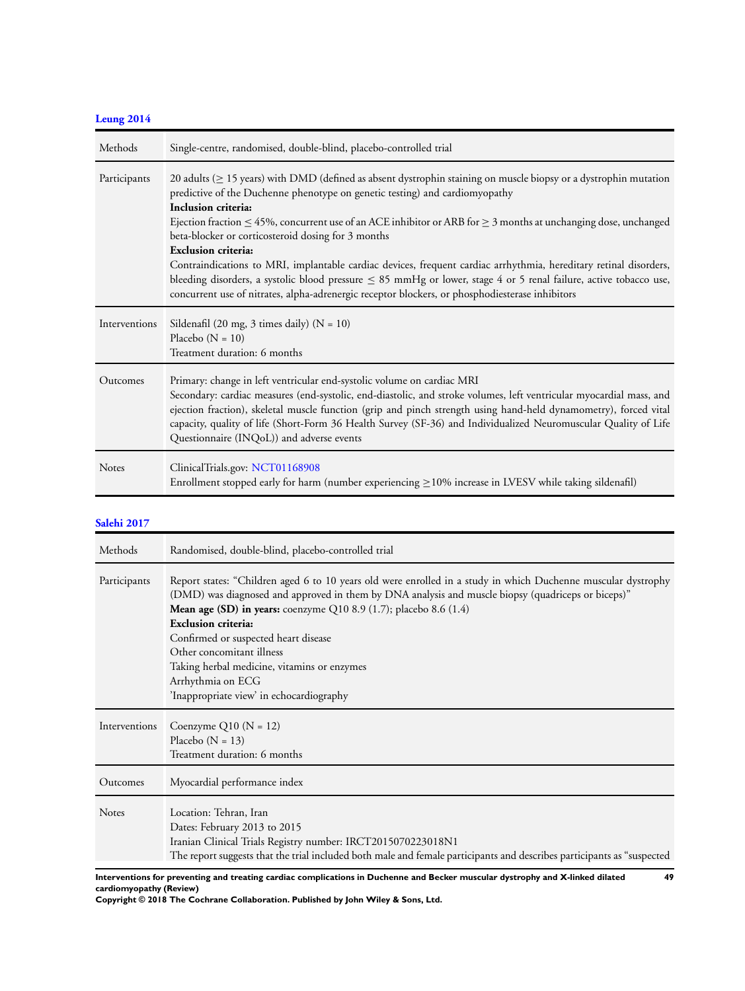| Leung 2014    |                                                                                                                                                                                                                                                                                                                                                                                                                                                                                                                                                                                                                                                                                                                                                                                                 |
|---------------|-------------------------------------------------------------------------------------------------------------------------------------------------------------------------------------------------------------------------------------------------------------------------------------------------------------------------------------------------------------------------------------------------------------------------------------------------------------------------------------------------------------------------------------------------------------------------------------------------------------------------------------------------------------------------------------------------------------------------------------------------------------------------------------------------|
| Methods       | Single-centre, randomised, double-blind, placebo-controlled trial                                                                                                                                                                                                                                                                                                                                                                                                                                                                                                                                                                                                                                                                                                                               |
| Participants  | 20 adults ( $\geq$ 15 years) with DMD (defined as absent dystrophin staining on muscle biopsy or a dystrophin mutation<br>predictive of the Duchenne phenotype on genetic testing) and cardiomyopathy<br>Inclusion criteria:<br>Ejection fraction $\leq$ 45%, concurrent use of an ACE inhibitor or ARB for $\geq$ 3 months at unchanging dose, unchanged<br>beta-blocker or corticosteroid dosing for 3 months<br><b>Exclusion criteria:</b><br>Contraindications to MRI, implantable cardiac devices, frequent cardiac arrhythmia, hereditary retinal disorders,<br>bleeding disorders, a systolic blood pressure $\leq 85$ mmHg or lower, stage 4 or 5 renal failure, active tobacco use,<br>concurrent use of nitrates, alpha-adrenergic receptor blockers, or phosphodiesterase inhibitors |
| Interventions | Sildenafil (20 mg, 3 times daily) ( $N = 10$ )<br>Placebo ( $N = 10$ )<br>Treatment duration: 6 months                                                                                                                                                                                                                                                                                                                                                                                                                                                                                                                                                                                                                                                                                          |
| Outcomes      | Primary: change in left ventricular end-systolic volume on cardiac MRI<br>Secondary: cardiac measures (end-systolic, end-diastolic, and stroke volumes, left ventricular myocardial mass, and<br>ejection fraction), skeletal muscle function (grip and pinch strength using hand-held dynamometry), forced vital<br>capacity, quality of life (Short-Form 36 Health Survey (SF-36) and Individualized Neuromuscular Quality of Life<br>Questionnaire (INQoL)) and adverse events                                                                                                                                                                                                                                                                                                               |
| <b>Notes</b>  | ClinicalTrials.gov: NCT01168908<br>Enrollment stopped early for harm (number experiencing $\geq$ 10% increase in LVESV while taking sildenafil)                                                                                                                                                                                                                                                                                                                                                                                                                                                                                                                                                                                                                                                 |

# **[Salehi 2017](#page-34-0)**

| Methods       | Randomised, double-blind, placebo-controlled trial                                                                                                                                                                                                                                                                                                                                                                                                                                                          |
|---------------|-------------------------------------------------------------------------------------------------------------------------------------------------------------------------------------------------------------------------------------------------------------------------------------------------------------------------------------------------------------------------------------------------------------------------------------------------------------------------------------------------------------|
| Participants  | Report states: "Children aged 6 to 10 years old were enrolled in a study in which Duchenne muscular dystrophy<br>(DMD) was diagnosed and approved in them by DNA analysis and muscle biopsy (quadriceps or biceps)"<br>Mean age (SD) in years: coenzyme Q10 8.9 (1.7); placebo 8.6 (1.4)<br><b>Exclusion criteria:</b><br>Confirmed or suspected heart disease<br>Other concomitant illness<br>Taking herbal medicine, vitamins or enzymes<br>Arrhythmia on ECG<br>'Inappropriate view' in echocardiography |
| Interventions | Coenzyme $Q10 (N = 12)$<br>Placebo ( $N = 13$ )<br>Treatment duration: 6 months                                                                                                                                                                                                                                                                                                                                                                                                                             |
| Outcomes      | Myocardial performance index                                                                                                                                                                                                                                                                                                                                                                                                                                                                                |
| <b>Notes</b>  | Location: Tehran, Iran<br>Dates: February 2013 to 2015<br>Iranian Clinical Trials Registry number: IRCT2015070223018N1<br>The report suggests that the trial included both male and female participants and describes participants as "suspected                                                                                                                                                                                                                                                            |

**Interventions for preventing and treating cardiac complications in Duchenne and Becker muscular dystrophy and X-linked dilated 49 cardiomyopathy (Review)**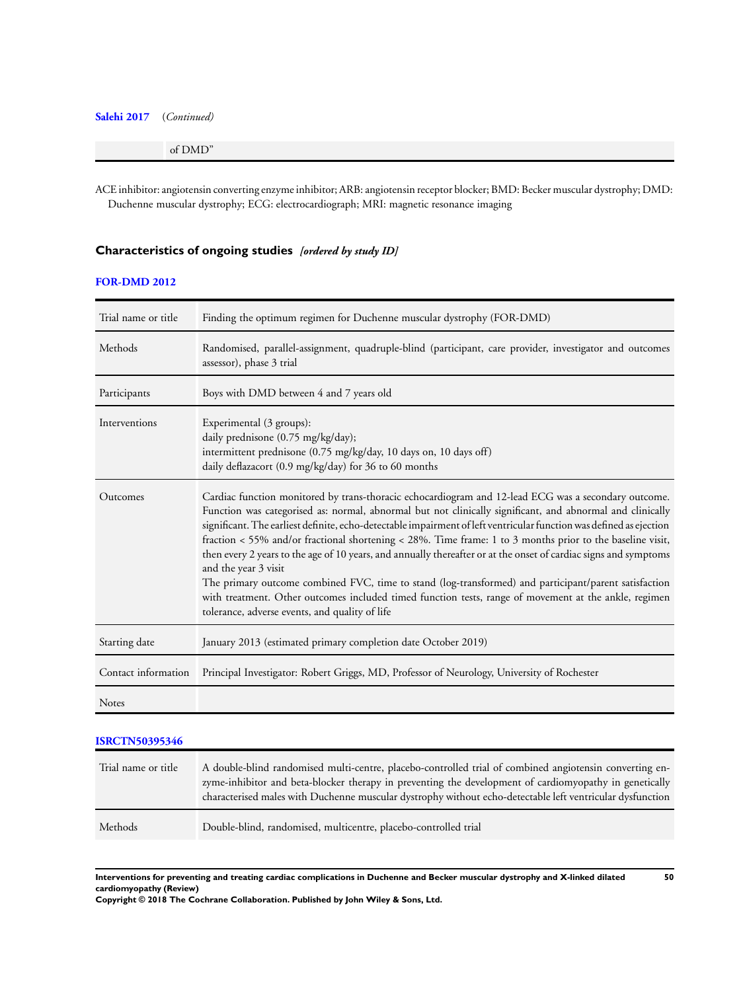# **[Salehi 2017](#page-34-0)** (*Continued)*

of DMD"

ACE inhibitor: angiotensin converting enzyme inhibitor; ARB: angiotensin receptor blocker; BMD: Becker muscular dystrophy; DMD: Duchenne muscular dystrophy; ECG: electrocardiograph; MRI: magnetic resonance imaging

# **Characteristics of ongoing studies** *[ordered by study ID]*

# **[FOR-DMD 2012](#page-34-0)**

| Trial name or title | Finding the optimum regimen for Duchenne muscular dystrophy (FOR-DMD)                                                                                                                                                                                                                                                                                                                                                                                                                                                                                                                                                                                                                                                                                                                                                                                                 |
|---------------------|-----------------------------------------------------------------------------------------------------------------------------------------------------------------------------------------------------------------------------------------------------------------------------------------------------------------------------------------------------------------------------------------------------------------------------------------------------------------------------------------------------------------------------------------------------------------------------------------------------------------------------------------------------------------------------------------------------------------------------------------------------------------------------------------------------------------------------------------------------------------------|
| Methods             | Randomised, parallel-assignment, quadruple-blind (participant, care provider, investigator and outcomes<br>assessor), phase 3 trial                                                                                                                                                                                                                                                                                                                                                                                                                                                                                                                                                                                                                                                                                                                                   |
| Participants        | Boys with DMD between 4 and 7 years old                                                                                                                                                                                                                                                                                                                                                                                                                                                                                                                                                                                                                                                                                                                                                                                                                               |
| Interventions       | Experimental (3 groups):<br>daily prednisone (0.75 mg/kg/day);<br>intermittent prednisone (0.75 mg/kg/day, 10 days on, 10 days off)<br>daily deflazacort (0.9 mg/kg/day) for 36 to 60 months                                                                                                                                                                                                                                                                                                                                                                                                                                                                                                                                                                                                                                                                          |
| Outcomes            | Cardiac function monitored by trans-thoracic echocardiogram and 12-lead ECG was a secondary outcome.<br>Function was categorised as: normal, abnormal but not clinically significant, and abnormal and clinically<br>significant. The earliest definite, echo-detectable impairment of left ventricular function was defined as ejection<br>fraction < 55% and/or fractional shortening < 28%. Time frame: 1 to 3 months prior to the baseline visit,<br>then every 2 years to the age of 10 years, and annually thereafter or at the onset of cardiac signs and symptoms<br>and the year 3 visit<br>The primary outcome combined FVC, time to stand (log-transformed) and participant/parent satisfaction<br>with treatment. Other outcomes included timed function tests, range of movement at the ankle, regimen<br>tolerance, adverse events, and quality of life |
| Starting date       | January 2013 (estimated primary completion date October 2019)                                                                                                                                                                                                                                                                                                                                                                                                                                                                                                                                                                                                                                                                                                                                                                                                         |
| Contact information | Principal Investigator: Robert Griggs, MD, Professor of Neurology, University of Rochester                                                                                                                                                                                                                                                                                                                                                                                                                                                                                                                                                                                                                                                                                                                                                                            |
| <b>Notes</b>        |                                                                                                                                                                                                                                                                                                                                                                                                                                                                                                                                                                                                                                                                                                                                                                                                                                                                       |

| <b>ISRCTN50395346</b> |                                                                                                                                                                                                                                                                                                                                |
|-----------------------|--------------------------------------------------------------------------------------------------------------------------------------------------------------------------------------------------------------------------------------------------------------------------------------------------------------------------------|
| Trial name or title   | A double-blind randomised multi-centre, placebo-controlled trial of combined angiotensin converting en-<br>zyme-inhibitor and beta-blocker therapy in preventing the development of cardiomyopathy in genetically<br>characterised males with Duchenne muscular dystrophy without echo-detectable left ventricular dysfunction |
| Methods               | Double-blind, randomised, multicentre, placebo-controlled trial                                                                                                                                                                                                                                                                |

**Interventions for preventing and treating cardiac complications in Duchenne and Becker muscular dystrophy and X-linked dilated 50 cardiomyopathy (Review)**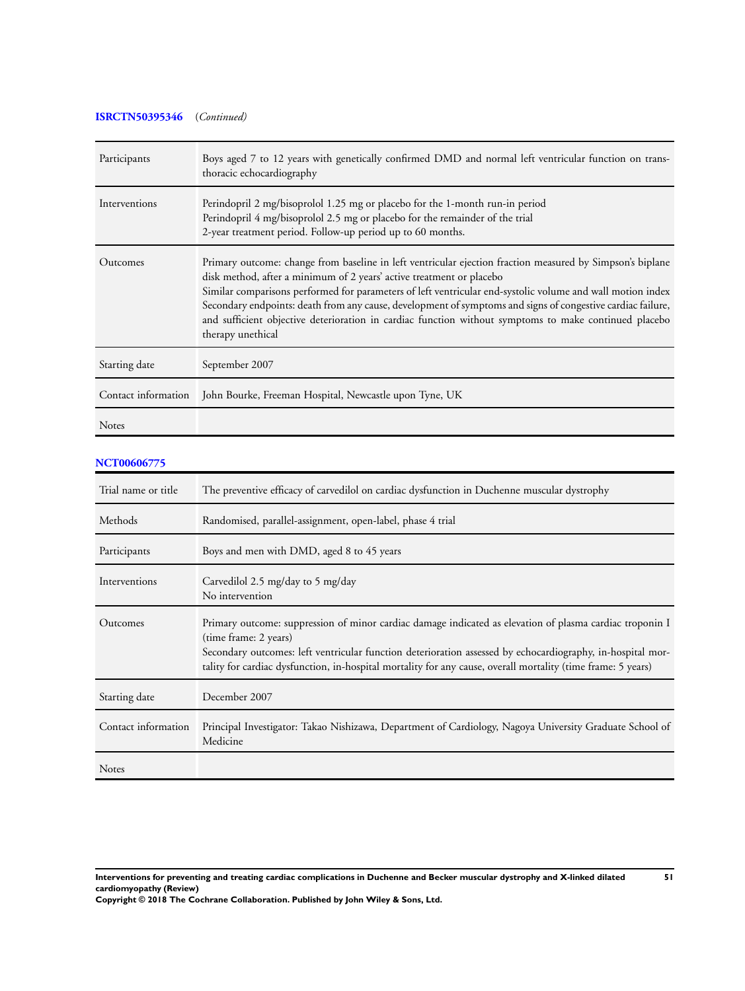# **[ISRCTN50395346](#page-34-0)** (*Continued)*

| Participants  | Boys aged 7 to 12 years with genetically confirmed DMD and normal left ventricular function on trans-<br>thoracic echocardiography                                                                                                                                                                                                                                                                                                                                                                                                           |
|---------------|----------------------------------------------------------------------------------------------------------------------------------------------------------------------------------------------------------------------------------------------------------------------------------------------------------------------------------------------------------------------------------------------------------------------------------------------------------------------------------------------------------------------------------------------|
| Interventions | Perindopril 2 mg/bisoprolol 1.25 mg or placebo for the 1-month run-in period<br>Perindopril 4 mg/bisoprolol 2.5 mg or placebo for the remainder of the trial<br>2-year treatment period. Follow-up period up to 60 months.                                                                                                                                                                                                                                                                                                                   |
| Outcomes      | Primary outcome: change from baseline in left ventricular ejection fraction measured by Simpson's biplane<br>disk method, after a minimum of 2 years' active treatment or placebo<br>Similar comparisons performed for parameters of left ventricular end-systolic volume and wall motion index<br>Secondary endpoints: death from any cause, development of symptoms and signs of congestive cardiac failure,<br>and sufficient objective deterioration in cardiac function without symptoms to make continued placebo<br>therapy unethical |
| Starting date | September 2007                                                                                                                                                                                                                                                                                                                                                                                                                                                                                                                               |
|               | Contact information John Bourke, Freeman Hospital, Newcastle upon Tyne, UK                                                                                                                                                                                                                                                                                                                                                                                                                                                                   |
| <b>Notes</b>  |                                                                                                                                                                                                                                                                                                                                                                                                                                                                                                                                              |

# **[NCT00606775](#page-34-0)**

| Trial name or title | The preventive efficacy of carvedilol on cardiac dysfunction in Duchenne muscular dystrophy                                                                                                                                                                                                                                                                     |
|---------------------|-----------------------------------------------------------------------------------------------------------------------------------------------------------------------------------------------------------------------------------------------------------------------------------------------------------------------------------------------------------------|
| Methods             | Randomised, parallel-assignment, open-label, phase 4 trial                                                                                                                                                                                                                                                                                                      |
| Participants        | Boys and men with DMD, aged 8 to 45 years                                                                                                                                                                                                                                                                                                                       |
| Interventions       | Carvedilol 2.5 mg/day to 5 mg/day<br>No intervention                                                                                                                                                                                                                                                                                                            |
| Outcomes            | Primary outcome: suppression of minor cardiac damage indicated as elevation of plasma cardiac troponin I<br>(time frame: 2 years)<br>Secondary outcomes: left ventricular function deterioration assessed by echocardiography, in-hospital mor-<br>tality for cardiac dysfunction, in-hospital mortality for any cause, overall mortality (time frame: 5 years) |
| Starting date       | December 2007                                                                                                                                                                                                                                                                                                                                                   |
| Contact information | Principal Investigator: Takao Nishizawa, Department of Cardiology, Nagoya University Graduate School of<br>Medicine                                                                                                                                                                                                                                             |
| <b>Notes</b>        |                                                                                                                                                                                                                                                                                                                                                                 |

**Interventions for preventing and treating cardiac complications in Duchenne and Becker muscular dystrophy and X-linked dilated 51 cardiomyopathy (Review)**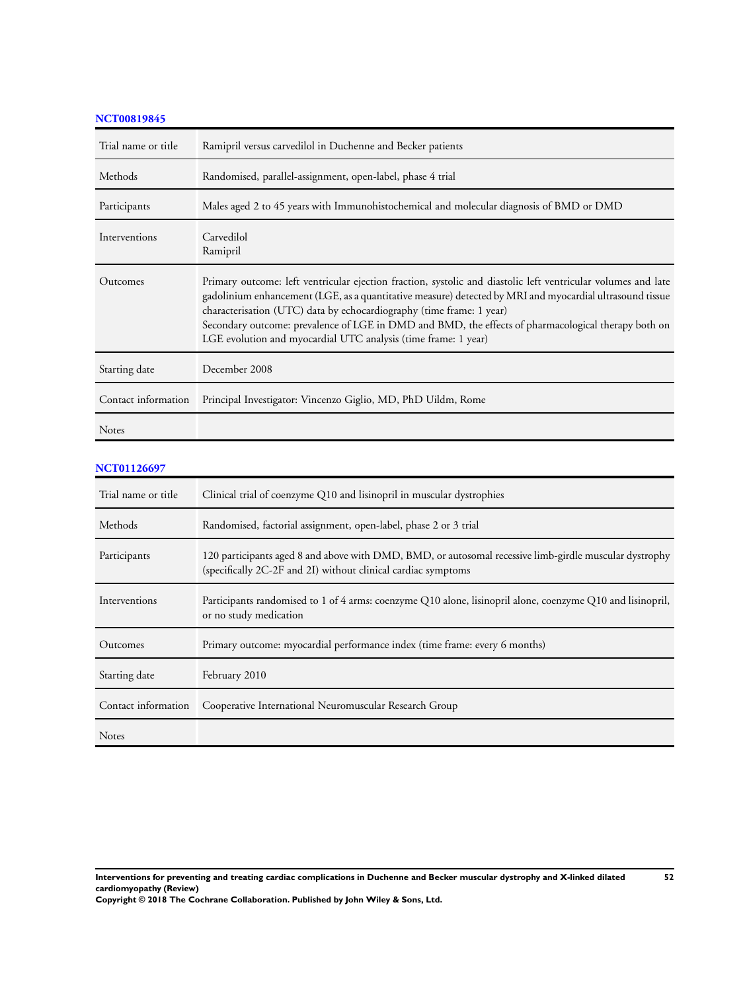| Trial name or title | Ramipril versus carvedilol in Duchenne and Becker patients                                                                                                                                                                                                                                                                                                                                                                                                                 |
|---------------------|----------------------------------------------------------------------------------------------------------------------------------------------------------------------------------------------------------------------------------------------------------------------------------------------------------------------------------------------------------------------------------------------------------------------------------------------------------------------------|
| Methods             | Randomised, parallel-assignment, open-label, phase 4 trial                                                                                                                                                                                                                                                                                                                                                                                                                 |
| Participants        | Males aged 2 to 45 years with Immunohistochemical and molecular diagnosis of BMD or DMD                                                                                                                                                                                                                                                                                                                                                                                    |
| Interventions       | Carvedilol<br>Ramipril                                                                                                                                                                                                                                                                                                                                                                                                                                                     |
| Outcomes            | Primary outcome: left ventricular ejection fraction, systolic and diastolic left ventricular volumes and late<br>gadolinium enhancement (LGE, as a quantitative measure) detected by MRI and myocardial ultrasound tissue<br>characterisation (UTC) data by echocardiography (time frame: 1 year)<br>Secondary outcome: prevalence of LGE in DMD and BMD, the effects of pharmacological therapy both on<br>LGE evolution and myocardial UTC analysis (time frame: 1 year) |
| Starting date       | December 2008                                                                                                                                                                                                                                                                                                                                                                                                                                                              |
| Contact information | Principal Investigator: Vincenzo Giglio, MD, PhD Uildm, Rome                                                                                                                                                                                                                                                                                                                                                                                                               |
| <b>Notes</b>        |                                                                                                                                                                                                                                                                                                                                                                                                                                                                            |

# **[NCT01126697](#page-34-0)**

| Trial name or title | Clinical trial of coenzyme Q10 and lisinopril in muscular dystrophies                                                                                                   |
|---------------------|-------------------------------------------------------------------------------------------------------------------------------------------------------------------------|
| Methods             | Randomised, factorial assignment, open-label, phase 2 or 3 trial                                                                                                        |
| Participants        | 120 participants aged 8 and above with DMD, BMD, or autosomal recessive limb-girdle muscular dystrophy<br>(specifically 2C-2F and 2I) without clinical cardiac symptoms |
| Interventions       | Participants randomised to 1 of 4 arms: coenzyme Q10 alone, lisinopril alone, coenzyme Q10 and lisinopril,<br>or no study medication                                    |
| Outcomes            | Primary outcome: myocardial performance index (time frame: every 6 months)                                                                                              |
| Starting date       | February 2010                                                                                                                                                           |
| Contact information | Cooperative International Neuromuscular Research Group                                                                                                                  |
| <b>Notes</b>        |                                                                                                                                                                         |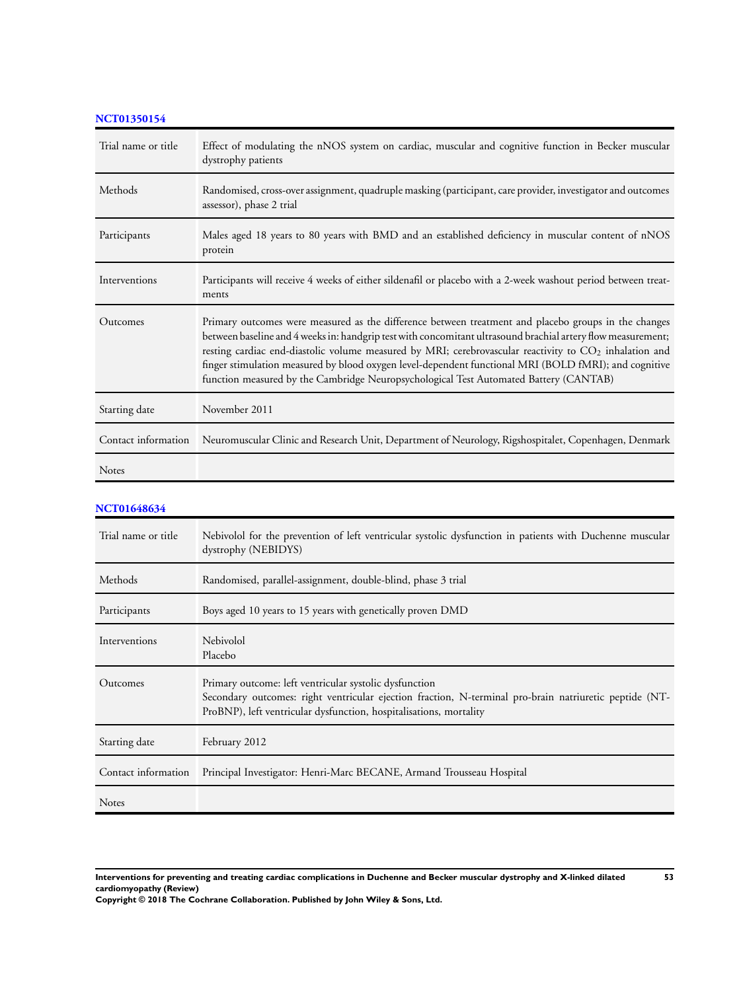| Trial name or title | Effect of modulating the nNOS system on cardiac, muscular and cognitive function in Becker muscular<br>dystrophy patients                                                                                                                                                                                                                                                                                                                                                                                                        |
|---------------------|----------------------------------------------------------------------------------------------------------------------------------------------------------------------------------------------------------------------------------------------------------------------------------------------------------------------------------------------------------------------------------------------------------------------------------------------------------------------------------------------------------------------------------|
| Methods             | Randomised, cross-over assignment, quadruple masking (participant, care provider, investigator and outcomes<br>assessor), phase 2 trial                                                                                                                                                                                                                                                                                                                                                                                          |
| Participants        | Males aged 18 years to 80 years with BMD and an established deficiency in muscular content of nNOS<br>protein                                                                                                                                                                                                                                                                                                                                                                                                                    |
| Interventions       | Participants will receive 4 weeks of either sildenafil or placebo with a 2-week washout period between treat-<br>ments                                                                                                                                                                                                                                                                                                                                                                                                           |
| Outcomes            | Primary outcomes were measured as the difference between treatment and placebo groups in the changes<br>between baseline and 4 weeks in: handgrip test with concomitant ultrasound brachial artery flow measurement;<br>resting cardiac end-diastolic volume measured by MRI; cerebrovascular reactivity to CO2 inhalation and<br>finger stimulation measured by blood oxygen level-dependent functional MRI (BOLD fMRI); and cognitive<br>function measured by the Cambridge Neuropsychological Test Automated Battery (CANTAB) |
| Starting date       | November 2011                                                                                                                                                                                                                                                                                                                                                                                                                                                                                                                    |
| Contact information | Neuromuscular Clinic and Research Unit, Department of Neurology, Rigshospitalet, Copenhagen, Denmark                                                                                                                                                                                                                                                                                                                                                                                                                             |
| <b>Notes</b>        |                                                                                                                                                                                                                                                                                                                                                                                                                                                                                                                                  |

# **[NCT01648634](#page-34-0)**

| Trial name or title | Nebivolol for the prevention of left ventricular systolic dysfunction in patients with Duchenne muscular<br>dystrophy (NEBIDYS)                                                                                                        |  |  |  |  |  |
|---------------------|----------------------------------------------------------------------------------------------------------------------------------------------------------------------------------------------------------------------------------------|--|--|--|--|--|
| Methods             | Randomised, parallel-assignment, double-blind, phase 3 trial                                                                                                                                                                           |  |  |  |  |  |
| Participants        | Boys aged 10 years to 15 years with genetically proven DMD                                                                                                                                                                             |  |  |  |  |  |
| Interventions       | Nebivolol<br>Placebo                                                                                                                                                                                                                   |  |  |  |  |  |
| Outcomes            | Primary outcome: left ventricular systolic dysfunction<br>Secondary outcomes: right ventricular ejection fraction, N-terminal pro-brain natriuretic peptide (NT-<br>ProBNP), left ventricular dysfunction, hospitalisations, mortality |  |  |  |  |  |
| Starting date       | February 2012                                                                                                                                                                                                                          |  |  |  |  |  |
| Contact information | Principal Investigator: Henri-Marc BECANE, Armand Trousseau Hospital                                                                                                                                                                   |  |  |  |  |  |
| <b>Notes</b>        |                                                                                                                                                                                                                                        |  |  |  |  |  |

**Interventions for preventing and treating cardiac complications in Duchenne and Becker muscular dystrophy and X-linked dilated 53 cardiomyopathy (Review)**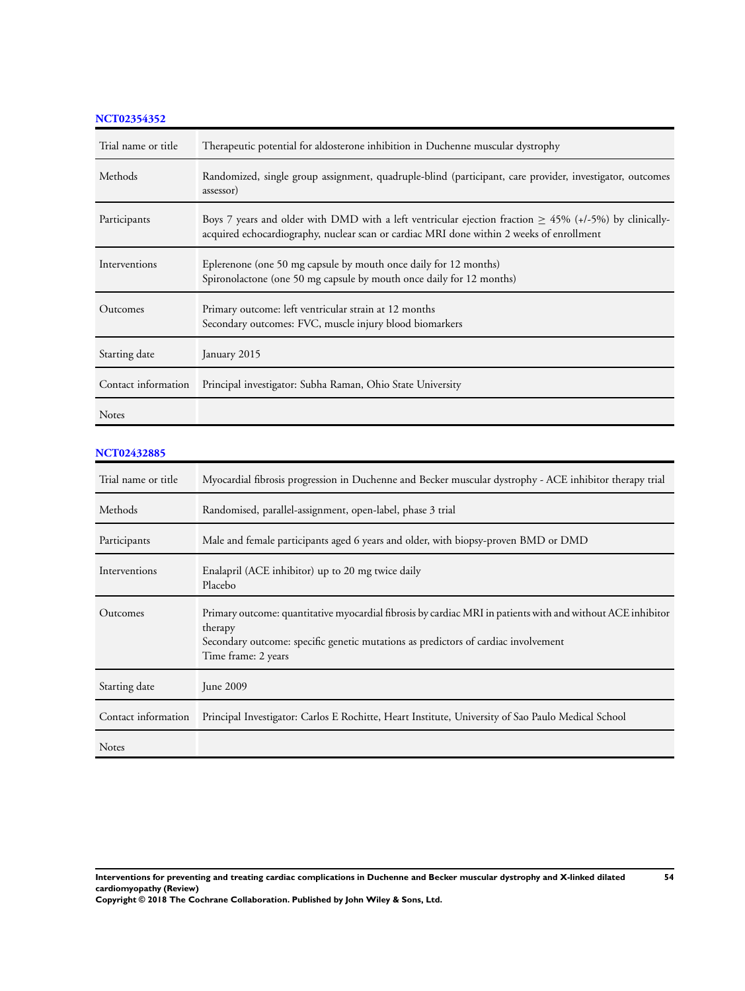| Trial name or title | Therapeutic potential for aldosterone inhibition in Duchenne muscular dystrophy                                                                                                                         |  |  |  |  |
|---------------------|---------------------------------------------------------------------------------------------------------------------------------------------------------------------------------------------------------|--|--|--|--|
| Methods             | Randomized, single group assignment, quadruple-blind (participant, care provider, investigator, outcomes<br>assessor)                                                                                   |  |  |  |  |
| Participants        | Boys 7 years and older with DMD with a left ventricular ejection fraction $\geq$ 45% (+/-5%) by clinically-<br>acquired echocardiography, nuclear scan or cardiac MRI done within 2 weeks of enrollment |  |  |  |  |
| Interventions       | Eplerenone (one 50 mg capsule by mouth once daily for 12 months)<br>Spironolactone (one 50 mg capsule by mouth once daily for 12 months)                                                                |  |  |  |  |
| Outcomes            | Primary outcome: left ventricular strain at 12 months<br>Secondary outcomes: FVC, muscle injury blood biomarkers                                                                                        |  |  |  |  |
| Starting date       | January 2015                                                                                                                                                                                            |  |  |  |  |
| Contact information | Principal investigator: Subha Raman, Ohio State University                                                                                                                                              |  |  |  |  |
| <b>Notes</b>        |                                                                                                                                                                                                         |  |  |  |  |

# **[NCT02432885](#page-34-0)**

| Trial name or title | Myocardial fibrosis progression in Duchenne and Becker muscular dystrophy - ACE inhibitor therapy trial                                                                                                                             |  |  |  |  |
|---------------------|-------------------------------------------------------------------------------------------------------------------------------------------------------------------------------------------------------------------------------------|--|--|--|--|
| Methods             | Randomised, parallel-assignment, open-label, phase 3 trial                                                                                                                                                                          |  |  |  |  |
| Participants        | Male and female participants aged 6 years and older, with biopsy-proven BMD or DMD                                                                                                                                                  |  |  |  |  |
| Interventions       | Enalapril (ACE inhibitor) up to 20 mg twice daily<br>Placebo                                                                                                                                                                        |  |  |  |  |
| Outcomes            | Primary outcome: quantitative myocardial fibrosis by cardiac MRI in patients with and without ACE inhibitor<br>therapy<br>Secondary outcome: specific genetic mutations as predictors of cardiac involvement<br>Time frame: 2 years |  |  |  |  |
| Starting date       | June $2009$                                                                                                                                                                                                                         |  |  |  |  |
| Contact information | Principal Investigator: Carlos E Rochitte, Heart Institute, University of Sao Paulo Medical School                                                                                                                                  |  |  |  |  |
| <b>Notes</b>        |                                                                                                                                                                                                                                     |  |  |  |  |

**Interventions for preventing and treating cardiac complications in Duchenne and Becker muscular dystrophy and X-linked dilated 54 cardiomyopathy (Review)**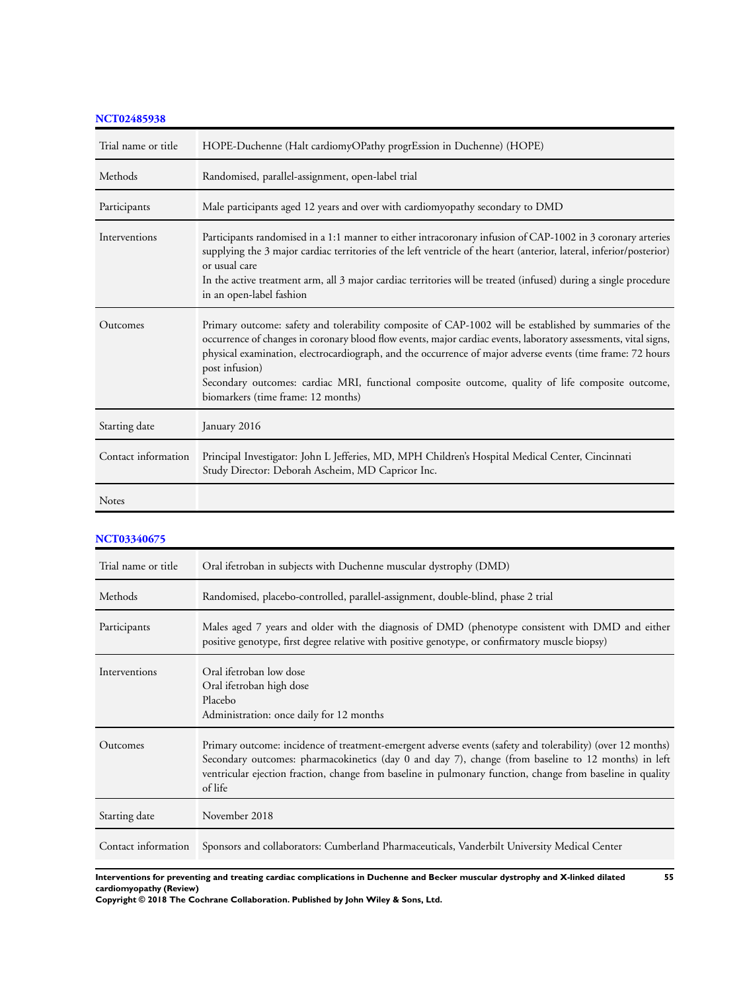| Trial name or title | HOPE-Duchenne (Halt cardiomyOPathy progrEssion in Duchenne) (HOPE)                                                                                                                                                                                                                                                                                                                                                                                                                                   |  |  |  |  |  |
|---------------------|------------------------------------------------------------------------------------------------------------------------------------------------------------------------------------------------------------------------------------------------------------------------------------------------------------------------------------------------------------------------------------------------------------------------------------------------------------------------------------------------------|--|--|--|--|--|
| Methods             | Randomised, parallel-assignment, open-label trial                                                                                                                                                                                                                                                                                                                                                                                                                                                    |  |  |  |  |  |
| Participants        | Male participants aged 12 years and over with cardiomyopathy secondary to DMD                                                                                                                                                                                                                                                                                                                                                                                                                        |  |  |  |  |  |
| Interventions       | Participants randomised in a 1:1 manner to either intracoronary infusion of CAP-1002 in 3 coronary arteries<br>supplying the 3 major cardiac territories of the left ventricle of the heart (anterior, lateral, inferior/posterior)<br>or usual care<br>In the active treatment arm, all 3 major cardiac territories will be treated (infused) during a single procedure<br>in an open-label fashion                                                                                                 |  |  |  |  |  |
| Outcomes            | Primary outcome: safety and tolerability composite of CAP-1002 will be established by summaries of the<br>occurrence of changes in coronary blood flow events, major cardiac events, laboratory assessments, vital signs,<br>physical examination, electrocardiograph, and the occurrence of major adverse events (time frame: 72 hours<br>post infusion)<br>Secondary outcomes: cardiac MRI, functional composite outcome, quality of life composite outcome,<br>biomarkers (time frame: 12 months) |  |  |  |  |  |
| Starting date       | January 2016                                                                                                                                                                                                                                                                                                                                                                                                                                                                                         |  |  |  |  |  |
| Contact information | Principal Investigator: John L Jefferies, MD, MPH Children's Hospital Medical Center, Cincinnati<br>Study Director: Deborah Ascheim, MD Capricor Inc.                                                                                                                                                                                                                                                                                                                                                |  |  |  |  |  |
| <b>Notes</b>        |                                                                                                                                                                                                                                                                                                                                                                                                                                                                                                      |  |  |  |  |  |

# **[NCT03340675](#page-34-0)**

| Trial name or title | Oral ifetroban in subjects with Duchenne muscular dystrophy (DMD)                                                                                                                                                                                                                                                                          |  |  |  |  |
|---------------------|--------------------------------------------------------------------------------------------------------------------------------------------------------------------------------------------------------------------------------------------------------------------------------------------------------------------------------------------|--|--|--|--|
| Methods             | Randomised, placebo-controlled, parallel-assignment, double-blind, phase 2 trial                                                                                                                                                                                                                                                           |  |  |  |  |
| Participants        | Males aged 7 years and older with the diagnosis of DMD (phenotype consistent with DMD and either<br>positive genotype, first degree relative with positive genotype, or confirmatory muscle biopsy)                                                                                                                                        |  |  |  |  |
| Interventions       | Oral ifetroban low dose<br>Oral ifetroban high dose<br>Placebo<br>Administration: once daily for 12 months                                                                                                                                                                                                                                 |  |  |  |  |
| Outcomes            | Primary outcome: incidence of treatment-emergent adverse events (safety and tolerability) (over 12 months)<br>Secondary outcomes: pharmacokinetics (day 0 and day 7), change (from baseline to 12 months) in left<br>ventricular ejection fraction, change from baseline in pulmonary function, change from baseline in quality<br>of life |  |  |  |  |
| Starting date       | November 2018                                                                                                                                                                                                                                                                                                                              |  |  |  |  |
| Contact information | Sponsors and collaborators: Cumberland Pharmaceuticals, Vanderbilt University Medical Center                                                                                                                                                                                                                                               |  |  |  |  |

**Interventions for preventing and treating cardiac complications in Duchenne and Becker muscular dystrophy and X-linked dilated 55 cardiomyopathy (Review)**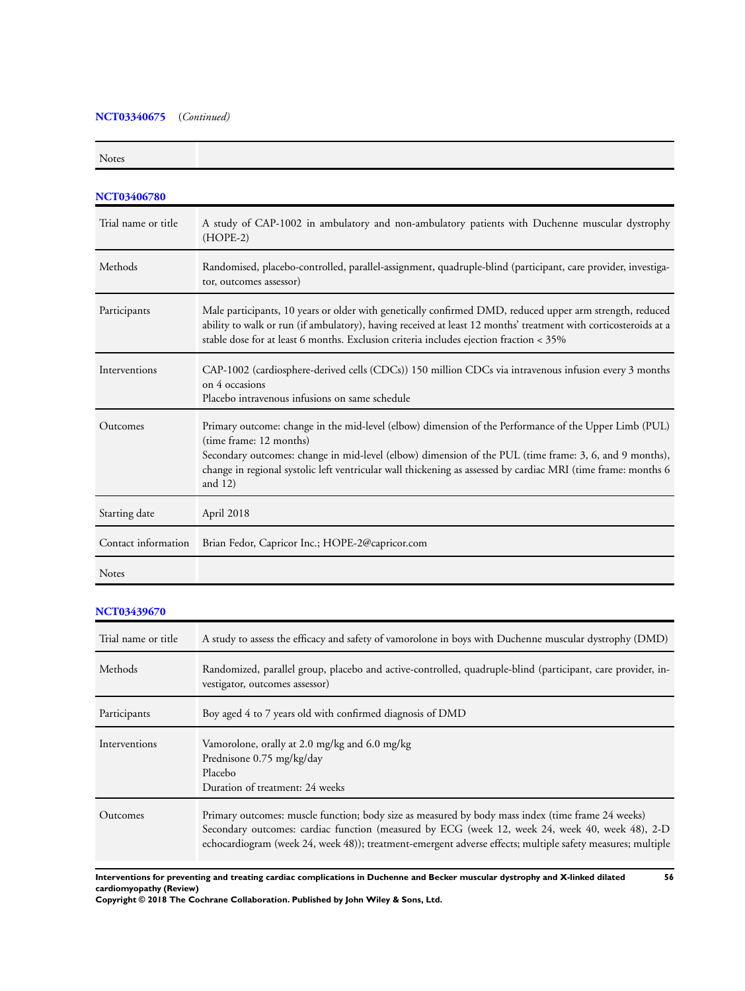### **[NCT03340675](#page-34-0)** (*Continued)*

Notes **[NCT03406780](#page-34-0)** Trial name or title A study of CAP-1002 in ambulatory and non-ambulatory patients with Duchenne muscular dystrophy (HOPE-2) Methods Randomised, placebo-controlled, parallel-assignment, quadruple-blind (participant, care provider, investigator, outcomes assessor) Participants Male participants, 10 years or older with genetically confirmed DMD, reduced upper arm strength, reduced ability to walk or run (if ambulatory), having received at least 12 months' treatment with corticosteroids at a stable dose for at least 6 months. Exclusion criteria includes ejection fraction < 35% Interventions CAP-1002 (cardiosphere-derived cells (CDCs)) 150 million CDCs via intravenous infusion every 3 months on 4 occasions Placebo intravenous infusions on same schedule Outcomes Primary outcome: change in the mid-level (elbow) dimension of the Performance of the Upper Limb (PUL) (time frame: 12 months) Secondary outcomes: change in mid-level (elbow) dimension of the PUL (time frame: 3, 6, and 9 months), change in regional systolic left ventricular wall thickening as assessed by cardiac MRI (time frame: months 6 and 12) Starting date April 2018 Contact information Brian Fedor, Capricor Inc.; HOPE-2@capricor.com Notes

# **[NCT03439670](#page-34-0)**

| Trial name or title | A study to assess the efficacy and safety of vamorolone in boys with Duchenne muscular dystrophy (DMD)                                                                                                                                                                                                             |
|---------------------|--------------------------------------------------------------------------------------------------------------------------------------------------------------------------------------------------------------------------------------------------------------------------------------------------------------------|
| Methods             | Randomized, parallel group, placebo and active-controlled, quadruple-blind (participant, care provider, in-<br>vestigator, outcomes assessor)                                                                                                                                                                      |
| Participants        | Boy aged 4 to 7 years old with confirmed diagnosis of DMD                                                                                                                                                                                                                                                          |
| Interventions       | Vamorolone, orally at 2.0 mg/kg and 6.0 mg/kg<br>Prednisone 0.75 mg/kg/day<br>Placebo<br>Duration of treatment: 24 weeks                                                                                                                                                                                           |
| Outcomes            | Primary outcomes: muscle function; body size as measured by body mass index (time frame 24 weeks)<br>Secondary outcomes: cardiac function (measured by ECG (week 12, week 24, week 40, week 48), 2-D<br>echocardiogram (week 24, week 48)); treatment-emergent adverse effects; multiple safety measures; multiple |

**Interventions for preventing and treating cardiac complications in Duchenne and Becker muscular dystrophy and X-linked dilated 56 cardiomyopathy (Review) Copyright © 2018 The Cochrane Collaboration. Published by John Wiley & Sons, Ltd.**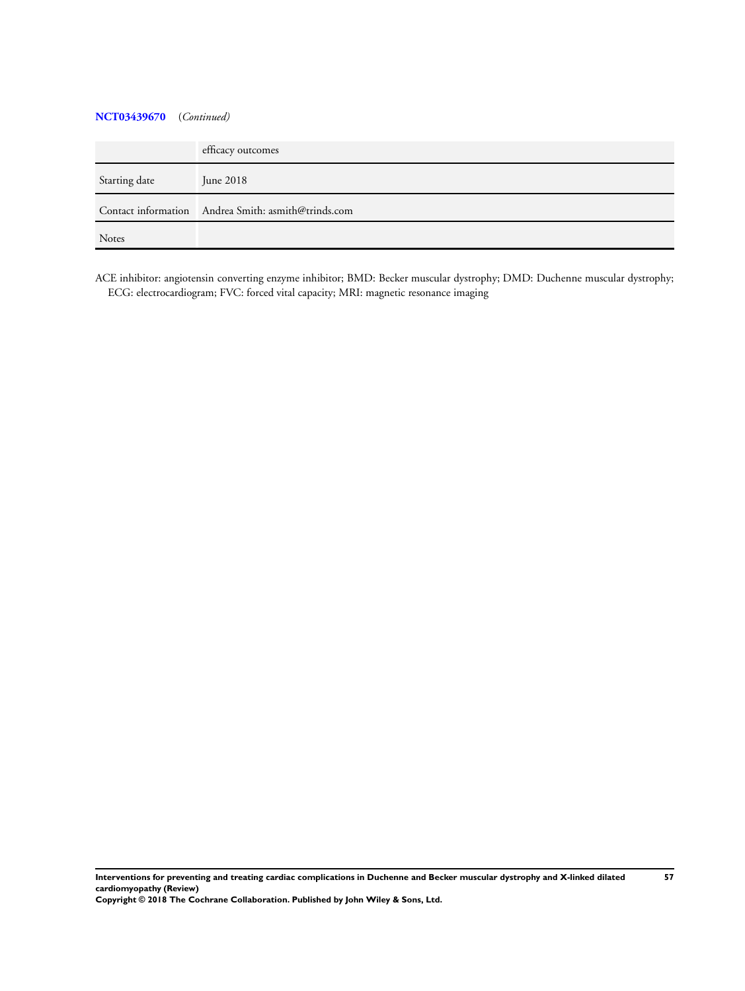# **[NCT03439670](#page-34-0)** (*Continued)*

|               | efficacy outcomes                                   |
|---------------|-----------------------------------------------------|
| Starting date | June 2018                                           |
|               | Contact information Andrea Smith: asmith@trinds.com |
| <b>Notes</b>  |                                                     |

ACE inhibitor: angiotensin converting enzyme inhibitor; BMD: Becker muscular dystrophy; DMD: Duchenne muscular dystrophy; ECG: electrocardiogram; FVC: forced vital capacity; MRI: magnetic resonance imaging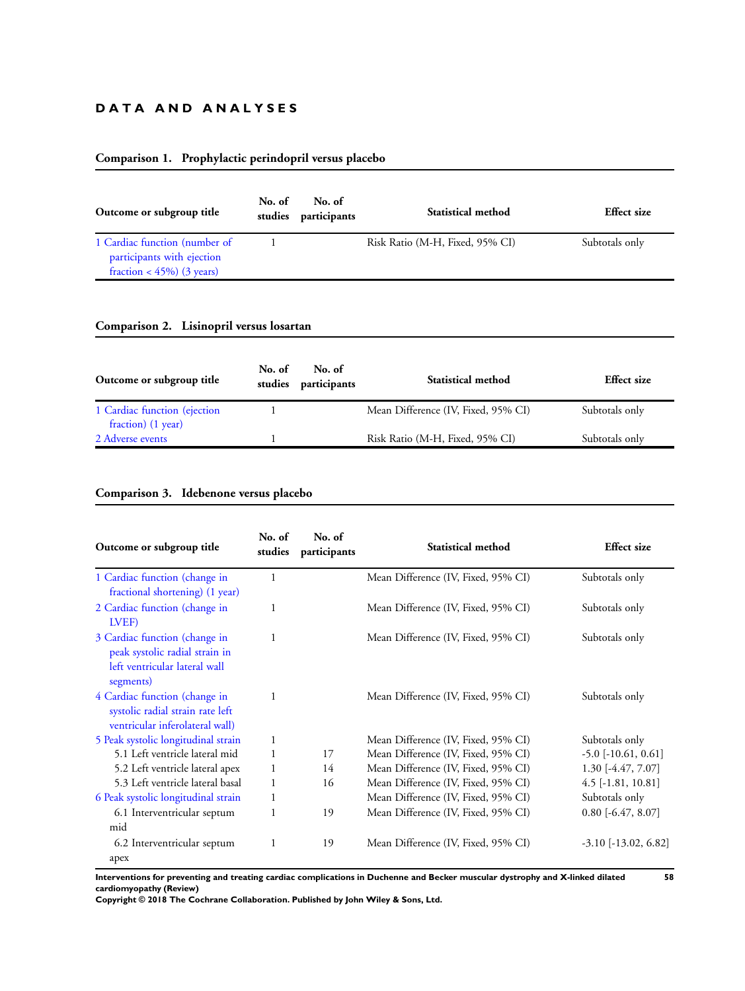# **D A T A A N D A N A L Y S E S**

# **Comparison 1. Prophylactic perindopril versus placebo**

| Outcome or subgroup title                                                                    | No. of<br>studies | No. of<br>participants | <b>Statistical method</b>       | <b>Effect</b> size |
|----------------------------------------------------------------------------------------------|-------------------|------------------------|---------------------------------|--------------------|
| 1 Cardiac function (number of<br>participants with ejection<br>fraction < $45\%$ ) (3 years) |                   |                        | Risk Ratio (M-H, Fixed, 95% CI) | Subtotals only     |

# **Comparison 2. Lisinopril versus losartan**

| Outcome or subgroup title                           | No. of<br>studies | No. of<br>participants | <b>Statistical method</b>           | <b>Effect</b> size |
|-----------------------------------------------------|-------------------|------------------------|-------------------------------------|--------------------|
| 1 Cardiac function (ejection)<br>fraction) (1 year) |                   |                        | Mean Difference (IV, Fixed, 95% CI) | Subtotals only     |
| 2 Adverse events                                    |                   |                        | Risk Ratio (M-H, Fixed, 95% CI)     | Subtotals only     |

# **Comparison 3. Idebenone versus placebo**

| Outcome or subgroup title                                                                                     | No. of<br>studies | No. of<br>participants | <b>Statistical method</b>           | <b>Effect</b> size           |
|---------------------------------------------------------------------------------------------------------------|-------------------|------------------------|-------------------------------------|------------------------------|
| 1 Cardiac function (change in<br>fractional shortening) (1 year)                                              | 1                 |                        | Mean Difference (IV, Fixed, 95% CI) | Subtotals only               |
| 2 Cardiac function (change in<br>LVEF)                                                                        | 1                 |                        | Mean Difference (IV, Fixed, 95% CI) | Subtotals only               |
| 3 Cardiac function (change in<br>peak systolic radial strain in<br>left ventricular lateral wall<br>segments) | 1                 |                        | Mean Difference (IV, Fixed, 95% CI) | Subtotals only               |
| 4 Cardiac function (change in<br>systolic radial strain rate left<br>ventricular inferolateral wall)          | 1                 |                        | Mean Difference (IV, Fixed, 95% CI) | Subtotals only               |
| 5 Peak systolic longitudinal strain                                                                           | $\mathbf{1}$      |                        | Mean Difference (IV, Fixed, 95% CI) | Subtotals only               |
| 5.1 Left ventricle lateral mid                                                                                | $\mathbf{1}$      | 17                     | Mean Difference (IV, Fixed, 95% CI) | $-5.0$ [ $-10.61$ , $0.61$ ] |
| 5.2 Left ventricle lateral apex                                                                               | $\mathbf{1}$      | 14                     | Mean Difference (IV, Fixed, 95% CI) | $1.30$ [-4.47, 7.07]         |
| 5.3 Left ventricle lateral basal                                                                              | $\mathbf{1}$      | 16                     | Mean Difference (IV, Fixed, 95% CI) | $4.5$ [-1.81, 10.81]         |
| 6 Peak systolic longitudinal strain                                                                           | $\mathbf{1}$      |                        | Mean Difference (IV, Fixed, 95% CI) | Subtotals only               |
| 6.1 Interventricular septum<br>mid                                                                            | 1                 | 19                     | Mean Difference (IV, Fixed, 95% CI) | $0.80$ [-6.47, 8.07]         |
| 6.2 Interventricular septum<br>apex                                                                           | 1                 | 19                     | Mean Difference (IV, Fixed, 95% CI) | $-3.10$ [ $-13.02$ , 6.82]   |

**Interventions for preventing and treating cardiac complications in Duchenne and Becker muscular dystrophy and X-linked dilated 58 cardiomyopathy (Review)**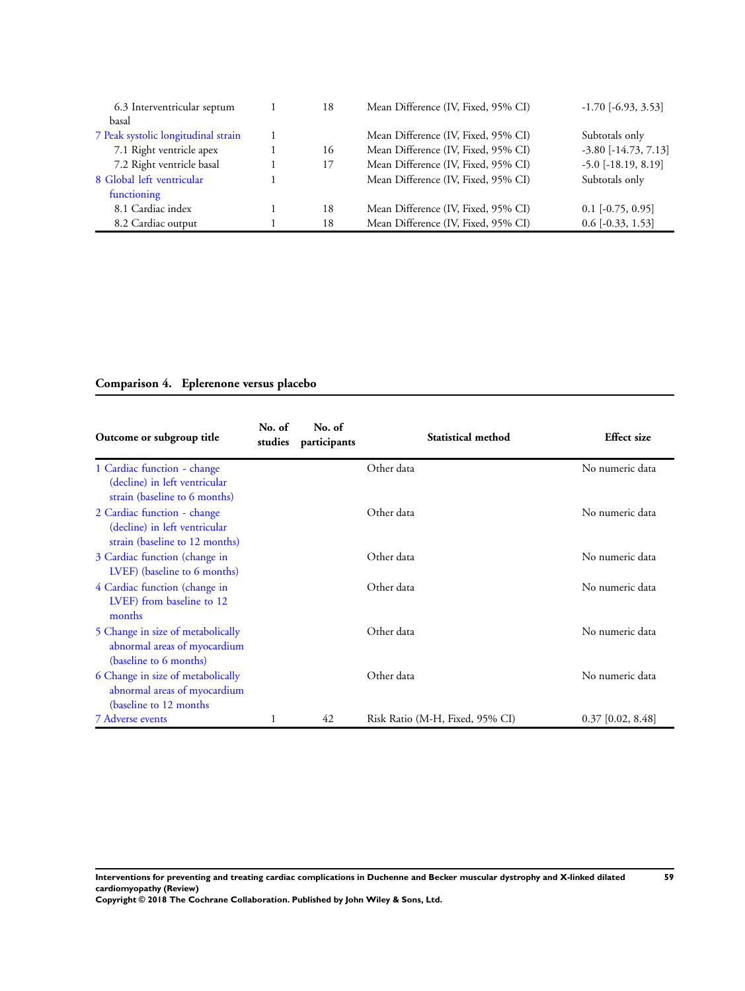| 6.3 Interventricular septum         | 18 | Mean Difference (IV, Fixed, 95% CI) | $-1.70$ [ $-6.93, 3.53$ ]     |
|-------------------------------------|----|-------------------------------------|-------------------------------|
| basal                               |    |                                     |                               |
| 7 Peak systolic longitudinal strain |    | Mean Difference (IV, Fixed, 95% CI) | Subtotals only                |
| 7.1 Right ventricle apex            | 16 | Mean Difference (IV, Fixed, 95% CI) | $-3.80$ [ $-14.73$ , $7.13$ ] |
| 7.2 Right ventricle basal           | 17 | Mean Difference (IV, Fixed, 95% CI) | $-5.0$ [ $-18.19$ , $8.19$ ]  |
| 8 Global left ventricular           |    | Mean Difference (IV, Fixed, 95% CI) | Subtotals only                |
| functioning                         |    |                                     |                               |
| 8.1 Cardiac index                   | 18 | Mean Difference (IV, Fixed, 95% CI) | $0.1$ [ $-0.75$ , $0.95$ ]    |
| 8.2 Cardiac output                  | 18 | Mean Difference (IV, Fixed, 95% CI) | $0.6$ [ $-0.33$ , 1.53]       |

# **Comparison 4. Eplerenone versus placebo**

| Outcome or subgroup title                                                                      | No. of<br>studies | No. of<br>participants | Statistical method              | <b>Effect</b> size  |
|------------------------------------------------------------------------------------------------|-------------------|------------------------|---------------------------------|---------------------|
| 1 Cardiac function - change<br>(decline) in left ventricular<br>strain (baseline to 6 months)  |                   |                        | Other data                      | No numeric data     |
| 2 Cardiac function - change<br>(decline) in left ventricular<br>strain (baseline to 12 months) |                   |                        | Other data                      | No numeric data     |
| 3 Cardiac function (change in<br>LVEF) (baseline to 6 months)                                  |                   |                        | Other data                      | No numeric data     |
| 4 Cardiac function (change in<br>LVEF) from baseline to 12<br>months                           |                   |                        | Other data                      | No numeric data     |
| 5 Change in size of metabolically<br>abnormal areas of myocardium<br>(baseline to 6 months)    |                   |                        | Other data                      | No numeric data     |
| 6 Change in size of metabolically<br>abnormal areas of myocardium<br>(baseline to 12 months)   |                   |                        | Other data                      | No numeric data     |
| 7 Adverse events                                                                               |                   | 42                     | Risk Ratio (M-H, Fixed, 95% CI) | $0.37$ [0.02, 8.48] |

**Interventions for preventing and treating cardiac complications in Duchenne and Becker muscular dystrophy and X-linked dilated 59 cardiomyopathy (Review)**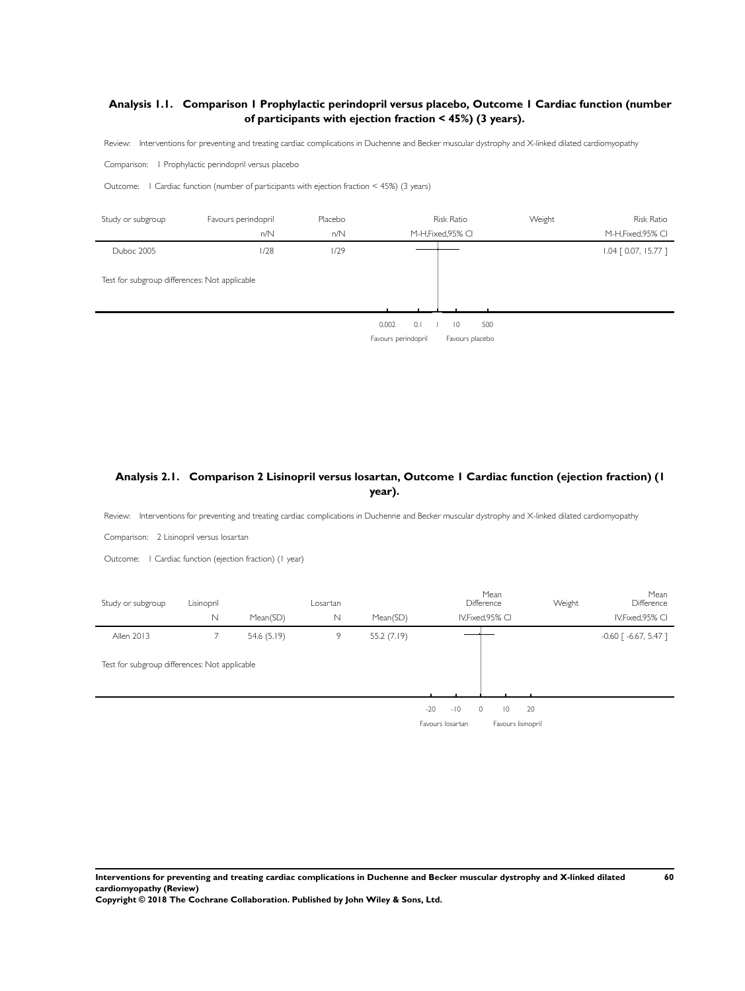# <span id="page-61-0"></span>**Analysis 1.1. Comparison 1 Prophylactic perindopril versus placebo, Outcome 1 Cardiac function (number of participants with ejection fraction < 45%) (3 years).**

Review: Interventions for preventing and treating cardiac complications in Duchenne and Becker muscular dystrophy and X-linked dilated cardiomyopathy

Comparison: 1 Prophylactic perindopril versus placebo

Outcome: 1 Cardiac function (number of participants with ejection fraction < 45%) (3 years)

| Study or subgroup                             | Favours perindopril<br>n/N | Placebo<br>n/N | Risk Ratio<br>M-H, Fixed, 95% CI                                                | Weight | Risk Ratio<br>M-H, Fixed, 95% CI |
|-----------------------------------------------|----------------------------|----------------|---------------------------------------------------------------------------------|--------|----------------------------------|
| Duboc 2005                                    | 1/28                       | 1/29           |                                                                                 |        | $1.04$ [ 0.07, 15.77 ]           |
| Test for subgroup differences: Not applicable |                            |                |                                                                                 |        |                                  |
|                                               |                            |                | 0.002<br>0.1<br>500<br>$\overline{0}$<br>Favours perindopril<br>Favours placebo |        |                                  |

# **Analysis 2.1. Comparison 2 Lisinopril versus losartan, Outcome 1 Cardiac function (ejection fraction) (1 year).**

Review: Interventions for preventing and treating cardiac complications in Duchenne and Becker muscular dystrophy and X-linked dilated cardiomyopathy

Comparison: 2 Lisinopril versus losartan

Outcome: 1 Cardiac function (ejection fraction) (1 year)

| Study or subgroup                             | Lisinopril  |             | Losartan |            |                  |       |          | Mean<br>Difference |     | Weight | Mean<br>Difference                  |
|-----------------------------------------------|-------------|-------------|----------|------------|------------------|-------|----------|--------------------|-----|--------|-------------------------------------|
|                                               | $\mathbb N$ | Mean(SD)    | N        | Mean(SD)   |                  |       |          | IV, Fixed, 95% CI  |     |        | IV, Fixed, 95% CI                   |
| Allen 2013                                    |             | 54.6 (5.19) | 9        | 55.2(7.19) |                  |       |          |                    |     |        | $-0.60$ $\lceil -6.67, 5.47 \rceil$ |
| Test for subgroup differences: Not applicable |             |             |          |            |                  |       |          |                    |     |        |                                     |
|                                               |             |             |          |            | $-20$            | $-10$ | $\Omega$ | $\overline{0}$     | -20 |        |                                     |
|                                               |             |             |          |            | Favours losartan |       |          | Favours lisinopril |     |        |                                     |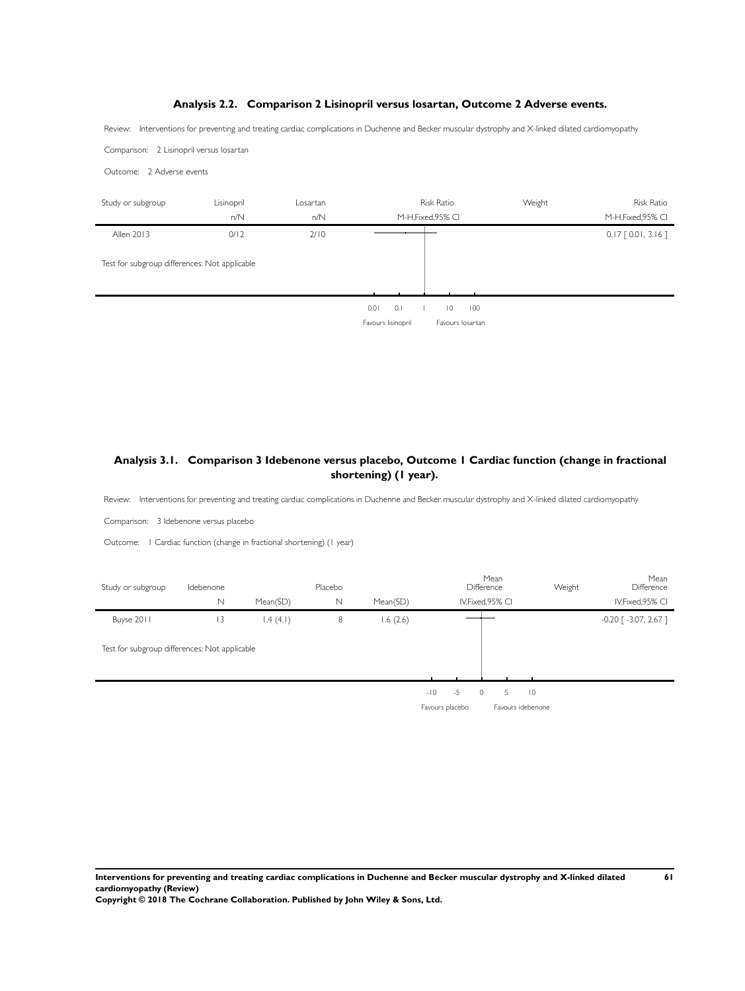# **Analysis 2.2. Comparison 2 Lisinopril versus losartan, Outcome 2 Adverse events.**

<span id="page-62-0"></span>Review: Interventions for preventing and treating cardiac complications in Duchenne and Becker muscular dystrophy and X-linked dilated cardiomyopathy

Comparison: 2 Lisinopril versus losartan

Outcome: 2 Adverse events

| Study or subgroup                             | Lisinopril | Losartan | <b>Risk Ratio</b>                      | Weight | Risk Ratio            |
|-----------------------------------------------|------------|----------|----------------------------------------|--------|-----------------------|
|                                               | n/N        | n/N      | M-H, Fixed, 95% CI                     |        | M-H, Fixed, 95% CI    |
| Allen 2013                                    | 0/12       | 2/10     |                                        |        | $0.17$ $[0.01, 3.16]$ |
| Test for subgroup differences: Not applicable |            |          |                                        |        |                       |
|                                               |            |          |                                        |        |                       |
|                                               |            |          | 0.01<br>0.1<br>100<br>$ 0\rangle$      |        |                       |
|                                               |            |          | Favours lisinopril<br>Favours losartan |        |                       |

# **Analysis 3.1. Comparison 3 Idebenone versus placebo, Outcome 1 Cardiac function (change in fractional shortening) (1 year).**

Review: Interventions for preventing and treating cardiac complications in Duchenne and Becker muscular dystrophy and X-linked dilated cardiomyopathy

Comparison: 3 Idebenone versus placebo

Outcome: 1 Cardiac function (change in fractional shortening) (1 year)

| Study or subgroup                             | Idebenone    |          | Placebo |          |                 |      |          | Mean<br>Difference |                   | Weight | Mean<br>Difference         |
|-----------------------------------------------|--------------|----------|---------|----------|-----------------|------|----------|--------------------|-------------------|--------|----------------------------|
|                                               | $\mathsf{N}$ | Mean(SD) | N       | Mean(SD) |                 |      |          | IV, Fixed, 95% CI  |                   |        | IV, Fixed, 95% CI          |
| Buyse 2011                                    | 3            | 1.4(4.1) | 8       | 1.6(2.6) |                 |      |          |                    |                   |        | $-0.20$ [ $-3.07$ , 2.67 ] |
| Test for subgroup differences: Not applicable |              |          |         |          |                 |      |          |                    |                   |        |                            |
|                                               |              |          |         |          |                 |      |          |                    |                   |        |                            |
|                                               |              |          |         |          | $-10$           | $-5$ | $\Omega$ | 5.                 | $ 0\rangle$       |        |                            |
|                                               |              |          |         |          | Favours placebo |      |          |                    | Favours idebenone |        |                            |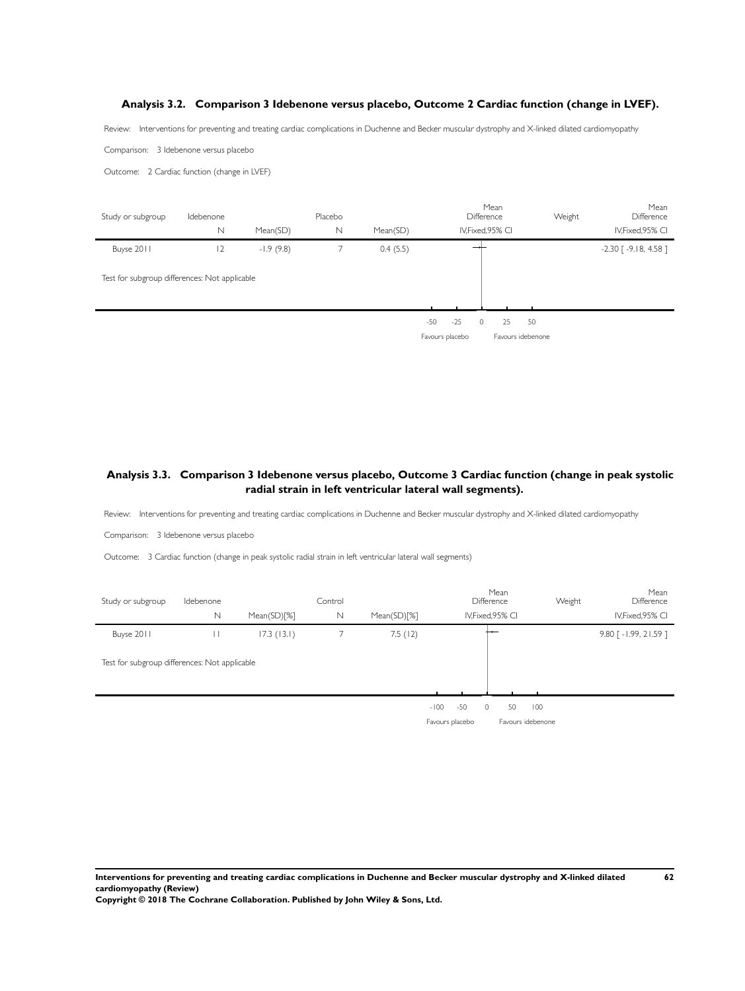# <span id="page-63-0"></span>**Analysis 3.2. Comparison 3 Idebenone versus placebo, Outcome 2 Cardiac function (change in LVEF).**

Review: Interventions for preventing and treating cardiac complications in Duchenne and Becker muscular dystrophy and X-linked dilated cardiomyopathy

Comparison: 3 Idebenone versus placebo

Outcome: 2 Cardiac function (change in LVEF)

| Study or subgroup                             | <b>Idebenone</b> |             | Placebo |          |                   | Mean<br>Difference |          |    |                   | Mean<br>Weight<br>Difference |                            |
|-----------------------------------------------|------------------|-------------|---------|----------|-------------------|--------------------|----------|----|-------------------|------------------------------|----------------------------|
|                                               | N                | Mean(SD)    | N       | Mean(SD) | IV, Fixed, 95% CI |                    |          |    |                   | IV, Fixed, 95% CI            |                            |
| Buyse 2011                                    | $ 2\rangle$      | $-1.9(9.8)$ |         | 0.4(5.5) |                   |                    |          |    |                   |                              | $-2.30$ [ $-9.18$ , 4.58 ] |
| Test for subgroup differences: Not applicable |                  |             |         |          |                   |                    |          |    |                   |                              |                            |
|                                               |                  |             |         |          |                   |                    |          |    |                   |                              |                            |
|                                               |                  |             |         |          | $-50$             | $-25$              | $\Omega$ | 25 | 50                |                              |                            |
|                                               |                  |             |         |          |                   | Favours placebo    |          |    | Favours idebenone |                              |                            |

# **Analysis 3.3. Comparison 3 Idebenone versus placebo, Outcome 3 Cardiac function (change in peak systolic radial strain in left ventricular lateral wall segments).**

Review: Interventions for preventing and treating cardiac complications in Duchenne and Becker muscular dystrophy and X-linked dilated cardiomyopathy

Comparison: 3 Idebenone versus placebo

Outcome: 3 Cardiac function (change in peak systolic radial strain in left ventricular lateral wall segments)

| Idebenone     |             |                                               |             |                 | Mean            | Weight                          | Mean<br>Difference  |
|---------------|-------------|-----------------------------------------------|-------------|-----------------|-----------------|---------------------------------|---------------------|
| $\mathbb N$   | Mean(SD)[%] | N                                             | Mean(SD)[%] |                 |                 |                                 | IV, Fixed, 95% CI   |
| $\mathbf{  }$ | 17.3(13.1)  |                                               | 7.5(12)     |                 |                 |                                 | 9.80 [-1.99, 21.59] |
|               |             |                                               |             |                 |                 |                                 |                     |
|               |             |                                               |             | $-50$<br>$-100$ | 50<br>$\Omega$  | 100                             |                     |
|               |             | Test for subgroup differences: Not applicable | Control     |                 | Favours placebo | Difference<br>IV, Fixed, 95% CI | Favours idebenone   |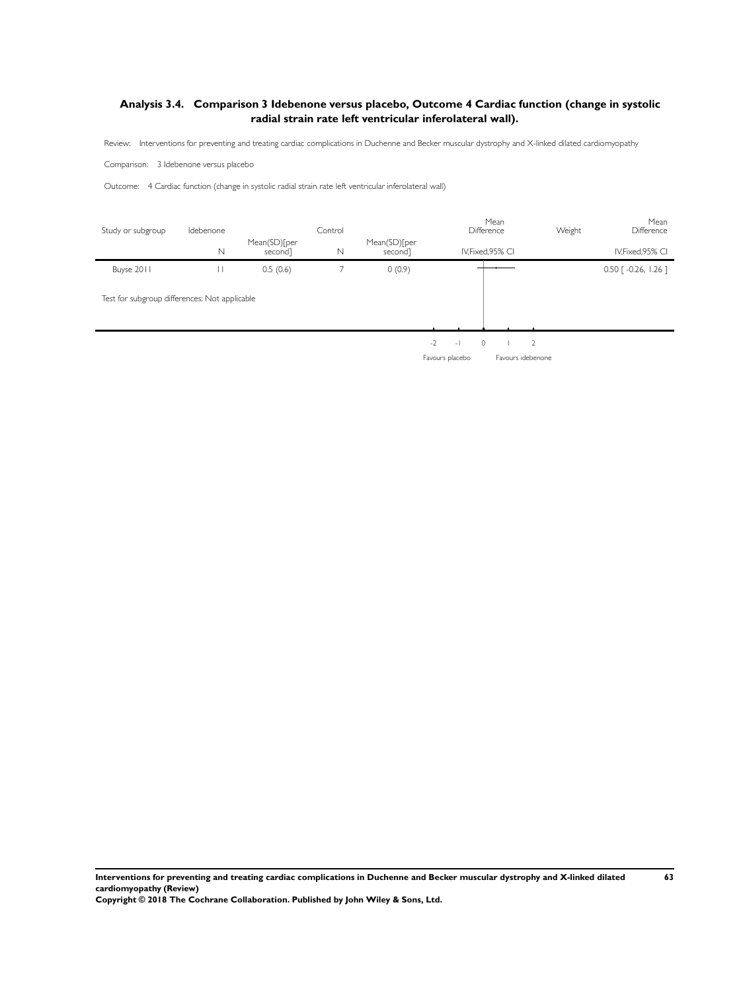# <span id="page-64-0"></span>**Analysis 3.4. Comparison 3 Idebenone versus placebo, Outcome 4 Cardiac function (change in systolic radial strain rate left ventricular inferolateral wall).**

Review: Interventions for preventing and treating cardiac complications in Duchenne and Becker muscular dystrophy and X-linked dilated cardiomyopathy

Comparison: 3 Idebenone versus placebo

Outcome: 4 Cardiac function (change in systolic radial strain rate left ventricular inferolateral wall)

| Study or subgroup                             | Idebenone |                         | Control     |                                     |                | Mean<br>Difference | Weight | Mean<br>Difference                 |
|-----------------------------------------------|-----------|-------------------------|-------------|-------------------------------------|----------------|--------------------|--------|------------------------------------|
|                                               | N         | Mean(SD)[per<br>second] | $\mathbb N$ | Mean(SD)[per<br>second <sup>1</sup> |                | IV, Fixed, 95% CI  |        | IV, Fixed, 95% CI                  |
| Buyse 2011                                    |           | 0.5(0.6)                |             | 0(0.9)                              |                |                    |        | $0.50$ $\lceil -0.26, 1.26 \rceil$ |
| Test for subgroup differences: Not applicable |           |                         |             |                                     |                |                    |        |                                    |
|                                               |           |                         |             |                                     | $-2$<br>$\sim$ |                    |        |                                    |

Favours placebo Favours idebenone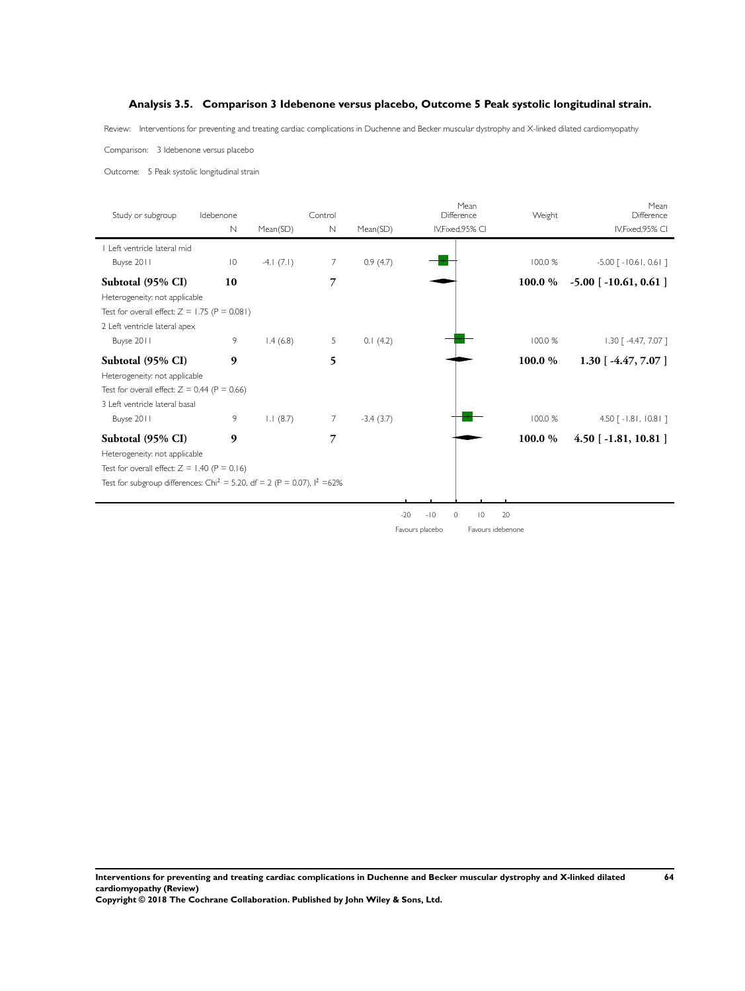# <span id="page-65-0"></span>**Analysis 3.5. Comparison 3 Idebenone versus placebo, Outcome 5 Peak systolic longitudinal strain.**

Review: Interventions for preventing and treating cardiac complications in Duchenne and Becker muscular dystrophy and X-linked dilated cardiomyopathy

Comparison: 3 Idebenone versus placebo

Outcome: 5 Peak systolic longitudinal strain

| Study or subgroup                                                                     | Idebenone       |             | Control     |             | Mean<br>Difference        | Weight            | Mean<br>Difference           |
|---------------------------------------------------------------------------------------|-----------------|-------------|-------------|-------------|---------------------------|-------------------|------------------------------|
|                                                                                       | $\mathbb N$     | Mean(SD)    | $\mathbb N$ | Mean(SD)    | IV, Fixed, 95% CI         |                   | IV, Fixed, 95% CI            |
| Left ventricle lateral mid                                                            |                 |             |             |             |                           |                   |                              |
| Buyse 2011                                                                            | $\overline{10}$ | $-4.1(7.1)$ | 7           | 0.9(4.7)    |                           | 100.0 %           | $-5.00$ [ $-10.61$ , 0.61]   |
| Subtotal (95% CI)                                                                     | 10              |             | 7           |             |                           | 100.0%            | $-5.00$ [ $-10.61, 0.61$ ]   |
| Heterogeneity: not applicable                                                         |                 |             |             |             |                           |                   |                              |
| Test for overall effect: $Z = 1.75$ (P = 0.081)                                       |                 |             |             |             |                           |                   |                              |
| 2 Left ventricle lateral apex                                                         |                 |             |             |             |                           |                   |                              |
| Buyse 2011                                                                            | 9               | 1.4(6.8)    | 5           | 0.1(4.2)    |                           | 100.0 %           | $1.30$ [ -4.47, 7.07 ]       |
| Subtotal (95% CI)                                                                     | 9               |             | 5           |             |                           | 100.0%            | $1.30$ [ -4.47, 7.07 ]       |
| Heterogeneity: not applicable                                                         |                 |             |             |             |                           |                   |                              |
| Test for overall effect: $Z = 0.44$ (P = 0.66)                                        |                 |             |             |             |                           |                   |                              |
| 3 Left ventricle lateral basal                                                        |                 |             |             |             |                           |                   |                              |
| Buyse 2011                                                                            | 9               | 1.1(8.7)    | 7           | $-3.4(3.7)$ |                           | 100.0 %           | $4.50$ [ $-1.81$ , $10.81$ ] |
| Subtotal (95% CI)                                                                     | 9               |             | 7           |             |                           | 100.0%            | $4.50$ [ -1.81, 10.81 ]      |
| Heterogeneity: not applicable                                                         |                 |             |             |             |                           |                   |                              |
| Test for overall effect: $Z = 1.40$ (P = 0.16)                                        |                 |             |             |             |                           |                   |                              |
| Test for subgroup differences: Chi <sup>2</sup> = 5.20, df = 2 (P = 0.07), $1^2$ =62% |                 |             |             |             |                           |                   |                              |
|                                                                                       |                 |             |             |             |                           |                   |                              |
|                                                                                       |                 |             |             | $-20$       | $-10$<br>0<br>$ 0\rangle$ | 20                |                              |
|                                                                                       |                 |             |             |             | Favours placebo           | Favours idebenone |                              |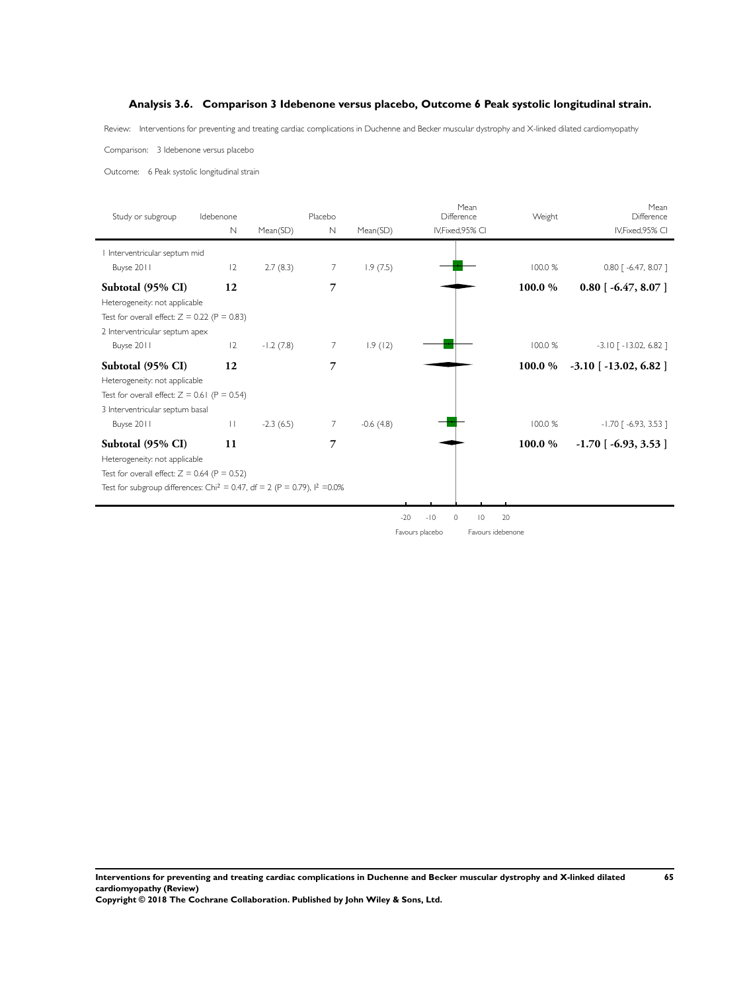# <span id="page-66-0"></span>**Analysis 3.6. Comparison 3 Idebenone versus placebo, Outcome 6 Peak systolic longitudinal strain.**

Review: Interventions for preventing and treating cardiac complications in Duchenne and Becker muscular dystrophy and X-linked dilated cardiomyopathy

Comparison: 3 Idebenone versus placebo

Outcome: 6 Peak systolic longitudinal strain

| Study or subgroup                                                                       | Idebenone |             | Placebo     |                | Mean<br>Difference | Weight  | Mean<br>Difference                 |
|-----------------------------------------------------------------------------------------|-----------|-------------|-------------|----------------|--------------------|---------|------------------------------------|
|                                                                                         | N         | Mean(SD)    | $\mathbb N$ | Mean(SD)       | IV, Fixed, 95% CI  |         | IV, Fixed, 95% CI                  |
| Interventricular septum mid                                                             |           |             |             |                |                    |         |                                    |
| Buyse 2011                                                                              | 2         | 2.7(8.3)    | 7           | 1.9(7.5)       |                    | 100.0 % | $0.80$ $\lceil -6.47, 8.07 \rceil$ |
| Subtotal (95% CI)                                                                       | 12        |             | 7           |                |                    | 100.0%  | $0.80$ [ -6.47, 8.07 ]             |
| Heterogeneity: not applicable                                                           |           |             |             |                |                    |         |                                    |
| Test for overall effect: $Z = 0.22$ (P = 0.83)                                          |           |             |             |                |                    |         |                                    |
| 2 Interventricular septum apex                                                          |           |             |             |                |                    |         |                                    |
| Buyse 2011                                                                              | 2         | $-1.2(7.8)$ | 7           | 1.9(12)        |                    | 100.0 % | $-3.10$ [ $-13.02$ , 6.82]         |
| Subtotal (95% CI)                                                                       | 12        |             | 7           |                |                    | 100.0 % | $-3.10$ [ $-13.02, 6.82$ ]         |
| Heterogeneity: not applicable                                                           |           |             |             |                |                    |         |                                    |
| Test for overall effect: $Z = 0.61$ (P = 0.54)                                          |           |             |             |                |                    |         |                                    |
| 3 Interventricular septum basal                                                         |           |             |             |                |                    |         |                                    |
| Buyse 2011                                                                              | $\perp$   | $-2.3(6.5)$ | 7           | $-0.6$ $(4.8)$ |                    | 100.0 % | $-1.70$ [ $-6.93$ , 3.53 ]         |
| Subtotal (95% CI)                                                                       | 11        |             | 7           |                |                    | 100.0 % | $-1.70$ [ $-6.93, 3.53$ ]          |
| Heterogeneity: not applicable                                                           |           |             |             |                |                    |         |                                    |
| Test for overall effect: $Z = 0.64$ (P = 0.52)                                          |           |             |             |                |                    |         |                                    |
| Test for subgroup differences: Chi <sup>2</sup> = 0.47, df = 2 (P = 0.79), $1^2$ = 0.0% |           |             |             |                |                    |         |                                    |
|                                                                                         |           |             |             |                |                    |         |                                    |

-20 -10 0 10 20 Favours placebo Favours idebenone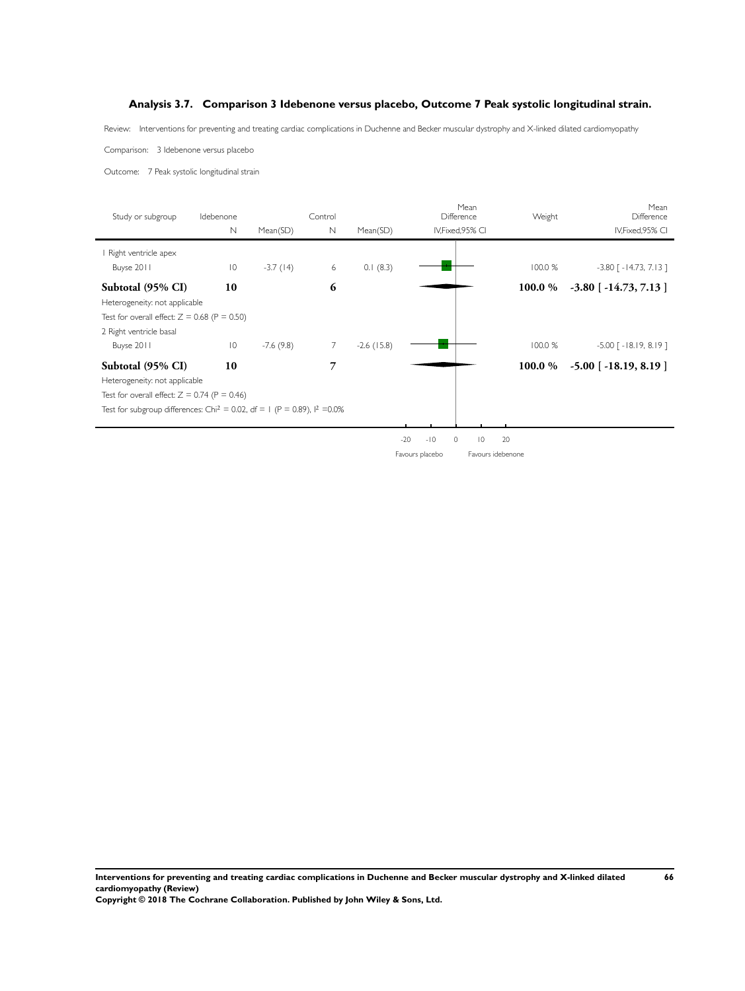## <span id="page-67-0"></span>**Analysis 3.7. Comparison 3 Idebenone versus placebo, Outcome 7 Peak systolic longitudinal strain.**

Review: Interventions for preventing and treating cardiac complications in Duchenne and Becker muscular dystrophy and X-linked dilated cardiomyopathy

Comparison: 3 Idebenone versus placebo

Outcome: 7 Peak systolic longitudinal strain

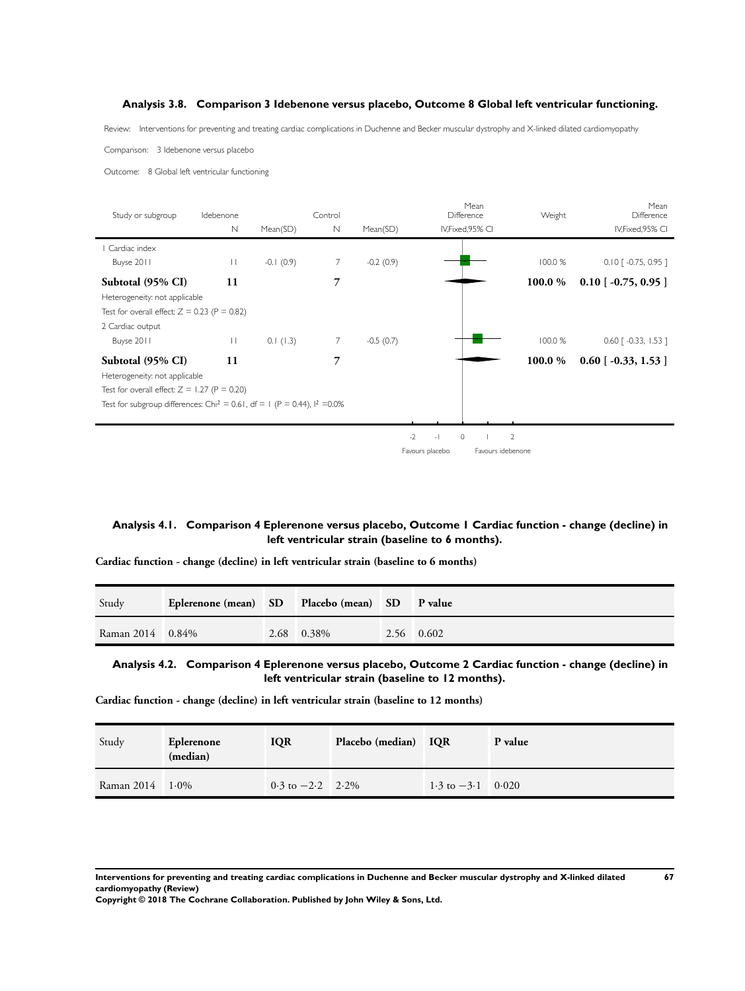## <span id="page-68-0"></span>**Analysis 3.8. Comparison 3 Idebenone versus placebo, Outcome 8 Global left ventricular functioning.**

Review: Interventions for preventing and treating cardiac complications in Duchenne and Becker muscular dystrophy and X-linked dilated cardiomyopathy

Comparison: 3 Idebenone versus placebo

Outcome: 8 Global left ventricular functioning

| Study or subgroup                                                                       | Idebenone    |             | Control     |             |                        | Mean<br>Difference | Weight         | Mean<br>Difference                 |
|-----------------------------------------------------------------------------------------|--------------|-------------|-------------|-------------|------------------------|--------------------|----------------|------------------------------------|
|                                                                                         | $\mathbb N$  | Mean(SD)    | $\mathbb N$ | Mean(SD)    |                        | IV, Fixed, 95% CI  |                | IV, Fixed, 95% CI                  |
| Cardiac index                                                                           |              |             |             |             |                        |                    |                |                                    |
| Buyse 2011                                                                              | $\perp$      | $-0.1(0.9)$ | 7           | $-0.2(0.9)$ |                        |                    | 100.0 %        | $0.10$ $[-0.75, 0.95]$             |
| Subtotal (95% CI)                                                                       | 11           |             | 7           |             |                        |                    | 100.0 %        | $0.10$ [ -0.75, 0.95 ]             |
| Heterogeneity: not applicable                                                           |              |             |             |             |                        |                    |                |                                    |
| Test for overall effect: $Z = 0.23$ (P = 0.82)                                          |              |             |             |             |                        |                    |                |                                    |
| 2 Cardiac output                                                                        |              |             |             |             |                        |                    |                |                                    |
| Buyse 2011                                                                              | $\mathbf{H}$ | 0.1(1.3)    | 7           | $-0.5(0.7)$ |                        |                    | 100.0%         | $0.60$ $\lceil -0.33, 1.53 \rceil$ |
| Subtotal (95% CI)                                                                       | 11           |             | 7           |             |                        |                    | 100.0 %        | $0.60$ [ -0.33, 1.53 ]             |
| Heterogeneity: not applicable                                                           |              |             |             |             |                        |                    |                |                                    |
| Test for overall effect: $Z = 1.27$ (P = 0.20)                                          |              |             |             |             |                        |                    |                |                                    |
| Test for subgroup differences: Chi <sup>2</sup> = 0.61, df = 1 (P = 0.44), $1^2$ = 0.0% |              |             |             |             |                        |                    |                |                                    |
|                                                                                         |              |             |             |             |                        |                    |                |                                    |
|                                                                                         |              |             |             |             | $\circ$<br>$-2$<br>- 1 |                    | $\overline{2}$ |                                    |
|                                                                                         |              |             |             |             | Favours placebo        | Favours idebenone  |                |                                    |

# **Analysis 4.1. Comparison 4 Eplerenone versus placebo, Outcome 1 Cardiac function - change (decline) in left ventricular strain (baseline to 6 months).**

**Cardiac function - change (decline) in left ventricular strain (baseline to 6 months)**

| Study            | Eplerenone (mean) SD | Placebo (mean) SD | P value    |
|------------------|----------------------|-------------------|------------|
| Raman 2014 0.84% |                      | 2.68 0.38%        | 2.56 0.602 |

**Analysis 4.2. Comparison 4 Eplerenone versus placebo, Outcome 2 Cardiac function - change (decline) in left ventricular strain (baseline to 12 months).**

**Cardiac function - change (decline) in left ventricular strain (baseline to 12 months)**

| Study           | Eplerenone<br>(median) | <b>IQR</b>                     | Placebo (median) IQR |                              | P value |
|-----------------|------------------------|--------------------------------|----------------------|------------------------------|---------|
| Raman 2014 1.0% |                        | $0.3 \text{ to } -2.2$ $2.2\%$ |                      | $1.3 \text{ to } -3.1$ 0.020 |         |

**Interventions for preventing and treating cardiac complications in Duchenne and Becker muscular dystrophy and X-linked dilated 67 cardiomyopathy (Review)**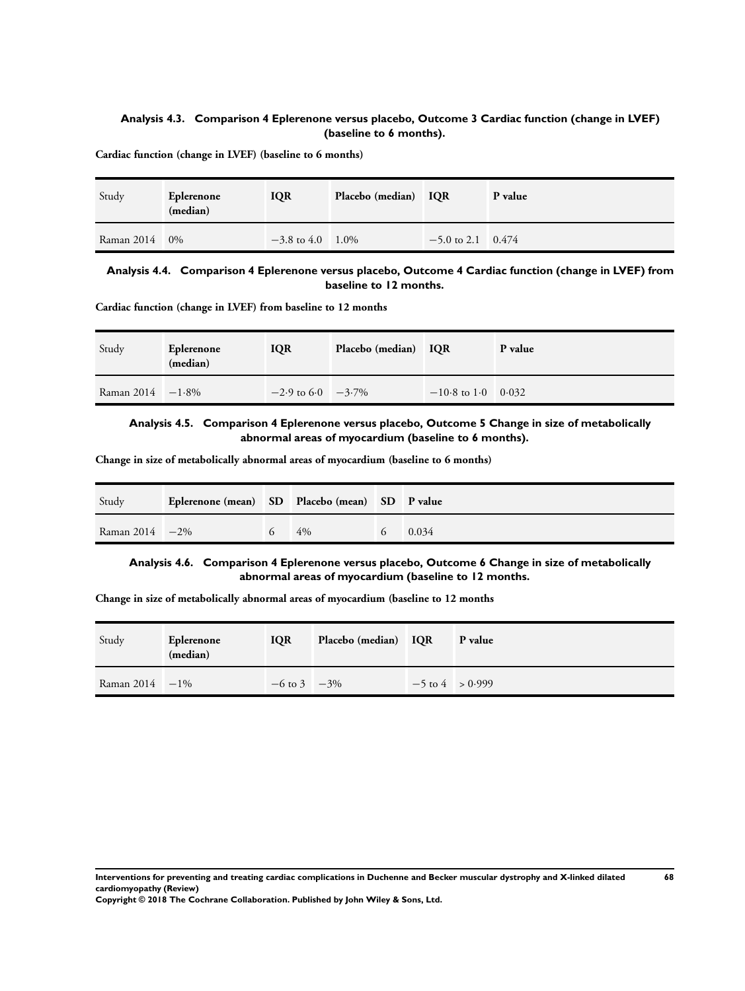# <span id="page-69-0"></span>**Analysis 4.3. Comparison 4 Eplerenone versus placebo, Outcome 3 Cardiac function (change in LVEF) (baseline to 6 months).**

**Cardiac function (change in LVEF) (baseline to 6 months)**

| Study         | Eplerenone<br>(median) | <b>IQR</b>         | Placebo (median) IQR |                              | P value |
|---------------|------------------------|--------------------|----------------------|------------------------------|---------|
| Raman 2014 0% |                        | $-3.8$ to 4.0 1.0% |                      | $-5.0 \text{ to } 2.1$ 0.474 |         |

# **Analysis 4.4. Comparison 4 Eplerenone versus placebo, Outcome 4 Cardiac function (change in LVEF) from baseline to 12 months.**

**Cardiac function (change in LVEF) from baseline to 12 months**

| Study                | Eplerenone<br>(median) | <b>IQR</b>             | Placebo (median) IQR |                        | P value |
|----------------------|------------------------|------------------------|----------------------|------------------------|---------|
| Raman $2014 - 1.8\%$ |                        | $-2.9$ to 6.0 $-3.7\%$ |                      | $-10.8$ to $1.0$ 0.032 |         |

**Analysis 4.5. Comparison 4 Eplerenone versus placebo, Outcome 5 Change in size of metabolically abnormal areas of myocardium (baseline to 6 months).**

**Change in size of metabolically abnormal areas of myocardium (baseline to 6 months)**

| Study              | Eplerenone (mean) SD Placebo (mean) SD P value |    |          |       |
|--------------------|------------------------------------------------|----|----------|-------|
| Raman $2014 - 2\%$ |                                                | 4% | $\Omega$ | 0.034 |

**Analysis 4.6. Comparison 4 Eplerenone versus placebo, Outcome 6 Change in size of metabolically abnormal areas of myocardium (baseline to 12 months.**

**Change in size of metabolically abnormal areas of myocardium (baseline to 12 months**

| Study              | Eplerenone<br>(median) | <b>IOR</b>                    | Placebo (median) IQR |                     | P value |
|--------------------|------------------------|-------------------------------|----------------------|---------------------|---------|
| Raman $2014 - 1\%$ |                        | $-6 \text{ to } 3 \quad -3\%$ |                      | $-5$ to 4 $> 0.999$ |         |

**Interventions for preventing and treating cardiac complications in Duchenne and Becker muscular dystrophy and X-linked dilated 68 cardiomyopathy (Review)**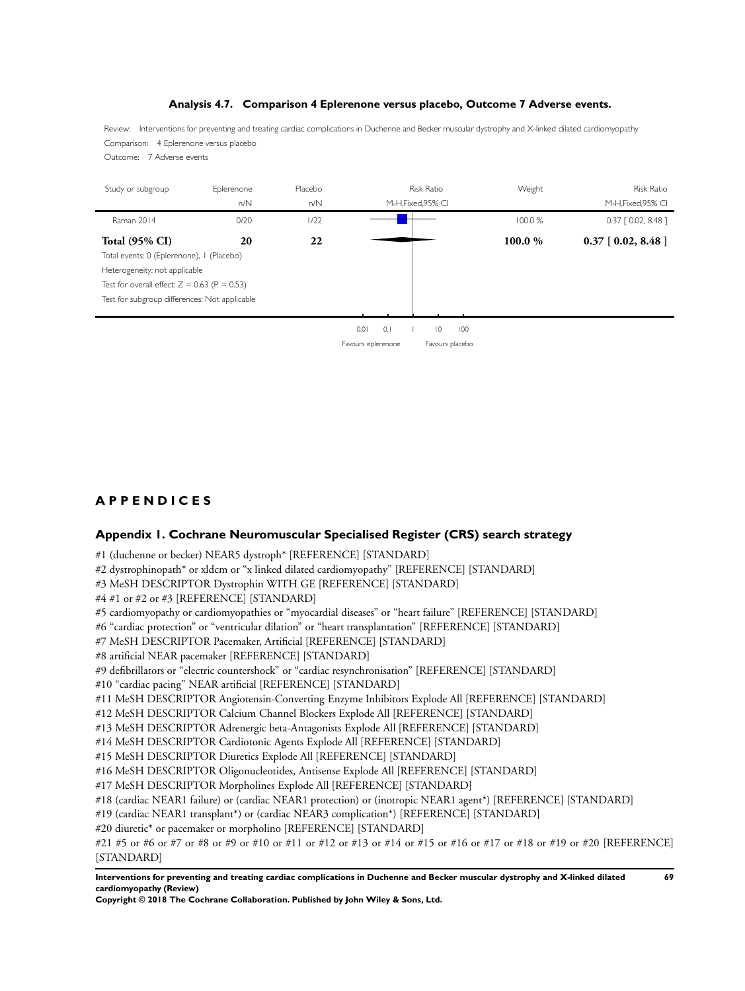### **Analysis 4.7. Comparison 4 Eplerenone versus placebo, Outcome 7 Adverse events.**

<span id="page-70-0"></span>Review: Interventions for preventing and treating cardiac complications in Duchenne and Becker muscular dystrophy and X-linked dilated cardiomyopathy Comparison: 4 Eplerenone versus placebo Outcome: 7 Adverse events

Study or subgroup Eplerenone Placebo Risk Ratio Weight Risk Ratio n/N n/N M-H,Fixed,95% CI M-H,Fixed,95% CI M-H,Fixed,95% CI Raman 2014 **0/20** 1/22 100.0 % 0.37 [ 0.02, 8.48 ] **Total (95% CI) 20 22 100.0 % 0.37 [ 0.02, 8.48 ]** Total events: 0 (Eplerenone), 1 (Placebo) Heterogeneity: not applicable Test for overall effect:  $Z = 0.63$  (P = 0.53) Test for subgroup differences: Not applicable 0.01 0.1 1 10 100 Favours eplerenone Favours placebo

# **A P P E N D I C E S**

# **Appendix 1. Cochrane Neuromuscular Specialised Register (CRS) search strategy**

#1 (duchenne or becker) NEAR5 dystroph\* [REFERENCE] [STANDARD]

#2 dystrophinopath\* or xldcm or "x linked dilated cardiomyopathy" [REFERENCE] [STANDARD]

#3 MeSH DESCRIPTOR Dystrophin WITH GE [REFERENCE] [STANDARD]

#4 #1 or #2 or #3 [REFERENCE] [STANDARD]

#5 cardiomyopathy or cardiomyopathies or "myocardial diseases" or "heart failure" [REFERENCE] [STANDARD]

#6 "cardiac protection" or "ventricular dilation" or "heart transplantation" [REFERENCE] [STANDARD]

#7 MeSH DESCRIPTOR Pacemaker, Artificial [REFERENCE] [STANDARD]

#8 artificial NEAR pacemaker [REFERENCE] [STANDARD]

#9 defibrillators or "electric countershock" or "cardiac resynchronisation" [REFERENCE] [STANDARD]

#10 "cardiac pacing" NEAR artificial [REFERENCE] [STANDARD]

#11 MeSH DESCRIPTOR Angiotensin-Converting Enzyme Inhibitors Explode All [REFERENCE] [STANDARD]

#12 MeSH DESCRIPTOR Calcium Channel Blockers Explode All [REFERENCE] [STANDARD]

#13 MeSH DESCRIPTOR Adrenergic beta-Antagonists Explode All [REFERENCE] [STANDARD]

#14 MeSH DESCRIPTOR Cardiotonic Agents Explode All [REFERENCE] [STANDARD]

#15 MeSH DESCRIPTOR Diuretics Explode All [REFERENCE] [STANDARD]

#16 MeSH DESCRIPTOR Oligonucleotides, Antisense Explode All [REFERENCE] [STANDARD]

#17 MeSH DESCRIPTOR Morpholines Explode All [REFERENCE] [STANDARD]

#18 (cardiac NEAR1 failure) or (cardiac NEAR1 protection) or (inotropic NEAR1 agent\*) [REFERENCE] [STANDARD]

#19 (cardiac NEAR1 transplant\*) or (cardiac NEAR3 complication\*) [REFERENCE] [STANDARD]

#20 diuretic\* or pacemaker or morpholino [REFERENCE] [STANDARD]

#21 #5 or #6 or #7 or #8 or #9 or #10 or #11 or #12 or #13 or #14 or #15 or #16 or #17 or #18 or #19 or #20 [REFERENCE] [STANDARD]

### **Interventions for preventing and treating cardiac complications in Duchenne and Becker muscular dystrophy and X-linked dilated 69 cardiomyopathy (Review)**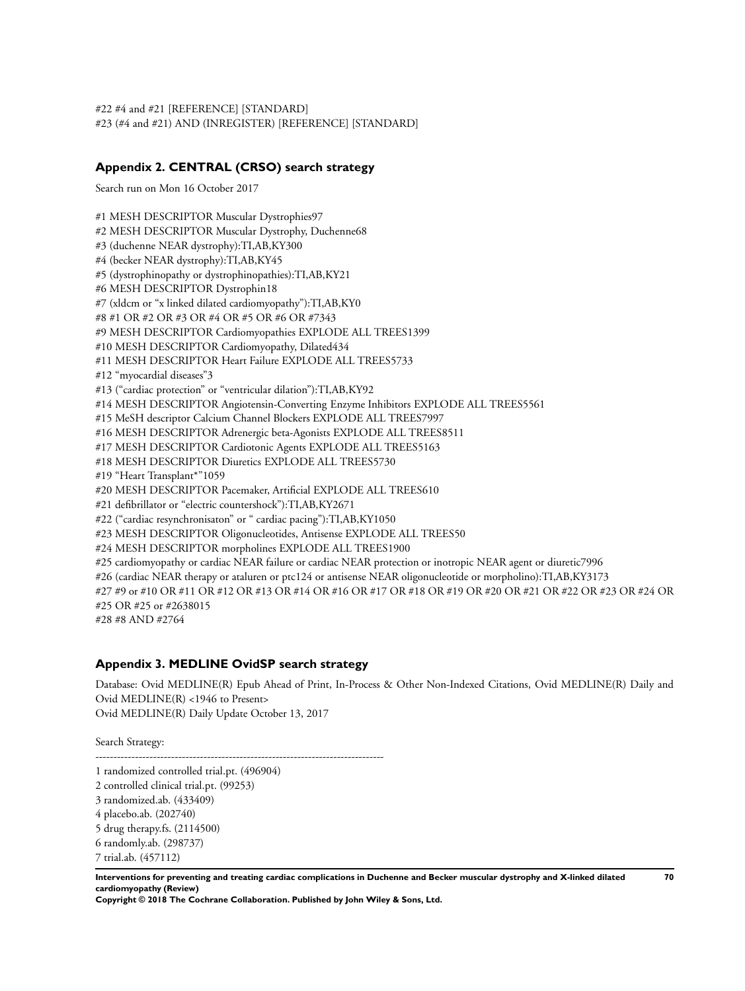#22 #4 and #21 [REFERENCE] [STANDARD] #23 (#4 and #21) AND (INREGISTER) [REFERENCE] [STANDARD]

# **Appendix 2. CENTRAL (CRSO) search strategy**

Search run on Mon 16 October 2017

#1 MESH DESCRIPTOR Muscular Dystrophies97 #2 MESH DESCRIPTOR Muscular Dystrophy, Duchenne68 #3 (duchenne NEAR dystrophy):TI,AB,KY300 #4 (becker NEAR dystrophy):TI,AB,KY45 #5 (dystrophinopathy or dystrophinopathies):TI,AB,KY21 #6 MESH DESCRIPTOR Dystrophin18 #7 (xldcm or "x linked dilated cardiomyopathy"):TI,AB,KY0 #8 #1 OR #2 OR #3 OR #4 OR #5 OR #6 OR #7343 #9 MESH DESCRIPTOR Cardiomyopathies EXPLODE ALL TREES1399 #10 MESH DESCRIPTOR Cardiomyopathy, Dilated434 #11 MESH DESCRIPTOR Heart Failure EXPLODE ALL TREES5733 #12 "myocardial diseases"3 #13 ("cardiac protection" or "ventricular dilation"):TI,AB,KY92 #14 MESH DESCRIPTOR Angiotensin-Converting Enzyme Inhibitors EXPLODE ALL TREES5561 #15 MeSH descriptor Calcium Channel Blockers EXPLODE ALL TREES7997 #16 MESH DESCRIPTOR Adrenergic beta-Agonists EXPLODE ALL TREES8511 #17 MESH DESCRIPTOR Cardiotonic Agents EXPLODE ALL TREES5163 #18 MESH DESCRIPTOR Diuretics EXPLODE ALL TREES5730 #19 "Heart Transplant\*"1059 #20 MESH DESCRIPTOR Pacemaker, Artificial EXPLODE ALL TREES610 #21 defibrillator or "electric countershock"):TI,AB,KY2671 #22 ("cardiac resynchronisaton" or " cardiac pacing"):TI,AB,KY1050 #23 MESH DESCRIPTOR Oligonucleotides, Antisense EXPLODE ALL TREES50 #24 MESH DESCRIPTOR morpholines EXPLODE ALL TREES1900 #25 cardiomyopathy or cardiac NEAR failure or cardiac NEAR protection or inotropic NEAR agent or diuretic7996 #26 (cardiac NEAR therapy or ataluren or ptc124 or antisense NEAR oligonucleotide or morpholino):TI,AB,KY3173 #27 #9 or #10 OR #11 OR #12 OR #13 OR #14 OR #16 OR #17 OR #18 OR #19 OR #20 OR #21 OR #22 OR #23 OR #24 OR #25 OR #25 or #2638015 #28 #8 AND #2764

# **Appendix 3. MEDLINE OvidSP search strategy**

--------------------------------------------------------------------------------

Database: Ovid MEDLINE(R) Epub Ahead of Print, In-Process & Other Non-Indexed Citations, Ovid MEDLINE(R) Daily and Ovid MEDLINE(R) <1946 to Present> Ovid MEDLINE(R) Daily Update October 13, 2017

Search Strategy:

1 randomized controlled trial.pt. (496904)

2 controlled clinical trial.pt. (99253)

3 randomized.ab. (433409)

4 placebo.ab. (202740)

5 drug therapy.fs. (2114500)

6 randomly.ab. (298737)

7 trial.ab. (457112)

**Interventions for preventing and treating cardiac complications in Duchenne and Becker muscular dystrophy and X-linked dilated 70 cardiomyopathy (Review)**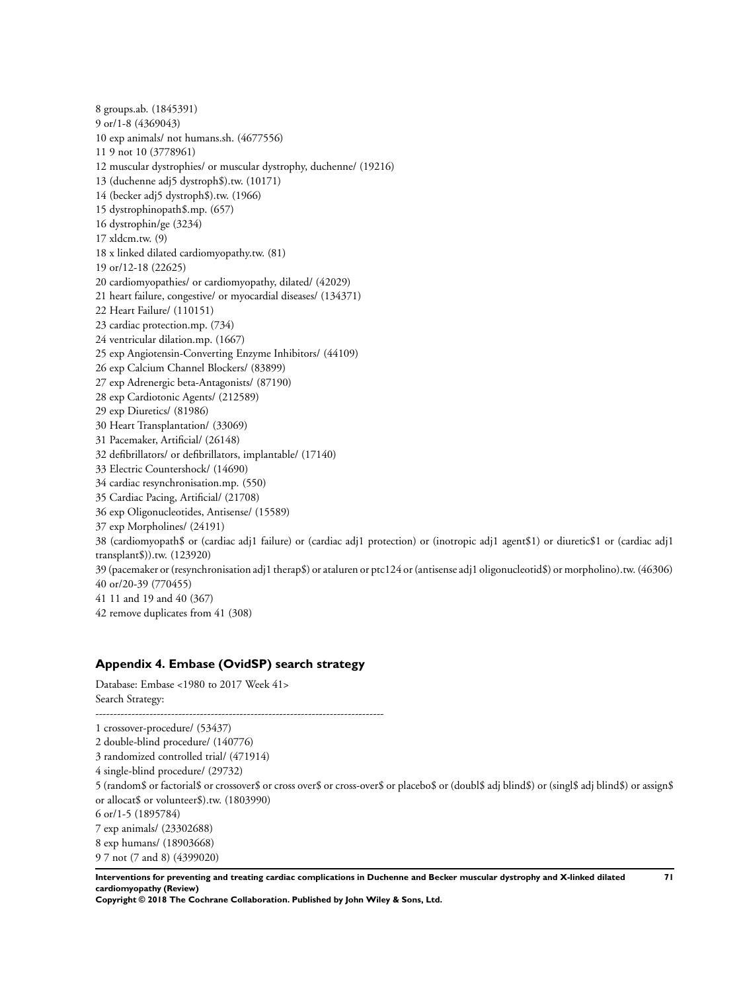8 groups.ab. (1845391) 9 or/1-8 (4369043) 10 exp animals/ not humans.sh. (4677556) 11 9 not 10 (3778961) 12 muscular dystrophies/ or muscular dystrophy, duchenne/ (19216) 13 (duchenne adj5 dystroph\$).tw. (10171) 14 (becker adj5 dystroph\$).tw. (1966) 15 dystrophinopath\$.mp. (657) 16 dystrophin/ge (3234) 17 xldcm.tw. (9) 18 x linked dilated cardiomyopathy.tw. (81) 19 or/12-18 (22625) 20 cardiomyopathies/ or cardiomyopathy, dilated/ (42029) 21 heart failure, congestive/ or myocardial diseases/ (134371) 22 Heart Failure/ (110151) 23 cardiac protection.mp. (734) 24 ventricular dilation.mp. (1667) 25 exp Angiotensin-Converting Enzyme Inhibitors/ (44109) 26 exp Calcium Channel Blockers/ (83899) 27 exp Adrenergic beta-Antagonists/ (87190) 28 exp Cardiotonic Agents/ (212589) 29 exp Diuretics/ (81986) 30 Heart Transplantation/ (33069) 31 Pacemaker, Artificial/ (26148) 32 defibrillators/ or defibrillators, implantable/ (17140) 33 Electric Countershock/ (14690) 34 cardiac resynchronisation.mp. (550) 35 Cardiac Pacing, Artificial/ (21708) 36 exp Oligonucleotides, Antisense/ (15589) 37 exp Morpholines/ (24191) 38 (cardiomyopath\$ or (cardiac adj1 failure) or (cardiac adj1 protection) or (inotropic adj1 agent\$1) or diuretic\$1 or (cardiac adj1 transplant\$)).tw. (123920) 39 (pacemaker or (resynchronisation adj1 therap\$) or ataluren or ptc124 or (antisense adj1 oligonucleotid\$) or morpholino).tw. (46306) 40 or/20-39 (770455) 41 11 and 19 and 40 (367) 42 remove duplicates from 41 (308)

#### **Appendix 4. Embase (OvidSP) search strategy**

Database: Embase <1980 to 2017 Week 41> Search Strategy: -------------------------------------------------------------------------------- 1 crossover-procedure/ (53437) 2 double-blind procedure/ (140776) 3 randomized controlled trial/ (471914) 4 single-blind procedure/ (29732) 5 (random\$ or factorial\$ or crossover\$ or cross over\$ or cross-over\$ or placebo\$ or (doubl\$ adj blind\$) or (singl\$ adj blind\$) or assign\$ or allocat\$ or volunteer\$).tw. (1803990) 6 or/1-5 (1895784) 7 exp animals/ (23302688) 8 exp humans/ (18903668) 9 7 not (7 and 8) (4399020) **Interventions for preventing and treating cardiac complications in Duchenne and Becker muscular dystrophy and X-linked dilated 71**

**cardiomyopathy (Review) Copyright © 2018 The Cochrane Collaboration. Published by John Wiley & Sons, Ltd.**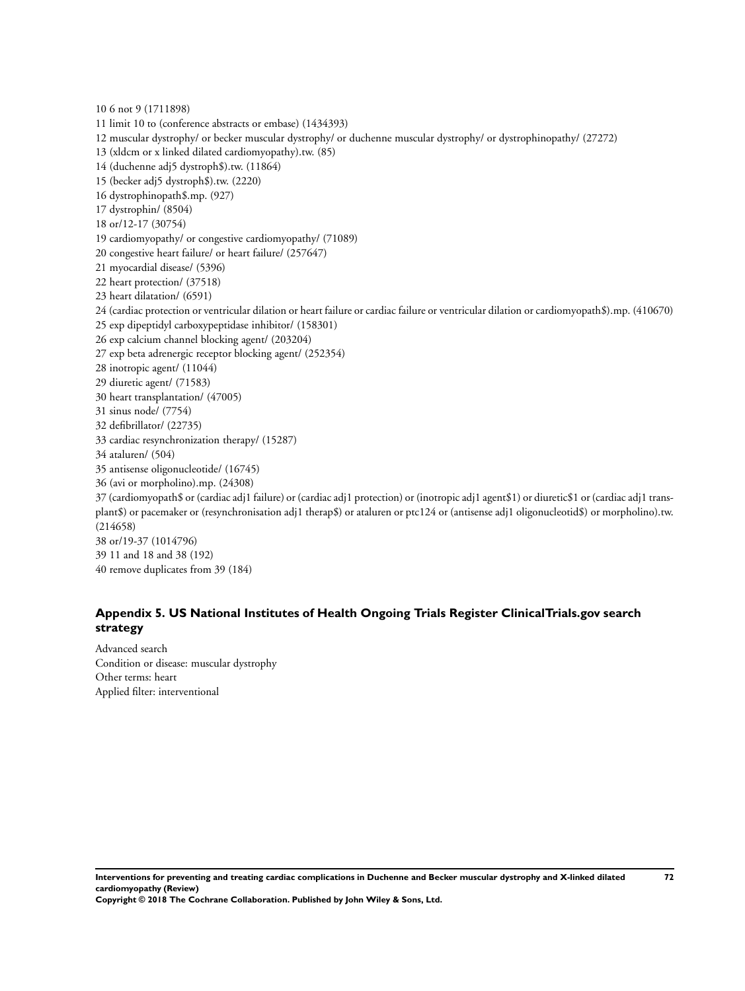10 6 not 9 (1711898) 11 limit 10 to (conference abstracts or embase) (1434393) 12 muscular dystrophy/ or becker muscular dystrophy/ or duchenne muscular dystrophy/ or dystrophinopathy/ (27272) 13 (xldcm or x linked dilated cardiomyopathy).tw. (85) 14 (duchenne adj5 dystroph\$).tw. (11864) 15 (becker adj5 dystroph\$).tw. (2220) 16 dystrophinopath\$.mp. (927) 17 dystrophin/ (8504) 18 or/12-17 (30754) 19 cardiomyopathy/ or congestive cardiomyopathy/ (71089) 20 congestive heart failure/ or heart failure/ (257647) 21 myocardial disease/ (5396) 22 heart protection/ (37518) 23 heart dilatation/ (6591) 24 (cardiac protection or ventricular dilation or heart failure or cardiac failure or ventricular dilation or cardiomyopath\$).mp. (410670) 25 exp dipeptidyl carboxypeptidase inhibitor/ (158301) 26 exp calcium channel blocking agent/ (203204) 27 exp beta adrenergic receptor blocking agent/ (252354) 28 inotropic agent/ (11044) 29 diuretic agent/ (71583) 30 heart transplantation/ (47005) 31 sinus node/ (7754) 32 defibrillator/ (22735) 33 cardiac resynchronization therapy/ (15287) 34 ataluren/ (504) 35 antisense oligonucleotide/ (16745) 36 (avi or morpholino).mp. (24308) 37 (cardiomyopath\$ or (cardiac adj1 failure) or (cardiac adj1 protection) or (inotropic adj1 agent\$1) or diuretic\$1 or (cardiac adj1 transplant\$) or pacemaker or (resynchronisation adj1 therap\$) or ataluren or ptc124 or (antisense adj1 oligonucleotid\$) or morpholino).tw. (214658) 38 or/19-37 (1014796) 39 11 and 18 and 38 (192) 40 remove duplicates from 39 (184)

# **Appendix 5. US National Institutes of Health Ongoing Trials Register ClinicalTrials.gov search strategy**

Advanced search Condition or disease: muscular dystrophy Other terms: heart Applied filter: interventional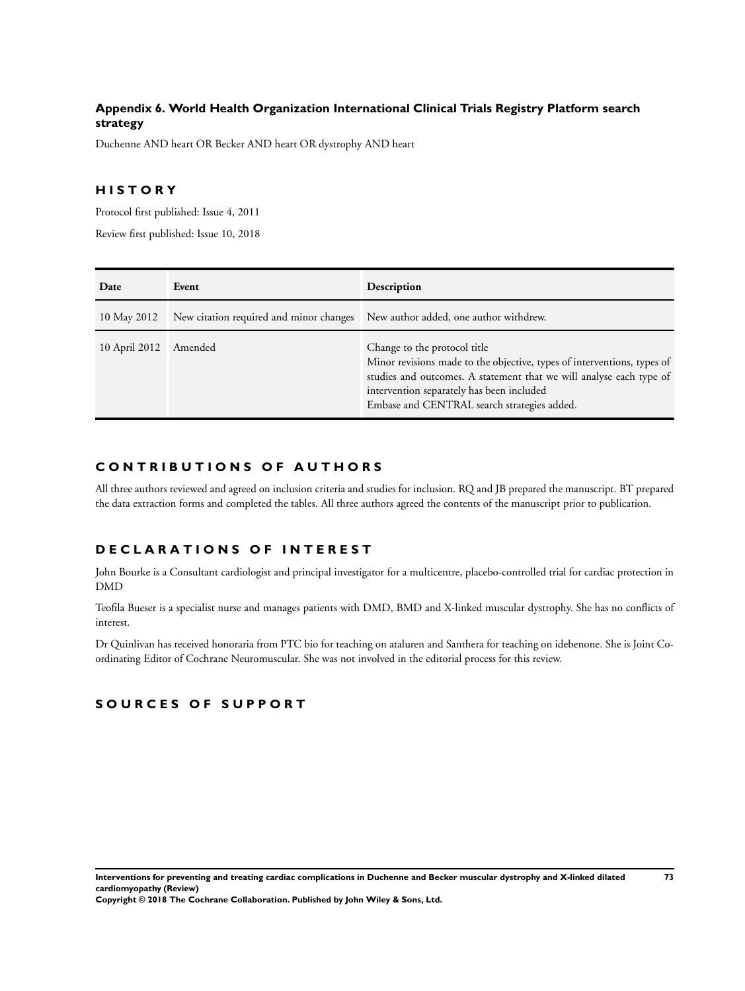# **Appendix 6. World Health Organization International Clinical Trials Registry Platform search strategy**

Duchenne AND heart OR Becker AND heart OR dystrophy AND heart

# **H I S T O R Y**

Protocol first published: Issue 4, 2011

Review first published: Issue 10, 2018

| Date          | Event                                                                          | Description                                                                                                                                                                                                                                                                |
|---------------|--------------------------------------------------------------------------------|----------------------------------------------------------------------------------------------------------------------------------------------------------------------------------------------------------------------------------------------------------------------------|
| 10 May 2012   | New citation required and minor changes New author added, one author withdrew. |                                                                                                                                                                                                                                                                            |
| 10 April 2012 | Amended                                                                        | Change to the protocol title<br>Minor revisions made to the objective, types of interventions, types of<br>studies and outcomes. A statement that we will analyse each type of<br>intervention separately has been included<br>Embase and CENTRAL search strategies added. |

### **C O N T R I B U T I O N S O F A U T H O R S**

All three authors reviewed and agreed on inclusion criteria and studies for inclusion. RQ and JB prepared the manuscript. BT prepared the data extraction forms and completed the tables. All three authors agreed the contents of the manuscript prior to publication.

### **D E C L A R A T I O N S O F I N T E R E S T**

John Bourke is a Consultant cardiologist and principal investigator for a multicentre, placebo-controlled trial for cardiac protection in DMD

Teofila Bueser is a specialist nurse and manages patients with DMD, BMD and X-linked muscular dystrophy. She has no conflicts of interest.

Dr Quinlivan has received honoraria from PTC bio for teaching on ataluren and Santhera for teaching on idebenone. She is Joint Coordinating Editor of Cochrane Neuromuscular. She was not involved in the editorial process for this review.

# **S O U R C E S O F S U P P O R T**

**Copyright © 2018 The Cochrane Collaboration. Published by John Wiley & Sons, Ltd.**